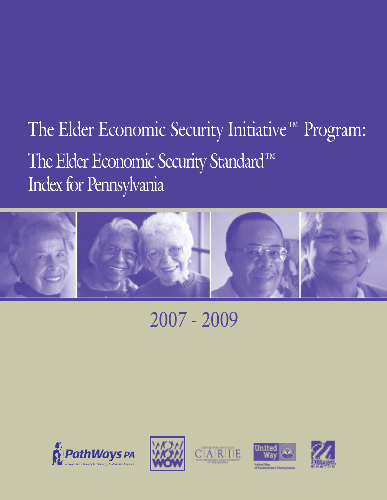# The Elder Economic Security Initiative™ Program: The Elder Economic Security Standard™ Index for Pennsylvania



# 2007 - 2009









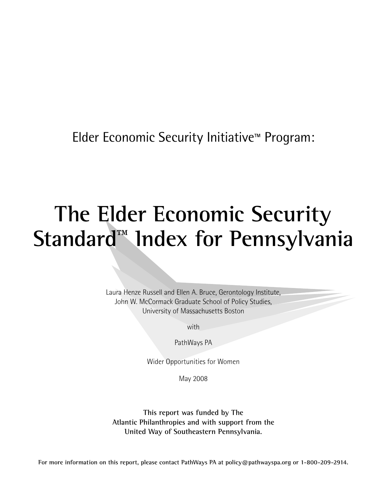Elder Economic Security Initiative™ Program:

# **The Elder Economic Security Standard™ Index for Pennsylvania**

Laura Henze Russell and Ellen A. Bruce, Gerontology Institute, John W. McCormack Graduate School of Policy Studies, University of Massachusetts Boston

with

PathWays PA

Wider Opportunities for Women

May 2008

**This report was funded by The Atlantic Philanthropies and with support from the United Way of Southeastern Pennsylvania.**

**For more information on this report, please contact PathWays PA at policy@pathwayspa.org or 1-800-209-2914.**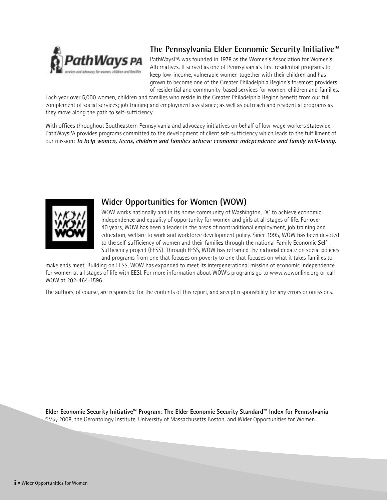

## **The Pennsylvania Elder Economic Security Initiative™**

PathWaysPA was founded in 1978 as the Women's Association for Women's Alternatives. It served as one of Pennsylvania's first residential programs to keep low-income, vulnerable women together with their children and has grown to become one of the Greater Philadelphia Region's foremost providers of residential and community-based services for women, children and families.

Each year over 5,000 women, children and families who reside in the Greater Philadelphia Region benefit from our full complement of social services; job training and employment assistance; as well as outreach and residential programs as they move along the path to self-sufficiency.

With offices throughout Southeastern Pennsylvania and advocacy initiatives on behalf of low-wage workers statewide, PathWaysPA provides programs committed to the development of client self-sufficiency which leads to the fulfillment of our mission: **To help women, teens, children and families achieve economic independence and family well-being.** 



#### **Wider Opportunities for Women (WOW)**

WOW works nationally and in its home community of Washington, DC to achieve economic independence and equality of opportunity for women and girls at all stages of life. For over 40 years, WOW has been a leader in the areas of nontraditional employment, job training and education, welfare to work and workforce development policy. Since 1995, WOW has been devoted to the self-sufficiency of women and their families through the national Family Economic Self-Sufficiency project (FESS). Through FESS, WOW has reframed the national debate on social policies and programs from one that focuses on poverty to one that focuses on what it takes families to

make ends meet. Building on FESS, WOW has expanded to meet its intergenerational mission of economic independence for women at all stages of life with EESI. For more information about WOW's programs go to www.wowonline.org or call WOW at 202-464-1596.

The authors, of course, are responsible for the contents of this report, and accept responsibility for any errors or omissions.

**Elder Economic Security Initiative™ Program: The Elder Economic Security Standard™ Index for Pennsylvania** ©May 2008, the Gerontology Institute, University of Massachusetts Boston, and Wider Opportunities for Women.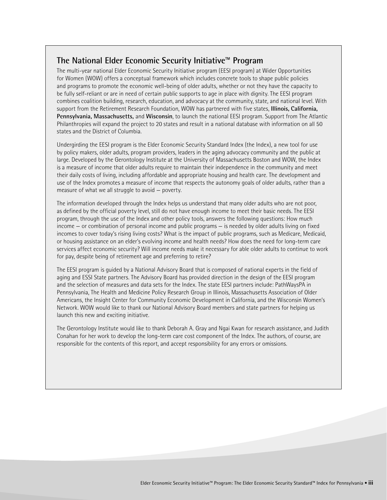#### **The National Elder Economic Security Initiative™ Program**

The multi-year national Elder Economic Security Initiative program (EESI program) at Wider Opportunities for Women (WOW) offers a conceptual framework which includes concrete tools to shape public policies and programs to promote the economic well-being of older adults, whether or not they have the capacity to be fully self-reliant or are in need of certain public supports to age in place with dignity. The EESI program combines coalition building, research, education, and advocacy at the community, state, and national level. With support from the Retirement Research Foundation, WOW has partnered with five states, **Illinois, California, Pennsylvania, Massachusetts,** and **Wisconsin**, to launch the national EESI program. Support from The Atlantic Philanthropies will expand the project to 20 states and result in a national database with information on all 50 states and the District of Columbia.

Undergirding the EESI program is the Elder Economic Security Standard Index (the Index), a new tool for use by policy makers, older adults, program providers, leaders in the aging advocacy community and the public at large. Developed by the Gerontology Institute at the University of Massachusetts Boston and WOW, the Index is a measure of income that older adults require to maintain their independence in the community and meet their daily costs of living, including affordable and appropriate housing and health care. The development and use of the Index promotes a measure of income that respects the autonomy goals of older adults, rather than a measure of what we all struggle to avoid — poverty.

The information developed through the Index helps us understand that many older adults who are not poor, as defined by the official poverty level, still do not have enough income to meet their basic needs. The EESI program, through the use of the Index and other policy tools, answers the following questions: How much income — or combination of personal income and public programs — is needed by older adults living on fixed incomes to cover today's rising living costs? What is the impact of public programs, such as Medicare, Medicaid, or housing assistance on an elder's evolving income and health needs? How does the need for long-term care services affect economic security? Will income needs make it necessary for able older adults to continue to work for pay, despite being of retirement age and preferring to retire?

The EESI program is guided by a National Advisory Board that is composed of national experts in the field of aging and ESSI State partners. The Advisory Board has provided direction in the design of the EESI program and the selection of measures and data sets for the Index. The state EESI partners include: PathWaysPA in Pennsylvania, The Health and Medicine Policy Research Group in Illinois, Massachusetts Association of Older Americans, the Insight Center for Community Economic Development in California, and the Wisconsin Women's Network. WOW would like to thank our National Advisory Board members and state partners for helping us launch this new and exciting initiative.

The Gerontology Institute would like to thank Deborah A. Gray and Ngai Kwan for research assistance, and Judith Conahan for her work to develop the long-term care cost component of the Index. The authors, of course, are responsible for the contents of this report, and accept responsibility for any errors or omissions.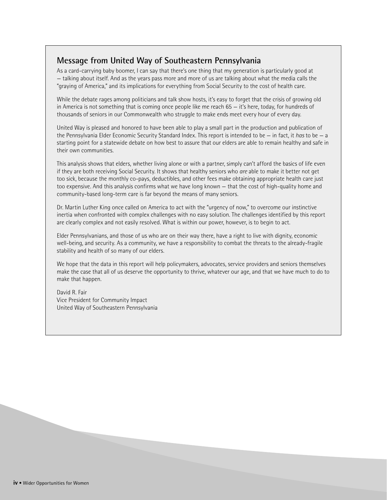### **Message from United Way of Southeastern Pennsylvania**

As a card-carrying baby boomer, I can say that there's one thing that my generation is particularly good at — talking about itself. And as the years pass more and more of us are talking about what the media calls the "graying of America," and its implications for everything from Social Security to the cost of health care.

While the debate rages among politicians and talk show hosts, it's easy to forget that the crisis of growing old in America is not something that is coming once people like me reach 65 — it's here, today, for hundreds of thousands of seniors in our Commonwealth who struggle to make ends meet every hour of every day.

United Way is pleased and honored to have been able to play a small part in the production and publication of the Pennsylvania Elder Economic Security Standard Index. This report is intended to be — in fact, it *has* to be — a starting point for a statewide debate on how best to assure that our elders are able to remain healthy and safe in their own communities.

This analysis shows that elders, whether living alone or with a partner, simply can't afford the basics of life even if they are both receiving Social Security. It shows that healthy seniors who *are* able to make it better not get too sick, because the monthly co-pays, deductibles, and other fees make obtaining appropriate health care just too expensive. And this analysis confirms what we have long known — that the cost of high-quality home and community-based long-term care is far beyond the means of many seniors.

Dr. Martin Luther King once called on America to act with the "urgency of now," to overcome our instinctive inertia when confronted with complex challenges with no easy solution. The challenges identified by this report are clearly complex and not easily resolved. What is within our power, however, is to begin to act.

Elder Pennsylvanians, and those of us who are on their way there, have a right to live with dignity, economic well-being, and security. As a community, we have a responsibility to combat the threats to the already-fragile stability and health of so many of our elders.

We hope that the data in this report will help policymakers, advocates, service providers and seniors themselves make the case that all of us deserve the opportunity to thrive, whatever our age, and that we have much to do to make that happen.

David R. Fair Vice President for Community Impact United Way of Southeastern Pennsylvania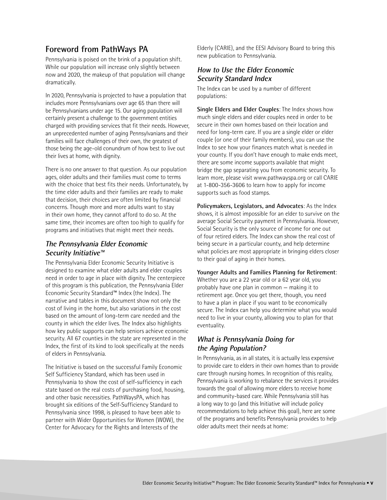## **Foreword from PathWays PA**

Pennsylvania is poised on the brink of a population shift. While our population will increase only slightly between now and 2020, the makeup of that population will change dramatically.

In 2020, Pennsylvania is projected to have a population that includes more Pennsylvanians over age 65 than there will be Pennsylvanians under age 15. Our aging population will certainly present a challenge to the government entities charged with providing services that fit their needs. However, an unprecedented number of aging Pennsylvanians and their families will face challenges of their own, the greatest of those being the age-old conundrum of how best to live out their lives at home, with dignity.

There is no one answer to that question. As our population ages, older adults and their families must come to terms with the choice that best fits their needs. Unfortunately, by the time elder adults and their families are ready to make that decision, their choices are often limited by financial concerns. Though more and more adults want to stay in their own home, they cannot afford to do so. At the same time, their incomes are often too high to qualify for programs and initiatives that might meet their needs.

#### **The Pennsylvania Elder Economic Security Initiative™**

The Pennsylvania Elder Economic Security Initiative is designed to examine what elder adults and elder couples need in order to age in place with dignity. The centerpiece of this program is this publication, the Pennsylvania Elder Economic Security Standard™ Index (the Index). The narrative and tables in this document show not only the cost of living in the home, but also variations in the cost based on the amount of long-term care needed and the county in which the elder lives. The Index also highlights how key public supports can help seniors achieve economic security. All 67 counties in the state are represented in the Index, the first of its kind to look specifically at the needs of elders in Pennsylvania.

The Initiative is based on the successful Family Economic Self Sufficiency Standard, which has been used in Pennsylvania to show the cost of self-sufficiency in each state based on the real costs of purchasing food, housing, and other basic necessities. PathWaysPA, which has brought six editions of the Self-Sufficiency Standard to Pennsylvania since 1998, is pleased to have been able to partner with Wider Opportunities for Women (WOW), the Center for Advocacy for the Rights and Interests of the

Elderly (CARIE), and the EESI Advisory Board to bring this new publication to Pennsylvania.

#### **How to Use the Elder Economic Security Standard Index**

The Index can be used by a number of different populations:

**Single Elders and Elder Couples**: The Index shows how much single elders and elder couples need in order to be secure in their own homes based on their location and need for long-term care. If you are a single elder or elder couple (or one of their family members), you can use the Index to see how your finances match what is needed in your county. If you don't have enough to make ends meet, there are some income supports available that might bridge the gap separating you from economic security. To learn more, please visit www.pathwayspa.org or call CARIE at 1-800-356-3606 to learn how to apply for income supports such as food stamps.

**Policymakers, Legislators, and Advocates**: As the Index shows, it is almost impossible for an elder to survive on the average Social Security payment in Pennsylvania. However, Social Security is the only source of income for one out of four retired elders. The Index can show the real cost of being secure in a particular county, and help determine what policies are most appropriate in bringing elders closer to their goal of aging in their homes.

**Younger Adults and Families Planning for Retirement**: Whether you are a 22 year old or a 62 year old, you probably have one plan in common — making it to retirement age. Once you get there, though, you need to have a plan in place if you want to be economically secure. The Index can help you determine what you would need to live in your county, allowing you to plan for that eventuality.

#### **What is Pennsylvania Doing for the Aging Population?**

In Pennsylvania, as in all states, it is actually less expensive to provide care to elders in their own homes than to provide care through nursing homes. In recognition of this reality, Pennsylvania is working to rebalance the services it provides towards the goal of allowing more elders to receive home and community-based care. While Pennsylvania still has a long way to go (and this Initiative will include policy recommendations to help achieve this goal), here are some of the programs and benefits Pennsylvania provides to help older adults meet their needs at home: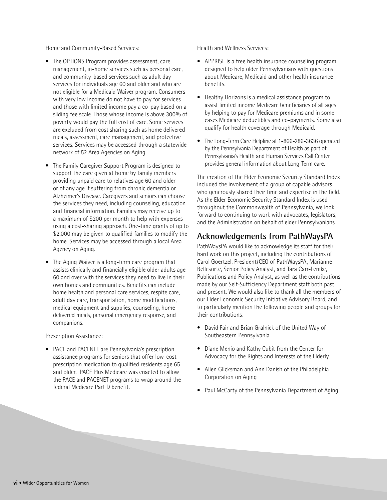Home and Community-Based Services:

- The OPTIONS Program provides assessment, care management, in-home services such as personal care, and community-based services such as adult day services for individuals age 60 and older and who are not eligible for a Medicaid Waiver program. Consumers with very low income do not have to pay for services and those with limited income pay a co-pay based on a sliding fee scale. Those whose income is above 300% of poverty would pay the full cost of care. Some services are excluded from cost sharing such as home delivered meals, assessment, care management, and protective services. Services may be accessed through a statewide network of 52 Area Agencies on Aging.
- The Family Caregiver Support Program is designed to support the care given at home by family members providing unpaid care to relatives age 60 and older or of any age if suffering from chronic dementia or Alzheimer's Disease. Caregivers and seniors can choose the services they need, including counseling, education and financial information. Families may receive up to a maximum of \$200 per month to help with expenses using a cost-sharing approach. One-time grants of up to \$2,000 may be given to qualified families to modify the home. Services may be accessed through a local Area Agency on Aging.
- The Aging Waiver is a long-term care program that assists clinically and financially eligible older adults age 60 and over with the services they need to live in their own homes and communities. Benefits can include home health and personal care services, respite care, adult day care, transportation, home modifications, medical equipment and supplies, counseling, home delivered meals, personal emergency response, and companions.

Prescription Assistance:

• PACE and PACENET are Pennsylvania's prescription assistance programs for seniors that offer low-cost prescription medication to qualified residents age 65 and older. PACE Plus Medicare was enacted to allow the PACE and PACENET programs to wrap around the federal Medicare Part D benefit.

Health and Wellness Services:

- APPRISE is a free health insurance counseling program designed to help older Pennsylvanians with questions about Medicare, Medicaid and other health insurance benefits.
- Healthy Horizons is a medical assistance program to assist limited income Medicare beneficiaries of all ages by helping to pay for Medicare premiums and in some cases Medicare deductibles and co-payments. Some also qualify for health coverage through Medicaid.
- The Long-Term Care Helpline at 1-866-286-3636 operated by the Pennsylvania Department of Health as part of Pennsylvania's Health and Human Services Call Center provides general information about Long-Term care.

The creation of the Elder Economic Security Standard Index included the involvement of a group of capable advisors who generously shared their time and expertise in the field. As the Elder Economic Security Standard Index is used throughout the Commonwealth of Pennsylvania, we look forward to continuing to work with advocates, legislators, and the Administration on behalf of elder Pennsylvanians.

#### **Acknowledgements from PathWaysPA**

PathWaysPA would like to acknowledge its staff for their hard work on this project, including the contributions of Carol Goertzel, President/CEO of PathWaysPA, Marianne Bellesorte, Senior Policy Analyst, and Tara Carr-Lemke, Publications and Policy Analyst, as well as the contributions made by our Self-Sufficiency Department staff both past and present. We would also like to thank all the members of our Elder Economic Security Initiative Advisory Board, and to particularly mention the following people and groups for their contributions:

- David Fair and Brian Gralnick of the United Way of Southeastern Pennsylvania
- Diane Menio and Kathy Cubit from the Center for Advocacy for the Rights and Interests of the Elderly
- Allen Glicksman and Ann Danish of the Philadelphia Corporation on Aging
- Paul McCarty of the Pennsylvania Department of Aging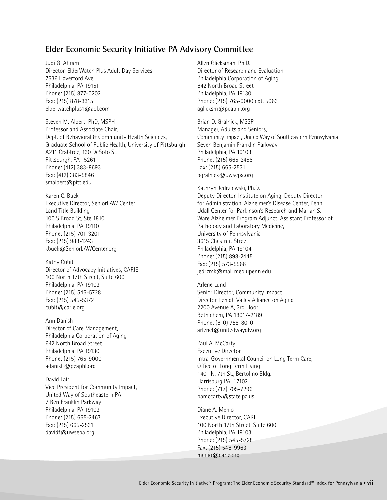#### **Elder Economic Security Initiative PA Advisory Committee**

Judi G. Ahram Director, ElderWatch Plus Adult Day Services 7536 Haverford Ave. Philadelphia, PA 19151 Phone: (215) 877-0202 Fax: (215) 878-3315 elderwatchplus1@aol.com

Steven M. Albert, PhD, MSPH Professor and Associate Chair, Dept. of Behavioral & Community Health Sciences, Graduate School of Public Health, University of Pittsburgh A211 Crabtree, 130 DeSoto St. Pittsburgh, PA 15261 Phone: (412) 383-8693 Fax: (412) 383-5846 smalbert@pitt.edu

Karen C. Buck Executive Director, SeniorLAW Center Land Title Building 100 S Broad St, Ste 1810 Philadelphia, PA 19110 Phone: (215) 701-3201 Fax: (215) 988-1243 kbuck@SeniorLAWCenter.org

Kathy Cubit Director of Advocacy Initiatives, CARIE 100 North 17th Street, Suite 600 Philadelphia, PA 19103 Phone: (215) 545-5728 Fax: (215) 545-5372 cubit@carie.org

Ann Danish Director of Care Management, Philadelphia Corporation of Aging 642 North Broad Street Philadelphia, PA 19130 Phone: (215) 765-9000 adanish@pcaphl.org

David Fair Vice President for Community Impact, United Way of Southeastern PA 7 Ben Franklin Parkway Philadelphia, PA 19103 Phone: (215) 665-2467 Fax: (215) 665-2531 davidf@uwsepa.org

Allen Glicksman, Ph.D. Director of Research and Evaluation, Philadelphia Corporation of Aging 642 North Broad Street Philadelphia, PA 19130 Phone: (215) 765-9000 ext. 5063 aglicksm@pcaphl.org

Brian D. Gralnick, MSSP Manager, Adults and Seniors, Community Impact, United Way of Southeastern Pennsylvania Seven Benjamin Franklin Parkway Philadelphia, PA 19103 Phone: (215) 665-2456 Fax: (215) 665-2531 bgralnick@uwsepa.org

Kathryn Jedrziewski, Ph.D.

Deputy Director, Institute on Aging, Deputy Director for Administration, Alzheimer's Disease Center, Penn Udall Center for Parkinson's Research and Marian S. Ware Alzheimer Program Adjunct, Assistant Professor of Pathology and Laboratory Medicine, University of Pennsylvania 3615 Chestnut Street Philadelphia, PA 19104 Phone: (215) 898-2445 Fax: (215) 573-5566 jedrzmk@mail.med.upenn.edu

Arlene Lund Senior Director, Community Impact Director, Lehigh Valley Alliance on Aging 2200 Avenue A, 3rd Floor Bethlehem, PA 18017–2189 Phone: (610) 758-8010 arlenel@unitedwayglv.org

Paul A. McCarty Executive Director, Intra-Governmental Council on Long Term Care, Office of Long Term Living 1401 N. 7th St., Bertolino Bldg. Harrisburg PA 17102 Phone: (717) 705-7296 pamccarty@state.pa.us

Diane A. Menio Executive Director, CARIE 100 North 17th Street, Suite 600 Philadelphia, PA 19103 Phone: (215) 545-5728 Fax: (215) 546-9963 menio@carie.org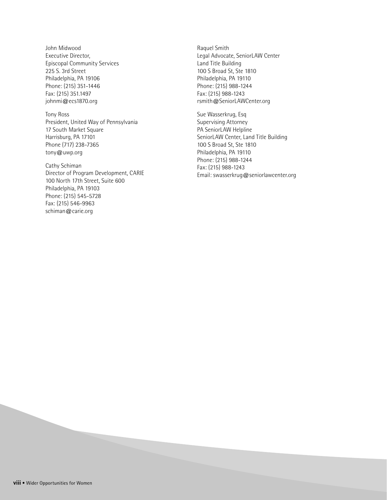John Midwood Executive Director, Episcopal Community Services 225 S. 3rd Street Philadelphia, PA 19106 Phone: (215) 351-1446 Fax: (215) 351.1497 johnmi@ecs1870.org

Tony Ross President, United Way of Pennsylvania 17 South Market Square Harrisburg, PA 17101 Phone (717) 238-7365 tony@uwp.org

Cathy Schiman Director of Program Development, CARIE 100 North 17th Street, Suite 600 Philadelphia, PA 19103 Phone: (215) 545-5728 Fax: (215) 546-9963 schiman@carie.org

Raquel Smith Legal Advocate, SeniorLAW Center Land Title Building 100 S Broad St, Ste 1810 Philadelphia, PA 19110 Phone: (215) 988-1244 Fax: (215) 988-1243 rsmith@SeniorLAWCenter.org

Sue Wasserkrug, Esq Supervising Attorney PA SeniorLAW Helpline SeniorLAW Center, Land Title Building 100 S Broad St, Ste 1810 Philadelphia, PA 19110 Phone: (215) 988-1244 Fax: (215) 988-1243 Email: swasserkrug@seniorlawcenter.org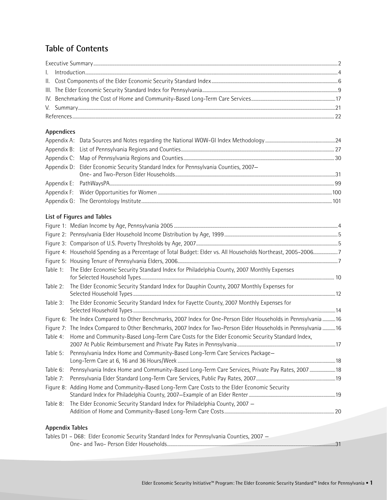#### **Table of Contents**

#### **Appendices**

| Appendix D: Elder Economic Security Standard Index for Pennsylvania Counties, 2007- |  |
|-------------------------------------------------------------------------------------|--|
|                                                                                     |  |
|                                                                                     |  |
|                                                                                     |  |
|                                                                                     |  |

#### **List of Figures and Tables**

|                        | Figure 4: Household Spending as a Percentage of Total Budget: Elder vs. All Households Northeast, 2005-20067     |  |
|------------------------|------------------------------------------------------------------------------------------------------------------|--|
|                        |                                                                                                                  |  |
| Table 1:               | The Elder Economic Security Standard Index for Philadelphia County, 2007 Monthly Expenses                        |  |
| Table 2:               | The Elder Economic Security Standard Index for Dauphin County, 2007 Monthly Expenses for                         |  |
| Table 3:               | The Elder Economic Security Standard Index for Fayette County, 2007 Monthly Expenses for                         |  |
|                        | Figure 6: The Index Compared to Other Benchmarks, 2007 Index for One-Person Elder Households in Pennsylvania  16 |  |
|                        | Figure 7: The Index Compared to Other Benchmarks, 2007 Index for Two-Person Elder Households in Pennsylvania  16 |  |
| Table 4:               | Home and Community-Based Long-Term Care Costs for the Elder Economic Security Standard Index,                    |  |
| Table 5:               | Pennsylvania Index Home and Community-Based Long-Term Care Services Package-                                     |  |
| Table 6:               | Pennsylvania Index Home and Community-Based Long-Term Care Services, Private Pay Rates, 2007  18                 |  |
| Table 7:               |                                                                                                                  |  |
|                        | Figure 8: Adding Home and Community-Based Long-Term Care Costs to the Elder Economic Security                    |  |
| Table 8:               | The Elder Economic Security Standard Index for Philadelphia County, 2007 -                                       |  |
| <b>Appendix Tables</b> |                                                                                                                  |  |

#### Tables D1 – D68: Elder Economic Security Standard Index for Pennsylvania Counties, 2007 – One- and Two- Person Elder Households ................................................................................................................................................31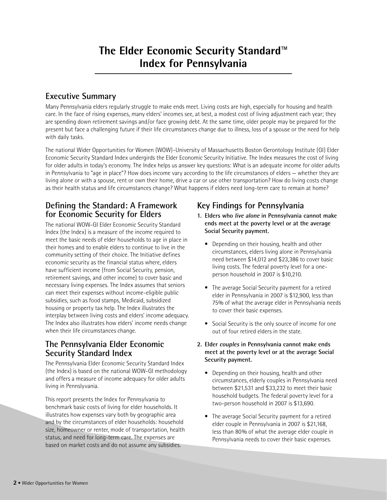# **The Elder Economic Security Standard™ Index for Pennsylvania**

### **Executive Summary**

Many Pennsylvania elders regularly struggle to make ends meet. Living costs are high, especially for housing and health care. In the face of rising expenses, many elders' incomes see, at best, a modest cost of living adjustment each year; they are spending down retirement savings and/or face growing debt. At the same time, older people may be prepared for the present but face a challenging future if their life circumstances change due to illness, loss of a spouse or the need for help with daily tasks.

The national Wider Opportunities for Women (WOW)-University of Massachusetts Boston Gerontology Institute (GI) Elder Economic Security Standard Index undergirds the Elder Economic Security Initiative. The Index measures the cost of living for older adults in today's economy. The Index helps us answer key questions: What is an adequate income for older adults in Pennsylvania to "age in place"? How does income vary according to the life circumstances of elders — whether they are living alone or with a spouse, rent or own their home, drive a car or use other transportation? How do living costs change as their health status and life circumstances change? What happens if elders need long-term care to remain at home?

### **Defining the Standard: A Framework for Economic Security for Elders**

The national WOW-GI Elder Economic Security Standard Index (the Index) is a measure of the income required to meet the basic needs of elder households to age in place in their homes and to enable elders to continue to live in the community setting of their choice. The Initiative defines economic security as the financial status where, elders have sufficient income (from Social Security, pension, retirement savings, and other income) to cover basic and necessary living expenses. The Index assumes that seniors can meet their expenses without income-eligible public subsidies, such as food stamps, Medicaid, subsidized housing or property tax help. The Index illustrates the interplay between living costs and elders' income adequacy. The Index also illustrates how elders' income needs change when their life circumstances change.

#### **The Pennsylvania Elder Economic Security Standard Index**

The Pennsylvania Elder Economic Security Standard Index (the Index) is based on the national WOW-GI methodology and offers a measure of income adequacy for older adults living in Pennslyvania.

This report presents the Index for Pennsylvania to benchmark basic costs of living for elder households. It illustrates how expenses vary both by geographic area and by the circumstances of elder households: household size, homeowner or renter, mode of transportation, health status, and need for long-term care. The expenses are based on market costs and do not assume any subsidies.

# **Key Findings for Pennsylvania**

- **1. Elders who live alone in Pennsylvania cannot make ends meet at the poverty level or at the average Social Security payment.** 
	- Depending on their housing, health and other circumstances, elders living alone in Pennsylvania need between \$14,012 and \$23,386 to cover basic living costs. The federal poverty level for a oneperson household in 2007 is \$10,210.
	- The average Social Security payment for a retired elder in Pennsylvania in 2007 is \$12,900, less than 75% of what the average elder in Pennsylvania needs to cover their basic expenses.
	- Social Security is the only source of income for one out of four retired elders in the state.

#### **2. Elder couples in Pennsylvania cannot make ends meet at the poverty level or at the average Social Security payment.**

- Depending on their housing, health and other circumstances, elderly couples in Pennsylvania need between \$21,531 and \$33,232 to meet their basic household budgets. The federal poverty level for a two-person household in 2007 is \$13,690.
- The average Social Security payment for a retired elder couple in Pennsylvania in 2007 is \$21,168, less than 80% of what the average elder couple in Pennsylvania needs to cover their basic expenses.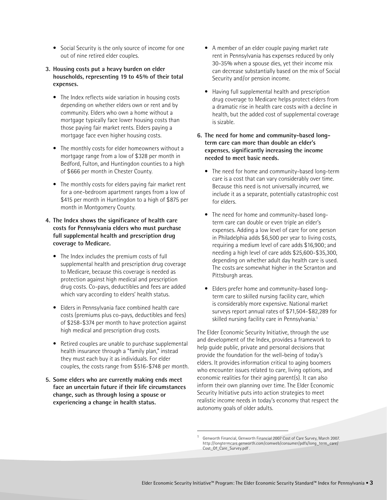- Social Security is the only source of income for one out of nine retired elder couples.
- **3. Housing costs put a heavy burden on elder households, representing 19 to 45% of their total expenses.** 
	- The Index reflects wide variation in housing costs depending on whether elders own or rent and by community. Elders who own a home without a mortgage typically face lower housing costs than those paying fair market rents. Elders paying a mortgage face even higher housing costs.
	- The monthly costs for elder homeowners without a mortgage range from a low of \$328 per month in Bedford, Fulton, and Huntingdon counties to a high of \$666 per month in Chester County.
	- The monthly costs for elders paying fair market rent for a one-bedroom apartment ranges from a low of \$415 per month in Huntingdon to a high of \$875 per month in Montgomery County.
- **4. The Index shows the significance of health care costs for Pennsylvania elders who must purchase full supplemental health and prescription drug coverage to Medicare.**
	- The Index includes the premium costs of full supplemental health and prescription drug coverage to Medicare, because this coverage is needed as protection against high medical and prescription drug costs. Co-pays, deductibles and fees are added which vary according to elders' health status.
	- Elders in Pennsylvania face combined health care costs (premiums plus co-pays, deductibles and fees) of \$258-\$374 per month to have protection against high medical and prescription drug costs.
	- Retired couples are unable to purchase supplemental health insurance through a "family plan," instead they must each buy it as individuals. For elder couples, the costs range from \$516-\$748 per month.
- **5. Some elders who are currently making ends meet face an uncertain future if their life circumstances change, such as through losing a spouse or experiencing a change in health status.**
- A member of an elder couple paying market rate rent in Pennsylvania has expenses reduced by only 30-35% when a spouse dies, yet their income mix can decrease substantially based on the mix of Social Security and/or pension income.
- Having full supplemental health and prescription drug coverage to Medicare helps protect elders from a dramatic rise in health care costs with a decline in health, but the added cost of supplemental coverage is sizable.
- **6. The need for home and community-based longterm care can more than double an elder's expenses, significantly increasing the income needed to meet basic needs.** 
	- The need for home and community-based long-term care is a cost that can vary considerably over time. Because this need is not universally incurred, we include it as a separate, potentially catastrophic cost for elders.
	- The need for home and community-based longterm care can double or even triple an elder's expenses. Adding a low level of care for one person in Philadelphia adds \$6,500 per year to living costs, requiring a medium level of care adds \$16,900; and needing a high level of care adds \$25,600-\$35,300, depending on whether adult day health care is used. The costs are somewhat higher in the Scranton and Pittsburgh areas.
	- Elders prefer home and community-based longterm care to skilled nursing facility care, which is considerably more expensive. National market surveys report annual rates of \$71,504-\$82,289 for skilled nursing facility care in Pennsylvania.<sup>1</sup>

The Elder Economic Security Initiative, through the use and development of the Index, provides a framework to help guide public, private and personal decisions that provide the foundation for the well-being of today's elders. It provides information critical to aging boomers who encounter issues related to care, living options, and economic realities for their aging parent(s). It can also inform their own planning over time. The Elder Economic Security Initiative puts into action strategies to meet realistic income needs in today's economy that respect the autonomy goals of older adults.

<sup>1</sup> Genworth Financial, Genworth Financial 2007 Cost of Care Survey, March 2007. http://longtermcare.genworth.com/comweb/consumer/pdfs/long\_term\_care/ Cost\_Of\_Care\_Survey.pdf .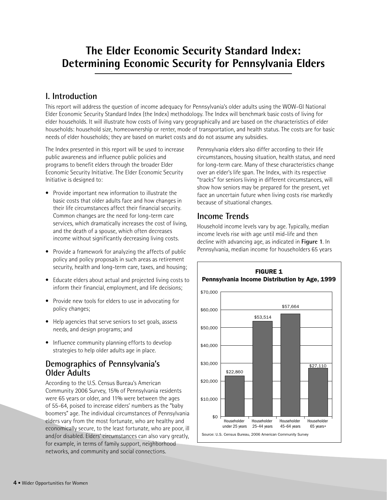# **The Elder Economic Security Standard Index: Determining Economic Security for Pennsylvania Elders**

## **I. Introduction**

This report will address the question of income adequacy for Pennsylvania's older adults using the WOW-GI National Elder Economic Security Standard Index (the Index) methodology. The Index will benchmark basic costs of living for elder households. It will illustrate how costs of living vary geographically and are based on the characteristics of elder households: household size, homeownership or renter, mode of transportation, and health status. The costs are for basic needs of elder households; they are based on market costs and do not assume any subsidies.

The Index presented in this report will be used to increase public awareness and influence public policies and programs to benefit elders through the broader Elder Economic Security Initiative. The Elder Economic Security Initiative is designed to:

- Provide important new information to illustrate the basic costs that older adults face and how changes in their life circumstances affect their financial security. Common changes are the need for long-term care services, which dramatically increases the cost of living, and the death of a spouse, which often decreases income without significantly decreasing living costs.
- Provide a framework for analyzing the affects of public policy and policy proposals in such areas as retirement security, health and long-term care, taxes, and housing;
- Educate elders about actual and projected living costs to inform their financial, employment, and life decisions;
- Provide new tools for elders to use in advocating for policy changes;
- Help agencies that serve seniors to set goals, assess needs, and design programs; and
- Influence community planning efforts to develop strategies to help older adults age in place.

#### **Demographics of Pennsylvania's Older Adults**

According to the U.S. Census Bureau's American Community 2006 Survey, 15% of Pennsylvania residents were 65 years or older, and 11% were between the ages of 55-64, poised to increase elders' numbers as the "baby boomers" age. The individual circumstances of Pennsylvania elders vary from the most fortunate, who are healthy and economically secure, to the least fortunate, who are poor, ill and/or disabled. Elders' circumstances can also vary greatly, for example, in terms of family support, neighborhood networks, and community and social connections.

Pennsylvania elders also differ according to their life circumstances, housing situation, health status, and need for long-term care. Many of these characteristics change over an elder's life span. The Index, with its respective "tracks" for seniors living in different circumstances, will show how seniors may be prepared for the present, yet face an uncertain future when living costs rise markedly because of situational changes.

## **Income Trends**

Household income levels vary by age. Typically, median income levels rise with age until mid-life and then decline with advancing age, as indicated in **Figure 1**. In Pennsylvania, median income for householders 65 years

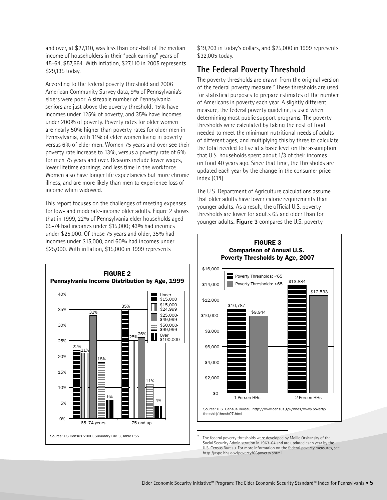and over, at \$27,110, was less than one-half of the median income of householders in their "peak earning" years of 45-64, \$57,664. With inflation, \$27,110 in 2005 represents \$29,135 today.

According to the federal poverty threshold and 2006 American Community Survey data, 9% of Pennsylvania's elders were poor. A sizeable number of Pennsylvania seniors are just above the poverty threshold: 15% have incomes under 125% of poverty, and 35% have incomes under 200% of poverty. Poverty rates for older women are nearly 50% higher than poverty rates for older men in Pennsylvania, with 11% of elder women living in poverty versus 6% of elder men. Women 75 years and over see their poverty rate increase to 13%, versus a poverty rate of 6% for men 75 years and over. Reasons include lower wages, lower lifetime earnings, and less time in the workforce. Women also have longer life expectancies but more chronic illness, and are more likely than men to experience loss of income when widowed.

This report focuses on the challenges of meeting expenses for low- and moderate-income older adults. Figure 2 shows that in 1999, 22% of Pennsylvania elder households aged 65-74 had incomes under \$15,000; 43% had incomes under \$25,000. Of those 75 years and older, 35% had incomes under \$15,000, and 60% had incomes under \$25,000. With inflation, \$15,000 in 1999 represents



\$19,203 in today's dollars, and \$25,000 in 1999 represents \$32,005 today.

#### **The Federal Poverty Threshold**

The poverty thresholds are drawn from the original version of the federal poverty measure.<sup>2</sup> These thresholds are used for statistical purposes to prepare estimates of the number of Americans in poverty each year. A slightly different measure, the federal poverty guideline, is used when determining most public support programs. The poverty thresholds were calculated by taking the cost of food needed to meet the minimum nutritional needs of adults of different ages, and multiplying this by three to calculate the total needed to live at a basic level on the assumption that U.S. households spent about 1/3 of their incomes on food 40 years ago. Since that time, the thresholds are updated each year by the change in the consumer price index (CPI).

The U.S. Department of Agriculture calculations assume that older adults have lower caloric requirements than younger adults. As a result, the official U.S. poverty thresholds are lower for adults 65 and older than for younger adults**. Figure 3** compares the U.S. poverty



# **FIGURE 3 Comparison of Annual U.S.**

The federal poverty thresholds were developed by Mollie Orshansky of the Social Security Administration in 1963-64 and are updated each year by the U.S. Census Bureau. For more information on the federal poverty measures, see http://aspe.hhs.gov/poverty/06poverty.shtml.

Source: U.S. Census Bureau, http://www.census.gov/hhes/www/poverty/ threshld/thresh07.html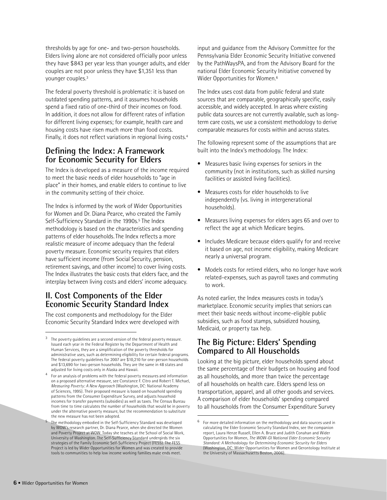thresholds by age for one- and two-person households. Elders living alone are not considered officially poor unless they have \$843 per year less than younger adults, and elder couples are not poor unless they have \$1,351 less than younger couples.3

The federal poverty threshold is problematic: it is based on outdated spending patterns, and it assumes households spend a fixed ratio of one-third of their incomes on food. In addition, it does not allow for different rates of inflation for different living expenses; for example, health care and housing costs have risen much more than food costs. Finally, it does not reflect variations in regional living costs.4

#### **Defining the Index: A Framework for Economic Security for Elders**

The Index is developed as a measure of the income required to meet the basic needs of elder households to "age in place" in their homes, and enable elders to continue to live in the community setting of their choice.

The Index is informed by the work of Wider Opportunities for Women and Dr. Diana Pearce, who created the Family Self-Sufficiency Standard in the 1990s.<sup>5</sup> The Index methodology is based on the characteristics and spending patterns of elder households. The Index reflects a more realistic measure of income adequacy than the federal poverty measure. Economic security requires that elders have sufficient income (from Social Security, pension, retirement savings, and other income) to cover living costs. The Index illustrates the basic costs that elders face, and the interplay between living costs and elders' income adequacy.

### **II. Cost Components of the Elder Economic Security Standard Index**

The cost components and methodology for the Elder Economic Security Standard Index were developed with input and guidance from the Advisory Committee for the Pennsylvania Elder Economic Security Initiative convened by the PathWaysPA, and from the Advisory Board for the national Elder Economic Security Initiative convened by Wider Opportunities for Women.6

The Index uses cost data from public federal and state sources that are comparable, geographically specific, easily accessible, and widely accepted. In areas where existing public data sources are not currently available, such as longterm care costs, we use a consistent methodology to derive comparable measures for costs within and across states.

The following represent some of the assumptions that are built into the Index's methodology. The Index:

- Measures basic living expenses for seniors in the community (not in institutions, such as skilled nursing facilities or assisted living facilities).
- Measures costs for elder households to live independently (vs. living in intergenerational households).
- Measures living expenses for elders ages 65 and over to reflect the age at which Medicare begins.
- Includes Medicare because elders qualify for and receive it based on age, not income eligibility, making Medicare nearly a universal program.
- Models costs for retired elders, who no longer have work related-expenses, such as payroll taxes and commuting to work.

As noted earlier, the Index measures costs in today's marketplace. Economic security implies that seniors can meet their basic needs without income-eligible public subsidies, such as food stamps, subsidized housing, Medicaid, or property tax help.

#### **The Big Picture: Elders' Spending Compared to All Households**

Looking at the big picture, elder households spend about the same percentage of their budgets on housing and food as all households, and more than twice the percentage of all households on health care. Elders spend less on transportation, apparel, and all other goods and services. A comparison of elder households' spending compared to all households from the Consumer Expenditure Survey

<sup>3</sup> The poverty guidelines are a second version of the federal poverty measure. Issued each year in the Federal Register by the Department of Health and Human Services, they are a simplification of the poverty thresholds for administrative uses, such as determining eligibility for certain federal programs. The federal poverty guidelines for 2007 are \$10,210 for one-person households and \$13,690 for two-person households. They are the same in 48 states and adjusted for living costs only in Alaska and Hawaii.

<sup>4</sup> For an analysis of problems with the federal poverty measures and information on a proposed alternative measure, see Constance F. Citro and Robert T. Michael, *Measuring Poverty: A New Approach* (Washington, DC: National Academy of Sciences, 1995). Their proposed measure is based on household spending patterns from the Consumer Expenditure Survey, and adjusts household incomes for transfer payments (subsidies) as well as taxes. The Census Bureau from time to time calculates the number of households that would be in poverty under the alternative poverty measure, but the recommendation to substitute the new measure has not been adopted.

The methodology embodied in the Self-Sufficiency Standard was developed by WOW's research partner, Dr. Diana Pearce, when she directed the Women and Poverty Project at WOW. Today she teaches at the School of Social Work, University of Washington. The Self-Sufficiency Standard undergirds the six strategies of the Family Economic Self-Sufficiency Project (FESS). The FESS Project is led by Wider Opportunities for Women and was created to provide tools to communities to help low income working families make ends meet.

 $^6$  For more detailed information on the methodology and data sources used in calculating the Elder Economic Security Standard Index, see the companion report, Laura Henze Russell, Ellen A. Bruce and Judith Conahan and Wider Opportunities for Women, *The WOW-GI National Elder Economic Security Standard: A Methodology for Determining Economic Security for Elders* (Washington, DC: Wider Opportunities for Women and Gerontology Institute at the University of Massachusetts Boston, 2006).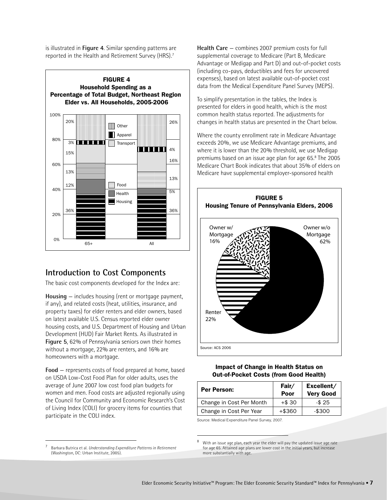is illustrated in **Figure 4**. Similar spending patterns are reported in the Health and Retirement Survey (HRS).7



#### **Introduction to Cost Components**

The basic cost components developed for the Index are:

**Housing** — includes housing (rent or mortgage payment, if any), and related costs (heat, utilities, insurance, and property taxes) for elder renters and elder owners, based on latest available U.S. Census reported elder owner housing costs, and U.S. Department of Housing and Urban Development (HUD) Fair Market Rents. As illustrated in **Figure 5**, 62% of Pennsylvania seniors own their homes without a mortgage, 22% are renters, and 16% are homeowners with a mortgage.

**Food** — represents costs of food prepared at home, based on USDA Low-Cost Food Plan for older adults, uses the average of June 2007 low cost food plan budgets for women and men. Food costs are adjusted regionally using the Council for Community and Economic Research's Cost of Living Index (COLI) for grocery items for counties that participate in the COLI index.

<sup>7</sup> Barbara Butrica et al. *Understanding Expenditure Patterns in Retirement* (Washington, DC: Urban Institute, 2005).

**Health Care** — combines 2007 premium costs for full supplemental coverage to Medicare (Part B, Medicare Advantage or Medigap and Part D) and out-of-pocket costs (including co-pays, deductibles and fees for uncovered expenses), based on latest available out-of-pocket cost data from the Medical Expenditure Panel Survey (MEPS).

To simplify presentation in the tables, the Index is presented for elders in good health, which is the most common health status reported. The adjustments for changes in health status are presented in the Chart below.

Where the county enrollment rate in Medicare Advantage exceeds 20%, we use Medicare Advantage premiums, and where it is lower than the 20% threshold, we use Medigap premiums based on an issue age plan for age 65.8 The 2005 Medicare Chart Book indicates that about 35% of elders on Medicare have supplemental employer-sponsored health



#### **Impact of Change in Health Status on Out-of-Pocket Costs (from Good Health)**

| Fair/<br>Poor | Excellent/<br><b>Very Good</b> |  |
|---------------|--------------------------------|--|
| $+ $30$       | $-$25$                         |  |
| $+$ \$360     | $-$ \$300                      |  |
|               |                                |  |

Source: Medical Expenditure Panel Survey, 2007.

With an issue age plan, each year the elder will pay the updated issue age rate for age 65. Attained age plans are lower cost in the initial years, but increase more substantially with age.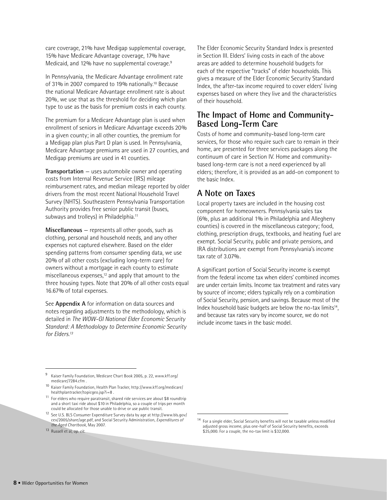care coverage, 21% have Medigap supplemental coverage, 15% have Medicare Advantage coverage, 17% have Medicaid, and 12% have no supplemental coverage.<sup>9</sup>

In Pennsylvania, the Medicare Advantage enrollment rate of 31% in 2007 compared to 19% nationally.10 Because the national Medicare Advantage enrollment rate is about 20%, we use that as the threshold for deciding which plan type to use as the basis for premium costs in each county.

The premium for a Medicare Advantage plan is used when enrollment of seniors in Medicare Advantage exceeds 20% in a given county; in all other counties, the premium for a Medigap plan plus Part D plan is used. In Pennsylvania, Medicare Advantage premiums are used in 27 counties, and Medigap premiums are used in 41 counties.

**Transportation** — uses automobile owner and operating costs from Internal Revenue Service (IRS) mileage reimbursement rates, and median mileage reported by older drivers from the most recent National Household Travel Survey (NHTS). Southeastern Pennsylvania Transportation Authority provides free senior public transit (buses, subways and trolleys) in Philadelphia.<sup>11</sup>

**Miscellaneous** — represents all other goods, such as clothing, personal and household needs, and any other expenses not captured elsewhere. Based on the elder spending patterns from consumer spending data, we use 20% of all other costs (excluding long-term care) for owners without a mortgage in each county to estimate miscellaneous expenses, $12$  and apply that amount to the three housing types. Note that 20% of all other costs equal 16.67% of total expenses.

See **Appendix A** for information on data sources and notes regarding adjustments to the methodology, which is detailed in *The WOW-GI National Elder Economic Security Standard: A Methodology to Determine Economic Security for Elders.13*

<sup>9</sup> Kaiser Family Foundation, Medicare Chart Book 2005, p. 22, www.kff.org/ medicare/7284.cfm .

The Elder Economic Security Standard Index is presented in Section III. Elders' living costs in each of the above areas are added to determine household budgets for each of the respective "tracks" of elder households. This gives a measure of the Elder Economic Security Standard Index, the after-tax income required to cover elders' living expenses based on where they live and the characteristics of their household.

#### **The Impact of Home and Community-Based Long-Term Care**

Costs of home and community-based long-term care services, for those who require such care to remain in their home, are presented for three services packages along the continuum of care in Section IV. Home and communitybased long-term care is not a need experienced by all elders; therefore, it is provided as an add-on component to the basic Index.

#### **A Note on Taxes**

Local property taxes are included in the housing cost component for homeowners. Pennsylvania sales tax (6%, plus an additional 1% in Philadelphia and Allegheny counties) is covered in the miscellaneous category; food, clothing, prescription drugs, textbooks, and heating fuel are exempt. Social Security, public and private pensions, and IRA distributions are exempt from Pennsylvania's income tax rate of 3.07%.

A significant portion of Social Security income is exempt from the federal income tax when elders' combined incomes are under certain limits. Income tax treatment and rates vary by source of income; elders typically rely on a combination of Social Security, pension, and savings. Because most of the Index household basic budgets are below the no-tax limits<sup>14</sup>, and because tax rates vary by income source, we do not include income taxes in the basic model.

 $14$  For a single elder, Social Security benefits will not be taxable unless modified adjusted gross income, plus one-half of Social Security benefits, exceeds \$25,000. For a couple, the no-tax limit is \$32,000.

<sup>10</sup> Kaiser Family Foundation, Health Plan Tracker, http://www.kff.org/medicare/ healthplantracker/topicgeo.jsp?i=8 .

<sup>11</sup> For elders who require paratransit, shared ride services are about \$8 roundtrip and a short taxi ride about \$10 in Philadelphia, so a couple of trips per month could be allocated for those unable to drive or use public transit.

<sup>12</sup> See U.S. BLS Consumer Expenditure Survey data by age at http://www.bls.gov/ cex/2005/share/age.pdf, and Social Security Administration, *Expenditures of the Aged Chartbook*, May 2007.

<sup>13</sup> Russell et al, *op. cit*.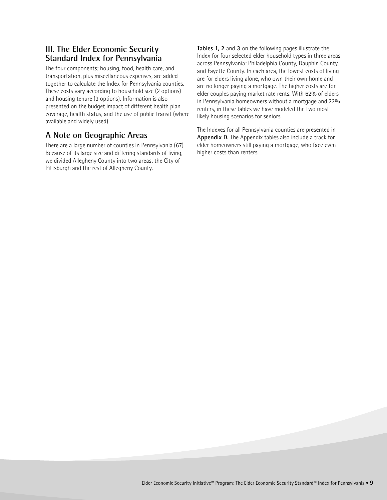#### **III. The Elder Economic Security Standard Index for Pennsylvania**

The four components; housing, food, health care, and transportation, plus miscellaneous expenses, are added together to calculate the Index for Pennsylvania counties. These costs vary according to household size (2 options) and housing tenure (3 options). Information is also presented on the budget impact of different health plan coverage, health status, and the use of public transit (where available and widely used).

### **A Note on Geographic Areas**

There are a large number of counties in Pennsylvania (67). Because of its large size and differing standards of living, we divided Allegheny County into two areas: the City of Pittsburgh and the rest of Allegheny County.

**Tables 1, 2** and **3** on the following pages illustrate the Index for four selected elder household types in three areas across Pennsylvania: Philadelphia County, Dauphin County, and Fayette County. In each area, the lowest costs of living are for elders living alone, who own their own home and are no longer paying a mortgage. The higher costs are for elder couples paying market rate rents. With 62% of elders in Pennsylvania homeowners without a mortgage and 22% renters, in these tables we have modeled the two most likely housing scenarios for seniors.

The Indexes for all Pennsylvania counties are presented in **Appendix D.** The Appendix tables also include a track for elder homeowners still paying a mortgage, who face even higher costs than renters.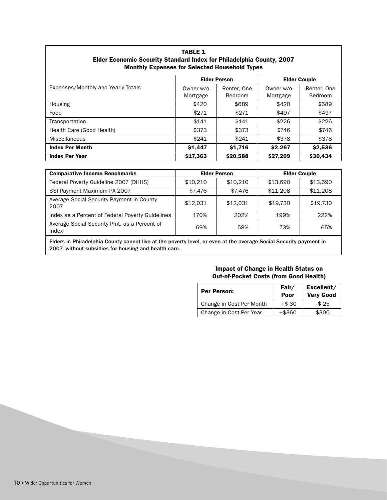| Elder Economic Security Standard Index for Philadelphia County, 2007<br><b>Monthly Expenses for Selected Household Types</b> |                       |                        |                       |                               |  |                     |
|------------------------------------------------------------------------------------------------------------------------------|-----------------------|------------------------|-----------------------|-------------------------------|--|---------------------|
|                                                                                                                              | <b>Elder Person</b>   |                        |                       |                               |  | <b>Elder Couple</b> |
| Expenses/Monthly and Yearly Totals                                                                                           | Owner w/o<br>Mortgage | Renter, One<br>Bedroom | Owner w/o<br>Mortgage | Renter, One<br><b>Bedroom</b> |  |                     |
| Housing                                                                                                                      | \$420                 | \$689                  | \$420                 | \$689                         |  |                     |
| Food                                                                                                                         | \$271                 | \$271                  | \$497                 | \$497                         |  |                     |
| Transportation                                                                                                               | \$141                 | \$141                  | \$226                 | \$226                         |  |                     |
| Health Care (Good Health)                                                                                                    | \$373                 | \$373                  | \$746                 | \$746                         |  |                     |
| Miscellaneous                                                                                                                | \$241                 | \$241                  | \$378                 | \$378                         |  |                     |
| <b>Index Per Month</b>                                                                                                       | \$1,447               | \$1,716                | \$2,267               | \$2,536                       |  |                     |
| <b>Index Per Year</b>                                                                                                        | \$17,363              | \$20,588               | \$27,209              | \$30,434                      |  |                     |

# **TABLE 1 Elder Economic Security Standard Index for Philadelphia County, 2007**

| <b>Comparative Income Benchmarks</b>                                                                                | <b>Elder Person</b> |          | <b>Elder Couple</b> |          |  |
|---------------------------------------------------------------------------------------------------------------------|---------------------|----------|---------------------|----------|--|
| Federal Poverty Guideline 2007 (DHHS)                                                                               | \$10,210            | \$10.210 | \$13,690            | \$13,690 |  |
| SSI Payment Maximum-PA 2007                                                                                         | \$7.476             | \$7.476  | \$11,208            | \$11,208 |  |
| Average Social Security Payment in County<br>2007                                                                   | \$12.031            | \$12.031 | \$19.730            | \$19.730 |  |
| Index as a Percent of Federal Poverty Guidelines                                                                    | 170%                | 202%     | 199%                | 222%     |  |
| Average Social Security Pmt. as a Percent of<br>Index                                                               | 69%                 | 58%      | 73%                 | 65%      |  |
| <b>FULL OF BUILDING A</b> construction of the second and the construction of the second and the second construction |                     |          |                     |          |  |

Elders in Philadelphia County cannot live at the poverty level, or even at the average Social Security payment in 2007, without subsidies for housing and health care.

#### **Impact of Change in Health Status on Out-of-Pocket Costs (from Good Health)**

| <b>Per Person:</b>       | Fair/<br>Poor | Excellent/<br><b>Very Good</b> |
|--------------------------|---------------|--------------------------------|
| Change in Cost Per Month | $+ $30$       | $-$25$                         |
| Change in Cost Per Year  | $+$ \$360     | $-$300$                        |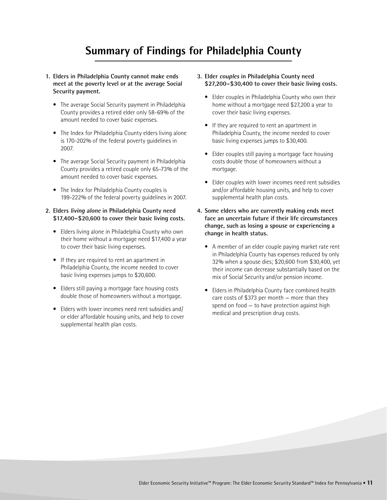# **Summary of Findings for Philadelphia County**

- **1. Elders in Philadelphia County cannot make ends meet at the poverty level or at the average Social Security payment.**
	- The average Social Security payment in Philadelphia County provides a retired elder only 58-69% of the amount needed to cover basic expenses.
	- The Index for Philadelphia County elders living alone is 170-202% of the federal poverty guidelines in 2007.
	- The average Social Security payment in Philadelphia County provides a retired couple only 65-73% of the amount needed to cover basic expenses.
	- The Index for Philadelphia County couples is 199-222% of the federal poverty guidelines in 2007.

#### **2. Elders living alone in Philadelphia County need \$17,400–\$20,600 to cover their basic living costs.**

- Elders living alone in Philadelphia County who own their home without a mortgage need \$17,400 a year to cover their basic living expenses.
- If they are required to rent an apartment in Philadelphia County, the income needed to cover basic living expenses jumps to \$20,600.
- Elders still paying a mortgage face housing costs double those of homeowners without a mortgage.
- Elders with lower incomes need rent subsidies and/ or elder affordable housing units, and help to cover supplemental health plan costs.
- **3. Elder couples in Philadelphia County need \$27,200–\$30,400 to cover their basic living costs.**
	- Elder couples in Philadelphia County who own their home without a mortgage need \$27,200 a year to cover their basic living expenses.
	- If they are required to rent an apartment in Philadelphia County, the income needed to cover basic living expenses jumps to \$30,400.
	- Elder couples still paying a mortgage face housing costs double those of homeowners without a mortgage.
	- Elder couples with lower incomes need rent subsidies and/or affordable housing units, and help to cover supplemental health plan costs.
- **4. Some elders who are currently making ends meet face an uncertain future if their life circumstances change, such as losing a spouse or experiencing a change in health status.** 
	- A member of an elder couple paying market rate rent in Philadelphia County has expenses reduced by only 32% when a spouse dies; \$20,600 from \$30,400, yet their income can decrease substantially based on the mix of Social Security and/or pension income.
	- Elders in Philadelphia County face combined health care costs of \$373 per month — more than they spend on food — to have protection against high medical and prescription drug costs.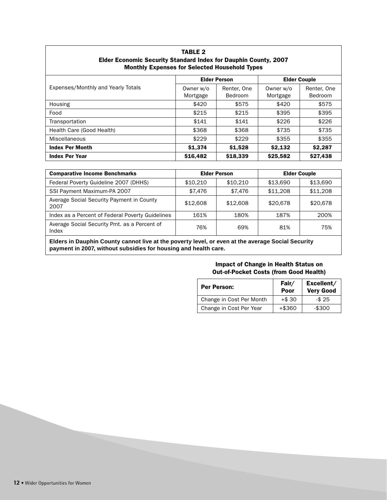| <b>TABLE 2</b>                                                         |
|------------------------------------------------------------------------|
| <b>Elder Economic Security Standard Index for Dauphin County, 2007</b> |
| <b>Monthly Expenses for Selected Household Types</b>                   |

|                                    | <b>Elder Person</b>   |                        | <b>Elder Couple</b>   |                        |
|------------------------------------|-----------------------|------------------------|-----------------------|------------------------|
| Expenses/Monthly and Yearly Totals | Owner w/o<br>Mortgage | Renter, One<br>Bedroom | Owner w/o<br>Mortgage | Renter, One<br>Bedroom |
| Housing                            | \$420                 | \$575                  | \$420                 | \$575                  |
| Food                               | \$215                 | \$215                  | \$395                 | \$395                  |
| Transportation                     | \$141                 | \$141                  | \$226                 | \$226                  |
| Health Care (Good Health)          | \$368                 | \$368                  | \$735                 | \$735                  |
| Miscellaneous                      | \$229                 | \$229                  | \$355                 | \$355                  |
| <b>Index Per Month</b>             | \$1,374               | \$1,528                | \$2,132               | \$2,287                |
| <b>Index Per Year</b>              | \$16,482              | \$18,339               | \$25,582              | \$27,438               |

| <b>Comparative Income Benchmarks</b>                  | <b>Elder Person</b> |          | <b>Elder Couple</b> |          |
|-------------------------------------------------------|---------------------|----------|---------------------|----------|
| Federal Poverty Guideline 2007 (DHHS)                 | \$10.210            | \$10.210 | \$13.690            | \$13,690 |
| SSI Payment Maximum-PA 2007                           | \$7.476             | \$7.476  | \$11,208            | \$11,208 |
| Average Social Security Payment in County<br>2007     | \$12,608            | \$12,608 | \$20,678            | \$20,678 |
| Index as a Percent of Federal Poverty Guidelines      | 161%                | 180%     | 187%                | 200%     |
| Average Social Security Pmt. as a Percent of<br>Index | 76%                 | 69%      | 81%                 | 75%      |

**Elders in Dauphin County cannot live at the poverty level, or even at the average Social Security payment in 2007, without subsidies for housing and health care.**

#### **Impact of Change in Health Status on Out-of-Pocket Costs (from Good Health)**

| <b>Per Person:</b>       | Fair/<br>Poor | Excellent/<br><b>Very Good</b> |
|--------------------------|---------------|--------------------------------|
| Change in Cost Per Month | $+ $30$       | $-$25$                         |
| Change in Cost Per Year  | $+$ \$360     | $-$300$                        |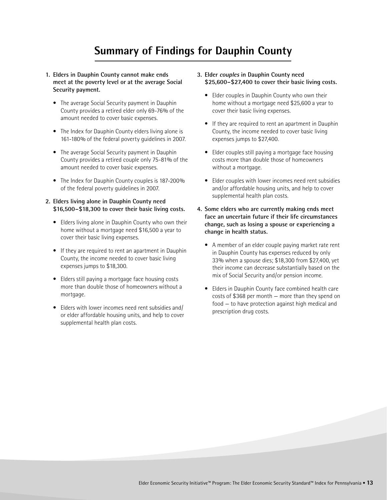# **Summary of Findings for Dauphin County**

- **1. Elders in Dauphin County cannot make ends meet at the poverty level or at the average Social Security payment.**
	- The average Social Security payment in Dauphin County provides a retired elder only 69-76% of the amount needed to cover basic expenses.
	- The Index for Dauphin County elders living alone is 161-180% of the federal poverty guidelines in 2007.
	- The average Social Security payment in Dauphin County provides a retired couple only 75-81% of the amount needed to cover basic expenses.
	- The Index for Dauphin County couples is 187-200% of the federal poverty guidelines in 2007.
- **2. Elders living alone in Dauphin County need \$16,500–\$18,300 to cover their basic living costs.** 
	- Elders living alone in Dauphin County who own their home without a mortgage need \$16,500 a year to cover their basic living expenses.
	- If they are required to rent an apartment in Dauphin County, the income needed to cover basic living expenses jumps to \$18,300.
	- Elders still paying a mortgage face housing costs more than double those of homeowners without a mortgage.
	- Elders with lower incomes need rent subsidies and/ or elder affordable housing units, and help to cover supplemental health plan costs.
- **3. Elder couples in Dauphin County need \$25,600–\$27,400 to cover their basic living costs.**
	- Elder couples in Dauphin County who own their home without a mortgage need \$25,600 a year to cover their basic living expenses.
	- If they are required to rent an apartment in Dauphin County, the income needed to cover basic living expenses jumps to \$27,400.
	- Elder couples still paying a mortgage face housing costs more than double those of homeowners without a mortgage.
	- Elder couples with lower incomes need rent subsidies and/or affordable housing units, and help to cover supplemental health plan costs.
- **4. Some elders who are currently making ends meet face an uncertain future if their life circumstances change, such as losing a spouse or experiencing a change in health status.** 
	- A member of an elder couple paying market rate rent in Dauphin County has expenses reduced by only 33% when a spouse dies; \$18,300 from \$27,400, yet their income can decrease substantially based on the mix of Social Security and/or pension income.
	- Elders in Dauphin County face combined health care costs of \$368 per month — more than they spend on food — to have protection against high medical and prescription drug costs.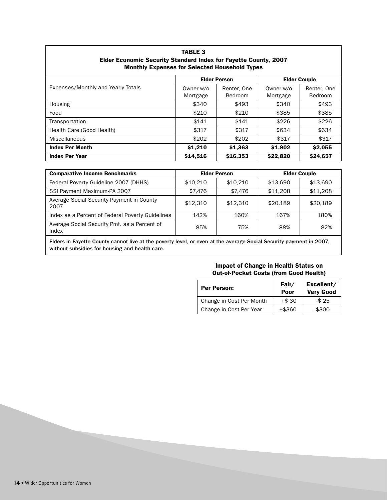| Elder Economic Security Standard Index for Fayette County, 2007<br><b>Monthly Expenses for Selected Household Types</b> |                       |                        |                       |                        |  |  |  |
|-------------------------------------------------------------------------------------------------------------------------|-----------------------|------------------------|-----------------------|------------------------|--|--|--|
|                                                                                                                         | <b>Elder Person</b>   |                        |                       | <b>Elder Couple</b>    |  |  |  |
| Expenses/Monthly and Yearly Totals                                                                                      | Owner w/o<br>Mortgage | Renter, One<br>Bedroom | Owner w/o<br>Mortgage | Renter, One<br>Bedroom |  |  |  |
| Housing                                                                                                                 | \$340                 | \$493                  | \$340                 | \$493                  |  |  |  |
| Food                                                                                                                    | \$210                 | \$210                  | \$385                 | \$385                  |  |  |  |
| Transportation                                                                                                          | \$141                 | \$141                  | \$226                 | \$226                  |  |  |  |
| Health Care (Good Health)                                                                                               | \$317                 | \$317                  | \$634                 | \$634                  |  |  |  |
| Miscellaneous                                                                                                           | \$202                 | \$202                  | \$317                 | \$317                  |  |  |  |
| <b>Index Per Month</b>                                                                                                  | \$1,210               | \$1,363                | \$1,902               | \$2,055                |  |  |  |
| <b>Index Per Year</b>                                                                                                   | \$14,516              | \$16,353               | \$22,820              | \$24,657               |  |  |  |

**TABLE 3**

| <b>Comparative Income Benchmarks</b>                  | <b>Elder Person</b> |          | <b>Elder Couple</b> |          |
|-------------------------------------------------------|---------------------|----------|---------------------|----------|
| Federal Poverty Guideline 2007 (DHHS)                 | \$10.210            | \$10.210 | \$13,690            | \$13,690 |
| SSI Payment Maximum-PA 2007                           | \$7.476             | \$7.476  | \$11,208            | \$11,208 |
| Average Social Security Payment in County<br>2007     | \$12,310            | \$12,310 | \$20.189            | \$20.189 |
| Index as a Percent of Federal Poverty Guidelines      | 142%                | 160%     | 167%                | 180%     |
| Average Social Security Pmt. as a Percent of<br>Index | 85%                 | 75%      | 88%                 | 82%      |
|                                                       |                     |          |                     |          |

Elders in Fayette County cannot live at the poverty level, or even at the average Social Security payment in 2007, without subsidies for housing and health care.

#### **Impact of Change in Health Status on Out-of-Pocket Costs (from Good Health)**

| <b>Per Person:</b>       | Fair/<br>Poor | Excellent/<br><b>Very Good</b> |
|--------------------------|---------------|--------------------------------|
| Change in Cost Per Month | $+ $30$       | $-$25$                         |
| Change in Cost Per Year  | $+$ \$360     | $-$300$                        |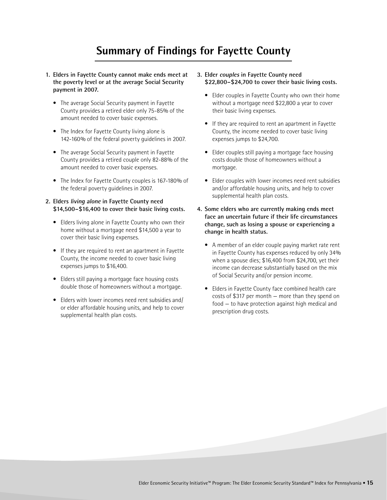# **Summary of Findings for Fayette County**

- **1. Elders in Fayette County cannot make ends meet at the poverty level or at the average Social Security payment in 2007.**
	- The average Social Security payment in Fayette County provides a retired elder only 75-85% of the amount needed to cover basic expenses.
	- The Index for Fayette County living alone is 142-160% of the federal poverty guidelines in 2007.
	- The average Social Security payment in Fayette County provides a retired couple only 82-88% of the amount needed to cover basic expenses.
	- The Index for Fayette County couples is 167-180% of the federal poverty guidelines in 2007.
- **2. Elders living alone in Fayette County need \$14,500–\$16,400 to cover their basic living costs.** 
	- Elders living alone in Fayette County who own their home without a mortgage need \$14,500 a year to cover their basic living expenses.
	- If they are required to rent an apartment in Fayette County, the income needed to cover basic living expenses jumps to \$16,400.
	- Elders still paying a mortgage face housing costs double those of homeowners without a mortgage.
	- Elders with lower incomes need rent subsidies and/ or elder affordable housing units, and help to cover supplemental health plan costs.
- **3. Elder couples in Fayette County need \$22,800–\$24,700 to cover their basic living costs.**
	- Elder couples in Fayette County who own their home without a mortgage need \$22,800 a year to cover their basic living expenses.
	- If they are required to rent an apartment in Fayette County, the income needed to cover basic living expenses jumps to \$24,700.
	- Elder couples still paying a mortgage face housing costs double those of homeowners without a mortgage.
	- Elder couples with lower incomes need rent subsidies and/or affordable housing units, and help to cover supplemental health plan costs.
- **4. Some elders who are currently making ends meet face an uncertain future if their life circumstances change, such as losing a spouse or experiencing a change in health status.** 
	- A member of an elder couple paying market rate rent in Fayette County has expenses reduced by only 34% when a spouse dies; \$16,400 from \$24,700, yet their income can decrease substantially based on the mix of Social Security and/or pension income.
	- Elders in Fayette County face combined health care costs of \$317 per month — more than they spend on food — to have protection against high medical and prescription drug costs.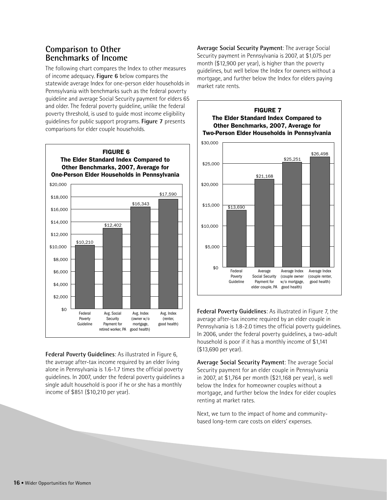#### **Comparison to Other Benchmarks of Income**

The following chart compares the Index to other measures of income adequacy. **Figure 6** below compares the statewide average Index for one-person elder households in Pennsylvania with benchmarks such as the federal poverty guideline and average Social Security payment for elders 65 and older. The federal poverty guideline, unlike the federal poverty threshold, is used to guide most income eligibility guidelines for public support programs. **Figure 7** presents comparisons for elder couple households.



**Federal Poverty Guidelines**: As illustrated in Figure 6, the average after-tax income required by an elder living alone in Pennsylvania is 1.6-1.7 times the official poverty guidelines. In 2007, under the federal poverty guidelines a single adult household is poor if he or she has a monthly income of \$851 (\$10,210 per year).

**Average Social Security Payment**: The average Social Security payment in Pennsylvania is 2007, at \$1,075 per month (\$12,900 per year), is higher than the poverty guidelines, but well below the Index for owners without a mortgage, and further below the Index for elders paying market rate rents.



**Federal Poverty Guidelines**: As illustrated in Figure 7, the average after-tax income required by an elder couple in Pennsylvania is 1.8-2.0 times the official poverty guidelines. In 2006, under the federal poverty guidelines, a two-adult household is poor if it has a monthly income of \$1,141 (\$13,690 per year).

**Average Social Security Payment**: The average Social Security payment for an elder couple in Pennsylvania in 2007, at \$1,764 per month (\$21,168 per year), is well below the Index for homeowner couples without a mortgage, and further below the Index for elder couples renting at market rates.

Next, we turn to the impact of home and communitybased long-term care costs on elders' expenses.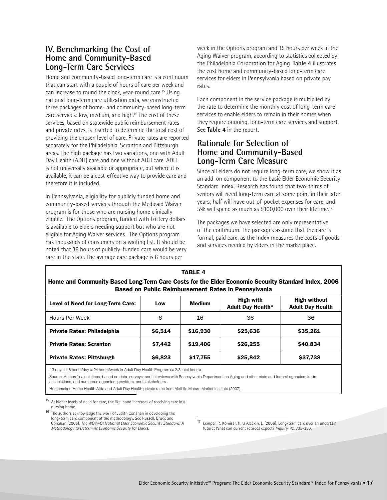#### **IV. Benchmarking the Cost of Home and Community-Based Long-Term Care Services**

Home and community-based long-term care is a continuum that can start with a couple of hours of care per week and can increase to round the clock, year-round care.15 Using national long-term care utilization data, we constructed three packages of home- and community-based long-term care services: low, medium, and high.16 The cost of these services, based on statewide public reimbursement rates and private rates, is inserted to determine the total cost of providing the chosen level of care. Private rates are reported separately for the Philadelphia, Scranton and Pittsburgh areas. The high package has two variations, one with Adult Day Health (ADH) care and one without ADH care. ADH is not universally available or appropriate, but where it is available, it can be a cost-effective way to provide care and therefore it is included.

In Pennsylvania, eligibility for publicly funded home and community-based services through the Medicaid Waiver program is for those who are nursing home clinically eligible. The Options program, funded with Lottery dollars is available to elders needing support but who are not eligible for Aging Waiver services. The Options program has thousands of consumers on a waiting list. It should be noted that 36 hours of publicly-funded care would be very rare in the state. The average care package is 6 hours per

week in the Options program and 15 hours per week in the Aging Waiver program, according to statistics collected by the Philadelphia Corporation for Aging. **Table 4** illustrates the cost home and community-based long-term care services for elders in Pennsylvania based on private pay rates.

Each component in the service package is multiplied by the rate to determine the monthly cost of long-term care services to enable elders to remain in their homes when they require ongoing, long-term care services and support. See **Table 4** in the report.

#### **Rationale for Selection of Home and Community-Based Long-Term Care Measure**

Since all elders do not require long-term care, we show it as an add-on component to the basic Elder Economic Security Standard Index. Research has found that two-thirds of seniors will need long-term care at some point in their later years; half will have out-of-pocket expenses for care, and 5% will spend as much as \$100,000 over their lifetime.17

The packages we have selected are only representative of the continuum. The packages assume that the care is formal, paid care, as the Index measures the costs of goods and services needed by elders in the marketplace.

| <b>TABLE 4</b><br>Home and Community-Based Long-Term Care Costs for the Elder Economic Security Standard Index, 2006<br><b>Based on Public Reimbursement Rates in Pennsylvania</b> |               |                                                                                                 |                                                |  |  |  |  |
|------------------------------------------------------------------------------------------------------------------------------------------------------------------------------------|---------------|-------------------------------------------------------------------------------------------------|------------------------------------------------|--|--|--|--|
| Low                                                                                                                                                                                | <b>Medium</b> | High with<br><b>Adult Day Health*</b>                                                           | <b>High without</b><br><b>Adult Day Health</b> |  |  |  |  |
| 6                                                                                                                                                                                  | 16            | 36                                                                                              | 36                                             |  |  |  |  |
| \$6,514                                                                                                                                                                            | \$16,930      | \$25,636                                                                                        | \$35,261                                       |  |  |  |  |
| \$7.442                                                                                                                                                                            | \$19,406      | \$26,255                                                                                        | \$40,834                                       |  |  |  |  |
| \$6,823                                                                                                                                                                            | \$17,755      | \$25,842                                                                                        | \$37,738                                       |  |  |  |  |
|                                                                                                                                                                                    |               | * O davis at O bounded are - O 4 bound from the Adult Dout Lookb Drogome / - O 10 total bound - |                                                |  |  |  |  |

3 days at 8 hours/day  $= 24$  hours/week in Adult Day Health Program ( $= 2/3$  total hours)

Source: Authors' calculations, based on data, surveys, and interviews with Pennsylvania Department on Aging and other state and federal agencies, trade associations, and numerous agencies, providers, and stakeholders.

Homemaker, Home Health Aide and Adult Day Health private rates from MetLife Mature Market Institute (2007).

<sup>15</sup> At higher levels of need for care, the likelihood increases of receiving care in a nursing home.

 $16$  The authors acknowledge the work of Judith Conahan in developing the long-term care component of the methodology. See Russell, Bruce and Conahan (2006), *The WOW-GI National Elder Economic Security Standard: A Methodology to Determine Economic Security for Elders*.

Kemper, P., Komisar, H. & Alecxih, L. (2006). Long-term care over an uncertain future: What can current retirees expect? *Inquiry*, *42*, 335-350.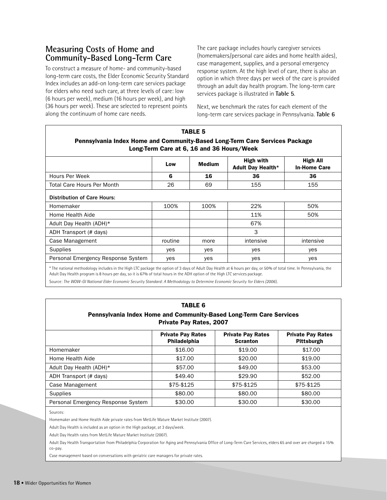### **Measuring Costs of Home and Community-Based Long-Term Care**

To construct a measure of home- and community-based long-term care costs, the Elder Economic Security Standard Index includes an add-on long-term care services package for elders who need such care, at three levels of care: low (6 hours per week), medium (16 hours per week), and high (36 hours per week). These are selected to represent points along the continuum of home care needs.

The care package includes hourly caregiver services (homemakers/personal care aides and home health aides), case management, supplies, and a personal emergency response system. At the high level of care, there is also an option in which three days per week of the care is provided through an adult day health program. The long-term care services package is illustrated in **Table 5**.

Next, we benchmark the rates for each element of the long-term care services package in Pennsylvania. **Table 6**

|                                                                                                                                                                     |         | <b>TABLE 5</b> |                                       |                                 |  |  |  |
|---------------------------------------------------------------------------------------------------------------------------------------------------------------------|---------|----------------|---------------------------------------|---------------------------------|--|--|--|
| Pennsylvania Index Home and Community-Based Long-Term Care Services Package<br>Long-Term Care at 6, 16 and 36 Hours/Week                                            |         |                |                                       |                                 |  |  |  |
|                                                                                                                                                                     | Low     | <b>Medium</b>  | High with<br><b>Adult Day Health*</b> | High All<br><b>In-Home Care</b> |  |  |  |
| Hours Per Week                                                                                                                                                      | 6       | 16             | 36                                    | 36                              |  |  |  |
| <b>Total Care Hours Per Month</b>                                                                                                                                   | 26      | 69             | 155                                   | 155                             |  |  |  |
| <b>Distribution of Care Hours:</b>                                                                                                                                  |         |                |                                       |                                 |  |  |  |
| Homemaker                                                                                                                                                           | 100%    | 100%           | 22%                                   | 50%                             |  |  |  |
| Home Health Aide                                                                                                                                                    |         |                | 11%                                   | 50%                             |  |  |  |
| Adult Day Health (ADH)*                                                                                                                                             |         |                | 67%                                   |                                 |  |  |  |
| ADH Transport (# days)                                                                                                                                              |         |                | 3                                     |                                 |  |  |  |
| Case Management                                                                                                                                                     | routine | more           | intensive                             | intensive                       |  |  |  |
| Supplies                                                                                                                                                            | yes     | <b>ves</b>     | yes                                   | yes                             |  |  |  |
| Personal Emergency Response System                                                                                                                                  | yes     | yes            | yes                                   | yes                             |  |  |  |
| * The notional mothodalogy includes in the Uigh ITC poelses the option of 2 days of Adult Day Health of Chause nor day, or EOBL of total time, In Depresivania, the |         |                |                                       |                                 |  |  |  |

al methodology includes in the High LTC package the option of 3 days of Adult Day Health at 6 hours per day, or 50% of total time. In Pennsylvania, the Adult Day Health program is 8 hours per day, so it is 67% of total hours in the ADH option of the High LTC services package.

Source: *The WOW-GI National Elder Economic Security Standard: A Methodology to Determine Economic Security for Elders (2006*).

| <b>TABLE 6</b><br>Pennsylvania Index Home and Community-Based Long-Term Care Services<br><b>Private Pay Rates, 2007</b> |                                          |                                             |                                        |  |  |  |
|-------------------------------------------------------------------------------------------------------------------------|------------------------------------------|---------------------------------------------|----------------------------------------|--|--|--|
|                                                                                                                         | <b>Private Pay Rates</b><br>Philadelphia | <b>Private Pay Rates</b><br><b>Scranton</b> | <b>Private Pay Rates</b><br>Pittsburgh |  |  |  |
| Homemaker                                                                                                               | \$16.00                                  | \$19.00                                     | \$17.00                                |  |  |  |
| Home Health Aide                                                                                                        | \$17.00                                  | \$20.00                                     | \$19.00                                |  |  |  |
| Adult Day Health (ADH)*                                                                                                 | \$57.00                                  | \$49.00                                     | \$53.00                                |  |  |  |
| ADH Transport (# days)                                                                                                  | \$49.40                                  | \$29.90                                     | \$52.00                                |  |  |  |
| Case Management                                                                                                         | \$75-\$125                               | \$75-\$125                                  | \$75-\$125                             |  |  |  |
| Supplies                                                                                                                | \$80.00                                  | \$80.00                                     | \$80.00                                |  |  |  |
| Personal Emergency Response System                                                                                      | \$30.00                                  | \$30.00                                     | \$30.00                                |  |  |  |

Sources:

Homemaker and Home Health Aide private rates from MetLife Mature Market Institute (2007).

Adult Day Health is included as an option in the High package, at 3 days/week.

Adult Day Health rates from MetLife Mature Market Institute (2007).

Adult Day Health Transportation from Philadelphia Corporation for Aging and Pennsylvania Office of Long-Term Care Services, elders 65 and over are charged a 15% co-pay.

Case management based on conversations with geriatric care managers for private rates.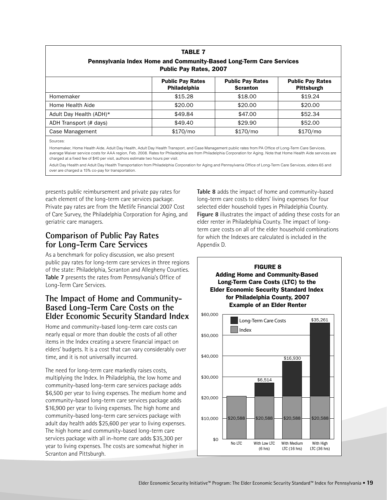| Pennsylvania Index Home and Community-Based Long-Term Care Services<br><b>Public Pay Rates, 2007</b> |                                         |                                            |                                       |  |  |  |
|------------------------------------------------------------------------------------------------------|-----------------------------------------|--------------------------------------------|---------------------------------------|--|--|--|
|                                                                                                      | <b>Public Pay Rates</b><br>Philadelphia | <b>Public Pay Rates</b><br><b>Scranton</b> | <b>Public Pay Rates</b><br>Pittsburgh |  |  |  |
| Homemaker                                                                                            | \$15.28                                 | \$18.00                                    | \$19.24                               |  |  |  |
| Home Health Aide                                                                                     | \$20.00                                 | \$20.00                                    | \$20.00                               |  |  |  |
| Adult Day Health (ADH)*                                                                              | \$49.84                                 | \$47.00                                    | \$52.34                               |  |  |  |
| ADH Transport (# days)                                                                               | \$49.40                                 | \$29.90                                    | \$52.00                               |  |  |  |
| Case Management                                                                                      | \$170/mo                                | \$170/mo                                   | \$170/mo                              |  |  |  |

**TABLE 7**

Sources:

Homemaker, Home Health Aide, Adult Day Health, Adult Day Health Transport, and Case Management public rates from PA Office of Long-Term Care Services, average Waiver service costs for AAA region, Feb. 2008. Rates for Philadelphia are from Philadelphia Corporation for Aging. Note that Home Health Aide services are charged at a fixed fee of \$40 per visit, authors estimate two hours per visit.

Adult Day Health and Adult Day Health Transportation from Philadelphia Corporation for Aging and Pennsylvania Office of Long-Term Care Services, elders 65 and over are charged a 15% co-pay for transportation.

presents public reimbursement and private pay rates for each element of the long-term care services package. Private pay rates are from the Metlife Financial 2007 Cost of Care Survey, the Philadelphia Corporation for Aging, and geriatric care managers.

#### **Comparison of Public Pay Rates for Long-Term Care Services**

As a benchmark for policy discussion, we also present public pay rates for long-term care services in three regions of the state: Philadelphia, Scranton and Allegheny Counties. **Table 7** presents the rates from Pennsylvania's Office of Long-Term Care Services.

#### **The Impact of Home and Community-Based Long-Term Care Costs on the Elder Economic Security Standard Index**

Home and community-based long-term care costs can nearly equal or more than double the costs of all other items in the Index creating a severe financial impact on elders' budgets. It is a cost that can vary considerably over time, and it is not universally incurred.

The need for long-term care markedly raises costs, multiplying the Index. In Philadelphia, the low home and community-based long-term care services package adds \$6,500 per year to living expenses. The medium home and community-based long-term care services package adds \$16,900 per year to living expenses. The high home and community-based long-term care services package with adult day health adds \$25,600 per year to living expenses. The high home and community-based long-term care services package with all in-home care adds \$35,300 per year to living expenses. The costs are somewhat higher in Scranton and Pittsburgh.

**Table 8** adds the impact of home and community-based long-term care costs to elders' living expenses for four selected elder household types in Philadelphia County. **Figure 8** illustrates the impact of adding these costs for an elder renter in Philadelphia County. The impact of longterm care costs on all of the elder household combinations for which the Indexes are calculated is included in the Appendix D.

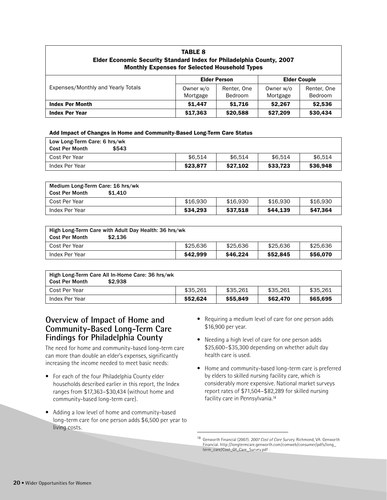# **TABLE 8 Elder Economic Security Standard Index for Philadelphia County, 2007 Monthly Expenses for Selected Household Types**

| Expenses/Monthly and Yearly Totals |           | <b>Elder Person</b> | <b>Elder Couple</b> |                |  |
|------------------------------------|-----------|---------------------|---------------------|----------------|--|
|                                    | Owner w/o | Renter, One         | Owner w/o           | Renter, One    |  |
|                                    | Mortgage  | <b>Bedroom</b>      | Mortgage            | <b>Bedroom</b> |  |
| <b>Index Per Month</b>             | \$1,447   | \$1,716             | \$2.267             | \$2,536        |  |
| <b>Index Per Year</b>              | \$17,363  | \$20,588            | \$27,209            | \$30,434       |  |

#### **Add Impact of Changes in Home and Community-Based Long-Term Care Status**

| Low Long-Term Care: 6 hrs/wk<br>\$543<br><b>Cost Per Month</b> |          |          |          |          |
|----------------------------------------------------------------|----------|----------|----------|----------|
| Cost Per Year                                                  | \$6.514  | \$6.514  | \$6.514  | \$6.514  |
| Index Per Year                                                 | \$23.877 | \$27.102 | \$33.723 | \$36,948 |

| Medium Long-Term Care: 16 hrs/wk<br>\$1,410<br><b>Cost Per Month</b> |          |          |          |          |
|----------------------------------------------------------------------|----------|----------|----------|----------|
| Cost Per Year                                                        | \$16.930 | \$16.930 | \$16.930 | \$16,930 |
| Index Per Year                                                       | \$34.293 | \$37.518 | \$44.139 | \$47.364 |

| High Long-Term Care with Adult Day Health: 36 hrs/wk<br>\$2.136<br><b>Cost Per Month</b> |          |          |          |          |  |  |
|------------------------------------------------------------------------------------------|----------|----------|----------|----------|--|--|
| Cost Per Year                                                                            | \$25,636 | \$25,636 | \$25,636 | \$25,636 |  |  |
| Index Per Year                                                                           | \$42.999 | S46.224  | \$52.845 | \$56,070 |  |  |

| <b>Cost Per Month</b> | High Long-Term Care All In-Home Care: 36 hrs/wk<br>\$2.938 |          |          |          |          |
|-----------------------|------------------------------------------------------------|----------|----------|----------|----------|
| Cost Per Year         |                                                            | \$35.261 | \$35.261 | \$35.261 | \$35.261 |
| Index Per Year        |                                                            | \$52.624 | \$55,849 | \$62,470 | \$65,695 |

#### **Overview of Impact of Home and Community-Based Long-Term Care Findings for Philadelphia County**

The need for home and community-based long-term care can more than double an elder's expenses, significantly increasing the income needed to meet basic needs:

- For each of the four Philadelphia County elder households described earlier in this report, the Index ranges from \$17,363–\$30,434 (without home and community-based long-term care).
- Adding a low level of home and community-based long-term care for one person adds \$6,500 per year to living costs.
- Requiring a medium level of care for one person adds \$16,900 per year.
- Needing a high level of care for one person adds \$25,600–\$35,300 depending on whether adult day health care is used.
- Home and community-based long-term care is preferred by elders to skilled nursing facility care, which is considerably more expensive. National market surveys report rates of \$71,504–\$82,289 for skilled nursing facility care in Pennsylvania.18

<sup>18</sup> Genworth Financial (2007). *2007 Cost of Care Survey*. Richmond, VA: Genworth Financial. http://longtermcare.genworth.com/comweb/consumer/pdfs/long\_ term\_care/Cost\_Of\_Care\_Survey.pdf .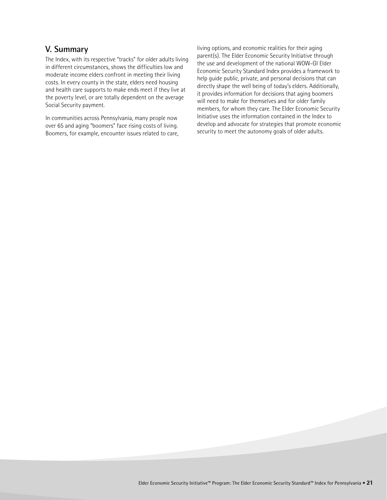#### **V. Summary**

The Index, with its respective "tracks" for older adults living in different circumstances, shows the difficulties low and moderate income elders confront in meeting their living costs. In every county in the state, elders need housing and health care supports to make ends meet if they live at the poverty level, or are totally dependent on the average Social Security payment.

In communities across Pennsylvania, many people now over 65 and aging "boomers" face rising costs of living. Boomers, for example, encounter issues related to care,

living options, and economic realities for their aging parent(s). The Elder Economic Security Initiative through the use and development of the national WOW-GI Elder Economic Security Standard Index provides a framework to help guide public, private, and personal decisions that can directly shape the well being of today's elders. Additionally, it provides information for decisions that aging boomers will need to make for themselves and for older family members, for whom they care. The Elder Economic Security Initiative uses the information contained in the Index to develop and advocate for strategies that promote economic security to meet the autonomy goals of older adults.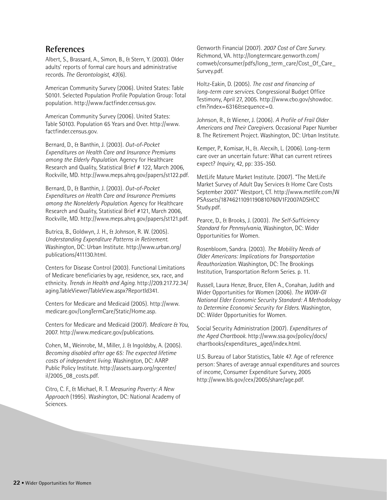#### **References**

Albert, S., Brassard, A., Simon, B., & Stern, Y. (2003). Older adults' reports of formal care hours and administrative records. *The Gerontologist, 43*(6).

American Community Survey (2006). United States: Table S0101. Selected Population Profile Population Group: Total population. http://www.factfinder.census.gov.

American Community Survey (2006). United States: Table S0103. Population 65 Years and Over. http://www. factfinder.census.gov.

Bernard, D., & Banthin, J. (2003). *Out-of-Pocket Expenditures on Health Care and Insurance Premiums among the Elderly Population*. Agency for Healthcare Research and Quality, Statistical Brief # 122, March 2006, Rockville, MD. http://www.meps.ahrq.gov/papers/st122.pdf.

Bernard, D., & Banthin, J. (2003). *Out-of-Pocket Expenditures on Health Care and Insurance Premiums among the Nonelderly Population*. Agency for Healthcare Research and Quality, Statistical Brief #121, March 2006, Rockville, MD. http://www.meps.ahrq.gov/papers/st121.pdf.

Butrica, B., Goldwyn, J. H., & Johnson, R. W. (2005). *Understanding Expenditure Patterns in Retirement*. Washington, DC: Urban Institute. http://www.urban.org/ publications/411130.html.

Centers for Disease Control (2003). Functional Limitations of Medicare beneficiaries by age, residence, sex, race, and ethnicity. *Trends in Health and Aging*. http://209.217.72.34/ aging.TableViewer/TableView.aspx?ReportId341.

Centers for Medicare and Medicaid (2005). http://www. medicare.gov/LongTermCare/Static/Home.asp.

Centers for Medicare and Medicaid (2007). *Medicare & You*, 2007. http://www.medicare.gov/publications.

Cohen, M., Weinrobe, M., Miller, J. & Ingoldsby, A. (2005). *Becoming disabled after age 65: The expected lifetime costs of independent living*. Washington, DC: AARP Public Policy Institute. http://assets.aarp.org/rgcenter/ il/2005\_08\_costs.pdf.

Citro, C. F., & Michael, R. T. *Measuring Poverty: A New Approach* (1995). Washington, DC: National Academy of Sciences.

Genworth Financial (2007). *2007 Cost of Care Survey*. Richmond, VA. http://longtermcare.genworth.com/ comweb/consumer/pdfs/long\_term\_care/Cost\_Of\_Care\_ Survey.pdf.

Holtz-Eakin, D. (2005). *The cost and financing of long-term care services*. Congressional Budget Office Testimony, April 27, 2005. http://www.cbo.gov/showdoc. cfm?index=6316&sequence=0.

Johnson, R., & Wiener, J. (2006). *A Profile of Frail Older Americans and Their Caregivers*. Occasional Paper Number 8. The Retirement Project. Washington, DC: Urban Institute.

Kemper, P., Komisar, H., &. Alecxih, L. (2006). Long-term care over an uncertain future: What can current retirees expect? *Inquiry*, 42, pp: 335-350.

MetLife Mature Market Institute. (2007). "The MetLife Market Survey of Adult Day Services & Home Care Costs September 2007." Westport, CT. http://www.metlife.com/W PSAssets/18746211091190810760V1F2007ADSHCC Study.pdf.

Pearce, D., & Brooks, J. (2003). *The Self-Sufficiency Standard for Pennsylvania,* Washington, DC: Wider Opportunities for Women.

Rosenbloom, Sandra. (2003). *The Mobility Needs of Older Americans: Implications for Transportation Reauthorization.* Washington, DC: The Brookings Institution, Transportation Reform Series. p. 11.

Russell, Laura Henze, Bruce, Ellen A., Conahan, Judith and Wider Opportunities for Women (2006). *The WOW-GI National Elder Economic Security Standard: A Methodology to Determine Economic Security for Elders*. Washington, DC: Wilder Opportunities for Women.

Social Security Administration (2007). *Expenditures of the Aged Chartbook*. http://www.ssa.gov/policy/docs/ chartbooks/expenditures\_aged/index.html.

U.S. Bureau of Labor Statistics, Table 47. Age of reference person: Shares of average annual expenditures and sources of income, Consumer Expenditure Survey, 2005 http://www.bls.gov/cex/2005/share/age.pdf.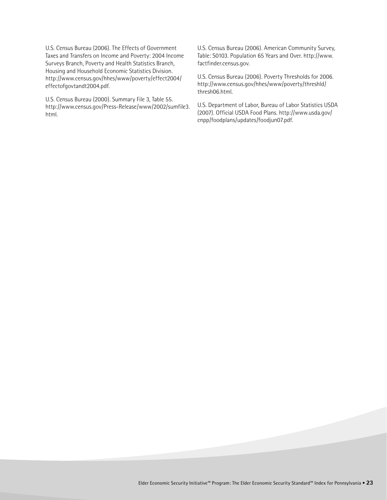U.S. Census Bureau (2006). The Effects of Government Taxes and Transfers on Income and Poverty: 2004 Income Surveys Branch, Poverty and Health Statistics Branch, Housing and Household Economic Statistics Division. http://www.census.gov/hhes/www/poverty/effect2004/ effectofgovtandt2004.pdf.

U.S. Census Bureau (2000). Summary File 3, Table 55. http://www.census.gov/Press-Release/www/2002/sumfile3. html.

U.S. Census Bureau (2006). American Community Survey, Table: S0103. Population 65 Years and Over. http://www. factfinder.census.gov.

U.S. Census Bureau (2006). Poverty Thresholds for 2006. http://www.census.gov/hhes/www/poverty/threshld/ thresh06.html.

U.S. Department of Labor, Bureau of Labor Statistics USDA (2007). Official USDA Food Plans. http://www.usda.gov/ cnpp/foodplans/updates/foodjun07.pdf.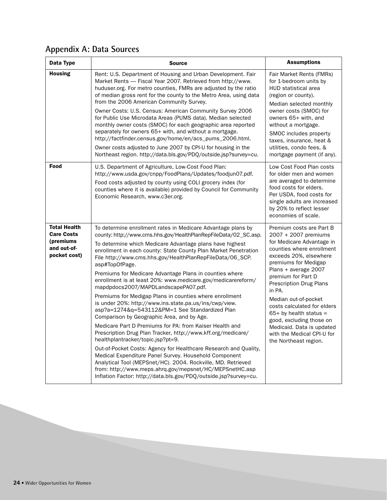# **Appendix A: Data Sources**

| Data Type                                                                            | <b>Source</b>                                                                                                                                                                                                                                                                                                                                                                                                                                                                                                                                                                                                                                                                                                                                                                                                                                                                                                                                                                                                                                                                                                                                                                                                                     | <b>Assumptions</b>                                                                                                                                                                                                                                                                                                                                                                                                                                        |
|--------------------------------------------------------------------------------------|-----------------------------------------------------------------------------------------------------------------------------------------------------------------------------------------------------------------------------------------------------------------------------------------------------------------------------------------------------------------------------------------------------------------------------------------------------------------------------------------------------------------------------------------------------------------------------------------------------------------------------------------------------------------------------------------------------------------------------------------------------------------------------------------------------------------------------------------------------------------------------------------------------------------------------------------------------------------------------------------------------------------------------------------------------------------------------------------------------------------------------------------------------------------------------------------------------------------------------------|-----------------------------------------------------------------------------------------------------------------------------------------------------------------------------------------------------------------------------------------------------------------------------------------------------------------------------------------------------------------------------------------------------------------------------------------------------------|
| <b>Housing</b>                                                                       | Rent: U.S. Department of Housing and Urban Development. Fair<br>Market Rents — Fiscal Year 2007. Retrieved from http://www.<br>huduser.org. For metro counties, FMRs are adjusted by the ratio<br>of median gross rent for the county to the Metro Area, using data<br>from the 2006 American Community Survey.                                                                                                                                                                                                                                                                                                                                                                                                                                                                                                                                                                                                                                                                                                                                                                                                                                                                                                                   | Fair Market Rents (FMRs)<br>for 1-bedroom units by<br>HUD statistical area<br>(region or county).<br>Median selected monthly                                                                                                                                                                                                                                                                                                                              |
|                                                                                      | Owner Costs: U.S. Census: American Community Survey 2006<br>for Public Use Microdata Areas (PUMS data). Median selected<br>monthly owner costs (SMOC) for each geographic area reported<br>separately for owners 65+ with, and without a mortgage.<br>http://factfinder.census.gov/home/en/acs_pums_2006.html.<br>Owner costs adjusted to June 2007 by CPI-U for housing in the<br>Northeast region. http://data.bls.gov/PDQ/outside.jsp?survey=cu.                                                                                                                                                                                                                                                                                                                                                                                                                                                                                                                                                                                                                                                                                                                                                                               | owner costs (SMOC) for<br>owners 65+ with, and<br>without a mortgage.<br>SMOC includes property<br>taxes, insurance, heat &<br>utilities, condo fees, &<br>mortgage payment (if any).                                                                                                                                                                                                                                                                     |
| Food                                                                                 | U.S. Department of Agriculture, Low-Cost Food Plan:<br>http://www.usda.gov/cnpp/FoodPlans/Updates/foodjun07.pdf.<br>Food costs adjusted by county using COLI grocery index (for<br>counties where it is available) provided by Council for Community<br>Economic Research, www.c3er.org.                                                                                                                                                                                                                                                                                                                                                                                                                                                                                                                                                                                                                                                                                                                                                                                                                                                                                                                                          | Low Cost Food Plan costs<br>for older men and women<br>are averaged to determine<br>food costs for elders.<br>Per USDA, food costs for<br>single adults are increased<br>by 20% to reflect lesser<br>economies of scale.                                                                                                                                                                                                                                  |
| <b>Total Health</b><br><b>Care Costs</b><br>(premiums<br>and out-of-<br>pocket cost) | To determine enrollment rates in Medicare Advantage plans by<br>county: http://www.cms.hhs.gov/HealthPlanRepFileData/02_SC.asp.<br>To determine which Medicare Advantage plans have highest<br>enrollment in each county: State County Plan Market Penetration<br>File http://www.cms.hhs.gov/HealthPlanRepFileData/06_SCP.<br>asp#TopOfPage.<br>Premiums for Medicare Advantage Plans in counties where<br>enrollment is at least 20%: www.medicare.gov/medicarereform/<br>mapdpdocs2007/MAPDLandscapePA07.pdf.<br>Premiums for Medigap Plans in counties where enrollment<br>is under 20%: http://www.ins.state.pa.us/ins/cwp/view.<br>asp?a=1274&q=543112&PM=1 See Standardized Plan<br>Comparison by Geographic Area, and by Age.<br>Medicare Part D Premiums for PA: from Kaiser Health and<br>Prescription Drug Plan Tracker, http://www.kff.org/medicare/<br>healthplantracker/topic.jsp?pt=9.<br>Out-of-Pocket Costs: Agency for Healthcare Research and Quality,<br>Medical Expenditure Panel Survey. Household Component<br>Analytical Tool (MEPSnet/HC). 2004. Rockville, MD. Retrieved<br>from: http://www.meps.ahrq.gov/mepsnet/HC/MEPSnetHC.asp<br>Inflation Factor: http://data.bls.gov/PDQ/outside.jsp?survey=cu. | Premium costs are Part B<br>2007 + 2007 premiums<br>for Medicare Advantage in<br>counties where enrollment<br>exceeds 20%, elsewhere<br>premiums for Medigap<br>Plans + average 2007<br>premium for Part D<br><b>Prescription Drug Plans</b><br>in PA.<br>Median out-of-pocket<br>costs calculated for elders<br>$65+$ by health status =<br>good, excluding those on<br>Medicaid. Data is updated<br>with the Medical CPI-U for<br>the Northeast region. |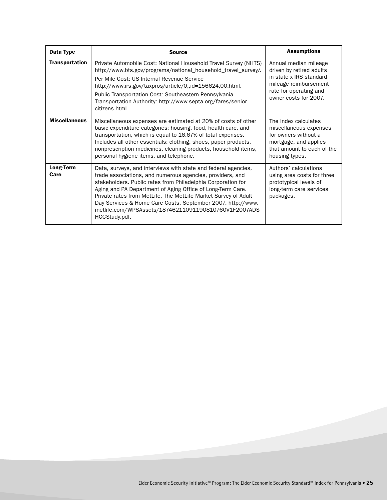| Data Type             | <b>Source</b>                                                                                                                                                                                                                                                                                                                                                                                                                                                       | <b>Assumptions</b>                                                                                                                                       |
|-----------------------|---------------------------------------------------------------------------------------------------------------------------------------------------------------------------------------------------------------------------------------------------------------------------------------------------------------------------------------------------------------------------------------------------------------------------------------------------------------------|----------------------------------------------------------------------------------------------------------------------------------------------------------|
| <b>Transportation</b> | Private Automobile Cost: National Household Travel Survey (NHTS)<br>http://www.bts.gov/programs/national_household_travel_survey/.<br>Per Mile Cost: US Internal Revenue Service<br>http://www.irs.gov/taxpros/article/0,,id=156624,00.html.<br>Public Transportation Cost: Southeastern Pennsylvania<br>Transportation Authority: http://www.septa.org/fares/senior_<br>citizens.html.                                                                             | Annual median mileage<br>driven by retired adults<br>in state x IRS standard<br>mileage reimbursement<br>rate for operating and<br>owner costs for 2007. |
| <b>Miscellaneous</b>  | Miscellaneous expenses are estimated at 20% of costs of other<br>basic expenditure categories: housing, food, health care, and<br>transportation, which is equal to 16.67% of total expenses.<br>Includes all other essentials: clothing, shoes, paper products,<br>nonprescription medicines, cleaning products, household items,<br>personal hygiene items, and telephone.                                                                                        | The Index calculates<br>miscellaneous expenses<br>for owners without a<br>mortgage, and applies<br>that amount to each of the<br>housing types.          |
| Long-Term<br>Care     | Data, surveys, and interviews with state and federal agencies,<br>trade associations, and numerous agencies, providers, and<br>stakeholders. Public rates from Philadelphia Corporation for<br>Aging and PA Department of Aging Office of Long-Term Care.<br>Private rates from MetLife, The MetLife Market Survey of Adult<br>Day Services & Home Care Costs, September 2007. http://www.<br>metlife.com/WPSAssets/18746211091190810760V1F2007ADS<br>HCCStudy.pdf. | Authors' calculations<br>using area costs for three<br>prototypical levels of<br>long-term care services<br>packages.                                    |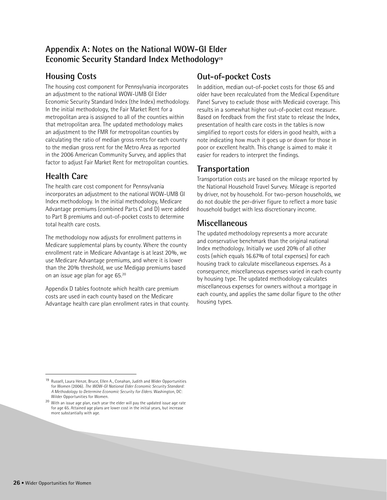#### **Appendix A: Notes on the National WOW-GI Elder Economic Security Standard Index Methodology19**

#### **Housing Costs**

The housing cost component for Pennsylvania incorporates an adjustment to the national WOW-UMB GI Elder Economic Security Standard Index (the Index) methodology. In the initial methodology, the Fair Market Rent for a metropolitan area is assigned to all of the counties within that metropolitan area. The updated methodology makes an adjustment to the FMR for metropolitan counties by calculating the ratio of median gross rents for each county to the median gross rent for the Metro Area as reported in the 2006 American Community Survey, and applies that factor to adjust Fair Market Rent for metropolitan counties.

## **Health Care**

The health care cost component for Pennsylvania incorporates an adjustment to the national WOW-UMB GI Index methodology. In the initial methodology, Medicare Advantage premiums (combined Parts C and D) were added to Part B premiums and out-of-pocket costs to determine total health care costs.

The methodology now adjusts for enrollment patterns in Medicare supplemental plans by county. Where the county enrollment rate in Medicare Advantage is at least 20%, we use Medicare Advantage premiums, and where it is lower than the 20% threshold, we use Medigap premiums based on an issue age plan for age 65.20

Appendix D tables footnote which health care premium costs are used in each county based on the Medicare Advantage health care plan enrollment rates in that county.

## **Out-of-pocket Costs**

In addition, median out-of-pocket costs for those 65 and older have been recalculated from the Medical Expenditure Panel Survey to exclude those with Medicaid coverage. This results in a somewhat higher out-of-pocket cost measure. Based on feedback from the first state to release the Index, presentation of health care costs in the tables is now simplified to report costs for elders in good health, with a note indicating how much it goes up or down for those in poor or excellent health. This change is aimed to make it easier for readers to interpret the findings.

#### **Transportation**

Transportation costs are based on the mileage reported by the National Household Travel Survey. Mileage is reported by driver, not by household. For two-person households, we do not double the per-driver figure to reflect a more basic household budget with less discretionary income.

## **Miscellaneous**

The updated methodology represents a more accurate and conservative benchmark than the original national Index methodology. Initially we used 20% of all other costs (which equals 16.67% of total expenses) for each housing track to calculate miscellaneous expenses. As a consequence, miscellaneous expenses varied in each county by housing type. The updated methodology calculates miscellaneous expenses for owners without a mortgage in each county, and applies the same dollar figure to the other housing types.

<sup>19</sup> Russell, Laura Henze, Bruce, Ellen A., Conahan, Judith and Wider Opportunities for Women (2006). *The WOW-GI National Elder Economic Security Standard: A Methodology to Determine Economic Security for Elders*. Washington, DC: Wilder Opportunities for Women.

<sup>20</sup> With an issue age plan, each year the elder will pay the updated issue age rate for age 65. Attained age plans are lower cost in the initial years, but increase more substantially with age.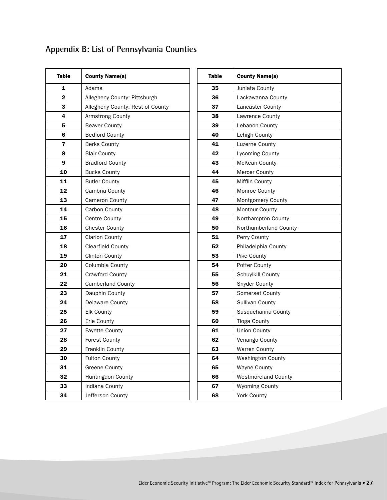# **Appendix B: List of Pennsylvania Counties**

| <b>Table</b> | <b>County Name(s)</b>            |
|--------------|----------------------------------|
| 1            | Adams                            |
| 2            | Allegheny County: Pittsburgh     |
| 3            | Allegheny County: Rest of County |
| 4            | <b>Armstrong County</b>          |
| 5            | <b>Beaver County</b>             |
| 6            | <b>Bedford County</b>            |
| 7            | <b>Berks County</b>              |
| 8            | <b>Blair County</b>              |
| 9            | <b>Bradford County</b>           |
| 10           | <b>Bucks County</b>              |
| 11           | <b>Butler County</b>             |
| 12           | Cambria County                   |
| 13           | <b>Cameron County</b>            |
| 14           | Carbon County                    |
| 15           | <b>Centre County</b>             |
| 16           | <b>Chester County</b>            |
| 17           | <b>Clarion County</b>            |
| 18           | <b>Clearfield County</b>         |
| 19           | <b>Clinton County</b>            |
| 20           | Columbia County                  |
| 21           | Crawford County                  |
| 22           | <b>Cumberland County</b>         |
| 23           | Dauphin County                   |
| 24           | Delaware County                  |
| 25           | Elk County                       |
| 26           | Erie County                      |
| 27           | <b>Fayette County</b>            |
| 28           | <b>Forest County</b>             |
| 29           | Franklin County                  |
| 30           | <b>Fulton County</b>             |
| 31           | Greene County                    |
| 32           | Huntingdon County                |
| 33           | Indiana County                   |
| 34           | Jefferson County                 |

| Table | <b>County Name(s)</b>      |
|-------|----------------------------|
| 35    | Juniata County             |
| 36    | Lackawanna County          |
| 37    | Lancaster County           |
| 38    | Lawrence County            |
| 39    | Lebanon County             |
| 40    | Lehigh County              |
| 41    | Luzerne County             |
| 42    | Lycoming County            |
| 43    | <b>McKean County</b>       |
| 44    | <b>Mercer County</b>       |
| 45    | Mifflin County             |
| 46    | <b>Monroe County</b>       |
| 47    | Montgomery County          |
| 48    | <b>Montour County</b>      |
| 49    | Northampton County         |
| 50    | Northumberland County      |
| 51    | Perry County               |
| 52    | Philadelphia County        |
| 53    | Pike County                |
| 54    | Potter County              |
| 55    | Schuylkill County          |
| 56    | <b>Snyder County</b>       |
| 57    | Somerset County            |
| 58    | <b>Sullivan County</b>     |
| 59    | Susquehanna County         |
| 60    | <b>Tioga County</b>        |
| 61    | <b>Union County</b>        |
| 62    | Venango County             |
| 63    | Warren County              |
| 64    | <b>Washington County</b>   |
| 65    | <b>Wayne County</b>        |
| 66    | <b>Westmoreland County</b> |
| 67    | <b>Wyoming County</b>      |
| 68    | York County                |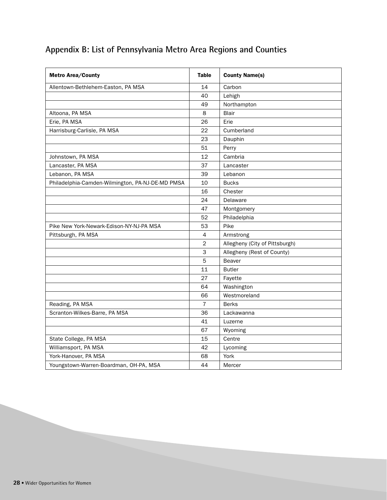# **Appendix B: List of Pennsylvania Metro Area Regions and Counties**

| <b>Metro Area/County</b>                         | <b>Table</b>             | <b>County Name(s)</b>          |
|--------------------------------------------------|--------------------------|--------------------------------|
| Allentown-Bethlehem-Easton, PA MSA               | 14                       | Carbon                         |
|                                                  | 40                       | Lehigh                         |
|                                                  | 49                       | Northampton                    |
| Altoona, PA MSA                                  | 8                        | <b>Blair</b>                   |
| Erie, PA MSA                                     | 26                       | Erie                           |
| Harrisburg-Carlisle, PA MSA                      | 22                       | Cumberland                     |
|                                                  | 23                       | Dauphin                        |
|                                                  | 51                       | Perry                          |
| Johnstown, PA MSA                                | 12                       | Cambria                        |
| Lancaster, PA MSA                                | 37                       | Lancaster                      |
| Lebanon, PA MSA                                  | 39                       | Lebanon                        |
| Philadelphia-Camden-Wilmington, PA-NJ-DE-MD PMSA | 10                       | <b>Bucks</b>                   |
|                                                  | 16                       | Chester                        |
|                                                  | 24                       | Delaware                       |
|                                                  | 47                       | Montgomery                     |
|                                                  | 52                       | Philadelphia                   |
| Pike New York-Newark-Edison-NY-NJ-PA MSA         | 53                       | Pike                           |
| Pittsburgh, PA MSA                               | $\overline{\mathcal{A}}$ | Armstrong                      |
|                                                  | $\overline{2}$           | Allegheny (City of Pittsburgh) |
|                                                  | 3                        | Allegheny (Rest of County)     |
|                                                  | 5                        | <b>Beaver</b>                  |
|                                                  | 11                       | <b>Butler</b>                  |
|                                                  | 27                       | Fayette                        |
|                                                  | 64                       | Washington                     |
|                                                  | 66                       | Westmoreland                   |
| Reading, PA MSA                                  | $\overline{7}$           | <b>Berks</b>                   |
| Scranton-Wilkes-Barre, PA MSA                    | 36                       | Lackawanna                     |
|                                                  | 41                       | Luzerne                        |
|                                                  | 67                       | Wyoming                        |
| State College, PA MSA                            | 15                       | Centre                         |
| Williamsport, PA MSA                             | 42                       | Lycoming                       |
| York-Hanover, PA MSA                             | 68                       | York                           |
| Youngstown-Warren-Boardman, OH-PA, MSA           | 44                       | Mercer                         |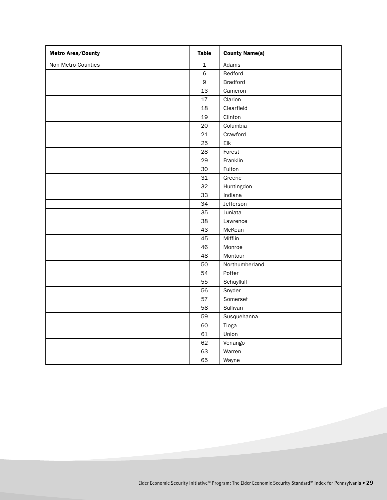| <b>Metro Area/County</b> | <b>Table</b> | <b>County Name(s)</b> |
|--------------------------|--------------|-----------------------|
| Non Metro Counties       | $\mathbf 1$  | Adams                 |
|                          | $\,$ 6       | Bedford               |
|                          | $\mathsf 9$  | <b>Bradford</b>       |
|                          | 13           | Cameron               |
|                          | 17           | Clarion               |
|                          | 18           | Clearfield            |
|                          | 19           | Clinton               |
|                          | 20           | Columbia              |
|                          | 21           | Crawford              |
|                          | 25           | Elk                   |
|                          | 28           | Forest                |
|                          | 29           | Franklin              |
|                          | 30           | Fulton                |
|                          | 31           | Greene                |
|                          | 32           | Huntingdon            |
|                          | 33           | Indiana               |
|                          | 34           | Jefferson             |
|                          | 35           | Juniata               |
|                          | 38           | Lawrence              |
|                          | 43           | McKean                |
|                          | 45           | Mifflin               |
|                          | 46           | Monroe                |
|                          | 48           | Montour               |
|                          | 50           | Northumberland        |
|                          | 54           | Potter                |
|                          | 55           | Schuylkill            |
|                          | 56           | Snyder                |
|                          | 57           | Somerset              |
|                          | 58           | Sullivan              |
|                          | 59           | Susquehanna           |
|                          | 60           | Tioga                 |
|                          | 61           | Union                 |
|                          | 62           | Venango               |
|                          | 63           | Warren                |
|                          | 65           | Wayne                 |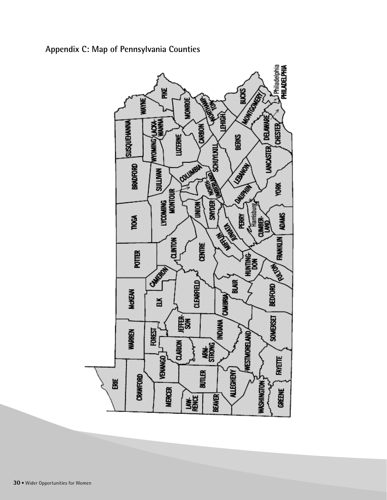

**Appendix C: Map of Pennsylvania Counties**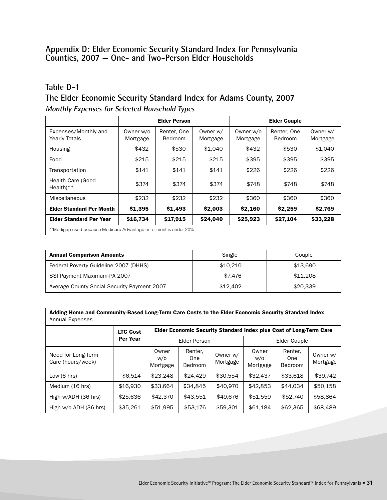#### **Appendix D: Elder Economic Security Standard Index for Pennsylvania Counties, 2007 — One- and Two-Person Elder Households**

#### **Table D-1**

#### **The Elder Economic Security Standard Index for Adams County, 2007 Monthly Expenses for Selected Household Types**

|                                                                   |                       | <b>Elder Person</b>           |                      | <b>Elder Couple</b>   |                        |                      |  |
|-------------------------------------------------------------------|-----------------------|-------------------------------|----------------------|-----------------------|------------------------|----------------------|--|
| Expenses/Monthly and<br><b>Yearly Totals</b>                      | Owner w/o<br>Mortgage | Renter, One<br><b>Bedroom</b> | Owner w/<br>Mortgage | Owner w/o<br>Mortgage | Renter, One<br>Bedroom | Owner w/<br>Mortgage |  |
| Housing                                                           | \$432                 | \$530                         | \$1,040              | \$432                 | \$530                  | \$1,040              |  |
| Food                                                              | \$215                 | \$215                         | \$215                | \$395                 | \$395                  | \$395                |  |
| Transportation                                                    | \$141                 | \$141                         | \$141                | \$226                 | \$226                  | \$226                |  |
| <b>Health Care (Good</b><br>$Health$ <sup>**</sup>                | \$374                 | \$374                         | \$374                | \$748                 | \$748                  | \$748                |  |
| Miscellaneous                                                     | \$232                 | \$232                         | \$232                | \$360                 | \$360                  | \$360                |  |
| <b>Elder Standard Per Month</b>                                   | \$1,395               | \$1,493                       | \$2,003              | \$2,160               | \$2,259                | \$2,769              |  |
| <b>Elder Standard Per Year</b>                                    | \$16,734              | \$17,915                      | \$24,040             | \$25,923              | \$27,104               | \$33,228             |  |
| **Medigan used because Medicare Advantage enrollment is under 20% |                       |                               |                      |                       |                        |                      |  |

\*\*Medigap used because Medicare Advantage enrollment is under 20%.

| <b>Annual Comparison Amounts</b>            | Single   | Couple   |
|---------------------------------------------|----------|----------|
| Federal Poverty Guideline 2007 (DHHS)       | \$10,210 | \$13,690 |
| SSI Payment Maximum-PA 2007                 | \$7.476  | \$11,208 |
| Average County Social Security Payment 2007 | \$12,402 | \$20,339 |

| Adding Home and Community-Based Long-Term Care Costs to the Elder Economic Security Standard Index |
|----------------------------------------------------------------------------------------------------|
| Annual Expenses                                                                                    |

|                                         | <b>LTC Cost</b> | Elder Economic Security Standard Index plus Cost of Long-Term Care |                                  |                      |                          |                           |                      |
|-----------------------------------------|-----------------|--------------------------------------------------------------------|----------------------------------|----------------------|--------------------------|---------------------------|----------------------|
|                                         | Per Year        | Elder Person                                                       |                                  |                      | Elder Couple             |                           |                      |
| Need for Long-Term<br>Care (hours/week) |                 | Owner<br>W/O<br>Mortgage                                           | Renter,<br><b>One</b><br>Bedroom | Owner w/<br>Mortgage | Owner<br>W/O<br>Mortgage | Renter,<br>One<br>Bedroom | Owner w/<br>Mortgage |
| Low $(6 \text{ hrs})$                   | \$6,514         | \$23,248                                                           | \$24,429                         | \$30,554             | \$32,437                 | \$33,618                  | \$39,742             |
| Medium (16 hrs)                         | \$16,930        | \$33,664                                                           | \$34,845                         | \$40,970             | \$42,853                 | \$44,034                  | \$50,158             |
| High w/ADH (36 hrs)                     | \$25,636        | \$42,370                                                           | \$43,551                         | \$49,676             | \$51,559                 | \$52,740                  | \$58,864             |
| High w/o ADH (36 hrs)                   | \$35,261        | \$51,995                                                           | \$53,176                         | \$59,301             | \$61,184                 | \$62,365                  | \$68,489             |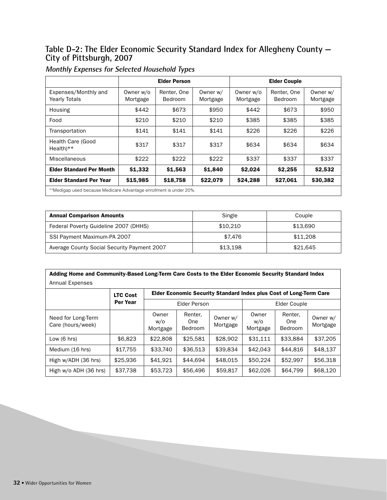#### **Table D-2: The Elder Economic Security Standard Index for Allegheny County — City of Pittsburgh, 2007**

|                                                                    |                       | <b>Elder Person</b>           |                      | <b>Elder Couple</b>   |                               |                      |  |
|--------------------------------------------------------------------|-----------------------|-------------------------------|----------------------|-----------------------|-------------------------------|----------------------|--|
| Expenses/Monthly and<br><b>Yearly Totals</b>                       | Owner w/o<br>Mortgage | Renter, One<br><b>Bedroom</b> | Owner w/<br>Mortgage | Owner w/o<br>Mortgage | Renter, One<br><b>Bedroom</b> | Owner w/<br>Mortgage |  |
| Housing                                                            | \$442                 | \$673                         | \$950                | \$442                 | \$673                         | \$950                |  |
| Food                                                               | \$210                 | \$210                         | \$210                | \$385                 | \$385                         | \$385                |  |
| Transportation                                                     | \$141                 | \$141                         | \$141                | \$226                 | \$226                         | \$226                |  |
| Health Care (Good<br>$Health**$                                    | \$317                 | \$317                         | \$317                | \$634                 | \$634                         | \$634                |  |
| Miscellaneous                                                      | \$222                 | \$222                         | \$222                | \$337                 | \$337                         | \$337                |  |
| <b>Elder Standard Per Month</b>                                    | \$1,332               | \$1,563                       | \$1,840              | \$2,024               | \$2,255                       | \$2,532              |  |
| <b>Elder Standard Per Year</b>                                     | \$15,985              | \$18,758                      | \$22,079             | \$24,288              | \$27,061                      | \$30,382             |  |
| **Medigap used because Medicare Advantage enrollment is under 20%. |                       |                               |                      |                       |                               |                      |  |

#### **Monthly Expenses for Selected Household Types**

| <b>Annual Comparison Amounts</b>            | Single   | Couple   |  |
|---------------------------------------------|----------|----------|--|
| Federal Poverty Guideline 2007 (DHHS)       | \$10.210 | \$13,690 |  |
| SSI Payment Maximum-PA 2007                 | \$7.476  | \$11,208 |  |
| Average County Social Security Payment 2007 | \$13.198 | \$21.645 |  |

| Adding Home and Community-Based Long-Term Care Costs to the Elder Economic Security Standard Index |
|----------------------------------------------------------------------------------------------------|
| <b>Annual Expenses</b>                                                                             |

|                                         | <b>LTC Cost</b> | Elder Economic Security Standard Index plus Cost of Long-Term Care |                           |                      |                          |                                  |                      |  |
|-----------------------------------------|-----------------|--------------------------------------------------------------------|---------------------------|----------------------|--------------------------|----------------------------------|----------------------|--|
|                                         | Per Year        | Elder Person                                                       |                           |                      | Elder Couple             |                                  |                      |  |
| Need for Long-Term<br>Care (hours/week) |                 | Owner<br>w/o<br>Mortgage                                           | Renter,<br>One<br>Bedroom | Owner w/<br>Mortgage | Owner<br>w/o<br>Mortgage | Renter,<br>One<br><b>Bedroom</b> | Owner w/<br>Mortgage |  |
| Low $(6 \text{ hrs})$                   | \$6,823         | \$22,808                                                           | \$25.581                  | \$28,902             | \$31,111                 | \$33,884                         | \$37,205             |  |
| Medium (16 hrs)                         | \$17.755        | \$33.740                                                           | \$36.513                  | \$39.834             | \$42.043                 | \$44,816                         | \$48.137             |  |
| High w/ADH (36 hrs)                     | \$25,936        | \$41.921                                                           | \$44.694                  | \$48,015             | \$50,224                 | \$52,997                         | \$56,318             |  |
| High w/o ADH (36 hrs)                   | \$37,738        | \$53,723                                                           | \$56,496                  | \$59,817             | \$62,026                 | \$64,799                         | \$68,120             |  |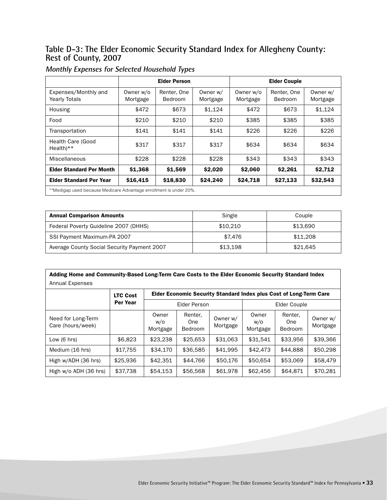#### **Table D-3: The Elder Economic Security Standard Index for Allegheny County: Rest of County, 2007**

|                                                                    | <b>Elder Person</b>   |                               |                      | <b>Elder Couple</b>   |                        |                      |
|--------------------------------------------------------------------|-----------------------|-------------------------------|----------------------|-----------------------|------------------------|----------------------|
| Expenses/Monthly and<br><b>Yearly Totals</b>                       | Owner w/o<br>Mortgage | Renter, One<br><b>Bedroom</b> | Owner w/<br>Mortgage | Owner w/o<br>Mortgage | Renter, One<br>Bedroom | Owner w/<br>Mortgage |
| Housing                                                            | \$472                 | \$673                         | \$1,124              | \$472                 | \$673                  | \$1,124              |
| Food                                                               | \$210                 | \$210                         | \$210                | \$385                 | \$385                  | \$385                |
| Transportation                                                     | \$141                 | \$141                         | \$141                | \$226                 | \$226                  | \$226                |
| Health Care (Good<br>$Health**$                                    | \$317                 | \$317                         | \$317                | \$634                 | \$634                  | \$634                |
| Miscellaneous                                                      | \$228                 | \$228                         | \$228                | \$343                 | \$343                  | \$343                |
| <b>Elder Standard Per Month</b>                                    | \$1,368               | \$1,569                       | \$2,020              | \$2,060               | \$2,261                | \$2,712              |
| <b>Elder Standard Per Year</b>                                     | \$16,415              | \$18,830                      | \$24,240             | \$24,718              | \$27,133               | \$32,543             |
| **Medigap used because Medicare Advantage enrollment is under 20%. |                       |                               |                      |                       |                        |                      |

#### **Monthly Expenses for Selected Household Types**

| <b>Annual Comparison Amounts</b>            | Single   | Couple   |
|---------------------------------------------|----------|----------|
| Federal Poverty Guideline 2007 (DHHS)       | \$10,210 | \$13.690 |
| SSI Payment Maximum-PA 2007                 | \$7.476  | \$11,208 |
| Average County Social Security Payment 2007 | \$13.198 | \$21.645 |

| Adding Home and Community-Based Long-Term Care Costs to the Elder Economic Security Standard Index       |          |                          |                           |                      |                          |                                  |                      |  |
|----------------------------------------------------------------------------------------------------------|----------|--------------------------|---------------------------|----------------------|--------------------------|----------------------------------|----------------------|--|
| Annual Expenses<br>Elder Economic Security Standard Index plus Cost of Long-Term Care<br><b>LTC Cost</b> |          |                          |                           |                      |                          |                                  |                      |  |
|                                                                                                          | Per Year | Elder Person             |                           |                      | Elder Couple             |                                  |                      |  |
| Need for Long-Term<br>Care (hours/week)                                                                  |          | Owner<br>W/O<br>Mortgage | Renter,<br>One<br>Bedroom | Owner w/<br>Mortgage | Owner<br>w/o<br>Mortgage | Renter.<br>One<br><b>Bedroom</b> | Owner w/<br>Mortgage |  |
| Low $(6 \text{ hrs})$                                                                                    | \$6,823  | \$23,238                 | \$25.653                  | \$31,063             | \$31.541                 | \$33.956                         | \$39,366             |  |
| Medium (16 hrs)                                                                                          | \$17,755 | \$34,170                 | \$36,585                  | \$41,995             | \$42,473                 | \$44,888                         | \$50,298             |  |
| High w/ADH (36 hrs)                                                                                      | \$25,936 | \$42.351                 | \$44.766                  | \$50,176             | \$50.654                 | \$53,069                         | \$58,479             |  |
| High w/o ADH (36 hrs)                                                                                    | \$37.738 | \$54.153                 | \$56,568                  | \$61,978             | \$62,456                 | \$64.871                         | \$70.281             |  |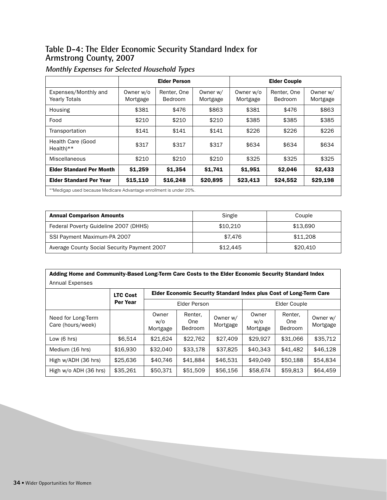#### **Table D-4: The Elder Economic Security Standard Index for Armstrong County, 2007**

|                                                                    | <b>Elder Person</b>   |                               |                      | <b>Elder Couple</b>   |                        |                      |
|--------------------------------------------------------------------|-----------------------|-------------------------------|----------------------|-----------------------|------------------------|----------------------|
| Expenses/Monthly and<br><b>Yearly Totals</b>                       | Owner w/o<br>Mortgage | Renter, One<br><b>Bedroom</b> | Owner w/<br>Mortgage | Owner w/o<br>Mortgage | Renter, One<br>Bedroom | Owner w/<br>Mortgage |
| Housing                                                            | \$381                 | \$476                         | \$863                | \$381                 | \$476                  | \$863                |
| Food                                                               | \$210                 | \$210                         | \$210                | \$385                 | \$385                  | \$385                |
| Transportation                                                     | \$141                 | \$141                         | \$141                | \$226                 | \$226                  | \$226                |
| Health Care (Good<br>$Health$ <sup>**</sup>                        | \$317                 | \$317                         | \$317                | \$634                 | \$634                  | \$634                |
| Miscellaneous                                                      | \$210                 | \$210                         | \$210                | \$325                 | \$325                  | \$325                |
| <b>Elder Standard Per Month</b>                                    | \$1,259               | \$1,354                       | \$1,741              | \$1,951               | \$2,046                | \$2,433              |
| <b>Elder Standard Per Year</b>                                     | \$15,110              | \$16,248                      | \$20,895             | \$23,413              | \$24,552               | \$29,198             |
| **Medigap used because Medicare Advantage enrollment is under 20%. |                       |                               |                      |                       |                        |                      |

# **Monthly Expenses for Selected Household Types**

| <b>Annual Comparison Amounts</b>            | Single   | Couple   |
|---------------------------------------------|----------|----------|
| Federal Poverty Guideline 2007 (DHHS)       | \$10.210 | \$13.690 |
| SSI Payment Maximum-PA 2007                 | \$7.476  | \$11,208 |
| Average County Social Security Payment 2007 | \$12.445 | \$20,410 |

| Adding Home and Community-Based Long-Term Care Costs to the Elder Economic Security Standard Index |  |
|----------------------------------------------------------------------------------------------------|--|
| Annual Expenses                                                                                    |  |

|                                         | <b>LTC Cost</b> | Elder Economic Security Standard Index plus Cost of Long-Term Care |                           |                      |                          |                                  |                      |  |  |
|-----------------------------------------|-----------------|--------------------------------------------------------------------|---------------------------|----------------------|--------------------------|----------------------------------|----------------------|--|--|
|                                         | Per Year        | Elder Person                                                       |                           |                      | Elder Couple             |                                  |                      |  |  |
| Need for Long-Term<br>Care (hours/week) |                 | Owner<br>w/o<br>Mortgage                                           | Renter,<br>One<br>Bedroom | Owner w/<br>Mortgage | Owner<br>W/O<br>Mortgage | Renter,<br>One<br><b>Bedroom</b> | Owner w/<br>Mortgage |  |  |
| Low $(6 \text{ hrs})$                   | \$6,514         | \$21.624                                                           | \$22,762                  | \$27,409             | \$29,927                 | \$31,066                         | \$35,712             |  |  |
| Medium (16 hrs)                         | \$16,930        | \$32,040                                                           | \$33,178                  | \$37,825             | \$40,343                 | \$41,482                         | \$46,128             |  |  |
| High w/ADH (36 hrs)                     | \$25,636        | \$40,746                                                           | \$41.884                  | \$46,531             | \$49,049                 | \$50.188                         | \$54.834             |  |  |
| High w/o ADH (36 hrs)                   | \$35,261        | \$50,371                                                           | \$51,509                  | \$56,156             | \$58,674                 | \$59,813                         | \$64,459             |  |  |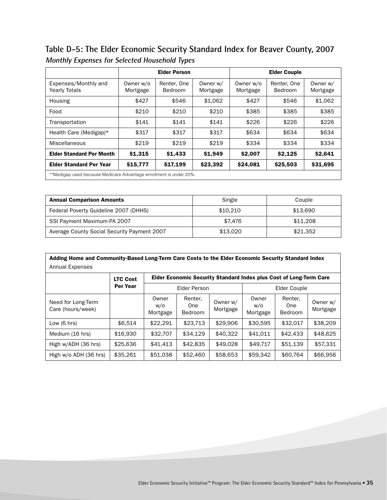**Table D-5: The Elder Economic Security Standard Index for Beaver County, 2007 Monthly Expenses for Selected Household Types**

|                                                                    | <b>Elder Person</b>   |                        |                      | <b>Elder Couple</b>   |                        |                      |  |
|--------------------------------------------------------------------|-----------------------|------------------------|----------------------|-----------------------|------------------------|----------------------|--|
| Expenses/Monthly and<br><b>Yearly Totals</b>                       | Owner w/o<br>Mortgage | Renter, One<br>Bedroom | Owner w/<br>Mortgage | Owner w/o<br>Mortgage | Renter, One<br>Bedroom | Owner w/<br>Mortgage |  |
| Housing                                                            | \$427                 | \$546                  | \$1,062              | \$427                 | \$546                  | \$1,062              |  |
| Food                                                               | \$210                 | \$210                  | \$210                | \$385                 | \$385                  | \$385                |  |
| Transportation                                                     | \$141                 | \$141                  | \$141                | \$226                 | \$226                  | \$226                |  |
| Health Care (Medigap)*                                             | \$317                 | \$317                  | \$317                | \$634                 | \$634                  | \$634                |  |
| Miscellaneous                                                      | \$219                 | \$219                  | \$219                | \$334                 | \$334                  | \$334                |  |
| <b>Elder Standard Per Month</b>                                    | \$1,315               | \$1,433                | \$1,949              | \$2,007               | \$2.125                | \$2,641              |  |
| <b>Elder Standard Per Year</b>                                     | \$15,777              | \$17,199               | \$23,392             | \$24,081              | \$25,503               | \$31,695             |  |
| **Medigap used because Medicare Advantage enrollment is under 20%. |                       |                        |                      |                       |                        |                      |  |

| <b>Annual Comparison Amounts</b>            | Single   | Couple   |
|---------------------------------------------|----------|----------|
| Federal Poverty Guideline 2007 (DHHS)       | \$10,210 | \$13.690 |
| SSI Payment Maximum-PA 2007                 | \$7.476  | \$11,208 |
| Average County Social Security Payment 2007 | \$13,020 | \$21,352 |

| Adding Home and Community-Based Long-Term Care Costs to the Elder Economic Security Standard Index<br><b>Annual Expenses</b> |                 |                          |                           |                      |                          |                           |                      |
|------------------------------------------------------------------------------------------------------------------------------|-----------------|--------------------------|---------------------------|----------------------|--------------------------|---------------------------|----------------------|
| Elder Economic Security Standard Index plus Cost of Long-Term Care<br><b>LTC Cost</b>                                        |                 |                          |                           |                      |                          |                           |                      |
|                                                                                                                              | <b>Per Year</b> | Elder Person             |                           |                      | <b>Elder Couple</b>      |                           |                      |
| Need for Long-Term<br>Care (hours/week)                                                                                      |                 | Owner<br>W/O<br>Mortgage | Renter.<br>One<br>Bedroom | Owner w/<br>Mortgage | Owner<br>W/O<br>Mortgage | Renter,<br>One<br>Bedroom | Owner w/<br>Mortgage |
| Low $(6 \text{ hrs})$                                                                                                        | \$6.514         | \$22.291                 | \$23.713                  | \$29,906             | \$30,595                 | \$32.017                  | \$38,209             |
| Medium (16 hrs)                                                                                                              | \$16,930        | \$32,707                 | \$34.129                  | \$40.322             | \$41.011                 | \$42,433                  | \$48,625             |
| High w/ADH (36 hrs)                                                                                                          | \$25,636        | \$41,413                 | \$42,835                  | \$49,028             | \$49.717                 | \$51.139                  | \$57,331             |
| High w/o ADH (36 hrs)                                                                                                        | \$35,261        | \$51,038                 | \$52,460                  | \$58,653             | \$59,342                 | \$60,764                  | \$66,956             |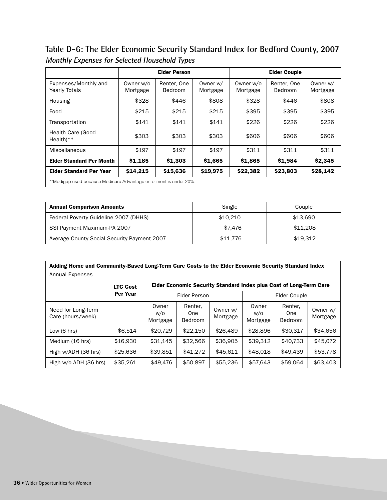**Table D-6: The Elder Economic Security Standard Index for Bedford County, 2007 Monthly Expenses for Selected Household Types**

|                                                                    | <b>Elder Person</b>   |                        |                      | <b>Elder Couple</b>   |                        |                      |  |
|--------------------------------------------------------------------|-----------------------|------------------------|----------------------|-----------------------|------------------------|----------------------|--|
| Expenses/Monthly and<br><b>Yearly Totals</b>                       | Owner w/o<br>Mortgage | Renter, One<br>Bedroom | Owner w/<br>Mortgage | Owner w/o<br>Mortgage | Renter, One<br>Bedroom | Owner w/<br>Mortgage |  |
| Housing                                                            | \$328                 | \$446                  | \$808                | \$328                 | \$446                  | \$808                |  |
| Food                                                               | \$215                 | \$215                  | \$215                | \$395                 | \$395                  | \$395                |  |
| Transportation                                                     | \$141                 | \$141                  | \$141                | \$226                 | \$226                  | \$226                |  |
| Health Care (Good<br>$Health$ <sup>**</sup>                        | \$303                 | \$303                  | \$303                | \$606                 | \$606                  | \$606                |  |
| Miscellaneous                                                      | \$197                 | \$197                  | \$197                | \$311                 | \$311                  | \$311                |  |
| <b>Elder Standard Per Month</b>                                    | \$1,185               | \$1,303                | \$1,665              | \$1,865               | \$1,984                | \$2,345              |  |
| <b>Elder Standard Per Year</b>                                     | \$14,215              | \$15,636               | \$19,975             | \$22,382              | \$23,803               | \$28,142             |  |
| **Medigap used because Medicare Advantage enrollment is under 20%. |                       |                        |                      |                       |                        |                      |  |

| <b>Annual Comparison Amounts</b>            | Single   | Couple   |  |
|---------------------------------------------|----------|----------|--|
| Federal Poverty Guideline 2007 (DHHS)       | \$10.210 | \$13.690 |  |
| SSI Payment Maximum-PA 2007                 | \$7.476  | \$11,208 |  |
| Average County Social Security Payment 2007 | \$11.776 | \$19.312 |  |

| Adding Home and Community-Based Long-Term Care Costs to the Elder Economic Security Standard Index |                 |                          |                                                                    |                      |                          |                                  |                      |  |  |
|----------------------------------------------------------------------------------------------------|-----------------|--------------------------|--------------------------------------------------------------------|----------------------|--------------------------|----------------------------------|----------------------|--|--|
| Annual Expenses                                                                                    |                 |                          |                                                                    |                      |                          |                                  |                      |  |  |
|                                                                                                    | <b>LTC Cost</b> |                          | Elder Economic Security Standard Index plus Cost of Long-Term Care |                      |                          |                                  |                      |  |  |
|                                                                                                    | Per Year        |                          | <b>Elder Person</b>                                                |                      | Elder Couple             |                                  |                      |  |  |
| Need for Long-Term<br>Care (hours/week)                                                            |                 | Owner<br>w/o<br>Mortgage | Renter,<br>One<br><b>Bedroom</b>                                   | Owner w/<br>Mortgage | Owner<br>w/o<br>Mortgage | Renter.<br>One<br><b>Bedroom</b> | Owner w/<br>Mortgage |  |  |
| Low $(6 \text{ hrs})$                                                                              | \$6.514         | \$20,729                 | \$22,150                                                           | \$26,489             | \$28,896                 | \$30.317                         | \$34.656             |  |  |
| Medium (16 hrs)                                                                                    | \$16,930        | \$31.145                 | \$32,566                                                           | \$36,905             | \$39.312                 | \$40.733                         | \$45,072             |  |  |
| High w/ADH (36 hrs)                                                                                | \$25,636        | \$39,851                 | \$41,272                                                           | \$45.611             | \$48,018                 | \$49,439                         | \$53,778             |  |  |
| High w/o ADH (36 hrs)                                                                              | \$35,261        | \$49,476                 | \$50,897                                                           | \$55,236             | \$57,643                 | \$59,064                         | \$63,403             |  |  |

**36** • Wider Opportunities for Women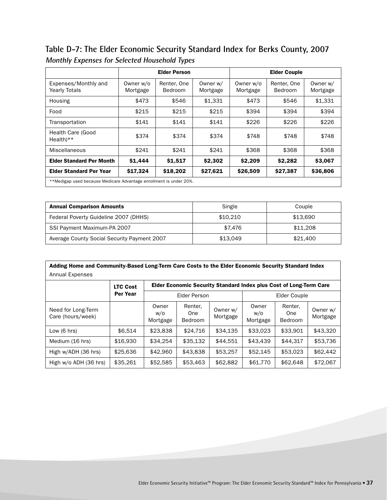### **Table D-7: The Elder Economic Security Standard Index for Berks County, 2007 Monthly Expenses for Selected Household Types**

|                                                                    |                       | <b>Elder Person</b>    |                      |                       | <b>Elder Couple</b>    |                      |  |  |
|--------------------------------------------------------------------|-----------------------|------------------------|----------------------|-----------------------|------------------------|----------------------|--|--|
| Expenses/Monthly and<br><b>Yearly Totals</b>                       | Owner w/o<br>Mortgage | Renter, One<br>Bedroom | Owner w/<br>Mortgage | Owner w/o<br>Mortgage | Renter, One<br>Bedroom | Owner w/<br>Mortgage |  |  |
| Housing                                                            | \$473                 | \$546                  | \$1.331              | \$473                 | \$546                  | \$1,331              |  |  |
| Food                                                               | \$215                 | \$215                  | \$215                | \$394                 | \$394                  | \$394                |  |  |
| Transportation                                                     | \$141                 | \$141                  | \$141                | \$226                 | \$226                  | \$226                |  |  |
| Health Care (Good<br>$Health**$                                    | \$374                 | \$374                  | \$374                | \$748                 | \$748                  | \$748                |  |  |
| Miscellaneous                                                      | \$241                 | \$241                  | \$241                | \$368                 | \$368                  | \$368                |  |  |
| <b>Elder Standard Per Month</b>                                    | \$1,444               | \$1,517                | \$2,302              | \$2,209               | \$2,282                | \$3,067              |  |  |
| <b>Elder Standard Per Year</b>                                     | \$17.324              | \$18,202               | \$27,621             | \$26,509              | \$27,387               | \$36,806             |  |  |
| **Medigap used because Medicare Advantage enrollment is under 20%. |                       |                        |                      |                       |                        |                      |  |  |

| <b>Annual Comparison Amounts</b>            | Single   | Couple   |
|---------------------------------------------|----------|----------|
| Federal Poverty Guideline 2007 (DHHS)       | \$10.210 | \$13.690 |
| SSI Payment Maximum-PA 2007                 | \$7.476  | \$11,208 |
| Average County Social Security Payment 2007 | \$13.049 | \$21,400 |

| Adding Home and Community-Based Long-Term Care Costs to the Elder Economic Security Standard Index |                 |                          |                                                                    |                      |                          |                                  |                      |  |  |  |
|----------------------------------------------------------------------------------------------------|-----------------|--------------------------|--------------------------------------------------------------------|----------------------|--------------------------|----------------------------------|----------------------|--|--|--|
| <b>Annual Expenses</b>                                                                             |                 |                          |                                                                    |                      |                          |                                  |                      |  |  |  |
|                                                                                                    | <b>LTC Cost</b> |                          | Elder Economic Security Standard Index plus Cost of Long-Term Care |                      |                          |                                  |                      |  |  |  |
|                                                                                                    | Per Year        |                          | <b>Elder Person</b>                                                |                      | Elder Couple             |                                  |                      |  |  |  |
| Need for Long-Term<br>Care (hours/week)                                                            |                 | Owner<br>w/o<br>Mortgage | Renter,<br>One<br>Bedroom                                          | Owner w/<br>Mortgage | Owner<br>w/o<br>Mortgage | Renter.<br>One<br><b>Bedroom</b> | Owner w/<br>Mortgage |  |  |  |
| Low $(6 \text{ hrs})$                                                                              | \$6.514         | \$23,838                 | \$24,716                                                           | \$34.135             | \$33,023                 | \$33,901                         | \$43,320             |  |  |  |
| Medium (16 hrs)                                                                                    | \$16,930        | \$34.254                 | \$35.132                                                           | \$44.551             | \$43,439                 | \$44,317                         | \$53,736             |  |  |  |
| High w/ADH (36 hrs)                                                                                | \$25,636        | \$42,960                 | \$43,838                                                           | \$53,257             | \$52,145                 | \$53,023                         | \$62,442             |  |  |  |
| High w/o ADH (36 hrs)                                                                              | \$35,261        | \$52,585                 | \$53,463                                                           | \$62,882             | \$61,770                 | \$62,648                         | \$72,067             |  |  |  |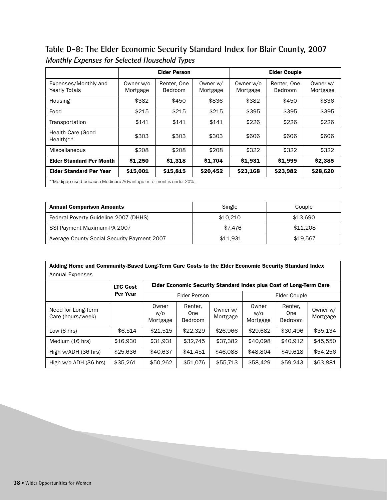### **Table D-8: The Elder Economic Security Standard Index for Blair County, 2007 Monthly Expenses for Selected Household Types**

|                                                                    |                       | <b>Elder Person</b>           |                      |                       | <b>Elder Couple</b>    |                      |  |
|--------------------------------------------------------------------|-----------------------|-------------------------------|----------------------|-----------------------|------------------------|----------------------|--|
| Expenses/Monthly and<br><b>Yearly Totals</b>                       | Owner w/o<br>Mortgage | Renter, One<br><b>Bedroom</b> | Owner w/<br>Mortgage | Owner w/o<br>Mortgage | Renter, One<br>Bedroom | Owner w/<br>Mortgage |  |
| Housing                                                            | \$382                 | \$450                         | \$836                | \$382                 | \$450                  | \$836                |  |
| Food                                                               | \$215                 | \$215                         | \$215                | \$395                 | \$395                  | \$395                |  |
| Transportation                                                     | \$141                 | \$141                         | \$141                | \$226                 | \$226                  | \$226                |  |
| Health Care (Good<br>$Health**$                                    | \$303                 | \$303                         | \$303                | \$606                 | \$606                  | \$606                |  |
| Miscellaneous                                                      | \$208                 | \$208                         | \$208                | \$322                 | \$322                  | \$322                |  |
| <b>Elder Standard Per Month</b>                                    | \$1,250               | \$1,318                       | \$1,704              | \$1,931               | \$1,999                | \$2,385              |  |
| <b>Elder Standard Per Year</b>                                     | \$15,001              | \$15,815                      | \$20,452             | \$23,168              | \$23,982               | \$28,620             |  |
| **Medigap used because Medicare Advantage enrollment is under 20%. |                       |                               |                      |                       |                        |                      |  |

| <b>Annual Comparison Amounts</b>            | Single   | Couple   |
|---------------------------------------------|----------|----------|
| Federal Poverty Guideline 2007 (DHHS)       | \$10.210 | \$13.690 |
| SSI Payment Maximum-PA 2007                 | \$7.476  | \$11,208 |
| Average County Social Security Payment 2007 | \$11.931 | \$19.567 |

| Adding Home and Community-Based Long-Term Care Costs to the Elder Economic Security Standard Index |                 |                          |                                                                           |                      |                          |                                  |                      |  |  |
|----------------------------------------------------------------------------------------------------|-----------------|--------------------------|---------------------------------------------------------------------------|----------------------|--------------------------|----------------------------------|----------------------|--|--|
| <b>Annual Expenses</b>                                                                             |                 |                          |                                                                           |                      |                          |                                  |                      |  |  |
|                                                                                                    | <b>LTC Cost</b> |                          | <b>Elder Economic Security Standard Index plus Cost of Long-Term Care</b> |                      |                          |                                  |                      |  |  |
|                                                                                                    | <b>Per Year</b> | Elder Person             |                                                                           |                      | Elder Couple             |                                  |                      |  |  |
| Need for Long-Term<br>Care (hours/week)                                                            |                 | Owner<br>w/o<br>Mortgage | Renter,<br>One<br><b>Bedroom</b>                                          | Owner w/<br>Mortgage | Owner<br>W/O<br>Mortgage | Renter.<br>One<br><b>Bedroom</b> | Owner w/<br>Mortgage |  |  |
| Low $(6 \text{ hrs})$                                                                              | \$6.514         | \$21.515                 | \$22,329                                                                  | \$26,966             | \$29,682                 | \$30,496                         | \$35.134             |  |  |
| Medium (16 hrs)                                                                                    | \$16,930        | \$31,931                 | \$32.745                                                                  | \$37,382             | \$40,098                 | \$40.912                         | \$45,550             |  |  |
| High w/ADH (36 hrs)                                                                                | \$25,636        | \$40,637                 | \$41,451                                                                  | \$46,088             | \$48,804                 | \$49.618                         | \$54,256             |  |  |
| High w/o ADH (36 hrs)                                                                              | \$35,261        | \$50,262                 | \$51,076                                                                  | \$55,713             | \$58,429                 | \$59,243                         | \$63,881             |  |  |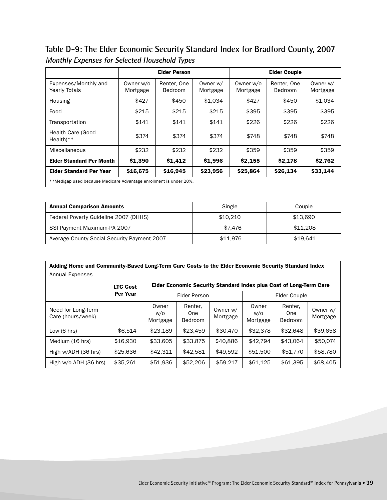**Table D-9: The Elder Economic Security Standard Index for Bradford County, 2007 Monthly Expenses for Selected Household Types**

|                                                                    |                       | <b>Elder Person</b>           |                      |                       | <b>Elder Couple</b>    |                      |  |  |
|--------------------------------------------------------------------|-----------------------|-------------------------------|----------------------|-----------------------|------------------------|----------------------|--|--|
| Expenses/Monthly and<br><b>Yearly Totals</b>                       | Owner w/o<br>Mortgage | Renter, One<br><b>Bedroom</b> | Owner w/<br>Mortgage | Owner w/o<br>Mortgage | Renter, One<br>Bedroom | Owner w/<br>Mortgage |  |  |
| Housing                                                            | \$427                 | \$450                         | \$1.034              | \$427                 | \$450                  | \$1.034              |  |  |
| Food                                                               | \$215                 | \$215                         | \$215                | \$395                 | \$395                  | \$395                |  |  |
| Transportation                                                     | \$141                 | \$141                         | \$141                | \$226                 | \$226                  | \$226                |  |  |
| Health Care (Good<br>$Health**$                                    | \$374                 | \$374                         | \$374                | \$748                 | \$748                  | \$748                |  |  |
| Miscellaneous                                                      | \$232                 | \$232                         | \$232                | \$359                 | \$359                  | \$359                |  |  |
| <b>Elder Standard Per Month</b>                                    | \$1,390               | \$1,412                       | \$1,996              | \$2,155               | \$2,178                | \$2,762              |  |  |
| <b>Elder Standard Per Year</b>                                     | \$16,675              | \$16,945                      | \$23,956             | \$25,864              | \$26,134               | \$33,144             |  |  |
| **Medigap used because Medicare Advantage enrollment is under 20%. |                       |                               |                      |                       |                        |                      |  |  |

| <b>Annual Comparison Amounts</b>            | Single   | Couple   |
|---------------------------------------------|----------|----------|
| Federal Poverty Guideline 2007 (DHHS)       | \$10,210 | \$13,690 |
| SSI Payment Maximum-PA 2007                 | \$7.476  | \$11,208 |
| Average County Social Security Payment 2007 | \$11.976 | \$19.641 |

| Adding Home and Community-Based Long-Term Care Costs to the Elder Economic Security Standard Index |                 |                          |                                                                    |                      |                          |                                  |                      |  |  |  |
|----------------------------------------------------------------------------------------------------|-----------------|--------------------------|--------------------------------------------------------------------|----------------------|--------------------------|----------------------------------|----------------------|--|--|--|
| <b>Annual Expenses</b>                                                                             |                 |                          |                                                                    |                      |                          |                                  |                      |  |  |  |
|                                                                                                    | <b>LTC Cost</b> |                          | Elder Economic Security Standard Index plus Cost of Long-Term Care |                      |                          |                                  |                      |  |  |  |
|                                                                                                    | <b>Per Year</b> | Elder Person             |                                                                    |                      | Elder Couple             |                                  |                      |  |  |  |
| Need for Long-Term<br>Care (hours/week)                                                            |                 | Owner<br>w/o<br>Mortgage | Renter,<br>One<br><b>Bedroom</b>                                   | Owner w/<br>Mortgage | Owner<br>W/O<br>Mortgage | Renter.<br>One<br><b>Bedroom</b> | Owner w/<br>Mortgage |  |  |  |
| Low $(6 \text{ hrs})$                                                                              | \$6.514         | \$23.189                 | \$23,459                                                           | \$30,470             | \$32,378                 | \$32.648                         | \$39,658             |  |  |  |
| Medium (16 hrs)                                                                                    | \$16,930        | \$33,605                 | \$33,875                                                           | \$40,886             | \$42.794                 | \$43.064                         | \$50,074             |  |  |  |
| High w/ADH (36 hrs)                                                                                | \$25,636        | \$42.311                 | \$42.581                                                           | \$49,592             | \$51,500                 | \$51,770                         | \$58,780             |  |  |  |
| High w/o ADH (36 hrs)                                                                              | \$35,261        | \$51,936                 | \$52,206                                                           | \$59,217             | \$61,125                 | \$61,395                         | \$68,405             |  |  |  |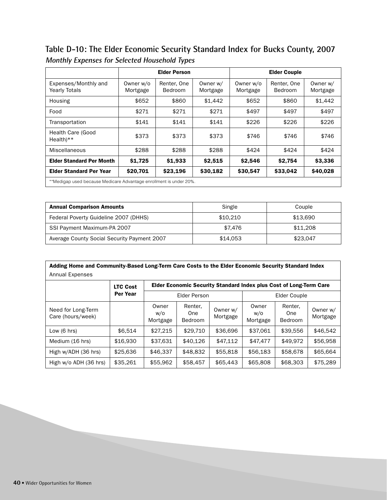**Table D-10: The Elder Economic Security Standard Index for Bucks County, 2007 Monthly Expenses for Selected Household Types**

|                                                                    |                       | <b>Elder Person</b>    |                      |                       | <b>Elder Couple</b>    |                      |  |  |
|--------------------------------------------------------------------|-----------------------|------------------------|----------------------|-----------------------|------------------------|----------------------|--|--|
| Expenses/Monthly and<br><b>Yearly Totals</b>                       | Owner w/o<br>Mortgage | Renter, One<br>Bedroom | Owner w/<br>Mortgage | Owner w/o<br>Mortgage | Renter, One<br>Bedroom | Owner w/<br>Mortgage |  |  |
| Housing                                                            | \$652                 | \$860                  | \$1,442              | \$652                 | \$860                  | \$1,442              |  |  |
| Food                                                               | \$271                 | \$271                  | \$271                | \$497                 | \$497                  | \$497                |  |  |
| Transportation                                                     | \$141                 | \$141                  | \$141                | \$226                 | \$226                  | \$226                |  |  |
| <b>Health Care (Good</b><br>$Health**$                             | \$373                 | \$373                  | \$373                | \$746                 | \$746                  | \$746                |  |  |
| Miscellaneous                                                      | \$288                 | \$288                  | \$288                | \$424                 | \$424                  | \$424                |  |  |
| <b>Elder Standard Per Month</b>                                    | \$1,725               | \$1,933                | \$2,515              | \$2,546               | \$2,754                | \$3,336              |  |  |
| <b>Elder Standard Per Year</b>                                     | \$20,701              | \$23,196               | \$30,182             | \$30,547              | \$33,042               | \$40,028             |  |  |
| **Medigap used because Medicare Advantage enrollment is under 20%. |                       |                        |                      |                       |                        |                      |  |  |

| <b>Annual Comparison Amounts</b>            | Single   | Couple   |
|---------------------------------------------|----------|----------|
| Federal Poverty Guideline 2007 (DHHS)       | \$10.210 | \$13.690 |
| SSI Payment Maximum-PA 2007                 | \$7.476  | \$11,208 |
| Average County Social Security Payment 2007 | \$14.053 | \$23,047 |

| Adding Home and Community-Based Long-Term Care Costs to the Elder Economic Security Standard Index |                 |                          |                           |                      |                          |                                                                    |                      |  |  |
|----------------------------------------------------------------------------------------------------|-----------------|--------------------------|---------------------------|----------------------|--------------------------|--------------------------------------------------------------------|----------------------|--|--|
| Annual Expenses                                                                                    |                 |                          |                           |                      |                          |                                                                    |                      |  |  |
|                                                                                                    | <b>LTC Cost</b> |                          |                           |                      |                          | Elder Economic Security Standard Index plus Cost of Long-Term Care |                      |  |  |
|                                                                                                    | Per Year        |                          | Elder Person              |                      | Elder Couple             |                                                                    |                      |  |  |
| Need for Long-Term<br>Care (hours/week)                                                            |                 | Owner<br>w/o<br>Mortgage | Renter,<br>One<br>Bedroom | Owner w/<br>Mortgage | Owner<br>W/O<br>Mortgage | Renter,<br>One<br><b>Bedroom</b>                                   | Owner w/<br>Mortgage |  |  |
| Low $(6 \text{ hrs})$                                                                              | \$6.514         | \$27.215                 | \$29.710                  | \$36,696             | \$37.061                 | \$39,556                                                           | \$46.542             |  |  |
| Medium (16 hrs)                                                                                    | \$16,930        | \$37.631                 | \$40,126                  | \$47.112             | \$47,477                 | \$49.972                                                           | \$56,958             |  |  |
| High w/ADH (36 hrs)                                                                                | \$25,636        | \$46,337                 | \$48,832                  | \$55,818             | \$56,183                 | \$58,678                                                           | \$65,664             |  |  |
| High w/o ADH (36 hrs)                                                                              | \$35,261        | \$55,962                 | \$58,457                  | \$65,443             | \$65,808                 | \$68,303                                                           | \$75,289             |  |  |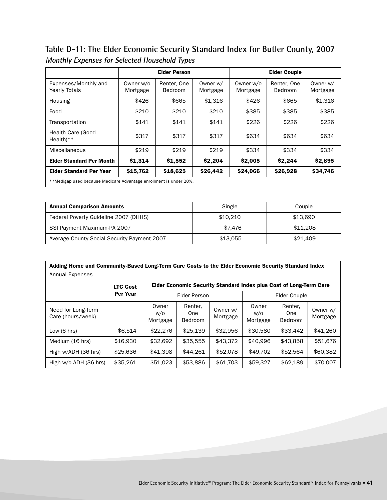**Table D-11: The Elder Economic Security Standard Index for Butler County, 2007 Monthly Expenses for Selected Household Types**

|                                                                    |                       | <b>Elder Person</b>    |                      |                       | <b>Elder Couple</b>    |                      |  |  |
|--------------------------------------------------------------------|-----------------------|------------------------|----------------------|-----------------------|------------------------|----------------------|--|--|
| Expenses/Monthly and<br><b>Yearly Totals</b>                       | Owner w/o<br>Mortgage | Renter, One<br>Bedroom | Owner w/<br>Mortgage | Owner w/o<br>Mortgage | Renter, One<br>Bedroom | Owner w/<br>Mortgage |  |  |
| Housing                                                            | \$426                 | \$665                  | \$1,316              | \$426                 | \$665                  | \$1,316              |  |  |
| Food                                                               | \$210                 | \$210                  | \$210                | \$385                 | \$385                  | \$385                |  |  |
| Transportation                                                     | \$141                 | \$141                  | \$141                | \$226                 | \$226                  | \$226                |  |  |
| Health Care (Good<br>$Health$ <sup>**</sup>                        | \$317                 | \$317                  | \$317                | \$634                 | \$634                  | \$634                |  |  |
| Miscellaneous                                                      | \$219                 | \$219                  | \$219                | \$334                 | \$334                  | \$334                |  |  |
| <b>Elder Standard Per Month</b>                                    | \$1,314               | \$1,552                | \$2,204              | \$2,005               | \$2,244                | \$2,895              |  |  |
| <b>Elder Standard Per Year</b>                                     | \$15,762              | \$18,625               | \$26,442             | \$24,066              | \$26,928               | \$34,746             |  |  |
| **Medigap used because Medicare Advantage enrollment is under 20%. |                       |                        |                      |                       |                        |                      |  |  |

| <b>Annual Comparison Amounts</b>            | Single   | Couple   |
|---------------------------------------------|----------|----------|
| Federal Poverty Guideline 2007 (DHHS)       | \$10,210 | \$13,690 |
| SSI Payment Maximum-PA 2007                 | \$7.476  | \$11,208 |
| Average County Social Security Payment 2007 | \$13.055 | \$21,409 |

| Adding Home and Community-Based Long-Term Care Costs to the Elder Economic Security Standard Index |                 |                          |                                                                    |                      |                          |                                  |                      |  |  |  |
|----------------------------------------------------------------------------------------------------|-----------------|--------------------------|--------------------------------------------------------------------|----------------------|--------------------------|----------------------------------|----------------------|--|--|--|
| <b>Annual Expenses</b>                                                                             |                 |                          |                                                                    |                      |                          |                                  |                      |  |  |  |
|                                                                                                    | <b>LTC Cost</b> |                          | Elder Economic Security Standard Index plus Cost of Long-Term Care |                      |                          |                                  |                      |  |  |  |
|                                                                                                    | Per Year        | <b>Elder Person</b>      |                                                                    |                      | Elder Couple             |                                  |                      |  |  |  |
| Need for Long-Term<br>Care (hours/week)                                                            |                 | Owner<br>w/o<br>Mortgage | Renter,<br>One<br>Bedroom                                          | Owner w/<br>Mortgage | Owner<br>w/o<br>Mortgage | Renter.<br>One<br><b>Bedroom</b> | Owner w/<br>Mortgage |  |  |  |
| Low $(6 \text{ hrs})$                                                                              | \$6.514         | \$22,276                 | \$25,139                                                           | \$32.956             | \$30,580                 | \$33,442                         | \$41,260             |  |  |  |
| Medium (16 hrs)                                                                                    | \$16,930        | \$32,692                 | \$35,555                                                           | \$43,372             | \$40,996                 | \$43,858                         | \$51,676             |  |  |  |
| High w/ADH (36 hrs)                                                                                | \$25,636        | \$41,398                 | \$44.261                                                           | \$52,078             | \$49.702                 | \$52,564                         | \$60,382             |  |  |  |
| High w/o ADH (36 hrs)                                                                              | \$35,261        | \$51,023                 | \$53,886                                                           | \$61,703             | \$59,327                 | \$62,189                         | \$70,007             |  |  |  |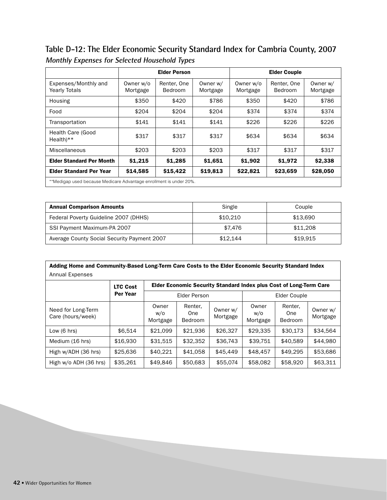**Table D-12: The Elder Economic Security Standard Index for Cambria County, 2007 Monthly Expenses for Selected Household Types**

|                                                                    | <b>Elder Person</b>   |                               |                      |                       |                        |                      |  |
|--------------------------------------------------------------------|-----------------------|-------------------------------|----------------------|-----------------------|------------------------|----------------------|--|
| Expenses/Monthly and<br><b>Yearly Totals</b>                       | Owner w/o<br>Mortgage | Renter, One<br><b>Bedroom</b> | Owner w/<br>Mortgage | Owner w/o<br>Mortgage | Renter, One<br>Bedroom | Owner w/<br>Mortgage |  |
| Housing                                                            | \$350                 | \$420                         | \$786                | \$350                 | \$420                  | \$786                |  |
| Food                                                               | \$204                 | \$204                         | \$204                | \$374                 | \$374                  | \$374                |  |
| Transportation                                                     | \$141                 | \$141                         | \$141                | \$226                 | \$226                  | \$226                |  |
| <b>Health Care (Good</b><br>$Health**$                             | \$317                 | \$317                         | \$317                | \$634                 | \$634                  | \$634                |  |
| Miscellaneous                                                      | \$203                 | \$203                         | \$203                | \$317                 | \$317                  | \$317                |  |
| <b>Elder Standard Per Month</b>                                    | \$1,215               | \$1,285                       | \$1,651              | \$1,902               | \$1,972                | \$2,338              |  |
| <b>Elder Standard Per Year</b>                                     | \$14,585              | \$15,422                      | \$19,813             | \$22,821              | \$23,659               | \$28,050             |  |
| **Medigap used because Medicare Advantage enrollment is under 20%. |                       |                               |                      |                       |                        |                      |  |

| <b>Annual Comparison Amounts</b>            | Single   | Couple   |
|---------------------------------------------|----------|----------|
| Federal Poverty Guideline 2007 (DHHS)       | \$10,210 | \$13.690 |
| SSI Payment Maximum-PA 2007                 | \$7.476  | \$11,208 |
| Average County Social Security Payment 2007 | \$12.144 | \$19.915 |

| Adding Home and Community-Based Long-Term Care Costs to the Elder Economic Security Standard Index |                 |                          |                                                                           |                      |                          |                                  |                      |  |  |  |
|----------------------------------------------------------------------------------------------------|-----------------|--------------------------|---------------------------------------------------------------------------|----------------------|--------------------------|----------------------------------|----------------------|--|--|--|
| Annual Expenses                                                                                    |                 |                          |                                                                           |                      |                          |                                  |                      |  |  |  |
|                                                                                                    | <b>LTC Cost</b> |                          | <b>Elder Economic Security Standard Index plus Cost of Long-Term Care</b> |                      |                          |                                  |                      |  |  |  |
|                                                                                                    | Per Year        | Elder Person             |                                                                           |                      | Elder Couple             |                                  |                      |  |  |  |
| Need for Long-Term<br>Care (hours/week)                                                            |                 | Owner<br>w/o<br>Mortgage | Renter,<br>One<br><b>Bedroom</b>                                          | Owner w/<br>Mortgage | Owner<br>w/o<br>Mortgage | Renter.<br>One<br><b>Bedroom</b> | Owner w/<br>Mortgage |  |  |  |
| Low $(6 \text{ hrs})$                                                                              | \$6.514         | \$21.099                 | \$21.936                                                                  | \$26,327             | \$29,335                 | \$30.173                         | \$34.564             |  |  |  |
| Medium (16 hrs)                                                                                    | \$16,930        | \$31.515                 | \$32.352                                                                  | \$36,743             | \$39,751                 | \$40,589                         | \$44.980             |  |  |  |
| High w/ADH (36 hrs)                                                                                | \$25,636        | \$40.221                 | \$41.058                                                                  | \$45,449             | \$48,457                 | \$49.295                         | \$53,686             |  |  |  |
| High w/o ADH (36 hrs)                                                                              | \$35,261        | \$49,846                 | \$50,683                                                                  | \$55,074             | \$58,082                 | \$58,920                         | \$63,311             |  |  |  |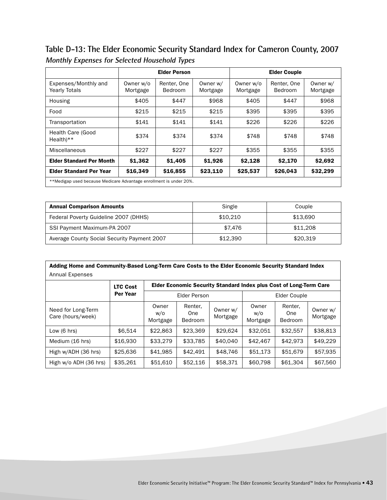**Table D-13: The Elder Economic Security Standard Index for Cameron County, 2007 Monthly Expenses for Selected Household Types**

|                                                                    | <b>Elder Person</b>   |                               |                      | <b>Elder Couple</b>   |                        |                      |  |  |
|--------------------------------------------------------------------|-----------------------|-------------------------------|----------------------|-----------------------|------------------------|----------------------|--|--|
| Expenses/Monthly and<br><b>Yearly Totals</b>                       | Owner w/o<br>Mortgage | Renter, One<br><b>Bedroom</b> | Owner w/<br>Mortgage | Owner w/o<br>Mortgage | Renter, One<br>Bedroom | Owner w/<br>Mortgage |  |  |
| Housing                                                            | \$405                 | \$447                         | \$968                | \$405                 | \$447                  | \$968                |  |  |
| Food                                                               | \$215                 | \$215                         | \$215                | \$395                 | \$395                  | \$395                |  |  |
| Transportation                                                     | \$141                 | \$141                         | \$141                | \$226                 | \$226                  | \$226                |  |  |
| Health Care (Good<br>$Health**$                                    | \$374                 | \$374                         | \$374                | \$748                 | \$748                  | \$748                |  |  |
| Miscellaneous                                                      | \$227                 | \$227                         | \$227                | \$355                 | \$355                  | \$355                |  |  |
| <b>Elder Standard Per Month</b>                                    | \$1,362               | \$1,405                       | \$1,926              | \$2,128               | \$2,170                | \$2,692              |  |  |
| <b>Elder Standard Per Year</b>                                     | \$16,349              | \$16,855                      | \$23,110             | \$25,537              | \$26,043               | \$32,299             |  |  |
| **Medigap used because Medicare Advantage enrollment is under 20%. |                       |                               |                      |                       |                        |                      |  |  |

| <b>Annual Comparison Amounts</b>            | Single   | Couple   |
|---------------------------------------------|----------|----------|
| Federal Poverty Guideline 2007 (DHHS)       | \$10.210 | \$13.690 |
| SSI Payment Maximum-PA 2007                 | \$7.476  | \$11,208 |
| Average County Social Security Payment 2007 | \$12,390 | \$20.319 |

| Adding Home and Community-Based Long-Term Care Costs to the Elder Economic Security Standard Index |                 |                                                                    |                                  |                      |                          |                                  |                      |  |  |  |
|----------------------------------------------------------------------------------------------------|-----------------|--------------------------------------------------------------------|----------------------------------|----------------------|--------------------------|----------------------------------|----------------------|--|--|--|
| Annual Expenses                                                                                    |                 |                                                                    |                                  |                      |                          |                                  |                      |  |  |  |
|                                                                                                    | <b>LTC Cost</b> | Elder Economic Security Standard Index plus Cost of Long-Term Care |                                  |                      |                          |                                  |                      |  |  |  |
|                                                                                                    | Per Year        | Elder Person                                                       |                                  |                      | Elder Couple             |                                  |                      |  |  |  |
| Need for Long-Term<br>Care (hours/week)                                                            |                 | Owner<br>w/o<br>Mortgage                                           | Renter,<br>One<br><b>Bedroom</b> | Owner w/<br>Mortgage | Owner<br>W/O<br>Mortgage | Renter.<br>One<br><b>Bedroom</b> | Owner w/<br>Mortgage |  |  |  |
| Low $(6 \text{ hrs})$                                                                              | \$6.514         | \$22,863                                                           | \$23,369                         | \$29.624             | \$32.051                 | \$32,557                         | \$38,813             |  |  |  |
| Medium (16 hrs)                                                                                    | \$16,930        | \$33,279                                                           | \$33,785                         | \$40,040             | \$42,467                 | \$42,973                         | \$49,229             |  |  |  |
| High w/ADH (36 hrs)                                                                                | \$25,636        | \$41,985                                                           | \$42.491                         | \$48,746             | \$51,173                 | \$51,679                         | \$57,935             |  |  |  |
| High w/o ADH (36 hrs)                                                                              | \$35,261        | \$51,610                                                           | \$52,116                         | \$58,371             | \$60,798                 | \$61,304                         | \$67,560             |  |  |  |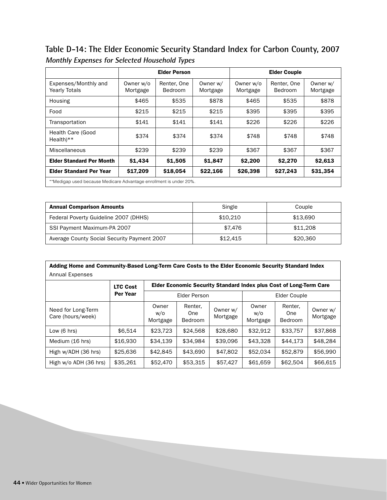**Table D-14: The Elder Economic Security Standard Index for Carbon County, 2007 Monthly Expenses for Selected Household Types**

|                                                                    |                       | <b>Elder Person</b>    |                      |                       | <b>Elder Couple</b>    |                      |  |
|--------------------------------------------------------------------|-----------------------|------------------------|----------------------|-----------------------|------------------------|----------------------|--|
| Expenses/Monthly and<br><b>Yearly Totals</b>                       | Owner w/o<br>Mortgage | Renter, One<br>Bedroom | Owner w/<br>Mortgage | Owner w/o<br>Mortgage | Renter, One<br>Bedroom | Owner w/<br>Mortgage |  |
| Housing                                                            | \$465                 | \$535                  | \$878                | \$465                 | \$535                  | \$878                |  |
| Food                                                               | \$215                 | \$215                  | \$215                | \$395                 | \$395                  | \$395                |  |
| Transportation                                                     | \$141                 | \$141                  | \$141                | \$226                 | \$226                  | \$226                |  |
| <b>Health Care (Good</b><br>$Health**$                             | \$374                 | \$374                  | \$374                | \$748                 | \$748                  | \$748                |  |
| Miscellaneous                                                      | \$239                 | \$239                  | \$239                | \$367                 | \$367                  | \$367                |  |
| <b>Elder Standard Per Month</b>                                    | \$1,434               | \$1,505                | \$1,847              | \$2,200               | \$2,270                | \$2,613              |  |
| <b>Elder Standard Per Year</b>                                     | \$17,209              | \$18,054               | \$22,166             | \$26,398              | \$27,243               | \$31,354             |  |
| **Medigap used because Medicare Advantage enrollment is under 20%. |                       |                        |                      |                       |                        |                      |  |

| <b>Annual Comparison Amounts</b>            | Single   | Couple   |
|---------------------------------------------|----------|----------|
| Federal Poverty Guideline 2007 (DHHS)       | \$10.210 | \$13.690 |
| SSI Payment Maximum-PA 2007                 | \$7.476  | \$11,208 |
| Average County Social Security Payment 2007 | \$12.415 | \$20,360 |

| Adding Home and Community-Based Long-Term Care Costs to the Elder Economic Security Standard Index |                 |                          |                                                                    |                      |                          |                                  |                      |  |  |
|----------------------------------------------------------------------------------------------------|-----------------|--------------------------|--------------------------------------------------------------------|----------------------|--------------------------|----------------------------------|----------------------|--|--|
| <b>Annual Expenses</b>                                                                             |                 |                          |                                                                    |                      |                          |                                  |                      |  |  |
|                                                                                                    | <b>LTC Cost</b> |                          | Elder Economic Security Standard Index plus Cost of Long-Term Care |                      |                          |                                  |                      |  |  |
|                                                                                                    | <b>Per Year</b> | <b>Elder Person</b>      |                                                                    |                      | Elder Couple             |                                  |                      |  |  |
| Need for Long-Term<br>Care (hours/week)                                                            |                 | Owner<br>w/o<br>Mortgage | Renter,<br>One<br><b>Bedroom</b>                                   | Owner w/<br>Mortgage | Owner<br>w/o<br>Mortgage | Renter.<br>One<br><b>Bedroom</b> | Owner w/<br>Mortgage |  |  |
| Low $(6 \text{ hrs})$                                                                              | \$6.514         | \$23,723                 | \$24.568                                                           | \$28,680             | \$32.912                 | \$33.757                         | \$37,868             |  |  |
| Medium (16 hrs)                                                                                    | \$16,930        | \$34,139                 | \$34,984                                                           | \$39,096             | \$43,328                 | \$44.173                         | \$48.284             |  |  |
| High w/ADH (36 hrs)                                                                                | \$25,636        | \$42,845                 | \$43,690                                                           | \$47,802             | \$52,034                 | \$52,879                         | \$56,990             |  |  |
| High w/o ADH (36 hrs)                                                                              | \$35,261        | \$52,470                 | \$53,315                                                           | \$57,427             | \$61,659                 | \$62,504                         | \$66,615             |  |  |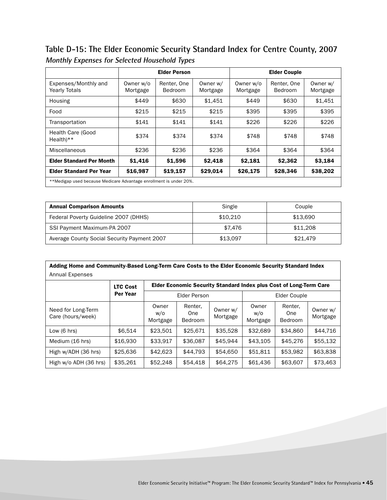**Table D-15: The Elder Economic Security Standard Index for Centre County, 2007 Monthly Expenses for Selected Household Types**

|                                                                    |                       | <b>Elder Person</b>    |                      |                       | <b>Elder Couple</b>    |                      |  |  |
|--------------------------------------------------------------------|-----------------------|------------------------|----------------------|-----------------------|------------------------|----------------------|--|--|
| Expenses/Monthly and<br><b>Yearly Totals</b>                       | Owner w/o<br>Mortgage | Renter, One<br>Bedroom | Owner w/<br>Mortgage | Owner w/o<br>Mortgage | Renter, One<br>Bedroom | Owner w/<br>Mortgage |  |  |
| Housing                                                            | \$449                 | \$630                  | \$1.451              | \$449                 | \$630                  | \$1,451              |  |  |
| Food                                                               | \$215                 | \$215                  | \$215                | \$395                 | \$395                  | \$395                |  |  |
| Transportation                                                     | \$141                 | \$141                  | \$141                | \$226                 | \$226                  | \$226                |  |  |
| Health Care (Good<br>$Health**$                                    | \$374                 | \$374                  | \$374                | \$748                 | \$748                  | \$748                |  |  |
| Miscellaneous                                                      | \$236                 | \$236                  | \$236                | \$364                 | \$364                  | \$364                |  |  |
| <b>Elder Standard Per Month</b>                                    | \$1,416               | \$1,596                | \$2,418              | \$2,181               | \$2,362                | \$3,184              |  |  |
| <b>Elder Standard Per Year</b>                                     | \$16,987              | \$19,157               | \$29,014             | \$26,175              | \$28,346               | \$38,202             |  |  |
| **Medigap used because Medicare Advantage enrollment is under 20%. |                       |                        |                      |                       |                        |                      |  |  |

| <b>Annual Comparison Amounts</b>            | Single   | Couple   |
|---------------------------------------------|----------|----------|
| Federal Poverty Guideline 2007 (DHHS)       | \$10,210 | \$13,690 |
| SSI Payment Maximum-PA 2007                 | \$7.476  | \$11,208 |
| Average County Social Security Payment 2007 | \$13.097 | \$21,479 |

| Adding Home and Community-Based Long-Term Care Costs to the Elder Economic Security Standard Index |                 |                                                                    |                           |                      |                          |                                  |                      |  |  |  |
|----------------------------------------------------------------------------------------------------|-----------------|--------------------------------------------------------------------|---------------------------|----------------------|--------------------------|----------------------------------|----------------------|--|--|--|
| Annual Expenses                                                                                    |                 |                                                                    |                           |                      |                          |                                  |                      |  |  |  |
|                                                                                                    | <b>LTC Cost</b> | Elder Economic Security Standard Index plus Cost of Long-Term Care |                           |                      |                          |                                  |                      |  |  |  |
|                                                                                                    | Per Year        | Elder Person                                                       |                           |                      | Elder Couple             |                                  |                      |  |  |  |
| Need for Long-Term<br>Care (hours/week)                                                            |                 | Owner<br>w/o<br>Mortgage                                           | Renter,<br>One<br>Bedroom | Owner w/<br>Mortgage | Owner<br>W/O<br>Mortgage | Renter.<br>One<br><b>Bedroom</b> | Owner w/<br>Mortgage |  |  |  |
| Low $(6 \text{ hrs})$                                                                              | \$6.514         | \$23,501                                                           | \$25.671                  | \$35,528             | \$32,689                 | \$34,860                         | \$44.716             |  |  |  |
| Medium (16 hrs)                                                                                    | \$16,930        | \$33,917                                                           | \$36,087                  | \$45.944             | \$43.105                 | \$45,276                         | \$55,132             |  |  |  |
| High w/ADH (36 hrs)                                                                                | \$25,636        | \$42,623                                                           | \$44.793                  | \$54,650             | \$51,811                 | \$53,982                         | \$63,838             |  |  |  |
| High w/o ADH (36 hrs)                                                                              | \$35,261        | \$52,248                                                           | \$54,418                  | \$64,275             | \$61,436                 | \$63,607                         | \$73,463             |  |  |  |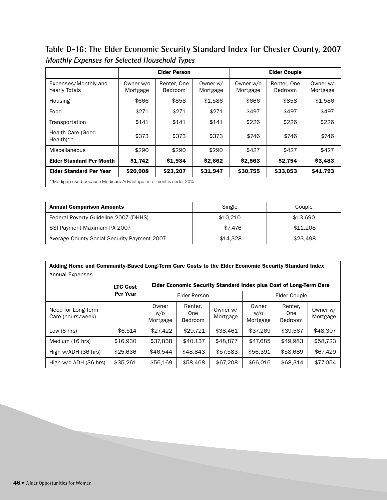**Table D-16: The Elder Economic Security Standard Index for Chester County, 2007 Monthly Expenses for Selected Household Types**

|                                                                    |                       | <b>Elder Person</b>    |                      |                       | <b>Elder Couple</b>    |                      |  |
|--------------------------------------------------------------------|-----------------------|------------------------|----------------------|-----------------------|------------------------|----------------------|--|
| Expenses/Monthly and<br><b>Yearly Totals</b>                       | Owner w/o<br>Mortgage | Renter, One<br>Bedroom | Owner w/<br>Mortgage | Owner w/o<br>Mortgage | Renter, One<br>Bedroom | Owner w/<br>Mortgage |  |
| Housing                                                            | \$666                 | \$858                  | \$1,586              | \$666                 | \$858                  | \$1,586              |  |
| Food                                                               | \$271                 | \$271                  | \$271                | \$497                 | \$497                  | \$497                |  |
| Transportation                                                     | \$141                 | \$141                  | \$141                | \$226                 | \$226                  | \$226                |  |
| <b>Health Care (Good</b><br>$Health**$                             | \$373                 | \$373                  | \$373                | \$746                 | \$746                  | \$746                |  |
| Miscellaneous                                                      | \$290                 | \$290                  | \$290                | \$427                 | \$427                  | \$427                |  |
| <b>Elder Standard Per Month</b>                                    | \$1,742               | \$1,934                | \$2,662              | \$2,563               | \$2,754                | \$3,483              |  |
| <b>Elder Standard Per Year</b>                                     | \$20,908              | \$23,207               | \$31,947             | \$30,755              | \$33,053               | \$41,793             |  |
| **Medigap used because Medicare Advantage enrollment is under 20%. |                       |                        |                      |                       |                        |                      |  |

| <b>Annual Comparison Amounts</b>            | Single   | Couple   |
|---------------------------------------------|----------|----------|
| Federal Poverty Guideline 2007 (DHHS)       | \$10,210 | \$13,690 |
| SSI Payment Maximum-PA 2007                 | \$7.476  | \$11,208 |
| Average County Social Security Payment 2007 | \$14.328 | \$23,498 |

| Adding Home and Community-Based Long-Term Care Costs to the Elder Economic Security Standard Index |                 |                          |                                                                           |                      |                          |                                  |                      |  |  |
|----------------------------------------------------------------------------------------------------|-----------------|--------------------------|---------------------------------------------------------------------------|----------------------|--------------------------|----------------------------------|----------------------|--|--|
| <b>Annual Expenses</b>                                                                             |                 |                          |                                                                           |                      |                          |                                  |                      |  |  |
|                                                                                                    | <b>LTC Cost</b> |                          | <b>Elder Economic Security Standard Index plus Cost of Long-Term Care</b> |                      |                          |                                  |                      |  |  |
|                                                                                                    | <b>Per Year</b> | <b>Elder Person</b>      |                                                                           |                      | Elder Couple             |                                  |                      |  |  |
| Need for Long-Term<br>Care (hours/week)                                                            |                 | Owner<br>w/o<br>Mortgage | Renter,<br>One<br><b>Bedroom</b>                                          | Owner w/<br>Mortgage | Owner<br>w/o<br>Mortgage | Renter.<br>One<br><b>Bedroom</b> | Owner w/<br>Mortgage |  |  |
| Low $(6 \text{ hrs})$                                                                              | \$6.514         | \$27,422                 | \$29.721                                                                  | \$38,461             | \$37.269                 | \$39,567                         | \$48,307             |  |  |
| Medium (16 hrs)                                                                                    | \$16,930        | \$37,838                 | \$40,137                                                                  | \$48,877             | \$47,685                 | \$49.983                         | \$58,723             |  |  |
| High w/ADH (36 hrs)                                                                                | \$25,636        | \$46,544                 | \$48,843                                                                  | \$57,583             | \$56,391                 | \$58,689                         | \$67,429             |  |  |
| High w/o ADH (36 hrs)                                                                              | \$35,261        | \$56,169                 | \$58,468                                                                  | \$67,208             | \$66,016                 | \$68,314                         | \$77,054             |  |  |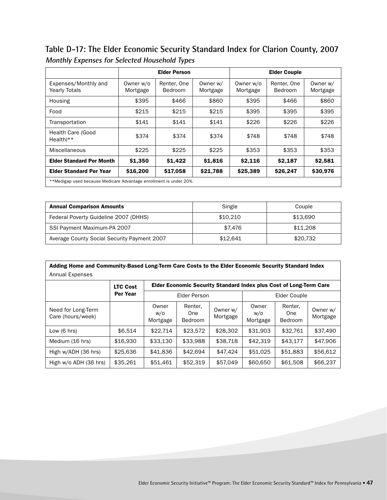**Table D-17: The Elder Economic Security Standard Index for Clarion County, 2007 Monthly Expenses for Selected Household Types**

|                                                                    | <b>Elder Person</b>   |                        |                      | <b>Elder Couple</b>   |                        |                      |  |
|--------------------------------------------------------------------|-----------------------|------------------------|----------------------|-----------------------|------------------------|----------------------|--|
| Expenses/Monthly and<br><b>Yearly Totals</b>                       | Owner w/o<br>Mortgage | Renter, One<br>Bedroom | Owner w/<br>Mortgage | Owner w/o<br>Mortgage | Renter, One<br>Bedroom | Owner w/<br>Mortgage |  |
| Housing                                                            | \$395                 | \$466                  | \$860                | \$395                 | \$466                  | \$860                |  |
| Food                                                               | \$215                 | \$215                  | \$215                | \$395                 | \$395                  | \$395                |  |
| Transportation                                                     | \$141                 | \$141                  | \$141                | \$226                 | \$226                  | \$226                |  |
| Health Care (Good<br>$Health$ <sup>**</sup>                        | \$374                 | \$374                  | \$374                | \$748                 | \$748                  | \$748                |  |
| Miscellaneous                                                      | \$225                 | \$225                  | \$225                | \$353                 | \$353                  | \$353                |  |
| <b>Elder Standard Per Month</b>                                    | \$1,350               | \$1,422                | \$1,816              | \$2,116               | \$2,187                | \$2,581              |  |
| <b>Elder Standard Per Year</b>                                     | \$16,200              | \$17,058               | \$21,788             | \$25,389              | \$26,247               | \$30,976             |  |
| **Medigap used because Medicare Advantage enrollment is under 20%. |                       |                        |                      |                       |                        |                      |  |

| <b>Annual Comparison Amounts</b>            | Single   | Couple   |
|---------------------------------------------|----------|----------|
| Federal Poverty Guideline 2007 (DHHS)       | \$10,210 | \$13,690 |
| SSI Payment Maximum-PA 2007                 | \$7.476  | \$11,208 |
| Average County Social Security Payment 2007 | \$12.641 | \$20,732 |

| Adding Home and Community-Based Long-Term Care Costs to the Elder Economic Security Standard Index |                 |                          |                                                                    |                      |                          |                                  |                      |  |  |  |
|----------------------------------------------------------------------------------------------------|-----------------|--------------------------|--------------------------------------------------------------------|----------------------|--------------------------|----------------------------------|----------------------|--|--|--|
| <b>Annual Expenses</b>                                                                             |                 |                          |                                                                    |                      |                          |                                  |                      |  |  |  |
|                                                                                                    | <b>LTC Cost</b> |                          | Elder Economic Security Standard Index plus Cost of Long-Term Care |                      |                          |                                  |                      |  |  |  |
|                                                                                                    | <b>Per Year</b> | Elder Person             |                                                                    |                      | Elder Couple             |                                  |                      |  |  |  |
| Need for Long-Term<br>Care (hours/week)                                                            |                 | Owner<br>w/o<br>Mortgage | Renter,<br>One<br><b>Bedroom</b>                                   | Owner w/<br>Mortgage | Owner<br>W/O<br>Mortgage | Renter.<br>One<br><b>Bedroom</b> | Owner w/<br>Mortgage |  |  |  |
| Low $(6 \text{ hrs})$                                                                              | \$6.514         | \$22.714                 | \$23,572                                                           | \$28,302             | \$31,903                 | \$32.761                         | \$37.490             |  |  |  |
| Medium (16 hrs)                                                                                    | \$16,930        | \$33.130                 | \$33.988                                                           | \$38,718             | \$42.319                 | \$43.177                         | \$47,906             |  |  |  |
| High w/ADH (36 hrs)                                                                                | \$25,636        | \$41,836                 | \$42.694                                                           | \$47,424             | \$51,025                 | \$51,883                         | \$56,612             |  |  |  |
| High w/o ADH (36 hrs)                                                                              | \$35,261        | \$51,461                 | \$52,319                                                           | \$57,049             | \$60,650                 | \$61,508                         | \$66,237             |  |  |  |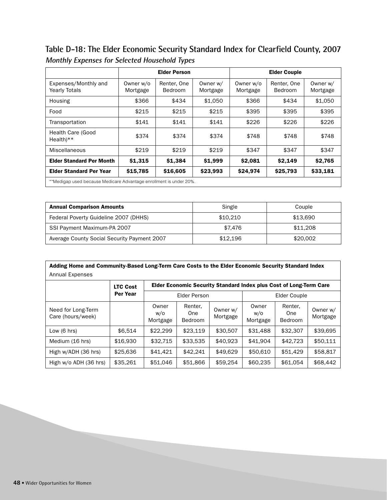Table D-18: The Elder Economic Security Standard Index for Clearfield County, 2007 **Monthly Expenses for Selected Household Types**

|                                                                    | <b>Elder Person</b>   |                        |                      |                       | <b>Elder Couple</b>    |                      |  |  |
|--------------------------------------------------------------------|-----------------------|------------------------|----------------------|-----------------------|------------------------|----------------------|--|--|
| Expenses/Monthly and<br><b>Yearly Totals</b>                       | Owner w/o<br>Mortgage | Renter, One<br>Bedroom | Owner w/<br>Mortgage | Owner w/o<br>Mortgage | Renter, One<br>Bedroom | Owner w/<br>Mortgage |  |  |
| Housing                                                            | \$366                 | \$434                  | \$1.050              | \$366                 | \$434                  | \$1,050              |  |  |
| Food                                                               | \$215                 | \$215                  | \$215                | \$395                 | \$395                  | \$395                |  |  |
| Transportation                                                     | \$141                 | \$141                  | \$141                | \$226                 | \$226                  | \$226                |  |  |
| <b>Health Care (Good</b><br>$Health**$                             | \$374                 | \$374                  | \$374                | \$748                 | \$748                  | \$748                |  |  |
| Miscellaneous                                                      | \$219                 | \$219                  | \$219                | \$347                 | \$347                  | \$347                |  |  |
| <b>Elder Standard Per Month</b>                                    | \$1,315               | \$1,384                | \$1,999              | \$2,081               | \$2,149                | \$2,765              |  |  |
| <b>Elder Standard Per Year</b>                                     | \$15,785              | \$16,605               | \$23,993             | \$24,974              | \$25,793               | \$33,181             |  |  |
| **Medigap used because Medicare Advantage enrollment is under 20%. |                       |                        |                      |                       |                        |                      |  |  |

| <b>Annual Comparison Amounts</b>            | Single   | Couple   |
|---------------------------------------------|----------|----------|
| Federal Poverty Guideline 2007 (DHHS)       | \$10,210 | \$13.690 |
| SSI Payment Maximum-PA 2007                 | \$7.476  | \$11,208 |
| Average County Social Security Payment 2007 | \$12.196 | \$20,002 |

| Adding Home and Community-Based Long-Term Care Costs to the Elder Economic Security Standard Index |                 |                          |                                                                    |                      |                          |                                  |                      |  |  |  |
|----------------------------------------------------------------------------------------------------|-----------------|--------------------------|--------------------------------------------------------------------|----------------------|--------------------------|----------------------------------|----------------------|--|--|--|
| Annual Expenses                                                                                    |                 |                          |                                                                    |                      |                          |                                  |                      |  |  |  |
|                                                                                                    | <b>LTC Cost</b> |                          | Elder Economic Security Standard Index plus Cost of Long-Term Care |                      |                          |                                  |                      |  |  |  |
|                                                                                                    | Per Year        |                          | <b>Elder Person</b>                                                |                      | Elder Couple             |                                  |                      |  |  |  |
| Need for Long-Term<br>Care (hours/week)                                                            |                 | Owner<br>w/o<br>Mortgage | Renter,<br>One<br><b>Bedroom</b>                                   | Owner w/<br>Mortgage | Owner<br>w/o<br>Mortgage | Renter.<br>One<br><b>Bedroom</b> | Owner w/<br>Mortgage |  |  |  |
| Low $(6 \text{ hrs})$                                                                              | \$6.514         | \$22,299                 | \$23.119                                                           | \$30,507             | \$31,488                 | \$32,307                         | \$39.695             |  |  |  |
| Medium (16 hrs)                                                                                    | \$16,930        | \$32.715                 | \$33.535                                                           | \$40.923             | \$41.904                 | \$42,723                         | \$50.111             |  |  |  |
| High w/ADH (36 hrs)                                                                                | \$25,636        | \$41.421                 | \$42.241                                                           | \$49.629             | \$50,610                 | \$51,429                         | \$58,817             |  |  |  |
| High w/o ADH (36 hrs)                                                                              | \$35,261        | \$51,046                 | \$51,866                                                           | \$59,254             | \$60,235                 | \$61,054                         | \$68,442             |  |  |  |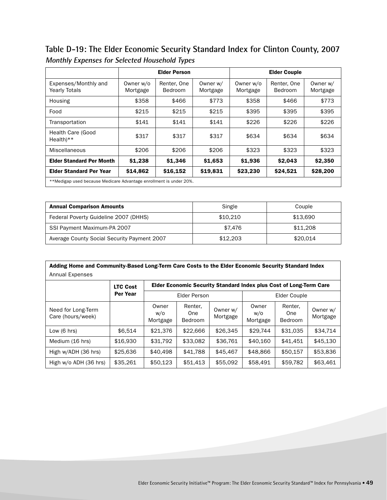**Table D-19: The Elder Economic Security Standard Index for Clinton County, 2007 Monthly Expenses for Selected Household Types**

|                                                                    |                       | <b>Elder Person</b>           |                      |                       | <b>Elder Couple</b>    |                      |  |  |
|--------------------------------------------------------------------|-----------------------|-------------------------------|----------------------|-----------------------|------------------------|----------------------|--|--|
| Expenses/Monthly and<br><b>Yearly Totals</b>                       | Owner w/o<br>Mortgage | Renter, One<br><b>Bedroom</b> | Owner w/<br>Mortgage | Owner w/o<br>Mortgage | Renter, One<br>Bedroom | Owner w/<br>Mortgage |  |  |
| Housing                                                            | \$358                 | \$466                         | \$773                | \$358                 | \$466                  | \$773                |  |  |
| Food                                                               | \$215                 | \$215                         | \$215                | \$395                 | \$395                  | \$395                |  |  |
| Transportation                                                     | \$141                 | \$141                         | \$141                | \$226                 | \$226                  | \$226                |  |  |
| Health Care (Good<br>$Health**$                                    | \$317                 | \$317                         | \$317                | \$634                 | \$634                  | \$634                |  |  |
| Miscellaneous                                                      | \$206                 | \$206                         | \$206                | \$323                 | \$323                  | \$323                |  |  |
| <b>Elder Standard Per Month</b>                                    | \$1,238               | \$1,346                       | \$1,653              | \$1,936               | \$2,043                | \$2,350              |  |  |
| <b>Elder Standard Per Year</b>                                     | \$14,862              | \$16,152                      | \$19,831             | \$23,230              | \$24,521               | \$28,200             |  |  |
| **Medigap used because Medicare Advantage enrollment is under 20%. |                       |                               |                      |                       |                        |                      |  |  |

| <b>Annual Comparison Amounts</b>            | Single   | Couple   |
|---------------------------------------------|----------|----------|
| Federal Poverty Guideline 2007 (DHHS)       | \$10.210 | \$13.690 |
| SSI Payment Maximum-PA 2007                 | \$7.476  | \$11,208 |
| Average County Social Security Payment 2007 | \$12.203 | \$20.014 |

| Adding Home and Community-Based Long-Term Care Costs to the Elder Economic Security Standard Index |                 |                          |                                                                    |                      |                          |                                  |                      |  |  |  |
|----------------------------------------------------------------------------------------------------|-----------------|--------------------------|--------------------------------------------------------------------|----------------------|--------------------------|----------------------------------|----------------------|--|--|--|
| <b>Annual Expenses</b>                                                                             |                 |                          |                                                                    |                      |                          |                                  |                      |  |  |  |
|                                                                                                    | <b>LTC Cost</b> |                          | Elder Economic Security Standard Index plus Cost of Long-Term Care |                      |                          |                                  |                      |  |  |  |
|                                                                                                    | Per Year        | <b>Elder Person</b>      |                                                                    |                      | Elder Couple             |                                  |                      |  |  |  |
| Need for Long-Term<br>Care (hours/week)                                                            |                 | Owner<br>w/o<br>Mortgage | Renter,<br>One<br>Bedroom                                          | Owner w/<br>Mortgage | Owner<br>w/o<br>Mortgage | Renter.<br>One<br><b>Bedroom</b> | Owner w/<br>Mortgage |  |  |  |
| Low $(6 \text{ hrs})$                                                                              | \$6.514         | \$21,376                 | \$22,666                                                           | \$26.345             | \$29,744                 | \$31.035                         | \$34.714             |  |  |  |
| Medium (16 hrs)                                                                                    | \$16,930        | \$31,792                 | \$33.082                                                           | \$36,761             | \$40.160                 | \$41.451                         | \$45.130             |  |  |  |
| High w/ADH (36 hrs)                                                                                | \$25,636        | \$40,498                 | \$41,788                                                           | \$45,467             | \$48,866                 | \$50,157                         | \$53,836             |  |  |  |
| High w/o ADH (36 hrs)                                                                              | \$35,261        | \$50,123                 | \$51,413                                                           | \$55,092             | \$58,491                 | \$59,782                         | \$63,461             |  |  |  |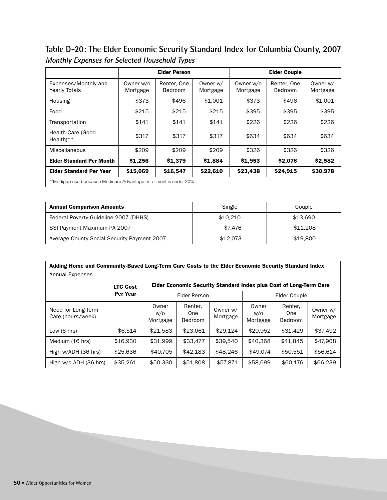**Table D-20: The Elder Economic Security Standard Index for Columbia County, 2007 Monthly Expenses for Selected Household Types**

|                                                                    | <b>Elder Person</b>   |                        |                      |                       | <b>Elder Couple</b>    |                      |  |
|--------------------------------------------------------------------|-----------------------|------------------------|----------------------|-----------------------|------------------------|----------------------|--|
| Expenses/Monthly and<br><b>Yearly Totals</b>                       | Owner w/o<br>Mortgage | Renter, One<br>Bedroom | Owner w/<br>Mortgage | Owner w/o<br>Mortgage | Renter, One<br>Bedroom | Owner w/<br>Mortgage |  |
| Housing                                                            | \$373                 | \$496                  | \$1.001              | \$373                 | \$496                  | \$1,001              |  |
| Food                                                               | \$215                 | \$215                  | \$215                | \$395                 | \$395                  | \$395                |  |
| Transportation                                                     | \$141                 | \$141                  | \$141                | \$226                 | \$226                  | \$226                |  |
| <b>Health Care (Good</b><br>$Health**$                             | \$317                 | \$317                  | \$317                | \$634                 | \$634                  | \$634                |  |
| Miscellaneous                                                      | \$209                 | \$209                  | \$209                | \$326                 | \$326                  | \$326                |  |
| <b>Elder Standard Per Month</b>                                    | \$1,256               | \$1,379                | \$1,884              | \$1,953               | \$2,076                | \$2,582              |  |
| <b>Elder Standard Per Year</b>                                     | \$15,069              | \$16,547               | \$22,610             | \$23,438              | \$24,915               | \$30,978             |  |
| **Medigap used because Medicare Advantage enrollment is under 20%. |                       |                        |                      |                       |                        |                      |  |

| <b>Annual Comparison Amounts</b>            | Single   | Couple   |
|---------------------------------------------|----------|----------|
| Federal Poverty Guideline 2007 (DHHS)       | \$10,210 | \$13.690 |
| SSI Payment Maximum-PA 2007                 | \$7.476  | \$11,208 |
| Average County Social Security Payment 2007 | \$12.073 | \$19,800 |

| Adding Home and Community-Based Long-Term Care Costs to the Elder Economic Security Standard Index |                 |                          |                                                                           |                      |                          |                                  |                      |  |  |
|----------------------------------------------------------------------------------------------------|-----------------|--------------------------|---------------------------------------------------------------------------|----------------------|--------------------------|----------------------------------|----------------------|--|--|
| <b>Annual Expenses</b>                                                                             |                 |                          |                                                                           |                      |                          |                                  |                      |  |  |
|                                                                                                    | <b>LTC Cost</b> |                          | <b>Elder Economic Security Standard Index plus Cost of Long-Term Care</b> |                      |                          |                                  |                      |  |  |
|                                                                                                    | Per Year        | <b>Elder Person</b>      |                                                                           |                      | Elder Couple             |                                  |                      |  |  |
| Need for Long-Term<br>Care (hours/week)                                                            |                 | Owner<br>w/o<br>Mortgage | Renter,<br>One<br><b>Bedroom</b>                                          | Owner w/<br>Mortgage | Owner<br>w/o<br>Mortgage | Renter.<br>One<br><b>Bedroom</b> | Owner w/<br>Mortgage |  |  |
| Low $(6 \text{ hrs})$                                                                              | \$6.514         | \$21,583                 | \$23.061                                                                  | \$29,124             | \$29,952                 | \$31,429                         | \$37.492             |  |  |
| Medium (16 hrs)                                                                                    | \$16,930        | \$31.999                 | \$33,477                                                                  | \$39.540             | \$40,368                 | \$41.845                         | \$47,908             |  |  |
| High w/ADH (36 hrs)                                                                                | \$25,636        | \$40,705                 | \$42,183                                                                  | \$48,246             | \$49.074                 | \$50,551                         | \$56,614             |  |  |
| High w/o ADH (36 hrs)                                                                              | \$35,261        | \$50,330                 | \$51,808                                                                  | \$57,871             | \$58,699                 | \$60,176                         | \$66,239             |  |  |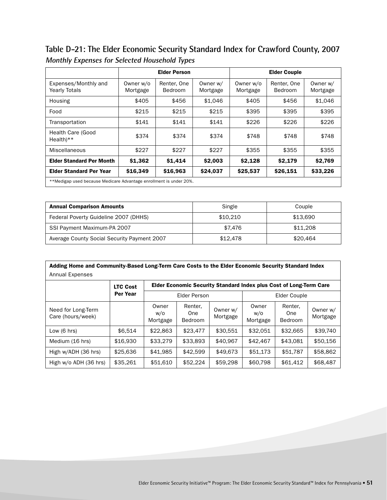**Table D-21: The Elder Economic Security Standard Index for Crawford County, 2007 Monthly Expenses for Selected Household Types**

|                                                                    | <b>Elder Person</b>   |                               |                      | <b>Elder Couple</b>   |                        |                      |  |  |
|--------------------------------------------------------------------|-----------------------|-------------------------------|----------------------|-----------------------|------------------------|----------------------|--|--|
| Expenses/Monthly and<br><b>Yearly Totals</b>                       | Owner w/o<br>Mortgage | Renter, One<br><b>Bedroom</b> | Owner w/<br>Mortgage | Owner w/o<br>Mortgage | Renter, One<br>Bedroom | Owner w/<br>Mortgage |  |  |
| Housing                                                            | \$405                 | \$456                         | \$1.046              | \$405                 | \$456                  | \$1.046              |  |  |
| Food                                                               | \$215                 | \$215                         | \$215                | \$395                 | \$395                  | \$395                |  |  |
| Transportation                                                     | \$141                 | \$141                         | \$141                | \$226                 | \$226                  | \$226                |  |  |
| Health Care (Good<br>$Health**$                                    | \$374                 | \$374                         | \$374                | \$748                 | \$748                  | \$748                |  |  |
| Miscellaneous                                                      | \$227                 | \$227                         | \$227                | \$355                 | \$355                  | \$355                |  |  |
| <b>Elder Standard Per Month</b>                                    | \$1,362               | \$1,414                       | \$2,003              | \$2,128               | \$2,179                | \$2,769              |  |  |
| <b>Elder Standard Per Year</b>                                     | \$16,349              | \$16,963                      | \$24,037             | \$25,537              | \$26,151               | \$33,226             |  |  |
| **Medigap used because Medicare Advantage enrollment is under 20%. |                       |                               |                      |                       |                        |                      |  |  |

| <b>Annual Comparison Amounts</b>            | Single   | Couple   |
|---------------------------------------------|----------|----------|
| Federal Poverty Guideline 2007 (DHHS)       | \$10.210 | \$13.690 |
| SSI Payment Maximum-PA 2007                 | \$7.476  | \$11,208 |
| Average County Social Security Payment 2007 | \$12.478 | \$20,464 |

| Adding Home and Community-Based Long-Term Care Costs to the Elder Economic Security Standard Index |                 |                          |                                                                    |                      |                          |                                         |                      |  |  |  |
|----------------------------------------------------------------------------------------------------|-----------------|--------------------------|--------------------------------------------------------------------|----------------------|--------------------------|-----------------------------------------|----------------------|--|--|--|
| Annual Expenses                                                                                    |                 |                          |                                                                    |                      |                          |                                         |                      |  |  |  |
|                                                                                                    | <b>LTC Cost</b> |                          | Elder Economic Security Standard Index plus Cost of Long-Term Care |                      |                          |                                         |                      |  |  |  |
|                                                                                                    | <b>Per Year</b> | Elder Person             |                                                                    |                      | Elder Couple             |                                         |                      |  |  |  |
| Need for Long-Term<br>Care (hours/week)                                                            |                 | Owner<br>w/o<br>Mortgage | Renter,<br>One<br>Bedroom                                          | Owner w/<br>Mortgage | Owner<br>W/O<br>Mortgage | Renter.<br><b>One</b><br><b>Bedroom</b> | Owner w/<br>Mortgage |  |  |  |
| Low $(6 \text{ hrs})$                                                                              | \$6.514         | \$22,863                 | \$23,477                                                           | \$30.551             | \$32.051                 | \$32,665                                | \$39,740             |  |  |  |
| Medium (16 hrs)                                                                                    | \$16,930        | \$33,279                 | \$33,893                                                           | \$40,967             | \$42,467                 | \$43.081                                | \$50.156             |  |  |  |
| High w/ADH (36 hrs)                                                                                | \$25,636        | \$41,985                 | \$42,599                                                           | \$49,673             | \$51,173                 | \$51,787                                | \$58,862             |  |  |  |
| High w/o ADH (36 hrs)                                                                              | \$35,261        | \$51,610                 | \$52,224                                                           | \$59,298             | \$60,798                 | \$61,412                                | \$68,487             |  |  |  |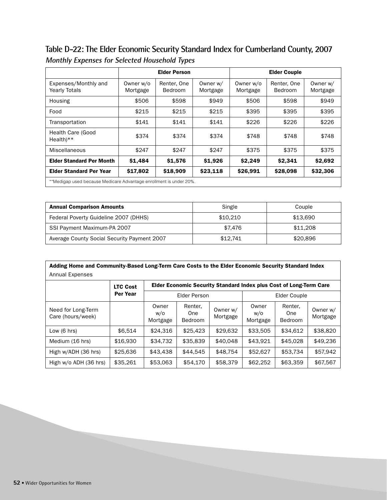**Table D-22: The Elder Economic Security Standard Index for Cumberland County, 2007 Monthly Expenses for Selected Household Types**

|                                              | <b>Elder Person</b>                                                |                        |                      |                       | <b>Elder Couple</b>    |                      |  |  |  |
|----------------------------------------------|--------------------------------------------------------------------|------------------------|----------------------|-----------------------|------------------------|----------------------|--|--|--|
| Expenses/Monthly and<br><b>Yearly Totals</b> | Owner w/o<br>Mortgage                                              | Renter, One<br>Bedroom | Owner w/<br>Mortgage | Owner w/o<br>Mortgage | Renter, One<br>Bedroom | Owner w/<br>Mortgage |  |  |  |
| Housing                                      | \$506                                                              | \$598                  | \$949                | \$506                 | \$598                  | \$949                |  |  |  |
| Food                                         | \$215                                                              | \$215                  | \$215                | \$395                 | \$395                  | \$395                |  |  |  |
| Transportation                               | \$141                                                              | \$141                  | \$141                | \$226                 | \$226                  | \$226                |  |  |  |
| Health Care (Good<br>$Health$ <sup>**</sup>  | \$374                                                              | \$374                  | \$374                | \$748                 | \$748                  | \$748                |  |  |  |
| Miscellaneous                                | \$247                                                              | \$247                  | \$247                | \$375                 | \$375                  | \$375                |  |  |  |
| <b>Elder Standard Per Month</b>              | \$1,484                                                            | \$1,576                | \$1,926              | \$2,249               | \$2,341                | \$2,692              |  |  |  |
| <b>Elder Standard Per Year</b>               | \$17,802                                                           | \$18,909               | \$23,118             | \$26,991              | \$28,098               | \$32,306             |  |  |  |
|                                              | **Medigap used because Medicare Advantage enrollment is under 20%. |                        |                      |                       |                        |                      |  |  |  |

| <b>Annual Comparison Amounts</b>            | Single   | Couple   |
|---------------------------------------------|----------|----------|
| Federal Poverty Guideline 2007 (DHHS)       | \$10,210 | \$13.690 |
| SSI Payment Maximum-PA 2007                 | \$7.476  | \$11,208 |
| Average County Social Security Payment 2007 | \$12.741 | \$20,896 |

| Adding Home and Community-Based Long-Term Care Costs to the Elder Economic Security Standard Index |                 |                          |                                                                    |                      |                          |                                  |                      |  |  |
|----------------------------------------------------------------------------------------------------|-----------------|--------------------------|--------------------------------------------------------------------|----------------------|--------------------------|----------------------------------|----------------------|--|--|
| Annual Expenses                                                                                    |                 |                          |                                                                    |                      |                          |                                  |                      |  |  |
|                                                                                                    | <b>LTC Cost</b> |                          | Elder Economic Security Standard Index plus Cost of Long-Term Care |                      |                          |                                  |                      |  |  |
|                                                                                                    | Per Year        | <b>Elder Person</b>      |                                                                    |                      | Elder Couple             |                                  |                      |  |  |
| Need for Long-Term<br>Care (hours/week)                                                            |                 | Owner<br>w/o<br>Mortgage | Renter,<br>One<br><b>Bedroom</b>                                   | Owner w/<br>Mortgage | Owner<br>w/o<br>Mortgage | Renter.<br>One<br><b>Bedroom</b> | Owner w/<br>Mortgage |  |  |
| Low $(6 \text{ hrs})$                                                                              | \$6.514         | \$24,316                 | \$25,423                                                           | \$29,632             | \$33,505                 | \$34.612                         | \$38,820             |  |  |
| Medium (16 hrs)                                                                                    | \$16,930        | \$34.732                 | \$35,839                                                           | \$40,048             | \$43.921                 | \$45,028                         | \$49,236             |  |  |
| High w/ADH (36 hrs)                                                                                | \$25,636        | \$43,438                 | \$44,545                                                           | \$48.754             | \$52,627                 | \$53.734                         | \$57,942             |  |  |
| High w/o ADH (36 hrs)                                                                              | \$35,261        | \$53,063                 | \$54,170                                                           | \$58,379             | \$62,252                 | \$63,359                         | \$67,567             |  |  |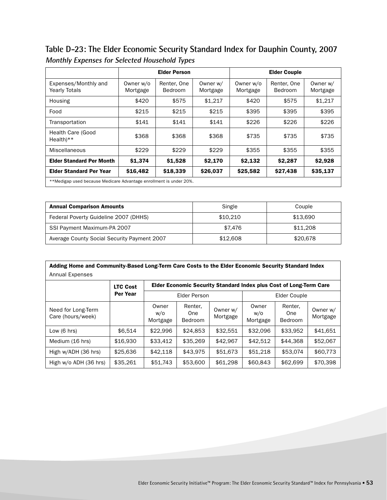**Table D-23: The Elder Economic Security Standard Index for Dauphin County, 2007 Monthly Expenses for Selected Household Types**

|                                                                    |                       | <b>Elder Person</b>           |                      |                       | <b>Elder Couple</b>    |                      |  |
|--------------------------------------------------------------------|-----------------------|-------------------------------|----------------------|-----------------------|------------------------|----------------------|--|
| Expenses/Monthly and<br><b>Yearly Totals</b>                       | Owner w/o<br>Mortgage | Renter, One<br><b>Bedroom</b> | Owner w/<br>Mortgage | Owner w/o<br>Mortgage | Renter, One<br>Bedroom | Owner w/<br>Mortgage |  |
| Housing                                                            | \$420                 | \$575                         | \$1,217              | \$420                 | \$575                  | \$1,217              |  |
| Food                                                               | \$215                 | \$215                         | \$215                | \$395                 | \$395                  | \$395                |  |
| Transportation                                                     | \$141                 | \$141                         | \$141                | \$226                 | \$226                  | \$226                |  |
| Health Care (Good<br>$Health**$                                    | \$368                 | \$368                         | \$368                | \$735                 | \$735                  | \$735                |  |
| Miscellaneous                                                      | \$229                 | \$229                         | \$229                | \$355                 | \$355                  | \$355                |  |
| <b>Elder Standard Per Month</b>                                    | \$1,374               | \$1,528                       | \$2,170              | \$2,132               | \$2,287                | \$2,928              |  |
| <b>Elder Standard Per Year</b>                                     | \$16,482              | \$18,339                      | \$26,037             | \$25,582              | \$27,438               | \$35,137             |  |
| **Medigap used because Medicare Advantage enrollment is under 20%. |                       |                               |                      |                       |                        |                      |  |

| <b>Annual Comparison Amounts</b>            | Single   | Couple   |
|---------------------------------------------|----------|----------|
| Federal Poverty Guideline 2007 (DHHS)       | \$10,210 | \$13.690 |
| SSI Payment Maximum-PA 2007                 | \$7.476  | \$11,208 |
| Average County Social Security Payment 2007 | \$12,608 | \$20,678 |

| Adding Home and Community-Based Long-Term Care Costs to the Elder Economic Security Standard Index |                 |                          |                                  |                      |                                                                    |                                  |                      |  |  |  |
|----------------------------------------------------------------------------------------------------|-----------------|--------------------------|----------------------------------|----------------------|--------------------------------------------------------------------|----------------------------------|----------------------|--|--|--|
| <b>Annual Expenses</b>                                                                             |                 |                          |                                  |                      |                                                                    |                                  |                      |  |  |  |
|                                                                                                    | <b>LTC Cost</b> |                          |                                  |                      | Elder Economic Security Standard Index plus Cost of Long-Term Care |                                  |                      |  |  |  |
|                                                                                                    | <b>Per Year</b> | Elder Person             |                                  |                      | Elder Couple                                                       |                                  |                      |  |  |  |
| Need for Long-Term<br>Care (hours/week)                                                            |                 | Owner<br>w/o<br>Mortgage | Renter,<br>One<br><b>Bedroom</b> | Owner w/<br>Mortgage | Owner<br>W/O<br>Mortgage                                           | Renter.<br>One<br><b>Bedroom</b> | Owner w/<br>Mortgage |  |  |  |
| Low $(6 \text{ hrs})$                                                                              | \$6.514         | \$22.996                 | \$24.853                         | \$32,551             | \$32,096                                                           | \$33.952                         | \$41,651             |  |  |  |
| Medium (16 hrs)                                                                                    | \$16,930        | \$33,412                 | \$35,269                         | \$42.967             | \$42.512                                                           | \$44.368                         | \$52,067             |  |  |  |
| High w/ADH (36 hrs)                                                                                | \$25,636        | \$42,118                 | \$43.975                         | \$51,673             | \$51,218                                                           | \$53,074                         | \$60,773             |  |  |  |
| High w/o ADH (36 hrs)                                                                              | \$35,261        | \$51,743                 | \$53,600                         | \$61,298             | \$60,843                                                           | \$62,699                         | \$70,398             |  |  |  |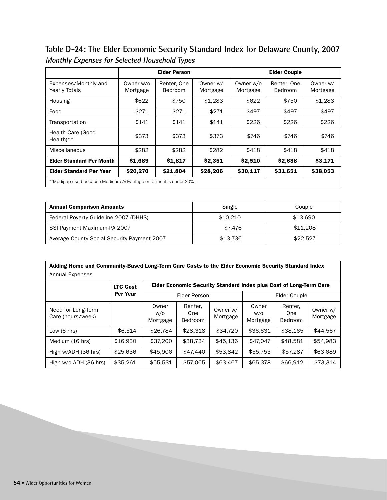**Table D-24: The Elder Economic Security Standard Index for Delaware County, 2007 Monthly Expenses for Selected Household Types**

|                                              | <b>Elder Person</b>                                                |                        |                      |                       | <b>Elder Couple</b>    |                      |  |  |
|----------------------------------------------|--------------------------------------------------------------------|------------------------|----------------------|-----------------------|------------------------|----------------------|--|--|
| Expenses/Monthly and<br><b>Yearly Totals</b> | Owner w/o<br>Mortgage                                              | Renter, One<br>Bedroom | Owner w/<br>Mortgage | Owner w/o<br>Mortgage | Renter, One<br>Bedroom | Owner w/<br>Mortgage |  |  |
| Housing                                      | \$622                                                              | \$750                  | \$1,283              | \$622                 | \$750                  | \$1,283              |  |  |
| Food                                         | \$271                                                              | \$271                  | \$271                | \$497                 | \$497                  | \$497                |  |  |
| Transportation                               | \$141                                                              | \$141                  | \$141                | \$226                 | \$226                  | \$226                |  |  |
| Health Care (Good<br>$Health**$              | \$373                                                              | \$373                  | \$373                | \$746                 | \$746                  | \$746                |  |  |
| Miscellaneous                                | \$282                                                              | \$282                  | \$282                | \$418                 | \$418                  | \$418                |  |  |
| <b>Elder Standard Per Month</b>              | \$1,689                                                            | \$1,817                | \$2,351              | \$2,510               | \$2,638                | \$3,171              |  |  |
| <b>Elder Standard Per Year</b>               | \$20,270                                                           | \$21,804               | \$28,206             | \$30,117              | \$31,651               | \$38,053             |  |  |
|                                              | **Medigap used because Medicare Advantage enrollment is under 20%. |                        |                      |                       |                        |                      |  |  |

| <b>Annual Comparison Amounts</b>            | Single   | Couple   |
|---------------------------------------------|----------|----------|
| Federal Poverty Guideline 2007 (DHHS)       | \$10.210 | \$13.690 |
| SSI Payment Maximum-PA 2007                 | \$7.476  | \$11,208 |
| Average County Social Security Payment 2007 | \$13.736 | \$22.527 |

| Adding Home and Community-Based Long-Term Care Costs to the Elder Economic Security Standard Index |                 |                                                                    |                                  |                      |                          |                                  |                      |  |  |
|----------------------------------------------------------------------------------------------------|-----------------|--------------------------------------------------------------------|----------------------------------|----------------------|--------------------------|----------------------------------|----------------------|--|--|
| Annual Expenses                                                                                    |                 |                                                                    |                                  |                      |                          |                                  |                      |  |  |
|                                                                                                    | <b>LTC Cost</b> | Elder Economic Security Standard Index plus Cost of Long-Term Care |                                  |                      |                          |                                  |                      |  |  |
|                                                                                                    | Per Year        | Elder Person                                                       |                                  |                      | Elder Couple             |                                  |                      |  |  |
| Need for Long-Term<br>Care (hours/week)                                                            |                 | Owner<br>w/o<br>Mortgage                                           | Renter,<br>One<br><b>Bedroom</b> | Owner w/<br>Mortgage | Owner<br>w/o<br>Mortgage | Renter.<br>One<br><b>Bedroom</b> | Owner w/<br>Mortgage |  |  |
| Low $(6 \text{ hrs})$                                                                              | \$6.514         | \$26,784                                                           | \$28,318                         | \$34,720             | \$36,631                 | \$38.165                         | \$44.567             |  |  |
| Medium (16 hrs)                                                                                    | \$16,930        | \$37,200                                                           | \$38.734                         | \$45,136             | \$47.047                 | \$48.581                         | \$54.983             |  |  |
| High w/ADH (36 hrs)                                                                                | \$25,636        | \$45,906                                                           | \$47,440                         | \$53,842             | \$55,753                 | \$57,287                         | \$63,689             |  |  |
| High w/o ADH (36 hrs)                                                                              | \$35,261        | \$55,531                                                           | \$57,065                         | \$63,467             | \$65,378                 | \$66,912                         | \$73,314             |  |  |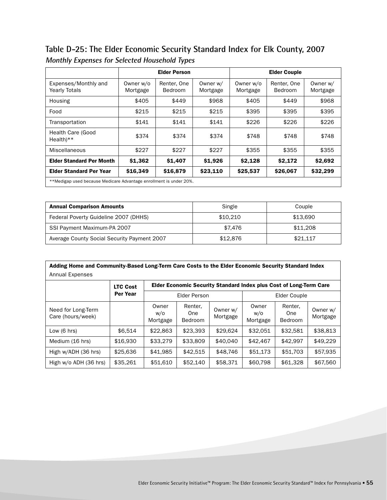### **Table D-25: The Elder Economic Security Standard Index for Elk County, 2007 Monthly Expenses for Selected Household Types**

|                                                                    | <b>Elder Person</b>   |                        |                      | <b>Elder Couple</b>   |                        |                      |  |
|--------------------------------------------------------------------|-----------------------|------------------------|----------------------|-----------------------|------------------------|----------------------|--|
| Expenses/Monthly and<br><b>Yearly Totals</b>                       | Owner w/o<br>Mortgage | Renter, One<br>Bedroom | Owner w/<br>Mortgage | Owner w/o<br>Mortgage | Renter, One<br>Bedroom | Owner w/<br>Mortgage |  |
| Housing                                                            | \$405                 | \$449                  | \$968                | \$405                 | \$449                  | \$968                |  |
| Food                                                               | \$215                 | \$215                  | \$215                | \$395                 | \$395                  | \$395                |  |
| Transportation                                                     | \$141                 | \$141                  | \$141                | \$226                 | \$226                  | \$226                |  |
| <b>Health Care (Good</b><br>$Health**$                             | \$374                 | \$374                  | \$374                | \$748                 | \$748                  | \$748                |  |
| Miscellaneous                                                      | \$227                 | \$227                  | \$227                | \$355                 | \$355                  | \$355                |  |
| <b>Elder Standard Per Month</b>                                    | \$1,362               | \$1,407                | \$1,926              | \$2,128               | \$2,172                | \$2,692              |  |
| <b>Elder Standard Per Year</b>                                     | \$16,349              | \$16,879               | \$23,110             | \$25,537              | \$26,067               | \$32,299             |  |
| **Medigap used because Medicare Advantage enrollment is under 20%. |                       |                        |                      |                       |                        |                      |  |

| <b>Annual Comparison Amounts</b>            | Single   | Couple   |
|---------------------------------------------|----------|----------|
| Federal Poverty Guideline 2007 (DHHS)       | \$10,210 | \$13.690 |
| SSI Payment Maximum-PA 2007                 | \$7.476  | \$11,208 |
| Average County Social Security Payment 2007 | \$12,876 | \$21.117 |

| Adding Home and Community-Based Long-Term Care Costs to the Elder Economic Security Standard Index |                 |                          |                                                                    |                      |                          |                                  |                      |  |  |  |
|----------------------------------------------------------------------------------------------------|-----------------|--------------------------|--------------------------------------------------------------------|----------------------|--------------------------|----------------------------------|----------------------|--|--|--|
| <b>Annual Expenses</b>                                                                             |                 |                          |                                                                    |                      |                          |                                  |                      |  |  |  |
|                                                                                                    | <b>LTC Cost</b> |                          | Elder Economic Security Standard Index plus Cost of Long-Term Care |                      |                          |                                  |                      |  |  |  |
|                                                                                                    | Per Year        | <b>Elder Person</b>      |                                                                    |                      | Elder Couple             |                                  |                      |  |  |  |
| Need for Long-Term<br>Care (hours/week)                                                            |                 | Owner<br>w/o<br>Mortgage | Renter,<br>One<br>Bedroom                                          | Owner w/<br>Mortgage | Owner<br>w/o<br>Mortgage | Renter,<br>One<br><b>Bedroom</b> | Owner w/<br>Mortgage |  |  |  |
| Low $(6 \text{ hrs})$                                                                              | \$6.514         | \$22,863                 | \$23,393                                                           | \$29,624             | \$32,051                 | \$32,581                         | \$38,813             |  |  |  |
| Medium (16 hrs)                                                                                    | \$16,930        | \$33,279                 | \$33,809                                                           | \$40,040             | \$42,467                 | \$42.997                         | \$49,229             |  |  |  |
| High w/ADH (36 hrs)                                                                                | \$25,636        | \$41,985                 | \$42.515                                                           | \$48,746             | \$51,173                 | \$51,703                         | \$57,935             |  |  |  |
| High w/o ADH (36 hrs)                                                                              | \$35,261        | \$51,610                 | \$52,140                                                           | \$58,371             | \$60,798                 | \$61,328                         | \$67,560             |  |  |  |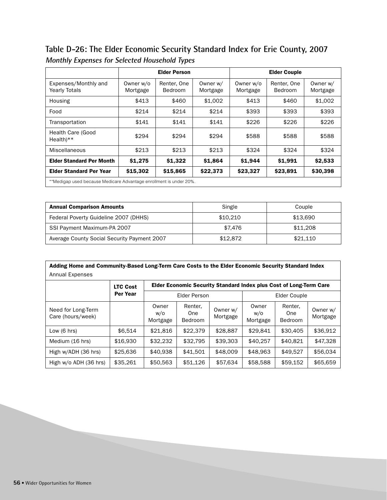### **Table D-26: The Elder Economic Security Standard Index for Erie County, 2007 Monthly Expenses for Selected Household Types**

|                                                                    | <b>Elder Person</b>   |                               |                      | <b>Elder Couple</b>   |                        |                      |  |
|--------------------------------------------------------------------|-----------------------|-------------------------------|----------------------|-----------------------|------------------------|----------------------|--|
| Expenses/Monthly and<br><b>Yearly Totals</b>                       | Owner w/o<br>Mortgage | Renter, One<br><b>Bedroom</b> | Owner w/<br>Mortgage | Owner w/o<br>Mortgage | Renter, One<br>Bedroom | Owner w/<br>Mortgage |  |
| Housing                                                            | \$413                 | \$460                         | \$1.002              | \$413                 | \$460                  | \$1,002              |  |
| Food                                                               | \$214                 | \$214                         | \$214                | \$393                 | \$393                  | \$393                |  |
| Transportation                                                     | \$141                 | \$141                         | \$141                | \$226                 | \$226                  | \$226                |  |
| <b>Health Care (Good</b><br>$Health**$                             | \$294                 | \$294                         | \$294                | \$588                 | \$588                  | \$588                |  |
| Miscellaneous                                                      | \$213                 | \$213                         | \$213                | \$324                 | \$324                  | \$324                |  |
| <b>Elder Standard Per Month</b>                                    | \$1,275               | \$1,322                       | \$1,864              | \$1,944               | \$1,991                | \$2,533              |  |
| <b>Elder Standard Per Year</b>                                     | \$15,302              | \$15,865                      | \$22,373             | \$23,327              | \$23,891               | \$30,398             |  |
| **Medigap used because Medicare Advantage enrollment is under 20%. |                       |                               |                      |                       |                        |                      |  |

| <b>Annual Comparison Amounts</b>            | Single   | Couple   |
|---------------------------------------------|----------|----------|
| Federal Poverty Guideline 2007 (DHHS)       | \$10.210 | \$13.690 |
| SSI Payment Maximum-PA 2007                 | \$7.476  | \$11,208 |
| Average County Social Security Payment 2007 | \$12,872 | \$21.110 |

| Adding Home and Community-Based Long-Term Care Costs to the Elder Economic Security Standard Index |                 |                                                                    |                                  |                      |                          |                                  |                      |  |  |  |
|----------------------------------------------------------------------------------------------------|-----------------|--------------------------------------------------------------------|----------------------------------|----------------------|--------------------------|----------------------------------|----------------------|--|--|--|
| Annual Expenses                                                                                    |                 |                                                                    |                                  |                      |                          |                                  |                      |  |  |  |
|                                                                                                    | <b>LTC Cost</b> | Elder Economic Security Standard Index plus Cost of Long-Term Care |                                  |                      |                          |                                  |                      |  |  |  |
|                                                                                                    | Per Year        | <b>Elder Person</b>                                                |                                  |                      | Elder Couple             |                                  |                      |  |  |  |
| Need for Long-Term<br>Care (hours/week)                                                            |                 | Owner<br>w/o<br>Mortgage                                           | Renter,<br>One<br><b>Bedroom</b> | Owner w/<br>Mortgage | Owner<br>w/o<br>Mortgage | Renter,<br>One<br><b>Bedroom</b> | Owner w/<br>Mortgage |  |  |  |
| Low $(6 \text{ hrs})$                                                                              | \$6.514         | \$21,816                                                           | \$22,379                         | \$28,887             | \$29,841                 | \$30,405                         | \$36.912             |  |  |  |
| Medium (16 hrs)                                                                                    | \$16,930        | \$32,232                                                           | \$32.795                         | \$39,303             | \$40.257                 | \$40.821                         | \$47,328             |  |  |  |
| High w/ADH (36 hrs)                                                                                | \$25,636        | \$40,938                                                           | \$41,501                         | \$48,009             | \$48,963                 | \$49.527                         | \$56.034             |  |  |  |
| High w/o ADH (36 hrs)                                                                              | \$35,261        | \$50,563                                                           | \$51,126                         | \$57,634             | \$58,588                 | \$59,152                         | \$65,659             |  |  |  |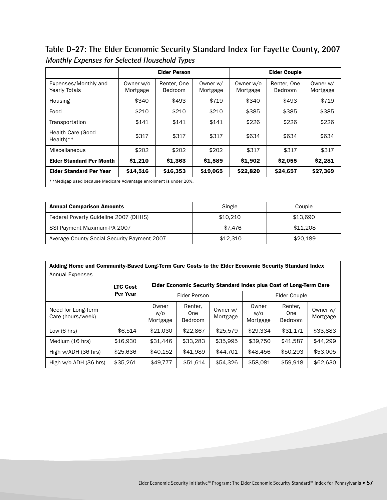**Table D-27: The Elder Economic Security Standard Index for Fayette County, 2007 Monthly Expenses for Selected Household Types**

|                                                                    | <b>Elder Person</b>   |                               |                      | <b>Elder Couple</b>   |                        |                      |  |  |
|--------------------------------------------------------------------|-----------------------|-------------------------------|----------------------|-----------------------|------------------------|----------------------|--|--|
| Expenses/Monthly and<br><b>Yearly Totals</b>                       | Owner w/o<br>Mortgage | Renter, One<br><b>Bedroom</b> | Owner w/<br>Mortgage | Owner w/o<br>Mortgage | Renter, One<br>Bedroom | Owner w/<br>Mortgage |  |  |
| Housing                                                            | \$340                 | \$493                         | \$719                | \$340                 | \$493                  | \$719                |  |  |
| Food                                                               | \$210                 | \$210                         | \$210                | \$385                 | \$385                  | \$385                |  |  |
| Transportation                                                     | \$141                 | \$141                         | \$141                | \$226                 | \$226                  | \$226                |  |  |
| Health Care (Good<br>$Health**$                                    | \$317                 | \$317                         | \$317                | \$634                 | \$634                  | \$634                |  |  |
| Miscellaneous                                                      | \$202                 | \$202                         | \$202                | \$317                 | \$317                  | \$317                |  |  |
| <b>Elder Standard Per Month</b>                                    | \$1,210               | \$1,363                       | \$1,589              | \$1,902               | \$2,055                | \$2,281              |  |  |
| <b>Elder Standard Per Year</b>                                     | \$14,516              | \$16,353                      | \$19,065             | \$22,820              | \$24,657               | \$27,369             |  |  |
| **Medigap used because Medicare Advantage enrollment is under 20%. |                       |                               |                      |                       |                        |                      |  |  |

| <b>Annual Comparison Amounts</b>            | Single   | Couple   |
|---------------------------------------------|----------|----------|
| Federal Poverty Guideline 2007 (DHHS)       | \$10.210 | \$13.690 |
| SSI Payment Maximum-PA 2007                 | \$7.476  | \$11,208 |
| Average County Social Security Payment 2007 | \$12,310 | \$20.189 |

| Adding Home and Community-Based Long-Term Care Costs to the Elder Economic Security Standard Index |                 |                          |                                                                    |                      |                          |                                  |                      |  |  |  |
|----------------------------------------------------------------------------------------------------|-----------------|--------------------------|--------------------------------------------------------------------|----------------------|--------------------------|----------------------------------|----------------------|--|--|--|
| <b>Annual Expenses</b>                                                                             |                 |                          |                                                                    |                      |                          |                                  |                      |  |  |  |
|                                                                                                    | <b>LTC Cost</b> |                          | Elder Economic Security Standard Index plus Cost of Long-Term Care |                      |                          |                                  |                      |  |  |  |
|                                                                                                    | <b>Per Year</b> | Elder Person             |                                                                    |                      | Elder Couple             |                                  |                      |  |  |  |
| Need for Long-Term<br>Care (hours/week)                                                            |                 | Owner<br>w/o<br>Mortgage | Renter,<br>One<br><b>Bedroom</b>                                   | Owner w/<br>Mortgage | Owner<br>W/O<br>Mortgage | Renter.<br>One<br><b>Bedroom</b> | Owner w/<br>Mortgage |  |  |  |
| Low $(6 \text{ hrs})$                                                                              | \$6.514         | \$21.030                 | \$22,867                                                           | \$25,579             | \$29.334                 | \$31.171                         | \$33,883             |  |  |  |
| Medium (16 hrs)                                                                                    | \$16,930        | \$31,446                 | \$33.283                                                           | \$35.995             | \$39,750                 | \$41,587                         | \$44,299             |  |  |  |
| High w/ADH (36 hrs)                                                                                | \$25,636        | \$40,152                 | \$41.989                                                           | \$44.701             | \$48,456                 | \$50,293                         | \$53,005             |  |  |  |
| High w/o ADH (36 hrs)                                                                              | \$35,261        | \$49,777                 | \$51,614                                                           | \$54,326             | \$58,081                 | \$59,918                         | \$62,630             |  |  |  |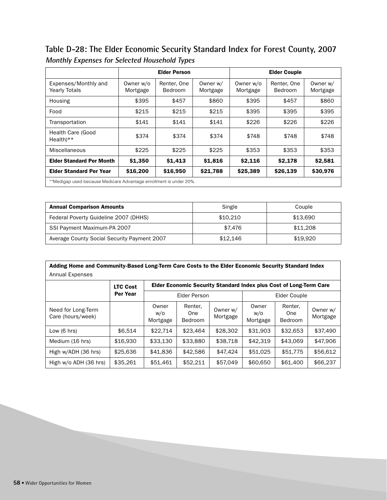**Table D-28: The Elder Economic Security Standard Index for Forest County, 2007 Monthly Expenses for Selected Household Types**

|                                                                    | <b>Elder Person</b>   |                        |                      |                       | <b>Elder Couple</b>    |                      |  |  |
|--------------------------------------------------------------------|-----------------------|------------------------|----------------------|-----------------------|------------------------|----------------------|--|--|
| Expenses/Monthly and<br><b>Yearly Totals</b>                       | Owner w/o<br>Mortgage | Renter, One<br>Bedroom | Owner w/<br>Mortgage | Owner w/o<br>Mortgage | Renter, One<br>Bedroom | Owner w/<br>Mortgage |  |  |
| Housing                                                            | \$395                 | \$457                  | \$860                | \$395                 | \$457                  | \$860                |  |  |
| Food                                                               | \$215                 | \$215                  | \$215                | \$395                 | \$395                  | \$395                |  |  |
| Transportation                                                     | \$141                 | \$141                  | \$141                | \$226                 | \$226                  | \$226                |  |  |
| Health Care (Good<br>$Health**$                                    | \$374                 | \$374                  | \$374                | \$748                 | \$748                  | \$748                |  |  |
| Miscellaneous                                                      | \$225                 | \$225                  | \$225                | \$353                 | \$353                  | \$353                |  |  |
| <b>Elder Standard Per Month</b>                                    | \$1,350               | \$1,413                | \$1,816              | \$2,116               | \$2,178                | \$2,581              |  |  |
| <b>Elder Standard Per Year</b>                                     | \$16,200              | \$16,950               | \$21,788             | \$25,389              | \$26,139               | \$30,976             |  |  |
| **Medigap used because Medicare Advantage enrollment is under 20%. |                       |                        |                      |                       |                        |                      |  |  |

| <b>Annual Comparison Amounts</b>            | Single   | Couple   |
|---------------------------------------------|----------|----------|
| Federal Poverty Guideline 2007 (DHHS)       | \$10,210 | \$13.690 |
| SSI Payment Maximum-PA 2007                 | \$7.476  | \$11,208 |
| Average County Social Security Payment 2007 | \$12,146 | \$19.920 |

| Adding Home and Community-Based Long-Term Care Costs to the Elder Economic Security Standard Index |                 |                                                                           |                           |                      |                          |                                  |                      |  |  |  |
|----------------------------------------------------------------------------------------------------|-----------------|---------------------------------------------------------------------------|---------------------------|----------------------|--------------------------|----------------------------------|----------------------|--|--|--|
| Annual Expenses                                                                                    |                 |                                                                           |                           |                      |                          |                                  |                      |  |  |  |
|                                                                                                    | <b>LTC Cost</b> | <b>Elder Economic Security Standard Index plus Cost of Long-Term Care</b> |                           |                      |                          |                                  |                      |  |  |  |
|                                                                                                    | Per Year        | Elder Person                                                              |                           |                      | Elder Couple             |                                  |                      |  |  |  |
| Need for Long-Term<br>Care (hours/week)                                                            |                 | Owner<br>w/o<br>Mortgage                                                  | Renter,<br>One<br>Bedroom | Owner w/<br>Mortgage | Owner<br>w/o<br>Mortgage | Renter.<br>One<br><b>Bedroom</b> | Owner w/<br>Mortgage |  |  |  |
| Low $(6 \text{ hrs})$                                                                              | \$6.514         | \$22.714                                                                  | \$23,464                  | \$28,302             | \$31,903                 | \$32.653                         | \$37,490             |  |  |  |
| Medium (16 hrs)                                                                                    | \$16,930        | \$33.130                                                                  | \$33,880                  | \$38,718             | \$42.319                 | \$43,069                         | \$47,906             |  |  |  |
| High w/ADH (36 hrs)                                                                                | \$25,636        | \$41,836                                                                  | \$42,586                  | \$47.424             | \$51,025                 | \$51,775                         | \$56,612             |  |  |  |
| High w/o ADH (36 hrs)                                                                              | \$35,261        | \$51,461                                                                  | \$52,211                  | \$57,049             | \$60,650                 | \$61,400                         | \$66,237             |  |  |  |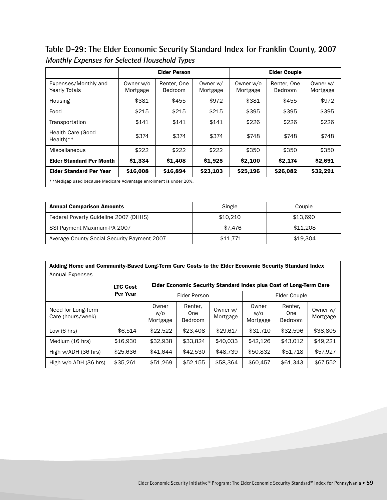**Table D-29: The Elder Economic Security Standard Index for Franklin County, 2007 Monthly Expenses for Selected Household Types**

|                                                                    | <b>Elder Person</b>   |                               |                      | <b>Elder Couple</b>   |                        |                      |  |  |
|--------------------------------------------------------------------|-----------------------|-------------------------------|----------------------|-----------------------|------------------------|----------------------|--|--|
| Expenses/Monthly and<br><b>Yearly Totals</b>                       | Owner w/o<br>Mortgage | Renter, One<br><b>Bedroom</b> | Owner w/<br>Mortgage | Owner w/o<br>Mortgage | Renter, One<br>Bedroom | Owner w/<br>Mortgage |  |  |
| Housing                                                            | \$381                 | \$455                         | \$972                | \$381                 | \$455                  | \$972                |  |  |
| Food                                                               | \$215                 | \$215                         | \$215                | \$395                 | \$395                  | \$395                |  |  |
| Transportation                                                     | \$141                 | \$141                         | \$141                | \$226                 | \$226                  | \$226                |  |  |
| Health Care (Good<br>$Health**$                                    | \$374                 | \$374                         | \$374                | \$748                 | \$748                  | \$748                |  |  |
| Miscellaneous                                                      | \$222                 | \$222                         | \$222                | \$350                 | \$350                  | \$350                |  |  |
| <b>Elder Standard Per Month</b>                                    | \$1,334               | \$1,408                       | \$1,925              | \$2,100               | \$2,174                | \$2,691              |  |  |
| <b>Elder Standard Per Year</b>                                     | \$16,008              | \$16,894                      | \$23,103             | \$25,196              | \$26,082               | \$32,291             |  |  |
| **Medigap used because Medicare Advantage enrollment is under 20%. |                       |                               |                      |                       |                        |                      |  |  |

| <b>Annual Comparison Amounts</b>            | Single   | Couple   |
|---------------------------------------------|----------|----------|
| Federal Poverty Guideline 2007 (DHHS)       | \$10,210 | \$13.690 |
| SSI Payment Maximum-PA 2007                 | \$7.476  | \$11,208 |
| Average County Social Security Payment 2007 | \$11.771 | \$19.304 |

| Adding Home and Community-Based Long-Term Care Costs to the Elder Economic Security Standard Index |                 |                          |                                                                    |                      |                          |                                         |                      |  |  |  |
|----------------------------------------------------------------------------------------------------|-----------------|--------------------------|--------------------------------------------------------------------|----------------------|--------------------------|-----------------------------------------|----------------------|--|--|--|
| Annual Expenses                                                                                    |                 |                          |                                                                    |                      |                          |                                         |                      |  |  |  |
|                                                                                                    | <b>LTC Cost</b> |                          | Elder Economic Security Standard Index plus Cost of Long-Term Care |                      |                          |                                         |                      |  |  |  |
|                                                                                                    | Per Year        | Elder Person             |                                                                    |                      | Elder Couple             |                                         |                      |  |  |  |
| Need for Long-Term<br>Care (hours/week)                                                            |                 | Owner<br>w/o<br>Mortgage | Renter,<br>One<br>Bedroom                                          | Owner w/<br>Mortgage | Owner<br>W/O<br>Mortgage | Renter.<br><b>One</b><br><b>Bedroom</b> | Owner w/<br>Mortgage |  |  |  |
| Low $(6 \text{ hrs})$                                                                              | \$6.514         | \$22.522                 | \$23,408                                                           | \$29.617             | \$31,710                 | \$32,596                                | \$38,805             |  |  |  |
| Medium (16 hrs)                                                                                    | \$16,930        | \$32.938                 | \$33,824                                                           | \$40,033             | \$42,126                 | \$43.012                                | \$49.221             |  |  |  |
| High w/ADH (36 hrs)                                                                                | \$25,636        | \$41.644                 | \$42,530                                                           | \$48,739             | \$50,832                 | \$51,718                                | \$57,927             |  |  |  |
| High w/o ADH (36 hrs)                                                                              | \$35,261        | \$51,269                 | \$52,155                                                           | \$58,364             | \$60,457                 | \$61,343                                | \$67,552             |  |  |  |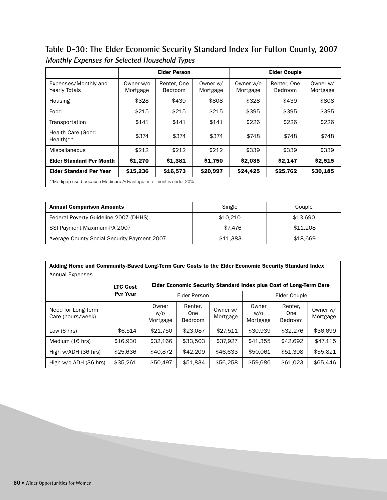**Table D-30: The Elder Economic Security Standard Index for Fulton County, 2007 Monthly Expenses for Selected Household Types**

|                                                                    | <b>Elder Person</b>   |                               |                      |                       | <b>Elder Couple</b>    |                      |  |  |
|--------------------------------------------------------------------|-----------------------|-------------------------------|----------------------|-----------------------|------------------------|----------------------|--|--|
| Expenses/Monthly and<br><b>Yearly Totals</b>                       | Owner w/o<br>Mortgage | Renter, One<br><b>Bedroom</b> | Owner w/<br>Mortgage | Owner w/o<br>Mortgage | Renter, One<br>Bedroom | Owner w/<br>Mortgage |  |  |
| Housing                                                            | \$328                 | \$439                         | \$808                | \$328                 | \$439                  | \$808                |  |  |
| Food                                                               | \$215                 | \$215                         | \$215                | \$395                 | \$395                  | \$395                |  |  |
| Transportation                                                     | \$141                 | \$141                         | \$141                | \$226                 | \$226                  | \$226                |  |  |
| Health Care (Good<br>$Health**$                                    | \$374                 | \$374                         | \$374                | \$748                 | \$748                  | \$748                |  |  |
| Miscellaneous                                                      | \$212                 | \$212                         | \$212                | \$339                 | \$339                  | \$339                |  |  |
| <b>Elder Standard Per Month</b>                                    | \$1,270               | \$1,381                       | \$1,750              | \$2,035               | \$2,147                | \$2,515              |  |  |
| <b>Elder Standard Per Year</b>                                     | \$15,236              | \$16,573                      | \$20,997             | \$24,425              | \$25,762               | \$30,185             |  |  |
| **Medigap used because Medicare Advantage enrollment is under 20%. |                       |                               |                      |                       |                        |                      |  |  |

| <b>Annual Comparison Amounts</b>            | Single   | Couple   |
|---------------------------------------------|----------|----------|
| Federal Poverty Guideline 2007 (DHHS)       | \$10,210 | \$13.690 |
| SSI Payment Maximum-PA 2007                 | \$7.476  | \$11,208 |
| Average County Social Security Payment 2007 | \$11.383 | \$18,669 |

| Adding Home and Community-Based Long-Term Care Costs to the Elder Economic Security Standard Index |                 |                                                                    |                                  |                      |                          |                                  |                      |  |  |
|----------------------------------------------------------------------------------------------------|-----------------|--------------------------------------------------------------------|----------------------------------|----------------------|--------------------------|----------------------------------|----------------------|--|--|
| Annual Expenses                                                                                    |                 |                                                                    |                                  |                      |                          |                                  |                      |  |  |
|                                                                                                    | <b>LTC Cost</b> | Elder Economic Security Standard Index plus Cost of Long-Term Care |                                  |                      |                          |                                  |                      |  |  |
|                                                                                                    | Per Year        |                                                                    | <b>Elder Person</b>              |                      | Elder Couple             |                                  |                      |  |  |
| Need for Long-Term<br>Care (hours/week)                                                            |                 | Owner<br>w/o<br>Mortgage                                           | Renter,<br>One<br><b>Bedroom</b> | Owner w/<br>Mortgage | Owner<br>w/o<br>Mortgage | Renter,<br>One<br><b>Bedroom</b> | Owner w/<br>Mortgage |  |  |
| Low $(6 \text{ hrs})$                                                                              | \$6.514         | \$21,750                                                           | \$23,087                         | \$27,511             | \$30,939                 | \$32,276                         | \$36,699             |  |  |
| Medium (16 hrs)                                                                                    | \$16,930        | \$32,166                                                           | \$33,503                         | \$37,927             | \$41,355                 | \$42,692                         | \$47.115             |  |  |
| High w/ADH (36 hrs)                                                                                | \$25,636        | \$40,872                                                           | \$42,209                         | \$46,633             | \$50,061                 | \$51,398                         | \$55,821             |  |  |
| High w/o ADH (36 hrs)                                                                              | \$35,261        | \$50,497                                                           | \$51,834                         | \$56,258             | \$59,686                 | \$61,023                         | \$65,446             |  |  |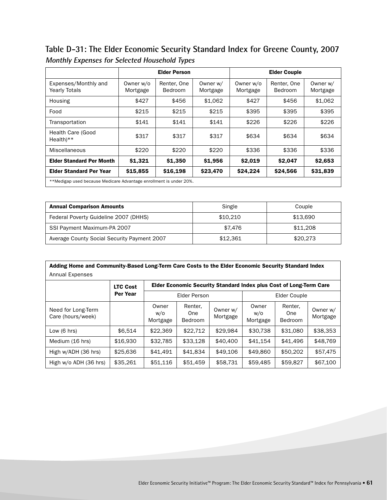**Table D-31: The Elder Economic Security Standard Index for Greene County, 2007 Monthly Expenses for Selected Household Types**

|                                                                    |                       | <b>Elder Person</b>           |                      | <b>Elder Couple</b>   |                        |                      |  |  |  |
|--------------------------------------------------------------------|-----------------------|-------------------------------|----------------------|-----------------------|------------------------|----------------------|--|--|--|
| Expenses/Monthly and<br><b>Yearly Totals</b>                       | Owner w/o<br>Mortgage | Renter, One<br><b>Bedroom</b> | Owner w/<br>Mortgage | Owner w/o<br>Mortgage | Renter, One<br>Bedroom | Owner w/<br>Mortgage |  |  |  |
| Housing                                                            | \$427                 | \$456                         | \$1,062              | \$427                 | \$456                  | \$1,062              |  |  |  |
| Food                                                               | \$215                 | \$215                         | \$215                | \$395                 | \$395                  | \$395                |  |  |  |
| Transportation                                                     | \$141                 | \$141                         | \$141                | \$226                 | \$226                  | \$226                |  |  |  |
| Health Care (Good<br>$Health**$                                    | \$317                 | \$317                         | \$317                | \$634                 | \$634                  | \$634                |  |  |  |
| Miscellaneous                                                      | \$220                 | \$220                         | \$220                | \$336                 | \$336                  | \$336                |  |  |  |
| <b>Elder Standard Per Month</b>                                    | \$1,321               | \$1,350                       | \$1,956              | \$2,019               | \$2,047                | \$2,653              |  |  |  |
| <b>Elder Standard Per Year</b>                                     | \$15,855              | \$16,198                      | \$23,470             | \$24,224              | \$24,566               | \$31,839             |  |  |  |
| **Medigap used because Medicare Advantage enrollment is under 20%. |                       |                               |                      |                       |                        |                      |  |  |  |

| <b>Annual Comparison Amounts</b>            | Single   | Couple   |  |  |
|---------------------------------------------|----------|----------|--|--|
| Federal Poverty Guideline 2007 (DHHS)       | \$10,210 | \$13,690 |  |  |
| SSI Payment Maximum-PA 2007                 | \$7.476  | \$11,208 |  |  |
| Average County Social Security Payment 2007 | \$12.361 | \$20,273 |  |  |

| Adding Home and Community-Based Long-Term Care Costs to the Elder Economic Security Standard Index |                 |                                                                    |                                  |                      |                          |                                  |                      |  |  |
|----------------------------------------------------------------------------------------------------|-----------------|--------------------------------------------------------------------|----------------------------------|----------------------|--------------------------|----------------------------------|----------------------|--|--|
| <b>Annual Expenses</b>                                                                             |                 |                                                                    |                                  |                      |                          |                                  |                      |  |  |
|                                                                                                    | <b>LTC Cost</b> | Elder Economic Security Standard Index plus Cost of Long-Term Care |                                  |                      |                          |                                  |                      |  |  |
|                                                                                                    | <b>Per Year</b> |                                                                    | Elder Person                     |                      |                          | Elder Couple                     |                      |  |  |
| Need for Long-Term<br>Care (hours/week)                                                            |                 | Owner<br>w/o<br>Mortgage                                           | Renter,<br>One<br><b>Bedroom</b> | Owner w/<br>Mortgage | Owner<br>W/O<br>Mortgage | Renter.<br>One<br><b>Bedroom</b> | Owner w/<br>Mortgage |  |  |
| Low $(6 \text{ hrs})$                                                                              | \$6.514         | \$22,369                                                           | \$22.712                         | \$29.984             | \$30.738                 | \$31.080                         | \$38,353             |  |  |
| Medium (16 hrs)                                                                                    | \$16,930        | \$32.785                                                           | \$33,128                         | \$40,400             | \$41,154                 | \$41,496                         | \$48,769             |  |  |
| High w/ADH (36 hrs)                                                                                | \$25,636        | \$41,491                                                           | \$41,834                         | \$49,106             | \$49,860                 | \$50,202                         | \$57,475             |  |  |
| High w/o ADH (36 hrs)                                                                              | \$35,261        | \$51,116                                                           | \$51,459                         | \$58,731             | \$59,485                 | \$59,827                         | \$67,100             |  |  |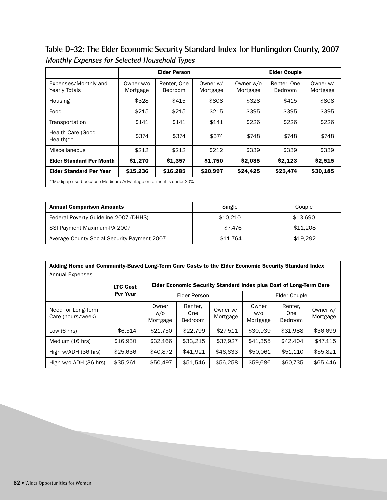**Table D-32: The Elder Economic Security Standard Index for Huntingdon County, 2007 Monthly Expenses for Selected Household Types**

|                                                                    |                       | <b>Elder Person</b>           |                      | <b>Elder Couple</b>   |                        |                      |  |  |
|--------------------------------------------------------------------|-----------------------|-------------------------------|----------------------|-----------------------|------------------------|----------------------|--|--|
| Expenses/Monthly and<br><b>Yearly Totals</b>                       | Owner w/o<br>Mortgage | Renter, One<br><b>Bedroom</b> | Owner w/<br>Mortgage | Owner w/o<br>Mortgage | Renter, One<br>Bedroom | Owner w/<br>Mortgage |  |  |
| Housing                                                            | \$328                 | \$415                         | \$808                | \$328                 | \$415                  | \$808                |  |  |
| Food                                                               | \$215                 | \$215                         | \$215                | \$395                 | \$395                  | \$395                |  |  |
| Transportation                                                     | \$141                 | \$141                         | \$141                | \$226                 | \$226                  | \$226                |  |  |
| Health Care (Good<br>$Health**$                                    | \$374                 | \$374                         | \$374                | \$748                 | \$748                  | \$748                |  |  |
| Miscellaneous                                                      | \$212                 | \$212                         | \$212                | \$339                 | \$339                  | \$339                |  |  |
| <b>Elder Standard Per Month</b>                                    | \$1,270               | \$1,357                       | \$1,750              | \$2,035               | \$2,123                | \$2,515              |  |  |
| <b>Elder Standard Per Year</b>                                     | \$15,236              | \$16,285                      | \$20,997             | \$24,425              | \$25,474               | \$30,185             |  |  |
| **Medigap used because Medicare Advantage enrollment is under 20%. |                       |                               |                      |                       |                        |                      |  |  |

| <b>Annual Comparison Amounts</b>            | Single   | Couple   |  |  |
|---------------------------------------------|----------|----------|--|--|
| Federal Poverty Guideline 2007 (DHHS)       | \$10.210 | \$13.690 |  |  |
| SSI Payment Maximum-PA 2007                 | \$7.476  | \$11,208 |  |  |
| Average County Social Security Payment 2007 | \$11.764 | \$19.292 |  |  |

| Adding Home and Community-Based Long-Term Care Costs to the Elder Economic Security Standard Index |                 |                                                                    |                                  |                      |                          |                                  |                      |  |  |
|----------------------------------------------------------------------------------------------------|-----------------|--------------------------------------------------------------------|----------------------------------|----------------------|--------------------------|----------------------------------|----------------------|--|--|
| Annual Expenses                                                                                    |                 |                                                                    |                                  |                      |                          |                                  |                      |  |  |
|                                                                                                    | <b>LTC Cost</b> | Elder Economic Security Standard Index plus Cost of Long-Term Care |                                  |                      |                          |                                  |                      |  |  |
|                                                                                                    | <b>Per Year</b> | Elder Person                                                       |                                  |                      | Elder Couple             |                                  |                      |  |  |
| Need for Long-Term<br>Care (hours/week)                                                            |                 | Owner<br>w/o<br>Mortgage                                           | Renter,<br>One<br><b>Bedroom</b> | Owner w/<br>Mortgage | Owner<br>w/o<br>Mortgage | Renter.<br>One<br><b>Bedroom</b> | Owner w/<br>Mortgage |  |  |
| Low $(6 \text{ hrs})$                                                                              | \$6.514         | \$21,750                                                           | \$22,799                         | \$27.511             | \$30,939                 | \$31.988                         | \$36,699             |  |  |
| Medium (16 hrs)                                                                                    | \$16,930        | \$32,166                                                           | \$33.215                         | \$37,927             | \$41,355                 | \$42,404                         | \$47,115             |  |  |
| High w/ADH (36 hrs)                                                                                | \$25,636        | \$40,872                                                           | \$41.921                         | \$46,633             | \$50,061                 | \$51,110                         | \$55,821             |  |  |
| High w/o ADH (36 hrs)                                                                              | \$35,261        | \$50,497                                                           | \$51,546                         | \$56,258             | \$59,686                 | \$60,735                         | \$65,446             |  |  |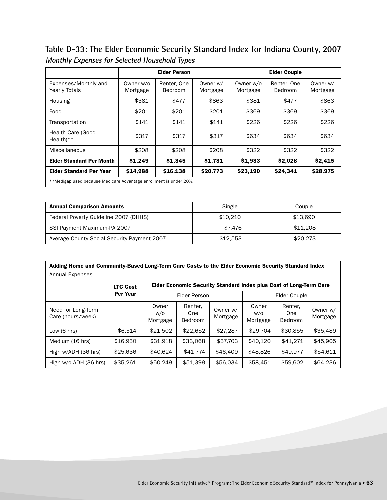**Table D-33: The Elder Economic Security Standard Index for Indiana County, 2007 Monthly Expenses for Selected Household Types**

|                                                                    |                       | <b>Elder Person</b>    |                      |                       | <b>Elder Couple</b>    |                      |
|--------------------------------------------------------------------|-----------------------|------------------------|----------------------|-----------------------|------------------------|----------------------|
| Expenses/Monthly and<br><b>Yearly Totals</b>                       | Owner w/o<br>Mortgage | Renter, One<br>Bedroom | Owner w/<br>Mortgage | Owner w/o<br>Mortgage | Renter, One<br>Bedroom | Owner w/<br>Mortgage |
| Housing                                                            | \$381                 | \$477                  | \$863                | \$381                 | \$477                  | \$863                |
| Food                                                               | \$201                 | \$201                  | \$201                | \$369                 | \$369                  | \$369                |
| Transportation                                                     | \$141                 | \$141                  | \$141                | \$226                 | \$226                  | \$226                |
| Health Care (Good<br>$Health**$                                    | \$317                 | \$317                  | \$317                | \$634                 | \$634                  | \$634                |
| <b>Miscellaneous</b>                                               | \$208                 | \$208                  | \$208                | \$322                 | \$322                  | \$322                |
| <b>Elder Standard Per Month</b>                                    | \$1,249               | \$1,345                | \$1,731              | \$1,933               | \$2,028                | \$2,415              |
| <b>Elder Standard Per Year</b>                                     | \$14,988              | \$16,138               | \$20,773             | \$23,190              | \$24,341               | \$28,975             |
| **Medigap used because Medicare Advantage enrollment is under 20%. |                       |                        |                      |                       |                        |                      |

| <b>Annual Comparison Amounts</b>            | Single   | Couple   |
|---------------------------------------------|----------|----------|
| Federal Poverty Guideline 2007 (DHHS)       | \$10,210 | \$13,690 |
| SSI Payment Maximum-PA 2007                 | \$7.476  | \$11,208 |
| Average County Social Security Payment 2007 | \$12.553 | \$20,273 |

| Adding Home and Community-Based Long-Term Care Costs to the Elder Economic Security Standard Index |                 |                          |                                                                    |                      |                          |                                  |                      |  |  |
|----------------------------------------------------------------------------------------------------|-----------------|--------------------------|--------------------------------------------------------------------|----------------------|--------------------------|----------------------------------|----------------------|--|--|
| <b>Annual Expenses</b>                                                                             |                 |                          |                                                                    |                      |                          |                                  |                      |  |  |
|                                                                                                    | <b>LTC Cost</b> |                          | Elder Economic Security Standard Index plus Cost of Long-Term Care |                      |                          |                                  |                      |  |  |
|                                                                                                    | Per Year        | Elder Person             |                                                                    |                      | Elder Couple             |                                  |                      |  |  |
| Need for Long-Term<br>Care (hours/week)                                                            |                 | Owner<br>w/o<br>Mortgage | Renter,<br>One<br>Bedroom                                          | Owner w/<br>Mortgage | Owner<br>w/o<br>Mortgage | Renter,<br>One<br><b>Bedroom</b> | Owner w/<br>Mortgage |  |  |
| Low $(6 \text{ hrs})$                                                                              | \$6.514         | \$21,502                 | \$22,652                                                           | \$27,287             | \$29.704                 | \$30,855                         | \$35,489             |  |  |
| Medium (16 hrs)                                                                                    | \$16,930        | \$31,918                 | \$33,068                                                           | \$37,703             | \$40,120                 | \$41.271                         | \$45,905             |  |  |
| High w/ADH (36 hrs)                                                                                | \$25,636        | \$40,624                 | \$41,774                                                           | \$46,409             | \$48,826                 | \$49.977                         | \$54.611             |  |  |
| High w/o ADH (36 hrs)                                                                              | \$35,261        | \$50,249                 | \$51,399                                                           | \$56,034             | \$58,451                 | \$59,602                         | \$64,236             |  |  |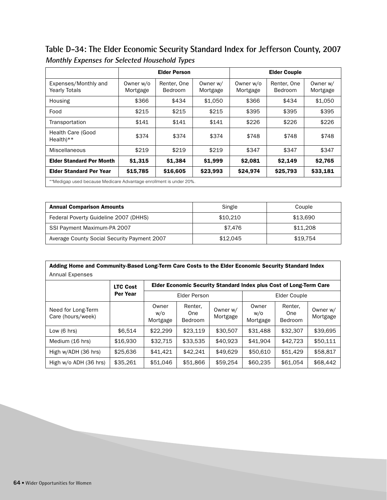**Table D-34: The Elder Economic Security Standard Index for Jefferson County, 2007 Monthly Expenses for Selected Household Types**

|                                                                    |                       | <b>Elder Person</b>    |                      |                       | <b>Elder Couple</b>    |                      |
|--------------------------------------------------------------------|-----------------------|------------------------|----------------------|-----------------------|------------------------|----------------------|
| Expenses/Monthly and<br><b>Yearly Totals</b>                       | Owner w/o<br>Mortgage | Renter, One<br>Bedroom | Owner w/<br>Mortgage | Owner w/o<br>Mortgage | Renter, One<br>Bedroom | Owner w/<br>Mortgage |
| Housing                                                            | \$366                 | \$434                  | \$1.050              | \$366                 | \$434                  | \$1,050              |
| Food                                                               | \$215                 | \$215                  | \$215                | \$395                 | \$395                  | \$395                |
| Transportation                                                     | \$141                 | \$141                  | \$141                | \$226                 | \$226                  | \$226                |
| <b>Health Care (Good</b><br>$Health**$                             | \$374                 | \$374                  | \$374                | \$748                 | \$748                  | \$748                |
| Miscellaneous                                                      | \$219                 | \$219                  | \$219                | \$347                 | \$347                  | \$347                |
| <b>Elder Standard Per Month</b>                                    | \$1,315               | \$1,384                | \$1,999              | \$2,081               | \$2,149                | \$2,765              |
| <b>Elder Standard Per Year</b>                                     | \$15,785              | \$16,605               | \$23,993             | \$24,974              | \$25,793               | \$33,181             |
| **Medigap used because Medicare Advantage enrollment is under 20%. |                       |                        |                      |                       |                        |                      |

| <b>Annual Comparison Amounts</b>            | Single   | Couple   |
|---------------------------------------------|----------|----------|
| Federal Poverty Guideline 2007 (DHHS)       | \$10.210 | \$13.690 |
| SSI Payment Maximum-PA 2007                 | \$7.476  | \$11,208 |
| Average County Social Security Payment 2007 | \$12.045 | \$19.754 |

| Adding Home and Community-Based Long-Term Care Costs to the Elder Economic Security Standard Index |                 |                          |                                                                    |                      |                          |                                  |                      |  |
|----------------------------------------------------------------------------------------------------|-----------------|--------------------------|--------------------------------------------------------------------|----------------------|--------------------------|----------------------------------|----------------------|--|
| Annual Expenses                                                                                    |                 |                          |                                                                    |                      |                          |                                  |                      |  |
|                                                                                                    | <b>LTC Cost</b> |                          | Elder Economic Security Standard Index plus Cost of Long-Term Care |                      |                          |                                  |                      |  |
|                                                                                                    | Per Year        | <b>Elder Person</b>      |                                                                    |                      | Elder Couple             |                                  |                      |  |
| Need for Long-Term<br>Care (hours/week)                                                            |                 | Owner<br>w/o<br>Mortgage | Renter,<br>One<br><b>Bedroom</b>                                   | Owner w/<br>Mortgage | Owner<br>w/o<br>Mortgage | Renter.<br>One<br><b>Bedroom</b> | Owner w/<br>Mortgage |  |
| Low $(6 \text{ hrs})$                                                                              | \$6.514         | \$22,299                 | \$23.119                                                           | \$30,507             | \$31,488                 | \$32,307                         | \$39.695             |  |
| Medium (16 hrs)                                                                                    | \$16,930        | \$32.715                 | \$33.535                                                           | \$40.923             | \$41.904                 | \$42,723                         | \$50.111             |  |
| High w/ADH (36 hrs)                                                                                | \$25,636        | \$41.421                 | \$42.241                                                           | \$49.629             | \$50,610                 | \$51,429                         | \$58,817             |  |
| High w/o ADH (36 hrs)                                                                              | \$35,261        | \$51,046                 | \$51,866                                                           | \$59,254             | \$60,235                 | \$61,054                         | \$68,442             |  |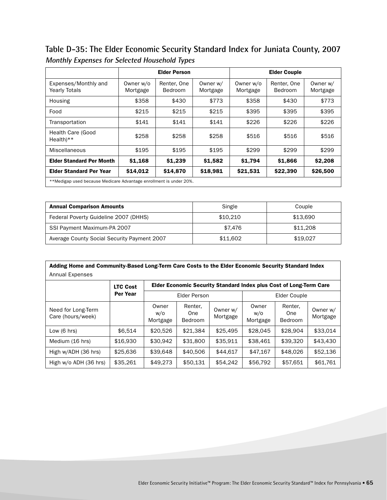**Table D-35: The Elder Economic Security Standard Index for Juniata County, 2007 Monthly Expenses for Selected Household Types**

|                                                                    |                       | <b>Elder Person</b>           |                      |                       | <b>Elder Couple</b>    |                      |
|--------------------------------------------------------------------|-----------------------|-------------------------------|----------------------|-----------------------|------------------------|----------------------|
| Expenses/Monthly and<br><b>Yearly Totals</b>                       | Owner w/o<br>Mortgage | Renter, One<br><b>Bedroom</b> | Owner w/<br>Mortgage | Owner w/o<br>Mortgage | Renter, One<br>Bedroom | Owner w/<br>Mortgage |
| Housing                                                            | \$358                 | \$430                         | \$773                | \$358                 | \$430                  | \$773                |
| Food                                                               | \$215                 | \$215                         | \$215                | \$395                 | \$395                  | \$395                |
| Transportation                                                     | \$141                 | \$141                         | \$141                | \$226                 | \$226                  | \$226                |
| Health Care (Good<br>$Health**$                                    | \$258                 | \$258                         | \$258                | \$516                 | \$516                  | \$516                |
| Miscellaneous                                                      | \$195                 | \$195                         | \$195                | \$299                 | \$299                  | \$299                |
| <b>Elder Standard Per Month</b>                                    | \$1,168               | \$1,239                       | \$1,582              | \$1,794               | \$1,866                | \$2,208              |
| <b>Elder Standard Per Year</b>                                     | \$14,012              | \$14,870                      | \$18,981             | \$21,531              | \$22,390               | \$26,500             |
| **Medigap used because Medicare Advantage enrollment is under 20%. |                       |                               |                      |                       |                        |                      |

| <b>Annual Comparison Amounts</b>            | Single   | Couple   |
|---------------------------------------------|----------|----------|
| Federal Poverty Guideline 2007 (DHHS)       | \$10.210 | \$13.690 |
| SSI Payment Maximum-PA 2007                 | \$7.476  | \$11,208 |
| Average County Social Security Payment 2007 | \$11.602 | \$19.027 |

| Adding Home and Community-Based Long-Term Care Costs to the Elder Economic Security Standard Index |                 |                          |                                                                    |                      |                          |                                  |                      |  |
|----------------------------------------------------------------------------------------------------|-----------------|--------------------------|--------------------------------------------------------------------|----------------------|--------------------------|----------------------------------|----------------------|--|
| <b>Annual Expenses</b>                                                                             |                 |                          |                                                                    |                      |                          |                                  |                      |  |
|                                                                                                    | <b>LTC Cost</b> |                          | Elder Economic Security Standard Index plus Cost of Long-Term Care |                      |                          |                                  |                      |  |
|                                                                                                    | Per Year        | <b>Elder Person</b>      |                                                                    |                      | Elder Couple             |                                  |                      |  |
| Need for Long-Term<br>Care (hours/week)                                                            |                 | Owner<br>w/o<br>Mortgage | Renter,<br>One<br>Bedroom                                          | Owner w/<br>Mortgage | Owner<br>w/o<br>Mortgage | Renter.<br>One<br><b>Bedroom</b> | Owner w/<br>Mortgage |  |
| Low $(6 \text{ hrs})$                                                                              | \$6.514         | \$20,526                 | \$21.384                                                           | \$25,495             | \$28,045                 | \$28.904                         | \$33.014             |  |
| Medium (16 hrs)                                                                                    | \$16,930        | \$30.942                 | \$31,800                                                           | \$35.911             | \$38,461                 | \$39,320                         | \$43,430             |  |
| High w/ADH (36 hrs)                                                                                | \$25,636        | \$39,648                 | \$40,506                                                           | \$44.617             | \$47,167                 | \$48,026                         | \$52,136             |  |
| High w/o ADH (36 hrs)                                                                              | \$35,261        | \$49,273                 | \$50.131                                                           | \$54.242             | \$56,792                 | \$57,651                         | \$61,761             |  |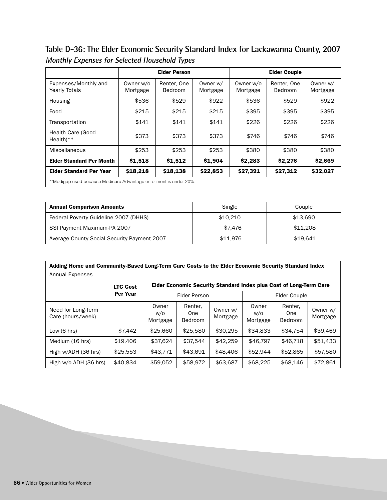**Table D-36: The Elder Economic Security Standard Index for Lackawanna County, 2007 Monthly Expenses for Selected Household Types**

|                                              |                                                                    | <b>Elder Person</b>           |                      |                       | <b>Elder Couple</b>    |                      |  |  |
|----------------------------------------------|--------------------------------------------------------------------|-------------------------------|----------------------|-----------------------|------------------------|----------------------|--|--|
| Expenses/Monthly and<br><b>Yearly Totals</b> | Owner w/o<br>Mortgage                                              | Renter, One<br><b>Bedroom</b> | Owner w/<br>Mortgage | Owner w/o<br>Mortgage | Renter, One<br>Bedroom | Owner w/<br>Mortgage |  |  |
| Housing                                      | \$536                                                              | \$529                         | \$922                | \$536                 | \$529                  | \$922                |  |  |
| Food                                         | \$215                                                              | \$215                         | \$215                | \$395                 | \$395                  | \$395                |  |  |
| Transportation                               | \$141                                                              | \$141                         | \$141                | \$226                 | \$226                  | \$226                |  |  |
| <b>Health Care (Good</b><br>$Health**$       | \$373                                                              | \$373                         | \$373                | \$746                 | \$746                  | \$746                |  |  |
| Miscellaneous                                | \$253                                                              | \$253                         | \$253                | \$380                 | \$380                  | \$380                |  |  |
| <b>Elder Standard Per Month</b>              | \$1,518                                                            | \$1,512                       | \$1,904              | \$2,283               | \$2,276                | \$2,669              |  |  |
| <b>Elder Standard Per Year</b>               | \$18,218                                                           | \$18,138                      | \$22,853             | \$27,391              | \$27,312               | \$32,027             |  |  |
|                                              | **Medigap used because Medicare Advantage enrollment is under 20%. |                               |                      |                       |                        |                      |  |  |

| <b>Annual Comparison Amounts</b>            | Single   | Couple   |
|---------------------------------------------|----------|----------|
| Federal Poverty Guideline 2007 (DHHS)       | \$10.210 | \$13.690 |
| SSI Payment Maximum-PA 2007                 | \$7.476  | \$11,208 |
| Average County Social Security Payment 2007 | \$11,976 | \$19.641 |

| Adding Home and Community-Based Long-Term Care Costs to the Elder Economic Security Standard Index |                 |                                                                           |                                  |                      |                          |                                  |                      |  |  |
|----------------------------------------------------------------------------------------------------|-----------------|---------------------------------------------------------------------------|----------------------------------|----------------------|--------------------------|----------------------------------|----------------------|--|--|
| <b>Annual Expenses</b>                                                                             |                 |                                                                           |                                  |                      |                          |                                  |                      |  |  |
|                                                                                                    | <b>LTC Cost</b> | <b>Elder Economic Security Standard Index plus Cost of Long-Term Care</b> |                                  |                      |                          |                                  |                      |  |  |
|                                                                                                    | <b>Per Year</b> | <b>Elder Person</b>                                                       |                                  |                      | Elder Couple             |                                  |                      |  |  |
| Need for Long-Term<br>Care (hours/week)                                                            |                 | Owner<br>w/o<br>Mortgage                                                  | Renter,<br>One<br><b>Bedroom</b> | Owner w/<br>Mortgage | Owner<br>w/o<br>Mortgage | Renter.<br>One<br><b>Bedroom</b> | Owner w/<br>Mortgage |  |  |
| Low $(6 \text{ hrs})$                                                                              | \$7,442         | \$25,660                                                                  | \$25,580                         | \$30.295             | \$34,833                 | \$34.754                         | \$39,469             |  |  |
| Medium (16 hrs)                                                                                    | \$19,406        | \$37,624                                                                  | \$37,544                         | \$42,259             | \$46,797                 | \$46,718                         | \$51,433             |  |  |
| High w/ADH (36 hrs)                                                                                | \$25,553        | \$43.771                                                                  | \$43,691                         | \$48,406             | \$52,944                 | \$52,865                         | \$57,580             |  |  |
| High w/o ADH (36 hrs)                                                                              | \$40,834        | \$59,052                                                                  | \$58,972                         | \$63,687             | \$68,225                 | \$68,146                         | \$72,861             |  |  |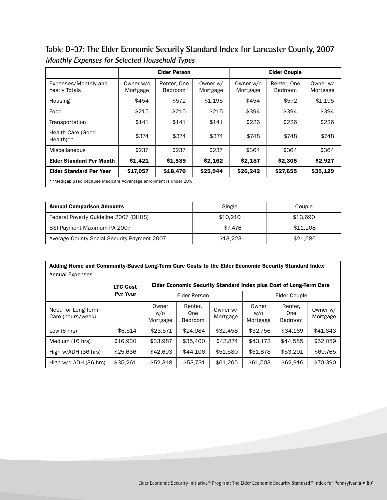**Table D-37: The Elder Economic Security Standard Index for Lancaster County, 2007 Monthly Expenses for Selected Household Types**

|                                                                    |                       | <b>Elder Person</b>           |                      |                       | <b>Elder Couple</b>    |                      |
|--------------------------------------------------------------------|-----------------------|-------------------------------|----------------------|-----------------------|------------------------|----------------------|
| Expenses/Monthly and<br><b>Yearly Totals</b>                       | Owner w/o<br>Mortgage | Renter, One<br><b>Bedroom</b> | Owner w/<br>Mortgage | Owner w/o<br>Mortgage | Renter, One<br>Bedroom | Owner w/<br>Mortgage |
| Housing                                                            | \$454                 | \$572                         | \$1,195              | \$454                 | \$572                  | \$1,195              |
| Food                                                               | \$215                 | \$215                         | \$215                | \$394                 | \$394                  | \$394                |
| Transportation                                                     | \$141                 | \$141                         | \$141                | \$226                 | \$226                  | \$226                |
| <b>Health Care (Good</b><br>$Health**$                             | \$374                 | \$374                         | \$374                | \$748                 | \$748                  | \$748                |
| Miscellaneous                                                      | \$237                 | \$237                         | \$237                | \$364                 | \$364                  | \$364                |
| <b>Elder Standard Per Month</b>                                    | \$1,421               | \$1,539                       | \$2,162              | \$2,187               | \$2,305                | \$2,927              |
| <b>Elder Standard Per Year</b>                                     | \$17,057              | \$18,470                      | \$25,944             | \$26,242              | \$27,655               | \$35,129             |
| **Medigap used because Medicare Advantage enrollment is under 20%. |                       |                               |                      |                       |                        |                      |

| <b>Annual Comparison Amounts</b>            | Single   | Couple   |
|---------------------------------------------|----------|----------|
| Federal Poverty Guideline 2007 (DHHS)       | \$10.210 | \$13.690 |
| SSI Payment Maximum-PA 2007                 | \$7.476  | \$11,208 |
| Average County Social Security Payment 2007 | \$13.223 | \$21,686 |

| Adding Home and Community-Based Long-Term Care Costs to the Elder Economic Security Standard Index |                 |                          |                           |                      |                                                                    |                                  |                      |  |
|----------------------------------------------------------------------------------------------------|-----------------|--------------------------|---------------------------|----------------------|--------------------------------------------------------------------|----------------------------------|----------------------|--|
| <b>Annual Expenses</b>                                                                             |                 |                          |                           |                      |                                                                    |                                  |                      |  |
|                                                                                                    | <b>LTC Cost</b> |                          |                           |                      | Elder Economic Security Standard Index plus Cost of Long-Term Care |                                  |                      |  |
|                                                                                                    | Per Year        | <b>Elder Person</b>      |                           |                      | Elder Couple                                                       |                                  |                      |  |
| Need for Long-Term<br>Care (hours/week)                                                            |                 | Owner<br>w/o<br>Mortgage | Renter,<br>One<br>Bedroom | Owner w/<br>Mortgage | Owner<br>w/o<br>Mortgage                                           | Renter.<br>One<br><b>Bedroom</b> | Owner w/<br>Mortgage |  |
| Low $(6 \text{ hrs})$                                                                              | \$6.514         | \$23.571                 | \$24.984                  | \$32,458             | \$32,756                                                           | \$34.169                         | \$41,643             |  |
| Medium (16 hrs)                                                                                    | \$16,930        | \$33.987                 | \$35,400                  | \$42,874             | \$43.172                                                           | \$44.585                         | \$52,059             |  |
| High w/ADH (36 hrs)                                                                                | \$25,636        | \$42,693                 | \$44,106                  | \$51,580             | \$51,878                                                           | \$53.291                         | \$60,765             |  |
| High w/o ADH (36 hrs)                                                                              | \$35,261        | \$52,318                 | \$53,731                  | \$61,205             | \$61,503                                                           | \$62,916                         | \$70,390             |  |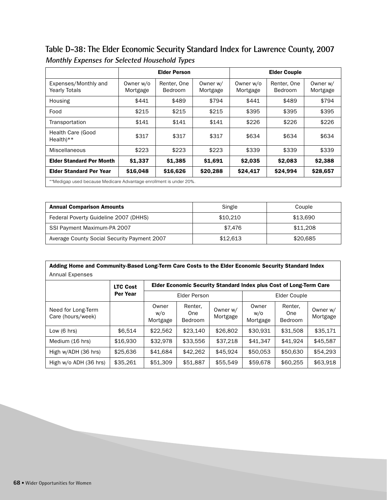**Table D-38: The Elder Economic Security Standard Index for Lawrence County, 2007 Monthly Expenses for Selected Household Types**

|                                                                    |                       | <b>Elder Person</b>           |                      |                       | <b>Elder Couple</b>    |                      |
|--------------------------------------------------------------------|-----------------------|-------------------------------|----------------------|-----------------------|------------------------|----------------------|
| Expenses/Monthly and<br><b>Yearly Totals</b>                       | Owner w/o<br>Mortgage | Renter, One<br><b>Bedroom</b> | Owner w/<br>Mortgage | Owner w/o<br>Mortgage | Renter, One<br>Bedroom | Owner w/<br>Mortgage |
| Housing                                                            | \$441                 | \$489                         | \$794                | \$441                 | \$489                  | \$794                |
| Food                                                               | \$215                 | \$215                         | \$215                | \$395                 | \$395                  | \$395                |
| Transportation                                                     | \$141                 | \$141                         | \$141                | \$226                 | \$226                  | \$226                |
| Health Care (Good<br>$Health**$                                    | \$317                 | \$317                         | \$317                | \$634                 | \$634                  | \$634                |
| Miscellaneous                                                      | \$223                 | \$223                         | \$223                | \$339                 | \$339                  | \$339                |
| <b>Elder Standard Per Month</b>                                    | \$1,337               | \$1,385                       | \$1,691              | \$2,035               | \$2.083                | \$2,388              |
| <b>Elder Standard Per Year</b>                                     | \$16,048              | \$16,626                      | \$20,288             | \$24,417              | \$24,994               | \$28,657             |
| **Medigap used because Medicare Advantage enrollment is under 20%. |                       |                               |                      |                       |                        |                      |

| <b>Annual Comparison Amounts</b>            | Single   | Couple   |
|---------------------------------------------|----------|----------|
| Federal Poverty Guideline 2007 (DHHS)       | \$10.210 | \$13.690 |
| SSI Payment Maximum-PA 2007                 | \$7.476  | \$11,208 |
| Average County Social Security Payment 2007 | \$12.613 | \$20,685 |

| Adding Home and Community-Based Long-Term Care Costs to the Elder Economic Security Standard Index |                 |                          |                                                                    |                      |                          |                                  |                      |  |
|----------------------------------------------------------------------------------------------------|-----------------|--------------------------|--------------------------------------------------------------------|----------------------|--------------------------|----------------------------------|----------------------|--|
| Annual Expenses                                                                                    |                 |                          |                                                                    |                      |                          |                                  |                      |  |
|                                                                                                    | <b>LTC Cost</b> |                          | Elder Economic Security Standard Index plus Cost of Long-Term Care |                      |                          |                                  |                      |  |
|                                                                                                    | Per Year        | <b>Elder Person</b>      |                                                                    |                      | Elder Couple             |                                  |                      |  |
| Need for Long-Term<br>Care (hours/week)                                                            |                 | Owner<br>w/o<br>Mortgage | Renter,<br>One<br><b>Bedroom</b>                                   | Owner w/<br>Mortgage | Owner<br>w/o<br>Mortgage | Renter.<br>One<br><b>Bedroom</b> | Owner w/<br>Mortgage |  |
| Low $(6 \text{ hrs})$                                                                              | \$6.514         | \$22,562                 | \$23,140                                                           | \$26,802             | \$30,931                 | \$31,508                         | \$35.171             |  |
| Medium (16 hrs)                                                                                    | \$16,930        | \$32.978                 | \$33,556                                                           | \$37,218             | \$41.347                 | \$41,924                         | \$45.587             |  |
| High w/ADH (36 hrs)                                                                                | \$25,636        | \$41.684                 | \$42,262                                                           | \$45.924             | \$50.053                 | \$50,630                         | \$54.293             |  |
| High w/o ADH (36 hrs)                                                                              | \$35,261        | \$51,309                 | \$51,887                                                           | \$55,549             | \$59,678                 | \$60,255                         | \$63,918             |  |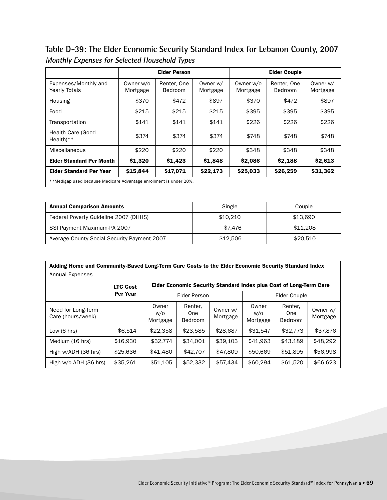**Table D-39: The Elder Economic Security Standard Index for Lebanon County, 2007 Monthly Expenses for Selected Household Types**

|                                                                    |                       | <b>Elder Person</b>           |                      |                       | <b>Elder Couple</b>    |                      |
|--------------------------------------------------------------------|-----------------------|-------------------------------|----------------------|-----------------------|------------------------|----------------------|
| Expenses/Monthly and<br><b>Yearly Totals</b>                       | Owner w/o<br>Mortgage | Renter, One<br><b>Bedroom</b> | Owner w/<br>Mortgage | Owner w/o<br>Mortgage | Renter, One<br>Bedroom | Owner w/<br>Mortgage |
| Housing                                                            | \$370                 | \$472                         | \$897                | \$370                 | \$472                  | \$897                |
| Food                                                               | \$215                 | \$215                         | \$215                | \$395                 | \$395                  | \$395                |
| Transportation                                                     | \$141                 | \$141                         | \$141                | \$226                 | \$226                  | \$226                |
| Health Care (Good<br>$Health**$                                    | \$374                 | \$374                         | \$374                | \$748                 | \$748                  | \$748                |
| Miscellaneous                                                      | \$220                 | \$220                         | \$220                | \$348                 | \$348                  | \$348                |
| <b>Elder Standard Per Month</b>                                    | \$1,320               | \$1,423                       | \$1,848              | \$2,086               | \$2,188                | \$2,613              |
| <b>Elder Standard Per Year</b>                                     | \$15,844              | \$17,071                      | \$22,173             | \$25,033              | \$26,259               | \$31,362             |
| **Medigap used because Medicare Advantage enrollment is under 20%. |                       |                               |                      |                       |                        |                      |

| <b>Annual Comparison Amounts</b>            | Single   | Couple   |
|---------------------------------------------|----------|----------|
| Federal Poverty Guideline 2007 (DHHS)       | \$10.210 | \$13.690 |
| SSI Payment Maximum-PA 2007                 | \$7.476  | \$11,208 |
| Average County Social Security Payment 2007 | \$12,506 | \$20,510 |

| Adding Home and Community-Based Long-Term Care Costs to the Elder Economic Security Standard Index |                 |                          |                                                                    |                      |                          |                                  |                      |  |
|----------------------------------------------------------------------------------------------------|-----------------|--------------------------|--------------------------------------------------------------------|----------------------|--------------------------|----------------------------------|----------------------|--|
| <b>Annual Expenses</b>                                                                             |                 |                          |                                                                    |                      |                          |                                  |                      |  |
|                                                                                                    | <b>LTC Cost</b> |                          | Elder Economic Security Standard Index plus Cost of Long-Term Care |                      |                          |                                  |                      |  |
|                                                                                                    | Per Year        | <b>Elder Person</b>      |                                                                    |                      | Elder Couple             |                                  |                      |  |
| Need for Long-Term<br>Care (hours/week)                                                            |                 | Owner<br>w/o<br>Mortgage | Renter,<br>One<br>Bedroom                                          | Owner w/<br>Mortgage | Owner<br>w/o<br>Mortgage | Renter.<br>One<br><b>Bedroom</b> | Owner w/<br>Mortgage |  |
| Low $(6 \text{ hrs})$                                                                              | \$6.514         | \$22,358                 | \$23,585                                                           | \$28,687             | \$31,547                 | \$32,773                         | \$37,876             |  |
| Medium (16 hrs)                                                                                    | \$16,930        | \$32,774                 | \$34.001                                                           | \$39,103             | \$41,963                 | \$43.189                         | \$48,292             |  |
| High w/ADH (36 hrs)                                                                                | \$25,636        | \$41,480                 | \$42,707                                                           | \$47,809             | \$50,669                 | \$51,895                         | \$56,998             |  |
| High w/o ADH (36 hrs)                                                                              | \$35,261        | \$51,105                 | \$52,332                                                           | \$57,434             | \$60,294                 | \$61,520                         | \$66,623             |  |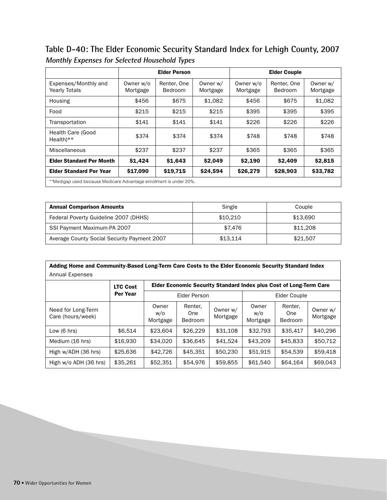**Table D-40: The Elder Economic Security Standard Index for Lehigh County, 2007 Monthly Expenses for Selected Household Types**

|                                                                    |                       | <b>Elder Person</b>    |                      |                       | <b>Elder Couple</b>    |                      |
|--------------------------------------------------------------------|-----------------------|------------------------|----------------------|-----------------------|------------------------|----------------------|
| Expenses/Monthly and<br><b>Yearly Totals</b>                       | Owner w/o<br>Mortgage | Renter, One<br>Bedroom | Owner w/<br>Mortgage | Owner w/o<br>Mortgage | Renter, One<br>Bedroom | Owner w/<br>Mortgage |
| Housing                                                            | \$456                 | \$675                  | \$1.082              | \$456                 | \$675                  | \$1,082              |
| Food                                                               | \$215                 | \$215                  | \$215                | \$395                 | \$395                  | \$395                |
| Transportation                                                     | \$141                 | \$141                  | \$141                | \$226                 | \$226                  | \$226                |
| Health Care (Good<br>$Health**$                                    | \$374                 | \$374                  | \$374                | \$748                 | \$748                  | \$748                |
| Miscellaneous                                                      | \$237                 | \$237                  | \$237                | \$365                 | \$365                  | \$365                |
| <b>Elder Standard Per Month</b>                                    | \$1,424               | \$1,643                | \$2.049              | \$2,190               | \$2,409                | \$2,815              |
| <b>Elder Standard Per Year</b>                                     | \$17,090              | \$19,715               | \$24,594             | \$26,279              | \$28,903               | \$33,782             |
| **Medigap used because Medicare Advantage enrollment is under 20%. |                       |                        |                      |                       |                        |                      |

| <b>Annual Comparison Amounts</b>            | Single   | Couple   |
|---------------------------------------------|----------|----------|
| Federal Poverty Guideline 2007 (DHHS)       | \$10.210 | \$13.690 |
| SSI Payment Maximum-PA 2007                 | \$7.476  | \$11,208 |
| Average County Social Security Payment 2007 | \$13.114 | \$21,507 |

| Adding Home and Community-Based Long-Term Care Costs to the Elder Economic Security Standard Index |                 |                          |                                                                    |                      |                          |                                  |                      |  |
|----------------------------------------------------------------------------------------------------|-----------------|--------------------------|--------------------------------------------------------------------|----------------------|--------------------------|----------------------------------|----------------------|--|
| Annual Expenses                                                                                    |                 |                          |                                                                    |                      |                          |                                  |                      |  |
|                                                                                                    | <b>LTC Cost</b> |                          | Elder Economic Security Standard Index plus Cost of Long-Term Care |                      |                          |                                  |                      |  |
|                                                                                                    | Per Year        | <b>Elder Person</b>      |                                                                    |                      | Elder Couple             |                                  |                      |  |
| Need for Long-Term<br>Care (hours/week)                                                            |                 | Owner<br>w/o<br>Mortgage | Renter,<br>One<br><b>Bedroom</b>                                   | Owner w/<br>Mortgage | Owner<br>w/o<br>Mortgage | Renter,<br>One<br><b>Bedroom</b> | Owner w/<br>Mortgage |  |
| Low $(6 \text{ hrs})$                                                                              | \$6.514         | \$23,604                 | \$26,229                                                           | \$31,108             | \$32,793                 | \$35,417                         | \$40,296             |  |
| Medium (16 hrs)                                                                                    | \$16,930        | \$34,020                 | \$36,645                                                           | \$41,524             | \$43,209                 | \$45,833                         | \$50.712             |  |
| High w/ADH (36 hrs)                                                                                | \$25,636        | \$42,726                 | \$45.351                                                           | \$50,230             | \$51,915                 | \$54,539                         | \$59,418             |  |
| High w/o ADH (36 hrs)                                                                              | \$35,261        | \$52,351                 | \$54,976                                                           | \$59,855             | \$61,540                 | \$64,164                         | \$69,043             |  |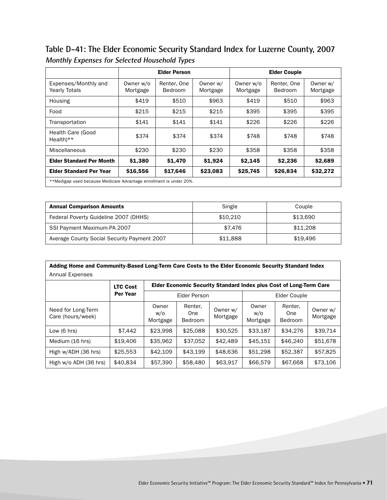**Table D-41: The Elder Economic Security Standard Index for Luzerne County, 2007 Monthly Expenses for Selected Household Types**

|                                                                    |                       | <b>Elder Person</b>           |                      |                       | <b>Elder Couple</b>    |                      |
|--------------------------------------------------------------------|-----------------------|-------------------------------|----------------------|-----------------------|------------------------|----------------------|
| Expenses/Monthly and<br><b>Yearly Totals</b>                       | Owner w/o<br>Mortgage | Renter, One<br><b>Bedroom</b> | Owner w/<br>Mortgage | Owner w/o<br>Mortgage | Renter, One<br>Bedroom | Owner w/<br>Mortgage |
| Housing                                                            | \$419                 | \$510                         | \$963                | \$419                 | \$510                  | \$963                |
| Food                                                               | \$215                 | \$215                         | \$215                | \$395                 | \$395                  | \$395                |
| Transportation                                                     | \$141                 | \$141                         | \$141                | \$226                 | \$226                  | \$226                |
| Health Care (Good<br>$Health**$                                    | \$374                 | \$374                         | \$374                | \$748                 | \$748                  | \$748                |
| Miscellaneous                                                      | \$230                 | \$230                         | \$230                | \$358                 | \$358                  | \$358                |
| <b>Elder Standard Per Month</b>                                    | \$1,380               | \$1,470                       | \$1,924              | \$2,145               | \$2,236                | \$2,689              |
| <b>Elder Standard Per Year</b>                                     | \$16,556              | \$17,646                      | \$23,083             | \$25,745              | \$26,834               | \$32,272             |
| **Medigap used because Medicare Advantage enrollment is under 20%. |                       |                               |                      |                       |                        |                      |

| <b>Annual Comparison Amounts</b>            | Single   | Couple   |
|---------------------------------------------|----------|----------|
| Federal Poverty Guideline 2007 (DHHS)       | \$10.210 | \$13.690 |
| SSI Payment Maximum-PA 2007                 | \$7.476  | \$11,208 |
| Average County Social Security Payment 2007 | \$11.888 | \$19.496 |

| Adding Home and Community-Based Long-Term Care Costs to the Elder Economic Security Standard Index |                 |                                                                    |                                  |                      |                          |                                  |                      |  |  |
|----------------------------------------------------------------------------------------------------|-----------------|--------------------------------------------------------------------|----------------------------------|----------------------|--------------------------|----------------------------------|----------------------|--|--|
| Annual Expenses                                                                                    |                 |                                                                    |                                  |                      |                          |                                  |                      |  |  |
|                                                                                                    | <b>LTC Cost</b> | Elder Economic Security Standard Index plus Cost of Long-Term Care |                                  |                      |                          |                                  |                      |  |  |
|                                                                                                    | Per Year        | Elder Person                                                       |                                  |                      | Elder Couple             |                                  |                      |  |  |
| Need for Long-Term<br>Care (hours/week)                                                            |                 | Owner<br>w/o<br>Mortgage                                           | Renter,<br>One<br><b>Bedroom</b> | Owner w/<br>Mortgage | Owner<br>W/O<br>Mortgage | Renter.<br>One<br><b>Bedroom</b> | Owner w/<br>Mortgage |  |  |
| Low $(6 \text{ hrs})$                                                                              | \$7.442         | \$23,998                                                           | \$25,088                         | \$30.525             | \$33,187                 | \$34,276                         | \$39.714             |  |  |
| Medium (16 hrs)                                                                                    | \$19,406        | \$35.962                                                           | \$37.052                         | \$42,489             | \$45.151                 | \$46,240                         | \$51,678             |  |  |
| High w/ADH (36 hrs)                                                                                | \$25,553        | \$42,109                                                           | \$43.199                         | \$48,636             | \$51,298                 | \$52,387                         | \$57,825             |  |  |
| High w/o ADH (36 hrs)                                                                              | \$40.834        | \$57,390                                                           | \$58,480                         | \$63,917             | \$66,579                 | \$67,668                         | \$73,106             |  |  |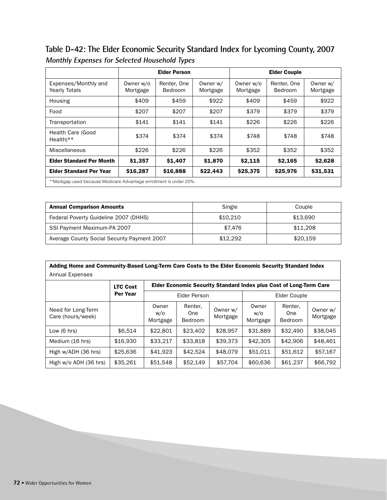**Table D-42: The Elder Economic Security Standard Index for Lycoming County, 2007 Monthly Expenses for Selected Household Types**

|                                                                    |                       | <b>Elder Person</b>           |                      |                       | <b>Elder Couple</b>    |                      |
|--------------------------------------------------------------------|-----------------------|-------------------------------|----------------------|-----------------------|------------------------|----------------------|
| Expenses/Monthly and<br><b>Yearly Totals</b>                       | Owner w/o<br>Mortgage | Renter, One<br><b>Bedroom</b> | Owner w/<br>Mortgage | Owner w/o<br>Mortgage | Renter, One<br>Bedroom | Owner w/<br>Mortgage |
| Housing                                                            | \$409                 | \$459                         | \$922                | \$409                 | \$459                  | \$922                |
| Food                                                               | \$207                 | \$207                         | \$207                | \$379                 | \$379                  | \$379                |
| Transportation                                                     | \$141                 | \$141                         | \$141                | \$226                 | \$226                  | \$226                |
| Health Care (Good<br>$Health**$                                    | \$374                 | \$374                         | \$374                | \$748                 | \$748                  | \$748                |
| Miscellaneous                                                      | \$226                 | \$226                         | \$226                | \$352                 | \$352                  | \$352                |
| <b>Elder Standard Per Month</b>                                    | \$1,357               | \$1,407                       | \$1,870              | \$2,115               | \$2,165                | \$2,628              |
| <b>Elder Standard Per Year</b>                                     | \$16,287              | \$16,888                      | \$22,443             | \$25,375              | \$25,976               | \$31,531             |
| **Medigap used because Medicare Advantage enrollment is under 20%. |                       |                               |                      |                       |                        |                      |

| <b>Annual Comparison Amounts</b>            | Single   | Couple   |
|---------------------------------------------|----------|----------|
| Federal Poverty Guideline 2007 (DHHS)       | \$10.210 | \$13.690 |
| SSI Payment Maximum-PA 2007                 | \$7.476  | \$11,208 |
| Average County Social Security Payment 2007 | \$12.292 | \$20.159 |

| Adding Home and Community-Based Long-Term Care Costs to the Elder Economic Security Standard Index |                 |                          |                                                                           |                      |                          |                                  |                      |  |  |
|----------------------------------------------------------------------------------------------------|-----------------|--------------------------|---------------------------------------------------------------------------|----------------------|--------------------------|----------------------------------|----------------------|--|--|
| <b>Annual Expenses</b>                                                                             |                 |                          |                                                                           |                      |                          |                                  |                      |  |  |
|                                                                                                    | <b>LTC Cost</b> |                          | <b>Elder Economic Security Standard Index plus Cost of Long-Term Care</b> |                      |                          |                                  |                      |  |  |
|                                                                                                    | <b>Per Year</b> |                          | <b>Elder Person</b>                                                       |                      |                          | Elder Couple                     |                      |  |  |
| Need for Long-Term<br>Care (hours/week)                                                            |                 | Owner<br>w/o<br>Mortgage | Renter,<br>One<br>Bedroom                                                 | Owner w/<br>Mortgage | Owner<br>w/o<br>Mortgage | Renter.<br>One<br><b>Bedroom</b> | Owner w/<br>Mortgage |  |  |
| Low $(6 \text{ hrs})$                                                                              | \$6.514         | \$22,801                 | \$23,402                                                                  | \$28,957             | \$31,889                 | \$32,490                         | \$38,045             |  |  |
| Medium (16 hrs)                                                                                    | \$16,930        | \$33.217                 | \$33,818                                                                  | \$39,373             | \$42,305                 | \$42,906                         | \$48,461             |  |  |
| High w/ADH (36 hrs)                                                                                | \$25,636        | \$41.923                 | \$42.524                                                                  | \$48,079             | \$51,011                 | \$51,612                         | \$57,167             |  |  |
| High w/o ADH (36 hrs)                                                                              | \$35,261        | \$51,548                 | \$52,149                                                                  | \$57,704             | \$60,636                 | \$61,237                         | \$66,792             |  |  |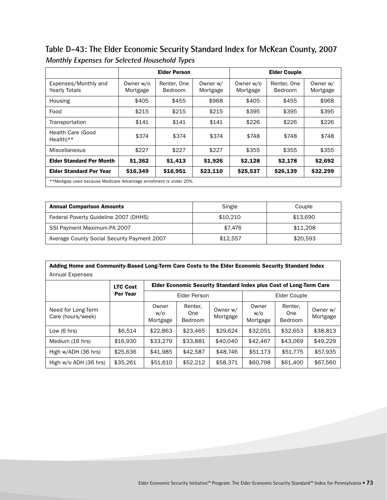**Table D-43: The Elder Economic Security Standard Index for McKean County, 2007 Monthly Expenses for Selected Household Types**

|                                                                    |                       | <b>Elder Person</b>           |                      |                       | <b>Elder Couple</b>    |                      |
|--------------------------------------------------------------------|-----------------------|-------------------------------|----------------------|-----------------------|------------------------|----------------------|
| Expenses/Monthly and<br><b>Yearly Totals</b>                       | Owner w/o<br>Mortgage | Renter, One<br><b>Bedroom</b> | Owner w/<br>Mortgage | Owner w/o<br>Mortgage | Renter, One<br>Bedroom | Owner w/<br>Mortgage |
| Housing                                                            | \$405                 | \$455                         | \$968                | \$405                 | \$455                  | \$968                |
| Food                                                               | \$215                 | \$215                         | \$215                | \$395                 | \$395                  | \$395                |
| Transportation                                                     | \$141                 | \$141                         | \$141                | \$226                 | \$226                  | \$226                |
| Health Care (Good<br>$Health**$                                    | \$374                 | \$374                         | \$374                | \$748                 | \$748                  | \$748                |
| Miscellaneous                                                      | \$227                 | \$227                         | \$227                | \$355                 | \$355                  | \$355                |
| <b>Elder Standard Per Month</b>                                    | \$1,362               | \$1,413                       | \$1,926              | \$2,128               | \$2,178                | \$2,692              |
| <b>Elder Standard Per Year</b>                                     | \$16,349              | \$16,951                      | \$23,110             | \$25,537              | \$26,139               | \$32,299             |
| **Medigap used because Medicare Advantage enrollment is under 20%. |                       |                               |                      |                       |                        |                      |

| <b>Annual Comparison Amounts</b>            | Single   | Couple   |
|---------------------------------------------|----------|----------|
| Federal Poverty Guideline 2007 (DHHS)       | \$10.210 | \$13.690 |
| SSI Payment Maximum-PA 2007                 | \$7.476  | \$11,208 |
| Average County Social Security Payment 2007 | \$12.557 | \$20,593 |

| Adding Home and Community-Based Long-Term Care Costs to the Elder Economic Security Standard Index |                 |                          |                           |                      |                                                                    |                                  |                      |  |  |
|----------------------------------------------------------------------------------------------------|-----------------|--------------------------|---------------------------|----------------------|--------------------------------------------------------------------|----------------------------------|----------------------|--|--|
| <b>Annual Expenses</b>                                                                             |                 |                          |                           |                      |                                                                    |                                  |                      |  |  |
|                                                                                                    | <b>LTC Cost</b> |                          |                           |                      | Elder Economic Security Standard Index plus Cost of Long-Term Care |                                  |                      |  |  |
|                                                                                                    | Per Year        | <b>Elder Person</b>      |                           |                      | Elder Couple                                                       |                                  |                      |  |  |
| Need for Long-Term<br>Care (hours/week)                                                            |                 | Owner<br>w/o<br>Mortgage | Renter,<br>One<br>Bedroom | Owner w/<br>Mortgage | Owner<br>w/o<br>Mortgage                                           | Renter.<br>One<br><b>Bedroom</b> | Owner w/<br>Mortgage |  |  |
| Low $(6 \text{ hrs})$                                                                              | \$6.514         | \$22,863                 | \$23,465                  | \$29,624             | \$32,051                                                           | \$32.653                         | \$38,813             |  |  |
| Medium (16 hrs)                                                                                    | \$16,930        | \$33,279                 | \$33.881                  | \$40,040             | \$42,467                                                           | \$43,069                         | \$49,229             |  |  |
| High w/ADH (36 hrs)                                                                                | \$25,636        | \$41,985                 | \$42,587                  | \$48,746             | \$51,173                                                           | \$51,775                         | \$57,935             |  |  |
| High w/o ADH (36 hrs)                                                                              | \$35,261        | \$51,610                 | \$52,212                  | \$58,371             | \$60,798                                                           | \$61,400                         | \$67,560             |  |  |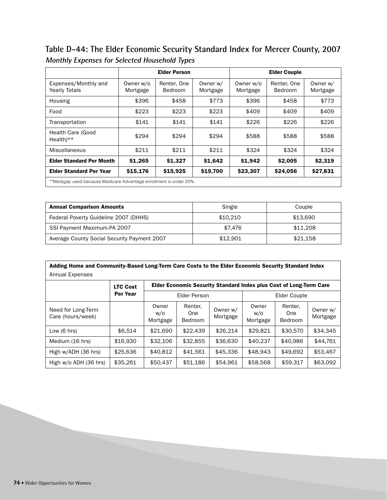**Table D-44: The Elder Economic Security Standard Index for Mercer County, 2007 Monthly Expenses for Selected Household Types**

|                                                                    |                       | <b>Elder Person</b>    |                      |                       | <b>Elder Couple</b>    |                      |
|--------------------------------------------------------------------|-----------------------|------------------------|----------------------|-----------------------|------------------------|----------------------|
| Expenses/Monthly and<br><b>Yearly Totals</b>                       | Owner w/o<br>Mortgage | Renter, One<br>Bedroom | Owner w/<br>Mortgage | Owner w/o<br>Mortgage | Renter, One<br>Bedroom | Owner w/<br>Mortgage |
| Housing                                                            | \$396                 | \$458                  | \$773                | \$396                 | \$458                  | \$773                |
| Food                                                               | \$223                 | \$223                  | \$223                | \$409                 | \$409                  | \$409                |
| Transportation                                                     | \$141                 | \$141                  | \$141                | \$226                 | \$226                  | \$226                |
| <b>Health Care (Good</b><br>$Health**$                             | \$294                 | \$294                  | \$294                | \$588                 | \$588                  | \$588                |
| Miscellaneous                                                      | \$211                 | \$211                  | \$211                | \$324                 | \$324                  | \$324                |
| <b>Elder Standard Per Month</b>                                    | \$1,265               | \$1,327                | \$1,642              | \$1,942               | \$2,005                | \$2,319              |
| <b>Elder Standard Per Year</b>                                     | \$15,176              | \$15,925               | \$19,700             | \$23,307              | \$24,056               | \$27,831             |
| **Medigap used because Medicare Advantage enrollment is under 20%. |                       |                        |                      |                       |                        |                      |

| <b>Annual Comparison Amounts</b>            | Single   | Couple   |
|---------------------------------------------|----------|----------|
| Federal Poverty Guideline 2007 (DHHS)       | \$10,210 | \$13.690 |
| SSI Payment Maximum-PA 2007                 | \$7.476  | \$11,208 |
| Average County Social Security Payment 2007 | \$12.901 | \$21,158 |

| Adding Home and Community-Based Long-Term Care Costs to the Elder Economic Security Standard Index |                 |                          |                                                                           |                      |                          |                                  |                      |  |  |
|----------------------------------------------------------------------------------------------------|-----------------|--------------------------|---------------------------------------------------------------------------|----------------------|--------------------------|----------------------------------|----------------------|--|--|
| Annual Expenses                                                                                    |                 |                          |                                                                           |                      |                          |                                  |                      |  |  |
|                                                                                                    | <b>LTC Cost</b> |                          | <b>Elder Economic Security Standard Index plus Cost of Long-Term Care</b> |                      |                          |                                  |                      |  |  |
|                                                                                                    | Per Year        | Elder Person             |                                                                           |                      | Elder Couple             |                                  |                      |  |  |
| Need for Long-Term<br>Care (hours/week)                                                            |                 | Owner<br>w/o<br>Mortgage | Renter,<br>One<br><b>Bedroom</b>                                          | Owner w/<br>Mortgage | Owner<br>w/o<br>Mortgage | Renter.<br>One<br><b>Bedroom</b> | Owner w/<br>Mortgage |  |  |
| Low $(6 \text{ hrs})$                                                                              | \$6.514         | \$21,690                 | \$22,439                                                                  | \$26,214             | \$29,821                 | \$30,570                         | \$34.345             |  |  |
| Medium (16 hrs)                                                                                    | \$16,930        | \$32,106                 | \$32,855                                                                  | \$36,630             | \$40.237                 | \$40,986                         | \$44.761             |  |  |
| High w/ADH (36 hrs)                                                                                | \$25,636        | \$40,812                 | \$41,561                                                                  | \$45,336             | \$48,943                 | \$49.692                         | \$53,467             |  |  |
| High w/o ADH (36 hrs)                                                                              | \$35,261        | \$50,437                 | \$51,186                                                                  | \$54.961             | \$58,568                 | \$59,317                         | \$63,092             |  |  |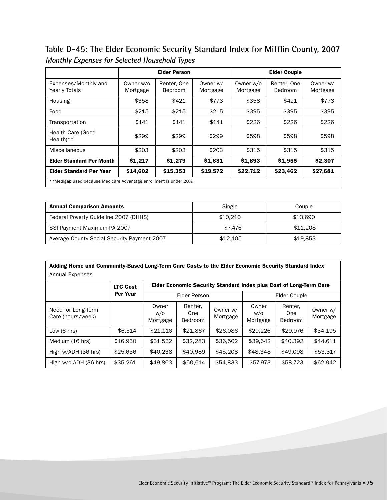Table D-45: The Elder Economic Security Standard Index for Mifflin County, 2007 **Monthly Expenses for Selected Household Types**

|                                                                    |                       | <b>Elder Person</b>    |                      |                       | <b>Elder Couple</b>    |                      |
|--------------------------------------------------------------------|-----------------------|------------------------|----------------------|-----------------------|------------------------|----------------------|
| Expenses/Monthly and<br><b>Yearly Totals</b>                       | Owner w/o<br>Mortgage | Renter, One<br>Bedroom | Owner w/<br>Mortgage | Owner w/o<br>Mortgage | Renter, One<br>Bedroom | Owner w/<br>Mortgage |
| Housing                                                            | \$358                 | \$421                  | \$773                | \$358                 | \$421                  | \$773                |
| Food                                                               | \$215                 | \$215                  | \$215                | \$395                 | \$395                  | \$395                |
| Transportation                                                     | \$141                 | \$141                  | \$141                | \$226                 | \$226                  | \$226                |
| Health Care (Good<br>$Health**$                                    | \$299                 | \$299                  | \$299                | \$598                 | \$598                  | \$598                |
| Miscellaneous                                                      | \$203                 | \$203                  | \$203                | \$315                 | \$315                  | \$315                |
| <b>Elder Standard Per Month</b>                                    | \$1,217               | \$1,279                | \$1,631              | \$1,893               | \$1,955                | \$2,307              |
| <b>Elder Standard Per Year</b>                                     | \$14,602              | \$15,353               | \$19,572             | \$22,712              | \$23,462               | \$27,681             |
| **Medigap used because Medicare Advantage enrollment is under 20%. |                       |                        |                      |                       |                        |                      |

| <b>Annual Comparison Amounts</b>            | Single   | Couple   |
|---------------------------------------------|----------|----------|
| Federal Poverty Guideline 2007 (DHHS)       | \$10,210 | \$13.690 |
| SSI Payment Maximum-PA 2007                 | \$7.476  | \$11,208 |
| Average County Social Security Payment 2007 | \$12.105 | \$19.853 |

| Adding Home and Community-Based Long-Term Care Costs to the Elder Economic Security Standard Index |                 |                          |                                  |                      |                                                                    |                                  |                      |  |  |
|----------------------------------------------------------------------------------------------------|-----------------|--------------------------|----------------------------------|----------------------|--------------------------------------------------------------------|----------------------------------|----------------------|--|--|
| <b>Annual Expenses</b>                                                                             |                 |                          |                                  |                      |                                                                    |                                  |                      |  |  |
|                                                                                                    | <b>LTC Cost</b> |                          |                                  |                      | Elder Economic Security Standard Index plus Cost of Long-Term Care |                                  |                      |  |  |
|                                                                                                    | <b>Per Year</b> | Elder Person             |                                  |                      | Elder Couple                                                       |                                  |                      |  |  |
| Need for Long-Term<br>Care (hours/week)                                                            |                 | Owner<br>w/o<br>Mortgage | Renter,<br>One<br><b>Bedroom</b> | Owner w/<br>Mortgage | Owner<br>W/O<br>Mortgage                                           | Renter.<br>One<br><b>Bedroom</b> | Owner w/<br>Mortgage |  |  |
| Low $(6 \text{ hrs})$                                                                              | \$6.514         | \$21,116                 | \$21,867                         | \$26,086             | \$29,226                                                           | \$29,976                         | \$34.195             |  |  |
| Medium (16 hrs)                                                                                    | \$16,930        | \$31,532                 | \$32,283                         | \$36,502             | \$39.642                                                           | \$40.392                         | \$44.611             |  |  |
| High w/ADH (36 hrs)                                                                                | \$25,636        | \$40,238                 | \$40,989                         | \$45,208             | \$48,348                                                           | \$49.098                         | \$53,317             |  |  |
| High w/o ADH (36 hrs)                                                                              | \$35,261        | \$49,863                 | \$50,614                         | \$54,833             | \$57,973                                                           | \$58,723                         | \$62,942             |  |  |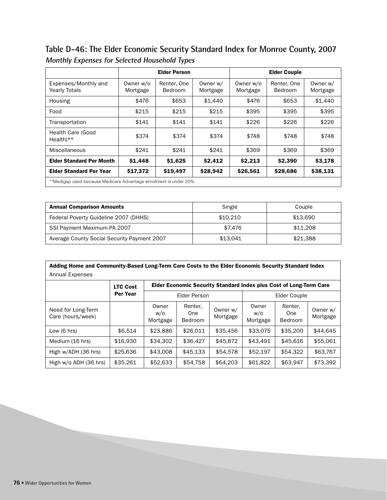**Table D-46: The Elder Economic Security Standard Index for Monroe County, 2007 Monthly Expenses for Selected Household Types**

|                                              |                       | <b>Elder Person</b>                                                |                      |                       | <b>Elder Couple</b>    |                      |  |  |  |
|----------------------------------------------|-----------------------|--------------------------------------------------------------------|----------------------|-----------------------|------------------------|----------------------|--|--|--|
| Expenses/Monthly and<br><b>Yearly Totals</b> | Owner w/o<br>Mortgage | Renter, One<br>Bedroom                                             | Owner w/<br>Mortgage | Owner w/o<br>Mortgage | Renter, One<br>Bedroom | Owner w/<br>Mortgage |  |  |  |
| Housing                                      | \$476                 | \$653                                                              | \$1,440              | \$476                 | \$653                  | \$1,440              |  |  |  |
| Food                                         | \$215                 | \$215                                                              | \$215                | \$395                 | \$395                  | \$395                |  |  |  |
| Transportation                               | \$141                 | \$141                                                              | \$141                | \$226                 | \$226                  | \$226                |  |  |  |
| <b>Health Care (Good</b><br>$Health**$       | \$374                 | \$374                                                              | \$374                | \$748                 | \$748                  | \$748                |  |  |  |
| Miscellaneous                                | \$241                 | \$241                                                              | \$241                | \$369                 | \$369                  | \$369                |  |  |  |
| <b>Elder Standard Per Month</b>              | \$1,448               | \$1,625                                                            | \$2,412              | \$2,213               | \$2,390                | \$3,178              |  |  |  |
| <b>Elder Standard Per Year</b>               | \$17,372              | \$19,497                                                           | \$28,942             | \$26,561              | \$28,686               | \$38,131             |  |  |  |
|                                              |                       | **Medigap used because Medicare Advantage enrollment is under 20%. |                      |                       |                        |                      |  |  |  |

| <b>Annual Comparison Amounts</b>            | Single   | Couple   |
|---------------------------------------------|----------|----------|
| Federal Poverty Guideline 2007 (DHHS)       | \$10.210 | \$13.690 |
| SSI Payment Maximum-PA 2007                 | \$7.476  | \$11,208 |
| Average County Social Security Payment 2007 | \$13.041 | \$21.388 |

| Adding Home and Community-Based Long-Term Care Costs to the Elder Economic Security Standard Index |                 |                          |                                                                    |                      |                          |                                  |                      |  |
|----------------------------------------------------------------------------------------------------|-----------------|--------------------------|--------------------------------------------------------------------|----------------------|--------------------------|----------------------------------|----------------------|--|
| Annual Expenses                                                                                    |                 |                          |                                                                    |                      |                          |                                  |                      |  |
|                                                                                                    | <b>LTC Cost</b> |                          | Elder Economic Security Standard Index plus Cost of Long-Term Care |                      |                          |                                  |                      |  |
|                                                                                                    | Per Year        | <b>Elder Person</b>      |                                                                    |                      | Elder Couple             |                                  |                      |  |
| Need for Long-Term<br>Care (hours/week)                                                            |                 | Owner<br>w/o<br>Mortgage | Renter,<br>One<br><b>Bedroom</b>                                   | Owner w/<br>Mortgage | Owner<br>w/o<br>Mortgage | Renter.<br>One<br><b>Bedroom</b> | Owner w/<br>Mortgage |  |
| Low $(6 \text{ hrs})$                                                                              | \$6.514         | \$23,886                 | \$26,011                                                           | \$35,456             | \$33,075                 | \$35,200                         | \$44,645             |  |
| Medium (16 hrs)                                                                                    | \$16,930        | \$34,302                 | \$36,427                                                           | \$45,872             | \$43.491                 | \$45,616                         | \$55,061             |  |
| High w/ADH (36 hrs)                                                                                | \$25,636        | \$43,008                 | \$45,133                                                           | \$54.578             | \$52,197                 | \$54,322                         | \$63,767             |  |
| High w/o ADH (36 hrs)                                                                              | \$35,261        | \$52,633                 | \$54,758                                                           | \$64,203             | \$61,822                 | \$63,947                         | \$73,392             |  |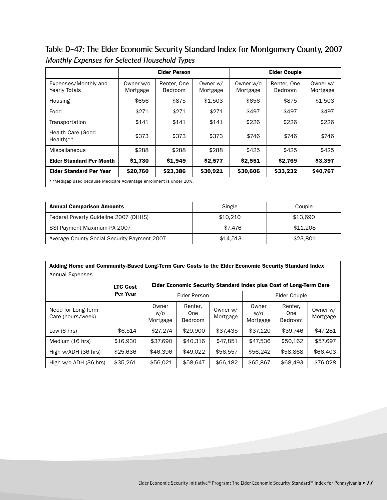**Table D-47: The Elder Economic Security Standard Index for Montgomery County, 2007 Monthly Expenses for Selected Household Types**

|                                              |                                                                    | <b>Elder Person</b>           |                      |                       | <b>Elder Couple</b>    |                      |  |  |
|----------------------------------------------|--------------------------------------------------------------------|-------------------------------|----------------------|-----------------------|------------------------|----------------------|--|--|
| Expenses/Monthly and<br><b>Yearly Totals</b> | Owner w/o<br>Mortgage                                              | Renter, One<br><b>Bedroom</b> | Owner w/<br>Mortgage | Owner w/o<br>Mortgage | Renter, One<br>Bedroom | Owner w/<br>Mortgage |  |  |
| Housing                                      | \$656                                                              | \$875                         | \$1,503              | \$656                 | \$875                  | \$1,503              |  |  |
| Food                                         | \$271                                                              | \$271                         | \$271                | \$497                 | \$497                  | \$497                |  |  |
| Transportation                               | \$141                                                              | \$141                         | \$141                | \$226                 | \$226                  | \$226                |  |  |
| Health Care (Good<br>$Health$ <sup>**</sup>  | \$373                                                              | \$373                         | \$373                | \$746                 | \$746                  | \$746                |  |  |
| Miscellaneous                                | \$288                                                              | \$288                         | \$288                | \$425                 | \$425                  | \$425                |  |  |
| <b>Elder Standard Per Month</b>              | \$1,730                                                            | \$1,949                       | \$2,577              | \$2,551               | \$2,769                | \$3,397              |  |  |
| <b>Elder Standard Per Year</b>               | \$20,760                                                           | \$23,386                      | \$30,921             | \$30,606              | \$33,232               | \$40,767             |  |  |
|                                              | **Medigap used because Medicare Advantage enrollment is under 20%. |                               |                      |                       |                        |                      |  |  |

| <b>Annual Comparison Amounts</b>            | Single   | Couple   |
|---------------------------------------------|----------|----------|
| Federal Poverty Guideline 2007 (DHHS)       | \$10,210 | \$13,690 |
| SSI Payment Maximum-PA 2007                 | \$7.476  | \$11,208 |
| Average County Social Security Payment 2007 | \$14.513 | \$23,801 |

| Adding Home and Community-Based Long-Term Care Costs to the Elder Economic Security Standard Index |                 |                          |                                                                    |                      |                          |                                  |                      |  |  |  |
|----------------------------------------------------------------------------------------------------|-----------------|--------------------------|--------------------------------------------------------------------|----------------------|--------------------------|----------------------------------|----------------------|--|--|--|
| Annual Expenses                                                                                    |                 |                          |                                                                    |                      |                          |                                  |                      |  |  |  |
|                                                                                                    | <b>LTC Cost</b> |                          | Elder Economic Security Standard Index plus Cost of Long-Term Care |                      |                          |                                  |                      |  |  |  |
|                                                                                                    | Per Year        | Elder Person             |                                                                    |                      | Elder Couple             |                                  |                      |  |  |  |
| Need for Long-Term<br>Care (hours/week)                                                            |                 | Owner<br>w/o<br>Mortgage | Renter,<br>One<br><b>Bedroom</b>                                   | Owner w/<br>Mortgage | Owner<br>W/O<br>Mortgage | Renter.<br>One<br><b>Bedroom</b> | Owner w/<br>Mortgage |  |  |  |
| Low $(6 \text{ hrs})$                                                                              | \$6.514         | \$27,274                 | \$29,900                                                           | \$37.435             | \$37.120                 | \$39,746                         | \$47.281             |  |  |  |
| Medium (16 hrs)                                                                                    | \$16,930        | \$37,690                 | \$40,316                                                           | \$47.851             | \$47,536                 | \$50,162                         | \$57,697             |  |  |  |
| High w/ADH (36 hrs)                                                                                | \$25,636        | \$46,396                 | \$49,022                                                           | \$56,557             | \$56,242                 | \$58,868                         | \$66,403             |  |  |  |
| High w/o ADH (36 hrs)                                                                              | \$35,261        | \$56,021                 | \$58,647                                                           | \$66,182             | \$65,867                 | \$68,493                         | \$76,028             |  |  |  |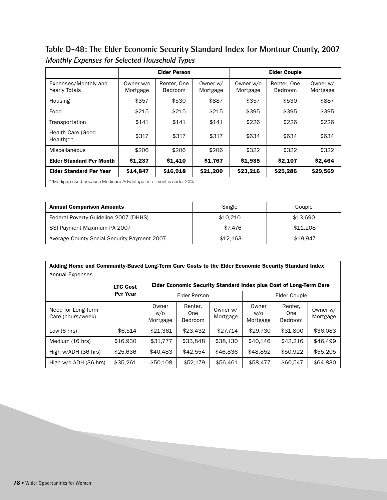**Table D-48: The Elder Economic Security Standard Index for Montour County, 2007 Monthly Expenses for Selected Household Types**

|                                                                    |                       | <b>Elder Person</b>           |                      |                       | <b>Elder Couple</b>    |                      |
|--------------------------------------------------------------------|-----------------------|-------------------------------|----------------------|-----------------------|------------------------|----------------------|
| Expenses/Monthly and<br><b>Yearly Totals</b>                       | Owner w/o<br>Mortgage | Renter, One<br><b>Bedroom</b> | Owner w/<br>Mortgage | Owner w/o<br>Mortgage | Renter, One<br>Bedroom | Owner w/<br>Mortgage |
| Housing                                                            | \$357                 | \$530                         | \$887                | \$357                 | \$530                  | \$887                |
| Food                                                               | \$215                 | \$215                         | \$215                | \$395                 | \$395                  | \$395                |
| Transportation                                                     | \$141                 | \$141                         | \$141                | \$226                 | \$226                  | \$226                |
| <b>Health Care (Good</b><br>$Health**$                             | \$317                 | \$317                         | \$317                | \$634                 | \$634                  | \$634                |
| Miscellaneous                                                      | \$206                 | \$206                         | \$206                | \$322                 | \$322                  | \$322                |
| <b>Elder Standard Per Month</b>                                    | \$1,237               | \$1,410                       | \$1.767              | \$1,935               | \$2,107                | \$2,464              |
| <b>Elder Standard Per Year</b>                                     | \$14,847              | \$16,918                      | \$21,200             | \$23,216              | \$25,286               | \$29,569             |
| **Medigap used because Medicare Advantage enrollment is under 20%. |                       |                               |                      |                       |                        |                      |

| <b>Annual Comparison Amounts</b>            | Single   | Couple   |
|---------------------------------------------|----------|----------|
| Federal Poverty Guideline 2007 (DHHS)       | \$10,210 | \$13.690 |
| SSI Payment Maximum-PA 2007                 | \$7.476  | \$11,208 |
| Average County Social Security Payment 2007 | \$12.163 | \$19.947 |

| Adding Home and Community-Based Long-Term Care Costs to the Elder Economic Security Standard Index |                 |                                                                           |                           |                      |                          |                                  |                      |  |  |
|----------------------------------------------------------------------------------------------------|-----------------|---------------------------------------------------------------------------|---------------------------|----------------------|--------------------------|----------------------------------|----------------------|--|--|
| <b>Annual Expenses</b>                                                                             |                 |                                                                           |                           |                      |                          |                                  |                      |  |  |
|                                                                                                    | <b>LTC Cost</b> | <b>Elder Economic Security Standard Index plus Cost of Long-Term Care</b> |                           |                      |                          |                                  |                      |  |  |
|                                                                                                    | <b>Per Year</b> | <b>Elder Person</b>                                                       |                           |                      | Elder Couple             |                                  |                      |  |  |
| Need for Long-Term<br>Care (hours/week)                                                            |                 | Owner<br>w/o<br>Mortgage                                                  | Renter,<br>One<br>Bedroom | Owner w/<br>Mortgage | Owner<br>w/o<br>Mortgage | Renter.<br>One<br><b>Bedroom</b> | Owner w/<br>Mortgage |  |  |
| Low $(6 \text{ hrs})$                                                                              | \$6.514         | \$21.361                                                                  | \$23,432                  | \$27,714             | \$29,730                 | \$31,800                         | \$36,083             |  |  |
| Medium (16 hrs)                                                                                    | \$16,930        | \$31,777                                                                  | \$33,848                  | \$38,130             | \$40.146                 | \$42,216                         | \$46,499             |  |  |
| High w/ADH (36 hrs)                                                                                | \$25,636        | \$40,483                                                                  | \$42,554                  | \$46,836             | \$48,852                 | \$50.922                         | \$55,205             |  |  |
| High w/o ADH (36 hrs)                                                                              | \$35,261        | \$50,108                                                                  | \$52,179                  | \$56,461             | \$58,477                 | \$60,547                         | \$64,830             |  |  |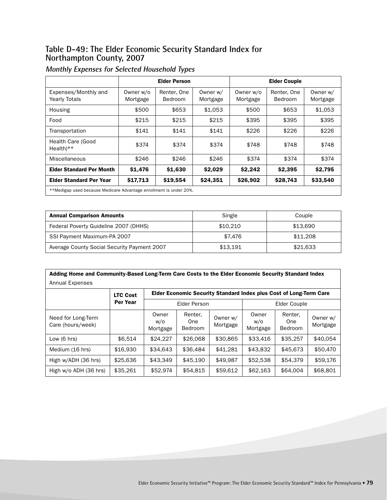#### **Table D-49: The Elder Economic Security Standard Index for Northampton County, 2007**

|                                              |                                                                    | <b>Elder Person</b>    |                      | <b>Elder Couple</b>   |                               |                      |  |  |  |  |
|----------------------------------------------|--------------------------------------------------------------------|------------------------|----------------------|-----------------------|-------------------------------|----------------------|--|--|--|--|
| Expenses/Monthly and<br><b>Yearly Totals</b> | Owner w/o<br>Mortgage                                              | Renter, One<br>Bedroom | Owner w/<br>Mortgage | Owner w/o<br>Mortgage | Renter, One<br><b>Bedroom</b> | Owner w/<br>Mortgage |  |  |  |  |
| Housing                                      | \$500                                                              | \$653                  | \$1.053              | \$500                 | \$653                         | \$1.053              |  |  |  |  |
| Food                                         | \$215                                                              | \$215                  | \$215                | \$395                 | \$395                         | \$395                |  |  |  |  |
| Transportation                               | \$141                                                              | \$141                  | \$141                | \$226                 | \$226                         | \$226                |  |  |  |  |
| Health Care (Good<br>$Health**$              | \$374                                                              | \$374                  | \$374                | \$748                 | \$748                         | \$748                |  |  |  |  |
| Miscellaneous                                | \$246                                                              | \$246                  | \$246                | \$374                 | \$374                         | \$374                |  |  |  |  |
| <b>Elder Standard Per Month</b>              | \$1,476                                                            | \$1,630                | \$2,029              | \$2,242               | \$2,395                       | \$2,795              |  |  |  |  |
| <b>Elder Standard Per Year</b>               | \$17,713                                                           | \$19,554               | \$24,351             | \$26,902              | \$28,743                      | \$33,540             |  |  |  |  |
|                                              | **Medigap used because Medicare Advantage enrollment is under 20%. |                        |                      |                       |                               |                      |  |  |  |  |

| <b>Annual Comparison Amounts</b>            | Single   | Couple   |
|---------------------------------------------|----------|----------|
| Federal Poverty Guideline 2007 (DHHS)       | \$10.210 | \$13.690 |
| SSI Payment Maximum-PA 2007                 | \$7.476  | \$11,208 |
| Average County Social Security Payment 2007 | \$13,191 | \$21.633 |

| Adding Home and Community-Based Long-Term Care Costs to the Elder Economic Security Standard Index |  |
|----------------------------------------------------------------------------------------------------|--|
| Annual Expenses                                                                                    |  |

|                                         | <b>LTC Cost</b> | Elder Economic Security Standard Index plus Cost of Long-Term Care |                           |                      |                          |                                  |                      |  |
|-----------------------------------------|-----------------|--------------------------------------------------------------------|---------------------------|----------------------|--------------------------|----------------------------------|----------------------|--|
|                                         | Per Year        | Elder Person                                                       |                           |                      |                          | Elder Couple                     |                      |  |
| Need for Long-Term<br>Care (hours/week) |                 | Owner<br>w/o<br>Mortgage                                           | Renter,<br>0ne<br>Bedroom | Owner w/<br>Mortgage | Owner<br>W/O<br>Mortgage | Renter,<br>One<br><b>Bedroom</b> | Owner w/<br>Mortgage |  |
| Low $(6 \text{ hrs})$                   | \$6,514         | \$24.227                                                           | \$26,068                  | \$30,865             | \$33,416                 | \$35,257                         | \$40,054             |  |
| Medium (16 hrs)                         | \$16,930        | \$34.643                                                           | \$36,484                  | \$41,281             | \$43,832                 | \$45,673                         | \$50,470             |  |
| High w/ADH (36 hrs)                     | \$25,636        | \$43,349                                                           | \$45.190                  | \$49.987             | \$52,538                 | \$54,379                         | \$59,176             |  |
| High w/o ADH (36 hrs)                   | \$35,261        | \$52,974                                                           | \$54,815                  | \$59,612             | \$62,163                 | \$64,004                         | \$68,801             |  |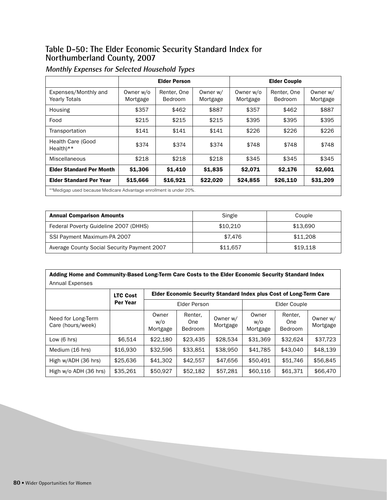#### **Table D-50: The Elder Economic Security Standard Index for Northumberland County, 2007**

|                                              |                                                                    | <b>Elder Person</b>    |                      | <b>Elder Couple</b>   |                               |                      |  |  |  |  |
|----------------------------------------------|--------------------------------------------------------------------|------------------------|----------------------|-----------------------|-------------------------------|----------------------|--|--|--|--|
| Expenses/Monthly and<br><b>Yearly Totals</b> | Owner w/o<br>Mortgage                                              | Renter, One<br>Bedroom | Owner w/<br>Mortgage | Owner w/o<br>Mortgage | Renter, One<br><b>Bedroom</b> | Owner w/<br>Mortgage |  |  |  |  |
| Housing                                      | \$357                                                              | \$462                  | \$887                | \$357                 | \$462                         | \$887                |  |  |  |  |
| Food                                         | \$215                                                              | \$215                  | \$215                | \$395                 | \$395                         | \$395                |  |  |  |  |
| Transportation                               | \$141                                                              | \$141                  | \$141                | \$226                 | \$226                         | \$226                |  |  |  |  |
| Health Care (Good<br>$Health**$              | \$374                                                              | \$374                  | \$374                | \$748                 | \$748                         | \$748                |  |  |  |  |
| Miscellaneous                                | \$218                                                              | \$218                  | \$218                | \$345                 | \$345                         | \$345                |  |  |  |  |
| <b>Elder Standard Per Month</b>              | \$1,306                                                            | \$1,410                | \$1,835              | \$2,071               | \$2,176                       | \$2,601              |  |  |  |  |
| <b>Elder Standard Per Year</b>               | \$15,666                                                           | \$16,921               | \$22,020             | \$24,855              | \$26,110                      | \$31,209             |  |  |  |  |
|                                              | **Medigap used because Medicare Advantage enrollment is under 20%. |                        |                      |                       |                               |                      |  |  |  |  |

| <b>Annual Comparison Amounts</b>            | Single   | Couple   |
|---------------------------------------------|----------|----------|
| Federal Poverty Guideline 2007 (DHHS)       | \$10.210 | \$13.690 |
| SSI Payment Maximum-PA 2007                 | \$7.476  | \$11,208 |
| Average County Social Security Payment 2007 | \$11.657 | \$19.118 |

| Adding Home and Community-Based Long-Term Care Costs to the Elder Economic Security Standard Index |  |  |  |  |  |   |  |  |  |  |
|----------------------------------------------------------------------------------------------------|--|--|--|--|--|---|--|--|--|--|
| Annual Expenses                                                                                    |  |  |  |  |  |   |  |  |  |  |
|                                                                                                    |  |  |  |  |  | . |  |  |  |  |

|                                         | <b>LTC Cost</b> | Elder Economic Security Standard Index plus Cost of Long-Term Care |                           |                      |                          |                                  |                      |  |  |
|-----------------------------------------|-----------------|--------------------------------------------------------------------|---------------------------|----------------------|--------------------------|----------------------------------|----------------------|--|--|
|                                         | Per Year        |                                                                    | Elder Person              |                      |                          | Elder Couple                     |                      |  |  |
| Need for Long-Term<br>Care (hours/week) |                 | Owner<br>w/o<br>Mortgage                                           | Renter,<br>0ne<br>Bedroom | Owner w/<br>Mortgage | Owner<br>W/O<br>Mortgage | Renter,<br>One<br><b>Bedroom</b> | Owner w/<br>Mortgage |  |  |
| Low $(6 \text{ hrs})$                   | \$6.514         | \$22,180                                                           | \$23,435                  | \$28,534             | \$31,369                 | \$32.624                         | \$37,723             |  |  |
| Medium (16 hrs)                         | \$16,930        | \$32,596                                                           | \$33,851                  | \$38,950             | \$41,785                 | \$43,040                         | \$48,139             |  |  |
| High w/ADH (36 hrs)                     | \$25,636        | \$41,302                                                           | \$42,557                  | \$47,656             | \$50.491                 | \$51,746                         | \$56.845             |  |  |
| High w/o ADH (36 hrs)                   | \$35,261        | \$50,927                                                           | \$52,182                  | \$57,281             | \$60,116                 | \$61,371                         | \$66,470             |  |  |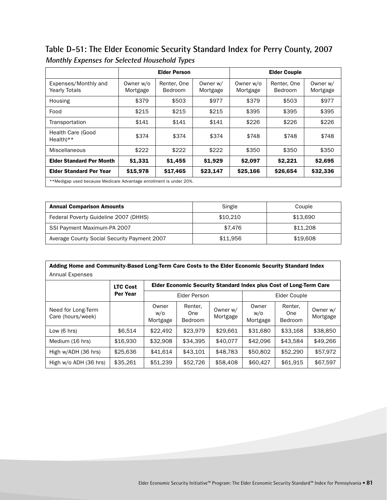**Table D-51: The Elder Economic Security Standard Index for Perry County, 2007 Monthly Expenses for Selected Household Types**

|                                                                    | <b>Elder Person</b>   |                               |                      | <b>Elder Couple</b>   |                        |                      |  |
|--------------------------------------------------------------------|-----------------------|-------------------------------|----------------------|-----------------------|------------------------|----------------------|--|
| Expenses/Monthly and<br><b>Yearly Totals</b>                       | Owner w/o<br>Mortgage | Renter, One<br><b>Bedroom</b> | Owner w/<br>Mortgage | Owner w/o<br>Mortgage | Renter, One<br>Bedroom | Owner w/<br>Mortgage |  |
| Housing                                                            | \$379                 | \$503                         | \$977                | \$379                 | \$503                  | \$977                |  |
| Food                                                               | \$215                 | \$215                         | \$215                | \$395                 | \$395                  | \$395                |  |
| Transportation                                                     | \$141                 | \$141                         | \$141                | \$226                 | \$226                  | \$226                |  |
| Health Care (Good<br>$Health**$                                    | \$374                 | \$374                         | \$374                | \$748                 | \$748                  | \$748                |  |
| Miscellaneous                                                      | \$222                 | \$222                         | \$222                | \$350                 | \$350                  | \$350                |  |
| <b>Elder Standard Per Month</b>                                    | \$1,331               | \$1,455                       | \$1,929              | \$2,097               | \$2,221                | \$2,695              |  |
| <b>Elder Standard Per Year</b>                                     | \$15,978              | \$17,465                      | \$23,147             | \$25,166              | \$26,654               | \$32,336             |  |
| **Medigap used because Medicare Advantage enrollment is under 20%. |                       |                               |                      |                       |                        |                      |  |

| <b>Annual Comparison Amounts</b>            | Single   | Couple   |
|---------------------------------------------|----------|----------|
| Federal Poverty Guideline 2007 (DHHS)       | \$10.210 | \$13.690 |
| SSI Payment Maximum-PA 2007                 | \$7.476  | \$11,208 |
| Average County Social Security Payment 2007 | \$11.956 | \$19,608 |

| Adding Home and Community-Based Long-Term Care Costs to the Elder Economic Security Standard Index |                 |                          |                           |                      |                                                                    |                                  |                      |  |  |  |  |
|----------------------------------------------------------------------------------------------------|-----------------|--------------------------|---------------------------|----------------------|--------------------------------------------------------------------|----------------------------------|----------------------|--|--|--|--|
| <b>Annual Expenses</b>                                                                             |                 |                          |                           |                      |                                                                    |                                  |                      |  |  |  |  |
|                                                                                                    | <b>LTC Cost</b> |                          |                           |                      | Elder Economic Security Standard Index plus Cost of Long-Term Care |                                  |                      |  |  |  |  |
|                                                                                                    | Per Year        |                          | <b>Elder Person</b>       |                      | Elder Couple                                                       |                                  |                      |  |  |  |  |
| Need for Long-Term<br>Care (hours/week)                                                            |                 | Owner<br>w/o<br>Mortgage | Renter,<br>One<br>Bedroom | Owner w/<br>Mortgage | Owner<br>w/o<br>Mortgage                                           | Renter.<br>One<br><b>Bedroom</b> | Owner w/<br>Mortgage |  |  |  |  |
| Low $(6 \text{ hrs})$                                                                              | \$6.514         | \$22,492                 | \$23,979                  | \$29,661             | \$31,680                                                           | \$33.168                         | \$38,850             |  |  |  |  |
| Medium (16 hrs)                                                                                    | \$16,930        | \$32,908                 | \$34.395                  | \$40,077             | \$42,096                                                           | \$43.584                         | \$49,266             |  |  |  |  |
| High w/ADH (36 hrs)                                                                                | \$25,636        | \$41.614                 | \$43.101                  | \$48,783             | \$50,802                                                           | \$52,290                         | \$57.972             |  |  |  |  |
| High w/o ADH (36 hrs)                                                                              | \$35,261        | \$51,239                 | \$52,726                  | \$58,408             | \$60,427                                                           | \$61,915                         | \$67,597             |  |  |  |  |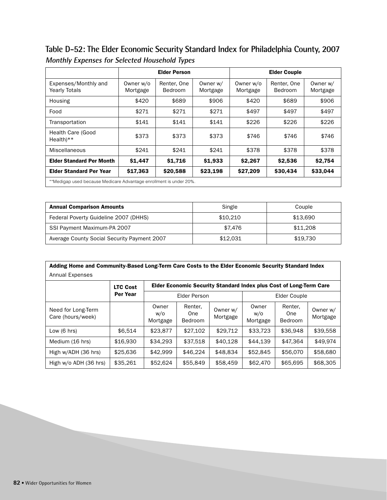**Table D-52: The Elder Economic Security Standard Index for Philadelphia County, 2007 Monthly Expenses for Selected Household Types**

|                                                                    |                       | <b>Elder Person</b>    |                      | <b>Elder Couple</b>   |                        |                      |
|--------------------------------------------------------------------|-----------------------|------------------------|----------------------|-----------------------|------------------------|----------------------|
| Expenses/Monthly and<br><b>Yearly Totals</b>                       | Owner w/o<br>Mortgage | Renter, One<br>Bedroom | Owner w/<br>Mortgage | Owner w/o<br>Mortgage | Renter, One<br>Bedroom | Owner w/<br>Mortgage |
| Housing                                                            | \$420                 | \$689                  | \$906                | \$420                 | \$689                  | \$906                |
| Food                                                               | \$271                 | \$271                  | \$271                | \$497                 | \$497                  | \$497                |
| Transportation                                                     | \$141                 | \$141                  | \$141                | \$226                 | \$226                  | \$226                |
| <b>Health Care (Good</b><br>$Health**$                             | \$373                 | \$373                  | \$373                | \$746                 | \$746                  | \$746                |
| Miscellaneous                                                      | \$241                 | \$241                  | \$241                | \$378                 | \$378                  | \$378                |
| <b>Elder Standard Per Month</b>                                    | \$1,447               | \$1,716                | \$1,933              | \$2,267               | \$2,536                | \$2,754              |
| <b>Elder Standard Per Year</b>                                     | \$17,363              | \$20,588               | \$23,198             | \$27,209              | \$30,434               | \$33,044             |
| **Medigap used because Medicare Advantage enrollment is under 20%. |                       |                        |                      |                       |                        |                      |

| <b>Annual Comparison Amounts</b>            | Single   | Couple   |
|---------------------------------------------|----------|----------|
| Federal Poverty Guideline 2007 (DHHS)       | \$10.210 | \$13.690 |
| SSI Payment Maximum-PA 2007                 | \$7.476  | \$11,208 |
| Average County Social Security Payment 2007 | \$12.031 | \$19.730 |

| Adding Home and Community-Based Long-Term Care Costs to the Elder Economic Security Standard Index<br><b>Annual Expenses</b> |                 |                          |                                                                    |                      |                          |                                  |                      |  |  |  |  |
|------------------------------------------------------------------------------------------------------------------------------|-----------------|--------------------------|--------------------------------------------------------------------|----------------------|--------------------------|----------------------------------|----------------------|--|--|--|--|
|                                                                                                                              | <b>LTC Cost</b> |                          | Elder Economic Security Standard Index plus Cost of Long-Term Care |                      |                          |                                  |                      |  |  |  |  |
|                                                                                                                              | Per Year        |                          | Elder Person                                                       |                      | Elder Couple             |                                  |                      |  |  |  |  |
| Need for Long-Term<br>Care (hours/week)                                                                                      |                 | Owner<br>w/o<br>Mortgage | Renter,<br>One<br>Bedroom                                          | Owner w/<br>Mortgage | Owner<br>W/O<br>Mortgage | Renter.<br>One<br><b>Bedroom</b> | Owner w/<br>Mortgage |  |  |  |  |
| Low $(6 \text{ hrs})$                                                                                                        | \$6.514         | \$23,877                 | \$27,102                                                           | \$29,712             | \$33,723                 | \$36.948                         | \$39.558             |  |  |  |  |
| Medium (16 hrs)                                                                                                              | \$16,930        | \$34,293                 | \$37,518                                                           | \$40,128             | \$44.139                 | \$47.364                         | \$49,974             |  |  |  |  |
| High w/ADH (36 hrs)                                                                                                          | \$25,636        | \$42.999                 | \$46,224                                                           | \$48,834             | \$52,845                 | \$56,070                         | \$58,680             |  |  |  |  |
| High w/o ADH (36 hrs)                                                                                                        | \$35,261        | \$52,624                 | \$55,849                                                           | \$58,459             | \$62,470                 | \$65,695                         | \$68,305             |  |  |  |  |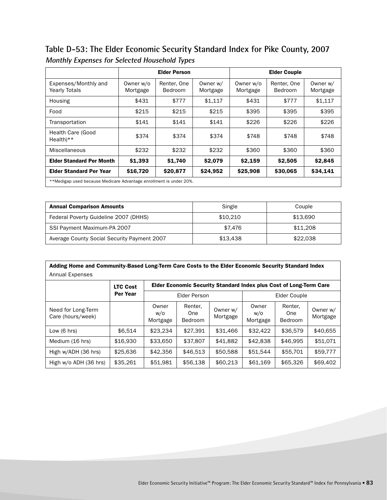**Table D-53: The Elder Economic Security Standard Index for Pike County, 2007 Monthly Expenses for Selected Household Types**

|                                                                    | <b>Elder Person</b>   |                               |                      | <b>Elder Couple</b>   |                        |                      |
|--------------------------------------------------------------------|-----------------------|-------------------------------|----------------------|-----------------------|------------------------|----------------------|
| Expenses/Monthly and<br><b>Yearly Totals</b>                       | Owner w/o<br>Mortgage | Renter, One<br><b>Bedroom</b> | Owner w/<br>Mortgage | Owner w/o<br>Mortgage | Renter, One<br>Bedroom | Owner w/<br>Mortgage |
| Housing                                                            | \$431                 | \$777                         | \$1.117              | \$431                 | \$777                  | \$1,117              |
| Food                                                               | \$215                 | \$215                         | \$215                | \$395                 | \$395                  | \$395                |
| Transportation                                                     | \$141                 | \$141                         | \$141                | \$226                 | \$226                  | \$226                |
| Health Care (Good<br>$Health**$                                    | \$374                 | \$374                         | \$374                | \$748                 | \$748                  | \$748                |
| Miscellaneous                                                      | \$232                 | \$232                         | \$232                | \$360                 | \$360                  | \$360                |
| <b>Elder Standard Per Month</b>                                    | \$1,393               | \$1.740                       | \$2,079              | \$2,159               | \$2,505                | \$2,845              |
| <b>Elder Standard Per Year</b>                                     | \$16,720              | \$20,877                      | \$24,952             | \$25,908              | \$30,065               | \$34,141             |
| **Medigap used because Medicare Advantage enrollment is under 20%. |                       |                               |                      |                       |                        |                      |

| <b>Annual Comparison Amounts</b>            | Single   | Couple   |
|---------------------------------------------|----------|----------|
| Federal Poverty Guideline 2007 (DHHS)       | \$10.210 | \$13.690 |
| SSI Payment Maximum-PA 2007                 | \$7.476  | \$11,208 |
| Average County Social Security Payment 2007 | \$13.438 | \$22,038 |

| Adding Home and Community-Based Long-Term Care Costs to the Elder Economic Security Standard Index |                 |                          |                                                                    |                      |                          |                                  |                      |  |  |  |
|----------------------------------------------------------------------------------------------------|-----------------|--------------------------|--------------------------------------------------------------------|----------------------|--------------------------|----------------------------------|----------------------|--|--|--|
| <b>Annual Expenses</b>                                                                             |                 |                          |                                                                    |                      |                          |                                  |                      |  |  |  |
|                                                                                                    | <b>LTC Cost</b> |                          | Elder Economic Security Standard Index plus Cost of Long-Term Care |                      |                          |                                  |                      |  |  |  |
|                                                                                                    | Per Year        |                          | <b>Elder Person</b>                                                |                      | Elder Couple             |                                  |                      |  |  |  |
| Need for Long-Term<br>Care (hours/week)                                                            |                 | Owner<br>w/o<br>Mortgage | Renter,<br>One<br>Bedroom                                          | Owner w/<br>Mortgage | Owner<br>w/o<br>Mortgage | Renter.<br>One<br><b>Bedroom</b> | Owner w/<br>Mortgage |  |  |  |
| Low $(6 \text{ hrs})$                                                                              | \$6.514         | \$23,234                 | \$27.391                                                           | \$31,466             | \$32,422                 | \$36,579                         | \$40,655             |  |  |  |
| Medium (16 hrs)                                                                                    | \$16,930        | \$33,650                 | \$37,807                                                           | \$41,882             | \$42,838                 | \$46,995                         | \$51.071             |  |  |  |
| High w/ADH (36 hrs)                                                                                | \$25,636        | \$42,356                 | \$46,513                                                           | \$50,588             | \$51.544                 | \$55.701                         | \$59,777             |  |  |  |
| High w/o ADH (36 hrs)                                                                              | \$35,261        | \$51,981                 | \$56,138                                                           | \$60,213             | \$61,169                 | \$65,326                         | \$69,402             |  |  |  |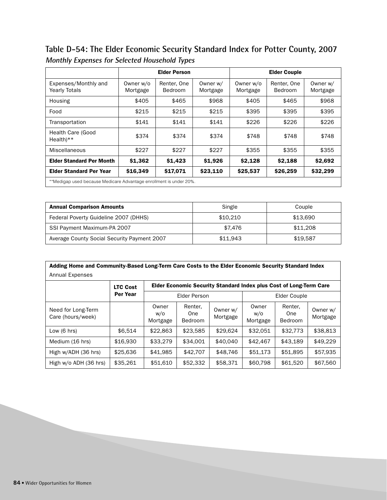**Table D-54: The Elder Economic Security Standard Index for Potter County, 2007 Monthly Expenses for Selected Household Types**

| <b>Elder Person</b>                                                |                       |                        |                      |                       |                        |                      |
|--------------------------------------------------------------------|-----------------------|------------------------|----------------------|-----------------------|------------------------|----------------------|
| Expenses/Monthly and<br><b>Yearly Totals</b>                       | Owner w/o<br>Mortgage | Renter, One<br>Bedroom | Owner w/<br>Mortgage | Owner w/o<br>Mortgage | Renter, One<br>Bedroom | Owner w/<br>Mortgage |
| Housing                                                            | \$405                 | \$465                  | \$968                | \$405                 | \$465                  | \$968                |
| Food                                                               | \$215                 | \$215                  | \$215                | \$395                 | \$395                  | \$395                |
| Transportation                                                     | \$141                 | \$141                  | \$141                | \$226                 | \$226                  | \$226                |
| <b>Health Care (Good</b><br>$Health**$                             | \$374                 | \$374                  | \$374                | \$748                 | \$748                  | \$748                |
| Miscellaneous                                                      | \$227                 | \$227                  | \$227                | \$355                 | \$355                  | \$355                |
| <b>Elder Standard Per Month</b>                                    | \$1,362               | \$1,423                | \$1,926              | \$2,128               | \$2,188                | \$2,692              |
| <b>Elder Standard Per Year</b>                                     | \$16,349              | \$17,071               | \$23,110             | \$25,537              | \$26,259               | \$32,299             |
| **Medigap used because Medicare Advantage enrollment is under 20%. |                       |                        |                      |                       |                        |                      |

| <b>Annual Comparison Amounts</b>            | Single   | Couple   |
|---------------------------------------------|----------|----------|
| Federal Poverty Guideline 2007 (DHHS)       | \$10.210 | \$13.690 |
| SSI Payment Maximum-PA 2007                 | \$7.476  | \$11,208 |
| Average County Social Security Payment 2007 | \$11.943 | \$19.587 |

| Adding Home and Community-Based Long-Term Care Costs to the Elder Economic Security Standard Index<br>Annual Expenses |                 |                          |                           |                      |                                                                    |                                  |                      |  |  |  |  |
|-----------------------------------------------------------------------------------------------------------------------|-----------------|--------------------------|---------------------------|----------------------|--------------------------------------------------------------------|----------------------------------|----------------------|--|--|--|--|
|                                                                                                                       | <b>LTC Cost</b> |                          |                           |                      | Elder Economic Security Standard Index plus Cost of Long-Term Care |                                  |                      |  |  |  |  |
|                                                                                                                       | Per Year        |                          | Elder Person              |                      | Elder Couple                                                       |                                  |                      |  |  |  |  |
| Need for Long-Term<br>Care (hours/week)                                                                               |                 | Owner<br>w/o<br>Mortgage | Renter,<br>One<br>Bedroom | Owner w/<br>Mortgage | Owner<br>W/O<br>Mortgage                                           | Renter.<br>One<br><b>Bedroom</b> | Owner w/<br>Mortgage |  |  |  |  |
| Low $(6 \text{ hrs})$                                                                                                 | \$6.514         | \$22,863                 | \$23.585                  | \$29.624             | \$32,051                                                           | \$32,773                         | \$38,813             |  |  |  |  |
| Medium (16 hrs)                                                                                                       | \$16,930        | \$33,279                 | \$34.001                  | \$40,040             | \$42,467                                                           | \$43.189                         | \$49,229             |  |  |  |  |
| High w/ADH (36 hrs)                                                                                                   | \$25,636        | \$41,985                 | \$42,707                  | \$48,746             | \$51,173                                                           | \$51,895                         | \$57,935             |  |  |  |  |
| High w/o ADH (36 hrs)                                                                                                 | \$35,261        | \$51,610                 | \$52,332                  | \$58,371             | \$60,798                                                           | \$61,520                         | \$67,560             |  |  |  |  |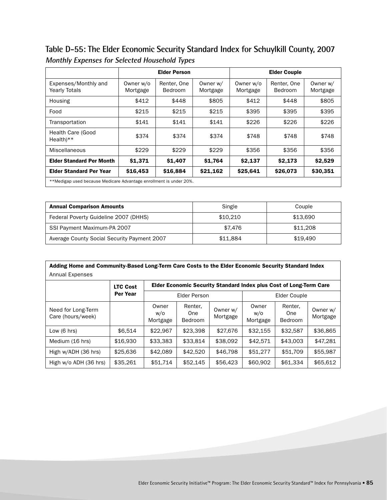**Table D-55: The Elder Economic Security Standard Index for Schuylkill County, 2007 Monthly Expenses for Selected Household Types**

|                                                                    | <b>Elder Person</b>   |                               |                      |                       | <b>Elder Couple</b>    |                      |
|--------------------------------------------------------------------|-----------------------|-------------------------------|----------------------|-----------------------|------------------------|----------------------|
| Expenses/Monthly and<br><b>Yearly Totals</b>                       | Owner w/o<br>Mortgage | Renter, One<br><b>Bedroom</b> | Owner w/<br>Mortgage | Owner w/o<br>Mortgage | Renter, One<br>Bedroom | Owner w/<br>Mortgage |
| Housing                                                            | \$412                 | \$448                         | \$805                | \$412                 | \$448                  | \$805                |
| Food                                                               | \$215                 | \$215                         | \$215                | \$395                 | \$395                  | \$395                |
| Transportation                                                     | \$141                 | \$141                         | \$141                | \$226                 | \$226                  | \$226                |
| Health Care (Good<br>$Health**$                                    | \$374                 | \$374                         | \$374                | \$748                 | \$748                  | \$748                |
| Miscellaneous                                                      | \$229                 | \$229                         | \$229                | \$356                 | \$356                  | \$356                |
| <b>Elder Standard Per Month</b>                                    | \$1,371               | \$1,407                       | \$1,764              | \$2,137               | \$2,173                | \$2,529              |
| <b>Elder Standard Per Year</b>                                     | \$16,453              | \$16,884                      | \$21,162             | \$25,641              | \$26,073               | \$30,351             |
| **Medigap used because Medicare Advantage enrollment is under 20%. |                       |                               |                      |                       |                        |                      |

| <b>Annual Comparison Amounts</b>            | Single   | Couple   |
|---------------------------------------------|----------|----------|
| Federal Poverty Guideline 2007 (DHHS)       | \$10.210 | \$13.690 |
| SSI Payment Maximum-PA 2007                 | \$7.476  | \$11,208 |
| Average County Social Security Payment 2007 | \$11.884 | \$19.490 |

| Adding Home and Community-Based Long-Term Care Costs to the Elder Economic Security Standard Index |                 |                          |                                                                    |                      |                          |                                  |                      |  |  |  |
|----------------------------------------------------------------------------------------------------|-----------------|--------------------------|--------------------------------------------------------------------|----------------------|--------------------------|----------------------------------|----------------------|--|--|--|
| Annual Expenses                                                                                    |                 |                          |                                                                    |                      |                          |                                  |                      |  |  |  |
|                                                                                                    | <b>LTC Cost</b> |                          | Elder Economic Security Standard Index plus Cost of Long-Term Care |                      |                          |                                  |                      |  |  |  |
|                                                                                                    | <b>Per Year</b> |                          | Elder Person                                                       |                      | Elder Couple             |                                  |                      |  |  |  |
| Need for Long-Term<br>Care (hours/week)                                                            |                 | Owner<br>W/O<br>Mortgage | Renter,<br>One<br>Bedroom                                          | Owner w/<br>Mortgage | Owner<br>W/O<br>Mortgage | Renter.<br>One<br><b>Bedroom</b> | Owner w/<br>Mortgage |  |  |  |
| Low $(6 \text{ hrs})$                                                                              | \$6.514         | \$22.967                 | \$23,398                                                           | \$27,676             | \$32.155                 | \$32.587                         | \$36,865             |  |  |  |
| Medium (16 hrs)                                                                                    | \$16,930        | \$33,383                 | \$33,814                                                           | \$38,092             | \$42.571                 | \$43,003                         | \$47,281             |  |  |  |
| High w/ADH (36 hrs)                                                                                | \$25,636        | \$42,089                 | \$42,520                                                           | \$46,798             | \$51,277                 | \$51,709                         | \$55,987             |  |  |  |
| High w/o ADH (36 hrs)                                                                              | \$35,261        | \$51,714                 | \$52,145                                                           | \$56,423             | \$60,902                 | \$61,334                         | \$65,612             |  |  |  |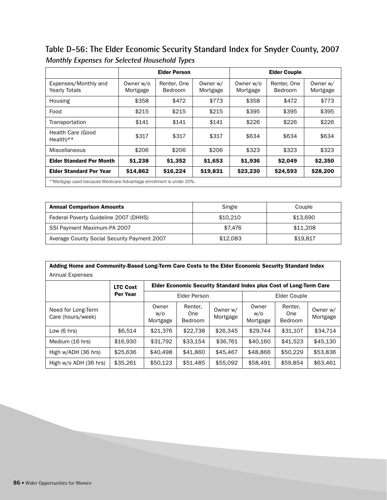**Table D-56: The Elder Economic Security Standard Index for Snyder County, 2007 Monthly Expenses for Selected Household Types**

|                                                                    | <b>Elder Person</b>   |                               |                      | <b>Elder Couple</b>   |                        |                      |
|--------------------------------------------------------------------|-----------------------|-------------------------------|----------------------|-----------------------|------------------------|----------------------|
| Expenses/Monthly and<br><b>Yearly Totals</b>                       | Owner w/o<br>Mortgage | Renter, One<br><b>Bedroom</b> | Owner w/<br>Mortgage | Owner w/o<br>Mortgage | Renter, One<br>Bedroom | Owner w/<br>Mortgage |
| Housing                                                            | \$358                 | \$472                         | \$773                | \$358                 | \$472                  | \$773                |
| Food                                                               | \$215                 | \$215                         | \$215                | \$395                 | \$395                  | \$395                |
| Transportation                                                     | \$141                 | \$141                         | \$141                | \$226                 | \$226                  | \$226                |
| <b>Health Care (Good</b><br>$Health**$                             | \$317                 | \$317                         | \$317                | \$634                 | \$634                  | \$634                |
| Miscellaneous                                                      | \$206                 | \$206                         | \$206                | \$323                 | \$323                  | \$323                |
| <b>Elder Standard Per Month</b>                                    | \$1,238               | \$1,352                       | \$1,653              | \$1,936               | \$2,049                | \$2,350              |
| <b>Elder Standard Per Year</b>                                     | \$14,862              | \$16,224                      | \$19,831             | \$23,230              | \$24,593               | \$28,200             |
| **Medigap used because Medicare Advantage enrollment is under 20%. |                       |                               |                      |                       |                        |                      |

| <b>Annual Comparison Amounts</b>            | Single   | Couple   |
|---------------------------------------------|----------|----------|
| Federal Poverty Guideline 2007 (DHHS)       | \$10.210 | \$13.690 |
| SSI Payment Maximum-PA 2007                 | \$7.476  | \$11,208 |
| Average County Social Security Payment 2007 | \$12.083 | \$19.817 |

| Adding Home and Community-Based Long-Term Care Costs to the Elder Economic Security Standard Index<br>Annual Expenses |                 |                          |                                                                    |                      |                          |                                  |                      |  |  |  |  |
|-----------------------------------------------------------------------------------------------------------------------|-----------------|--------------------------|--------------------------------------------------------------------|----------------------|--------------------------|----------------------------------|----------------------|--|--|--|--|
|                                                                                                                       | <b>LTC Cost</b> |                          | Elder Economic Security Standard Index plus Cost of Long-Term Care |                      |                          |                                  |                      |  |  |  |  |
|                                                                                                                       | Per Year        | Elder Person             |                                                                    |                      | Elder Couple             |                                  |                      |  |  |  |  |
| Need for Long-Term<br>Care (hours/week)                                                                               |                 | Owner<br>w/o<br>Mortgage | Renter,<br>One<br>Bedroom                                          | Owner w/<br>Mortgage | Owner<br>W/O<br>Mortgage | Renter.<br>One<br><b>Bedroom</b> | Owner w/<br>Mortgage |  |  |  |  |
| Low $(6 \text{ hrs})$                                                                                                 | \$6.514         | \$21,376                 | \$22,738                                                           | \$26,345             | \$29.744                 | \$31,107                         | \$34.714             |  |  |  |  |
| Medium (16 hrs)                                                                                                       | \$16,930        | \$31,792                 | \$33.154                                                           | \$36,761             | \$40,160                 | \$41,523                         | \$45.130             |  |  |  |  |
| High w/ADH (36 hrs)                                                                                                   | \$25,636        | \$40,498                 | \$41,860                                                           | \$45,467             | \$48,866                 | \$50,229                         | \$53,836             |  |  |  |  |
| High w/o ADH (36 hrs)                                                                                                 | \$35,261        | \$50,123                 | \$51,485                                                           | \$55,092             | \$58,491                 | \$59,854                         | \$63,461             |  |  |  |  |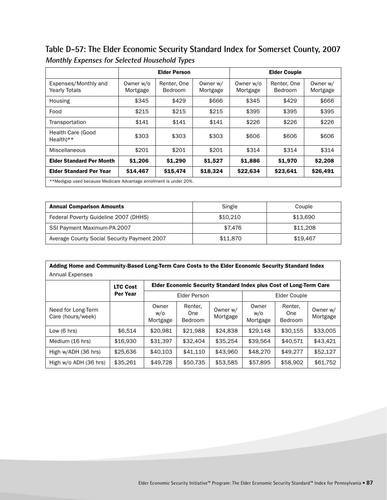**Table D-57: The Elder Economic Security Standard Index for Somerset County, 2007 Monthly Expenses for Selected Household Types**

|                                                                    | <b>Elder Person</b>   |                        |                      | <b>Elder Couple</b>   |                        |                      |
|--------------------------------------------------------------------|-----------------------|------------------------|----------------------|-----------------------|------------------------|----------------------|
| Expenses/Monthly and<br><b>Yearly Totals</b>                       | Owner w/o<br>Mortgage | Renter, One<br>Bedroom | Owner w/<br>Mortgage | Owner w/o<br>Mortgage | Renter, One<br>Bedroom | Owner w/<br>Mortgage |
| Housing                                                            | \$345                 | \$429                  | \$666                | \$345                 | \$429                  | \$666                |
| Food                                                               | \$215                 | \$215                  | \$215                | \$395                 | \$395                  | \$395                |
| Transportation                                                     | \$141                 | \$141                  | \$141                | \$226                 | \$226                  | \$226                |
| Health Care (Good<br>$Health**$                                    | \$303                 | \$303                  | \$303                | \$606                 | \$606                  | \$606                |
| Miscellaneous                                                      | \$201                 | \$201                  | \$201                | \$314                 | \$314                  | \$314                |
| <b>Elder Standard Per Month</b>                                    | \$1,206               | \$1,290                | \$1,527              | \$1,886               | \$1,970                | \$2,208              |
| <b>Elder Standard Per Year</b>                                     | \$14,467              | \$15,474               | \$18,324             | \$22,634              | \$23,641               | \$26,491             |
| **Medigap used because Medicare Advantage enrollment is under 20%. |                       |                        |                      |                       |                        |                      |

| <b>Annual Comparison Amounts</b>            | Single   | Couple   |
|---------------------------------------------|----------|----------|
| Federal Poverty Guideline 2007 (DHHS)       | \$10.210 | \$13.690 |
| SSI Payment Maximum-PA 2007                 | \$7.476  | \$11,208 |
| Average County Social Security Payment 2007 | \$11,870 | \$19.467 |

| Adding Home and Community-Based Long-Term Care Costs to the Elder Economic Security Standard Index |                 |                          |                                                                    |                      |                          |                                  |                      |  |  |  |
|----------------------------------------------------------------------------------------------------|-----------------|--------------------------|--------------------------------------------------------------------|----------------------|--------------------------|----------------------------------|----------------------|--|--|--|
| <b>Annual Expenses</b>                                                                             |                 |                          |                                                                    |                      |                          |                                  |                      |  |  |  |
|                                                                                                    | <b>LTC Cost</b> |                          | Elder Economic Security Standard Index plus Cost of Long-Term Care |                      |                          |                                  |                      |  |  |  |
|                                                                                                    | Per Year        |                          | <b>Elder Person</b>                                                |                      | Elder Couple             |                                  |                      |  |  |  |
| Need for Long-Term<br>Care (hours/week)                                                            |                 | Owner<br>w/o<br>Mortgage | Renter,<br>One<br>Bedroom                                          | Owner w/<br>Mortgage | Owner<br>w/o<br>Mortgage | Renter.<br>One<br><b>Bedroom</b> | Owner w/<br>Mortgage |  |  |  |
| Low $(6 \text{ hrs})$                                                                              | \$6.514         | \$20,981                 | \$21.988                                                           | \$24.838             | \$29,148                 | \$30.155                         | \$33,005             |  |  |  |
| Medium (16 hrs)                                                                                    | \$16,930        | \$31.397                 | \$32,404                                                           | \$35.254             | \$39.564                 | \$40.571                         | \$43.421             |  |  |  |
| High w/ADH (36 hrs)                                                                                | \$25,636        | \$40,103                 | \$41,110                                                           | \$43,960             | \$48,270                 | \$49.277                         | \$52,127             |  |  |  |
| High w/o ADH (36 hrs)                                                                              | \$35,261        | \$49.728                 | \$50,735                                                           | \$53,585             | \$57,895                 | \$58,902                         | \$61,752             |  |  |  |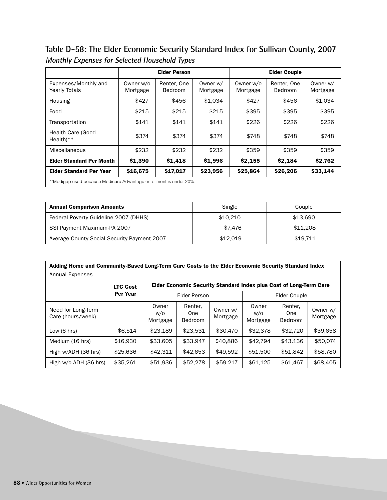**Table D-58: The Elder Economic Security Standard Index for Sullivan County, 2007 Monthly Expenses for Selected Household Types**

|                                                                    | <b>Elder Person</b>   |                               |                      | <b>Elder Couple</b>   |                        |                      |
|--------------------------------------------------------------------|-----------------------|-------------------------------|----------------------|-----------------------|------------------------|----------------------|
| Expenses/Monthly and<br><b>Yearly Totals</b>                       | Owner w/o<br>Mortgage | Renter, One<br><b>Bedroom</b> | Owner w/<br>Mortgage | Owner w/o<br>Mortgage | Renter, One<br>Bedroom | Owner w/<br>Mortgage |
| Housing                                                            | \$427                 | \$456                         | \$1.034              | \$427                 | \$456                  | \$1,034              |
| Food                                                               | \$215                 | \$215                         | \$215                | \$395                 | \$395                  | \$395                |
| Transportation                                                     | \$141                 | \$141                         | \$141                | \$226                 | \$226                  | \$226                |
| <b>Health Care (Good</b><br>$Health**$                             | \$374                 | \$374                         | \$374                | \$748                 | \$748                  | \$748                |
| Miscellaneous                                                      | \$232                 | \$232                         | \$232                | \$359                 | \$359                  | \$359                |
| <b>Elder Standard Per Month</b>                                    | \$1,390               | \$1,418                       | \$1,996              | \$2,155               | \$2,184                | \$2,762              |
| <b>Elder Standard Per Year</b>                                     | \$16,675              | \$17,017                      | \$23,956             | \$25,864              | \$26,206               | \$33,144             |
| **Medigap used because Medicare Advantage enrollment is under 20%. |                       |                               |                      |                       |                        |                      |

| <b>Annual Comparison Amounts</b>            | Single   | Couple   |
|---------------------------------------------|----------|----------|
| Federal Poverty Guideline 2007 (DHHS)       | \$10.210 | \$13.690 |
| SSI Payment Maximum-PA 2007                 | \$7.476  | \$11,208 |
| Average County Social Security Payment 2007 | \$12.019 | \$19.711 |

| Adding Home and Community-Based Long-Term Care Costs to the Elder Economic Security Standard Index |                 |                          |                                                                    |                      |                          |                                  |                      |  |  |  |
|----------------------------------------------------------------------------------------------------|-----------------|--------------------------|--------------------------------------------------------------------|----------------------|--------------------------|----------------------------------|----------------------|--|--|--|
| Annual Expenses                                                                                    |                 |                          |                                                                    |                      |                          |                                  |                      |  |  |  |
|                                                                                                    | <b>LTC Cost</b> |                          | Elder Economic Security Standard Index plus Cost of Long-Term Care |                      |                          |                                  |                      |  |  |  |
|                                                                                                    | Per Year        |                          | <b>Elder Person</b>                                                |                      | Elder Couple             |                                  |                      |  |  |  |
| Need for Long-Term<br>Care (hours/week)                                                            |                 | Owner<br>w/o<br>Mortgage | Renter,<br>One<br><b>Bedroom</b>                                   | Owner w/<br>Mortgage | Owner<br>w/o<br>Mortgage | Renter.<br>One<br><b>Bedroom</b> | Owner w/<br>Mortgage |  |  |  |
| Low $(6 \text{ hrs})$                                                                              | \$6.514         | \$23.189                 | \$23.531                                                           | \$30,470             | \$32,378                 | \$32,720                         | \$39,658             |  |  |  |
| Medium (16 hrs)                                                                                    | \$16,930        | \$33,605                 | \$33,947                                                           | \$40,886             | \$42.794                 | \$43.136                         | \$50,074             |  |  |  |
| High w/ADH (36 hrs)                                                                                | \$25,636        | \$42.311                 | \$42,653                                                           | \$49,592             | \$51,500                 | \$51,842                         | \$58,780             |  |  |  |
| High w/o ADH (36 hrs)                                                                              | \$35,261        | \$51,936                 | \$52,278                                                           | \$59,217             | \$61,125                 | \$61,467                         | \$68,405             |  |  |  |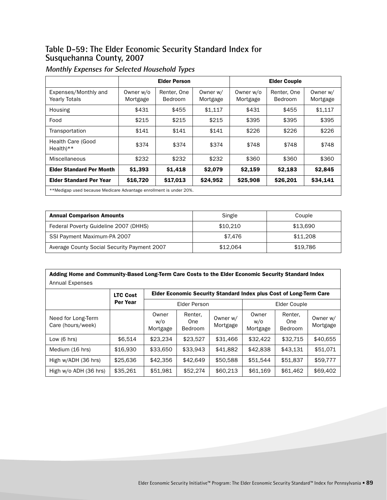#### **Table D-59: The Elder Economic Security Standard Index for Susquehanna County, 2007**

|                                                                    |                       | <b>Elder Person</b>    |                      |                       | <b>Elder Couple</b>           |                      |
|--------------------------------------------------------------------|-----------------------|------------------------|----------------------|-----------------------|-------------------------------|----------------------|
| Expenses/Monthly and<br><b>Yearly Totals</b>                       | Owner w/o<br>Mortgage | Renter, One<br>Bedroom | Owner w/<br>Mortgage | Owner w/o<br>Mortgage | Renter, One<br><b>Bedroom</b> | Owner w/<br>Mortgage |
| Housing                                                            | \$431                 | \$455                  | \$1.117              | \$431                 | \$455                         | \$1,117              |
| Food                                                               | \$215                 | \$215                  | \$215                | \$395                 | \$395                         | \$395                |
| Transportation                                                     | \$141                 | \$141                  | \$141                | \$226                 | \$226                         | \$226                |
| Health Care (Good<br>Health) $**$                                  | \$374                 | \$374                  | \$374                | \$748                 | \$748                         | \$748                |
| Miscellaneous                                                      | \$232                 | \$232                  | \$232                | \$360                 | \$360                         | \$360                |
| <b>Elder Standard Per Month</b>                                    | \$1,393               | \$1,418                | \$2,079              | \$2,159               | \$2,183                       | \$2,845              |
| <b>Elder Standard Per Year</b>                                     | \$16,720              | \$17,013               | \$24,952             | \$25,908              | \$26,201                      | \$34,141             |
| **Medigap used because Medicare Advantage enrollment is under 20%. |                       |                        |                      |                       |                               |                      |

| <b>Annual Comparison Amounts</b>            | Single   | Couple   |
|---------------------------------------------|----------|----------|
| Federal Poverty Guideline 2007 (DHHS)       | \$10,210 | \$13.690 |
| SSI Payment Maximum-PA 2007                 | \$7.476  | \$11,208 |
| Average County Social Security Payment 2007 | \$12.064 | \$19.786 |

| Adding Home and Community-Based Long-Term Care Costs to the Elder Economic Security Standard Index |          |                          |                           |                      |                          |                                  |                      |  |  |  |  |
|----------------------------------------------------------------------------------------------------|----------|--------------------------|---------------------------|----------------------|--------------------------|----------------------------------|----------------------|--|--|--|--|
| Annual Expenses                                                                                    |          |                          |                           |                      |                          |                                  |                      |  |  |  |  |
| Elder Economic Security Standard Index plus Cost of Long-Term Care<br><b>LTC Cost</b>              |          |                          |                           |                      |                          |                                  |                      |  |  |  |  |
|                                                                                                    | Per Year |                          | Elder Person              |                      | Elder Couple             |                                  |                      |  |  |  |  |
| Need for Long-Term<br>Care (hours/week)                                                            |          | Owner<br>w/o<br>Mortgage | Renter,<br>One<br>Bedroom | Owner w/<br>Mortgage | Owner<br>W/O<br>Mortgage | Renter,<br>One<br><b>Bedroom</b> | Owner w/<br>Mortgage |  |  |  |  |
| Low $(6 \text{ hrs})$                                                                              | \$6,514  | \$23,234                 | \$23,527                  | \$31,466             | \$32,422                 | \$32,715                         | \$40,655             |  |  |  |  |
| Medium (16 hrs)                                                                                    | \$16,930 | \$33,650                 | \$33.943                  | \$41,882             | \$42,838                 | \$43.131                         | \$51,071             |  |  |  |  |
| High w/ADH (36 hrs)                                                                                | \$25,636 | \$42,356                 | \$42,649                  | \$50,588             | \$51,544                 | \$51,837                         | \$59,777             |  |  |  |  |
| High w/o ADH (36 hrs)                                                                              | \$35,261 | \$51.981                 | \$52,274                  | \$60,213             | \$61,169                 | \$61,462                         | \$69,402             |  |  |  |  |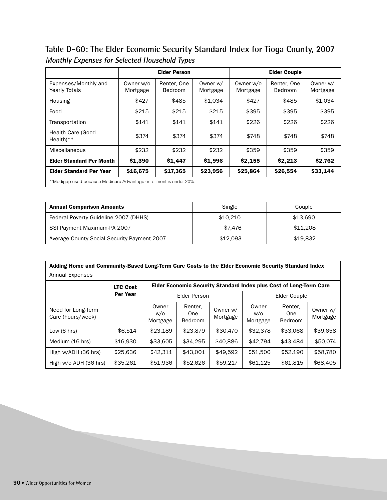**Table D-60: The Elder Economic Security Standard Index for Tioga County, 2007 Monthly Expenses for Selected Household Types**

|                                                                    | <b>Elder Person</b>   |                        |                      | <b>Elder Couple</b>   |                        |                      |
|--------------------------------------------------------------------|-----------------------|------------------------|----------------------|-----------------------|------------------------|----------------------|
| Expenses/Monthly and<br><b>Yearly Totals</b>                       | Owner w/o<br>Mortgage | Renter, One<br>Bedroom | Owner w/<br>Mortgage | Owner w/o<br>Mortgage | Renter, One<br>Bedroom | Owner w/<br>Mortgage |
| Housing                                                            | \$427                 | \$485                  | \$1.034              | \$427                 | \$485                  | \$1.034              |
| Food                                                               | \$215                 | \$215                  | \$215                | \$395                 | \$395                  | \$395                |
| Transportation                                                     | \$141                 | \$141                  | \$141                | \$226                 | \$226                  | \$226                |
| Health Care (Good<br>$Health**$                                    | \$374                 | \$374                  | \$374                | \$748                 | \$748                  | \$748                |
| Miscellaneous                                                      | \$232                 | \$232                  | \$232                | \$359                 | \$359                  | \$359                |
| <b>Elder Standard Per Month</b>                                    | \$1,390               | \$1,447                | \$1,996              | \$2,155               | \$2.213                | \$2,762              |
| <b>Elder Standard Per Year</b>                                     | \$16,675              | \$17,365               | \$23,956             | \$25,864              | \$26,554               | \$33,144             |
| **Medigap used because Medicare Advantage enrollment is under 20%. |                       |                        |                      |                       |                        |                      |

| <b>Annual Comparison Amounts</b>            | Single   | Couple   |
|---------------------------------------------|----------|----------|
| Federal Poverty Guideline 2007 (DHHS)       | \$10.210 | \$13.690 |
| SSI Payment Maximum-PA 2007                 | \$7.476  | \$11,208 |
| Average County Social Security Payment 2007 | \$12.093 | \$19.832 |

| Adding Home and Community-Based Long-Term Care Costs to the Elder Economic Security Standard Index<br><b>Annual Expenses</b> |                 |                          |                           |                      |                                                                    |                                  |                      |  |  |  |  |
|------------------------------------------------------------------------------------------------------------------------------|-----------------|--------------------------|---------------------------|----------------------|--------------------------------------------------------------------|----------------------------------|----------------------|--|--|--|--|
|                                                                                                                              | <b>LTC Cost</b> |                          |                           |                      | Elder Economic Security Standard Index plus Cost of Long-Term Care |                                  |                      |  |  |  |  |
|                                                                                                                              | <b>Per Year</b> | Elder Person             |                           |                      | Elder Couple                                                       |                                  |                      |  |  |  |  |
| Need for Long-Term<br>Care (hours/week)                                                                                      |                 | Owner<br>w/o<br>Mortgage | Renter,<br>One<br>Bedroom | Owner w/<br>Mortgage | Owner<br>W/O<br>Mortgage                                           | Renter.<br>One<br><b>Bedroom</b> | Owner w/<br>Mortgage |  |  |  |  |
| Low $(6 \text{ hrs})$                                                                                                        | \$6.514         | \$23.189                 | \$23,879                  | \$30,470             | \$32,378                                                           | \$33,068                         | \$39,658             |  |  |  |  |
| Medium (16 hrs)                                                                                                              | \$16,930        | \$33,605                 | \$34.295                  | \$40,886             | \$42,794                                                           | \$43.484                         | \$50,074             |  |  |  |  |
| High w/ADH (36 hrs)                                                                                                          | \$25,636        | \$42,311                 | \$43.001                  | \$49,592             | \$51,500                                                           | \$52,190                         | \$58,780             |  |  |  |  |
| High w/o ADH (36 hrs)                                                                                                        | \$35,261        | \$51,936                 | \$52,626                  | \$59,217             | \$61,125                                                           | \$61,815                         | \$68,405             |  |  |  |  |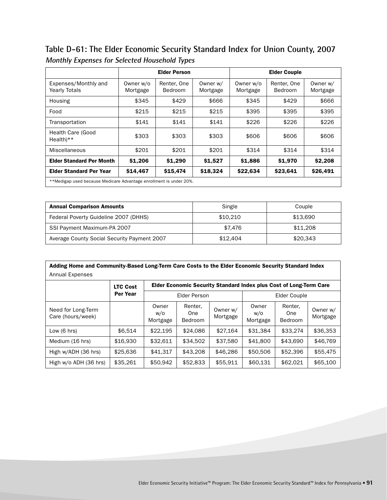**Table D-61: The Elder Economic Security Standard Index for Union County, 2007 Monthly Expenses for Selected Household Types**

|                                                                    | <b>Elder Person</b>   |                               |                      | <b>Elder Couple</b>   |                        |                      |
|--------------------------------------------------------------------|-----------------------|-------------------------------|----------------------|-----------------------|------------------------|----------------------|
| Expenses/Monthly and<br><b>Yearly Totals</b>                       | Owner w/o<br>Mortgage | Renter, One<br><b>Bedroom</b> | Owner w/<br>Mortgage | Owner w/o<br>Mortgage | Renter, One<br>Bedroom | Owner w/<br>Mortgage |
| Housing                                                            | \$345                 | \$429                         | \$666                | \$345                 | \$429                  | \$666                |
| Food                                                               | \$215                 | \$215                         | \$215                | \$395                 | \$395                  | \$395                |
| Transportation                                                     | \$141                 | \$141                         | \$141                | \$226                 | \$226                  | \$226                |
| Health Care (Good<br>$Health**$                                    | \$303                 | \$303                         | \$303                | \$606                 | \$606                  | \$606                |
| Miscellaneous                                                      | \$201                 | \$201                         | \$201                | \$314                 | \$314                  | \$314                |
| <b>Elder Standard Per Month</b>                                    | \$1,206               | \$1,290                       | \$1,527              | \$1,886               | \$1,970                | \$2,208              |
| <b>Elder Standard Per Year</b>                                     | \$14.467              | \$15,474                      | \$18,324             | \$22,634              | \$23,641               | \$26,491             |
| **Medigap used because Medicare Advantage enrollment is under 20%. |                       |                               |                      |                       |                        |                      |

| <b>Annual Comparison Amounts</b>            | Single   | Couple   |
|---------------------------------------------|----------|----------|
| Federal Poverty Guideline 2007 (DHHS)       | \$10.210 | \$13.690 |
| SSI Payment Maximum-PA 2007                 | \$7.476  | \$11,208 |
| Average County Social Security Payment 2007 | \$12,404 | \$20.343 |

| Adding Home and Community-Based Long-Term Care Costs to the Elder Economic Security Standard Index |                 |                          |                                                                    |                      |                          |                                  |                      |  |  |  |
|----------------------------------------------------------------------------------------------------|-----------------|--------------------------|--------------------------------------------------------------------|----------------------|--------------------------|----------------------------------|----------------------|--|--|--|
| <b>Annual Expenses</b>                                                                             |                 |                          |                                                                    |                      |                          |                                  |                      |  |  |  |
|                                                                                                    | <b>LTC Cost</b> |                          | Elder Economic Security Standard Index plus Cost of Long-Term Care |                      |                          |                                  |                      |  |  |  |
|                                                                                                    | Per Year        |                          | <b>Elder Person</b>                                                |                      | Elder Couple             |                                  |                      |  |  |  |
| Need for Long-Term<br>Care (hours/week)                                                            |                 | Owner<br>w/o<br>Mortgage | Renter,<br>One<br>Bedroom                                          | Owner w/<br>Mortgage | Owner<br>w/o<br>Mortgage | Renter.<br>One<br><b>Bedroom</b> | Owner w/<br>Mortgage |  |  |  |
| Low $(6 \text{ hrs})$                                                                              | \$6.514         | \$22.195                 | \$24.086                                                           | \$27.164             | \$31.384                 | \$33.274                         | \$36,353             |  |  |  |
| Medium (16 hrs)                                                                                    | \$16,930        | \$32.611                 | \$34,502                                                           | \$37,580             | \$41,800                 | \$43,690                         | \$46,769             |  |  |  |
| High w/ADH (36 hrs)                                                                                | \$25,636        | \$41,317                 | \$43,208                                                           | \$46,286             | \$50,506                 | \$52,396                         | \$55,475             |  |  |  |
| High w/o ADH (36 hrs)                                                                              | \$35,261        | \$50,942                 | \$52,833                                                           | \$55,911             | \$60,131                 | \$62,021                         | \$65,100             |  |  |  |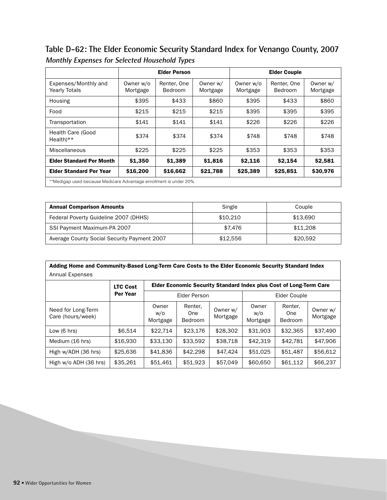**Table D-62: The Elder Economic Security Standard Index for Venango County, 2007 Monthly Expenses for Selected Household Types**

|                                                                    |                       | <b>Elder Person</b>    |                      |                       | <b>Elder Couple</b>    |                      |
|--------------------------------------------------------------------|-----------------------|------------------------|----------------------|-----------------------|------------------------|----------------------|
| Expenses/Monthly and<br><b>Yearly Totals</b>                       | Owner w/o<br>Mortgage | Renter, One<br>Bedroom | Owner w/<br>Mortgage | Owner w/o<br>Mortgage | Renter, One<br>Bedroom | Owner w/<br>Mortgage |
| Housing                                                            | \$395                 | \$433                  | \$860                | \$395                 | \$433                  | \$860                |
| Food                                                               | \$215                 | \$215                  | \$215                | \$395                 | \$395                  | \$395                |
| Transportation                                                     | \$141                 | \$141                  | \$141                | \$226                 | \$226                  | \$226                |
| Health Care (Good<br>$Health**$                                    | \$374                 | \$374                  | \$374                | \$748                 | \$748                  | \$748                |
| Miscellaneous                                                      | \$225                 | \$225                  | \$225                | \$353                 | \$353                  | \$353                |
| <b>Elder Standard Per Month</b>                                    | \$1,350               | \$1,389                | \$1,816              | \$2,116               | \$2.154                | \$2,581              |
| <b>Elder Standard Per Year</b>                                     | \$16,200              | \$16,662               | \$21,788             | \$25,389              | \$25,851               | \$30,976             |
| **Medigap used because Medicare Advantage enrollment is under 20%. |                       |                        |                      |                       |                        |                      |

| <b>Annual Comparison Amounts</b>            | Single   | Couple   |
|---------------------------------------------|----------|----------|
| Federal Poverty Guideline 2007 (DHHS)       | \$10.210 | \$13.690 |
| SSI Payment Maximum-PA 2007                 | \$7.476  | \$11,208 |
| Average County Social Security Payment 2007 | \$12.556 | \$20.592 |

| Adding Home and Community-Based Long-Term Care Costs to the Elder Economic Security Standard Index |                 |                          |                                                                    |                      |                          |                                  |                      |  |  |  |
|----------------------------------------------------------------------------------------------------|-----------------|--------------------------|--------------------------------------------------------------------|----------------------|--------------------------|----------------------------------|----------------------|--|--|--|
| Annual Expenses                                                                                    |                 |                          |                                                                    |                      |                          |                                  |                      |  |  |  |
|                                                                                                    | <b>LTC Cost</b> |                          | Elder Economic Security Standard Index plus Cost of Long-Term Care |                      |                          |                                  |                      |  |  |  |
|                                                                                                    | Per Year        |                          | <b>Elder Person</b>                                                |                      | Elder Couple             |                                  |                      |  |  |  |
| Need for Long-Term<br>Care (hours/week)                                                            |                 | Owner<br>w/o<br>Mortgage | Renter,<br>One<br><b>Bedroom</b>                                   | Owner w/<br>Mortgage | Owner<br>w/o<br>Mortgage | Renter.<br>One<br><b>Bedroom</b> | Owner w/<br>Mortgage |  |  |  |
| Low $(6 \text{ hrs})$                                                                              | \$6.514         | \$22.714                 | \$23,176                                                           | \$28,302             | \$31,903                 | \$32,365                         | \$37.490             |  |  |  |
| Medium (16 hrs)                                                                                    | \$16,930        | \$33.130                 | \$33.592                                                           | \$38,718             | \$42.319                 | \$42.781                         | \$47,906             |  |  |  |
| High w/ADH (36 hrs)                                                                                | \$25,636        | \$41,836                 | \$42,298                                                           | \$47,424             | \$51,025                 | \$51,487                         | \$56,612             |  |  |  |
| High w/o ADH (36 hrs)                                                                              | \$35,261        | \$51.461                 | \$51,923                                                           | \$57,049             | \$60,650                 | \$61,112                         | \$66,237             |  |  |  |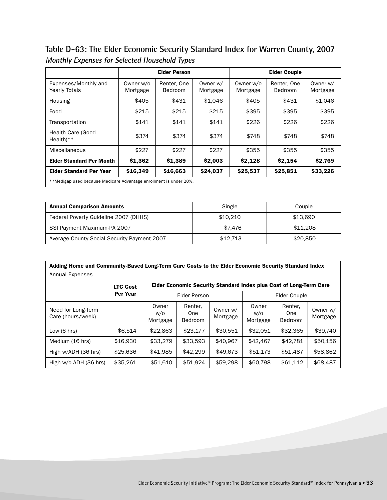**Table D-63: The Elder Economic Security Standard Index for Warren County, 2007 Monthly Expenses for Selected Household Types**

|                                                                    |                       | <b>Elder Person</b>    |                      |                       | <b>Elder Couple</b>    |                      |
|--------------------------------------------------------------------|-----------------------|------------------------|----------------------|-----------------------|------------------------|----------------------|
| Expenses/Monthly and<br><b>Yearly Totals</b>                       | Owner w/o<br>Mortgage | Renter, One<br>Bedroom | Owner w/<br>Mortgage | Owner w/o<br>Mortgage | Renter, One<br>Bedroom | Owner w/<br>Mortgage |
| Housing                                                            | \$405                 | \$431                  | \$1,046              | \$405                 | \$431                  | \$1,046              |
| Food                                                               | \$215                 | \$215                  | \$215                | \$395                 | \$395                  | \$395                |
| Transportation                                                     | \$141                 | \$141                  | \$141                | \$226                 | \$226                  | \$226                |
| Health Care (Good<br>$Health**$                                    | \$374                 | \$374                  | \$374                | \$748                 | \$748                  | \$748                |
| Miscellaneous                                                      | \$227                 | \$227                  | \$227                | \$355                 | \$355                  | \$355                |
| <b>Elder Standard Per Month</b>                                    | \$1,362               | \$1,389                | \$2,003              | \$2,128               | \$2,154                | \$2,769              |
| <b>Elder Standard Per Year</b>                                     | \$16,349              | \$16,663               | \$24,037             | \$25,537              | \$25,851               | \$33,226             |
| **Medigap used because Medicare Advantage enrollment is under 20%. |                       |                        |                      |                       |                        |                      |

| <b>Annual Comparison Amounts</b>            | Single   | Couple   |
|---------------------------------------------|----------|----------|
| Federal Poverty Guideline 2007 (DHHS)       | \$10.210 | \$13.690 |
| SSI Payment Maximum-PA 2007                 | \$7.476  | \$11,208 |
| Average County Social Security Payment 2007 | \$12.713 | \$20,850 |

| Adding Home and Community-Based Long-Term Care Costs to the Elder Economic Security Standard Index |                 |                          |                                                                    |                      |                          |                                  |                      |  |  |  |
|----------------------------------------------------------------------------------------------------|-----------------|--------------------------|--------------------------------------------------------------------|----------------------|--------------------------|----------------------------------|----------------------|--|--|--|
| Annual Expenses                                                                                    |                 |                          |                                                                    |                      |                          |                                  |                      |  |  |  |
|                                                                                                    | <b>LTC Cost</b> |                          | Elder Economic Security Standard Index plus Cost of Long-Term Care |                      |                          |                                  |                      |  |  |  |
|                                                                                                    | <b>Per Year</b> |                          | Elder Person                                                       |                      | Elder Couple             |                                  |                      |  |  |  |
| Need for Long-Term<br>Care (hours/week)                                                            |                 | Owner<br>W/O<br>Mortgage | Renter,<br>One<br>Bedroom                                          | Owner w/<br>Mortgage | Owner<br>W/O<br>Mortgage | Renter.<br>One<br><b>Bedroom</b> | Owner w/<br>Mortgage |  |  |  |
| Low $(6 \text{ hrs})$                                                                              | \$6.514         | \$22,863                 | \$23.177                                                           | \$30.551             | \$32.051                 | \$32.365                         | \$39,740             |  |  |  |
| Medium (16 hrs)                                                                                    | \$16,930        | \$33,279                 | \$33,593                                                           | \$40,967             | \$42,467                 | \$42.781                         | \$50.156             |  |  |  |
| High w/ADH (36 hrs)                                                                                | \$25,636        | \$41,985                 | \$42,299                                                           | \$49,673             | \$51,173                 | \$51,487                         | \$58,862             |  |  |  |
| High w/o ADH (36 hrs)                                                                              | \$35,261        | \$51,610                 | \$51,924                                                           | \$59,298             | \$60,798                 | \$61,112                         | \$68,487             |  |  |  |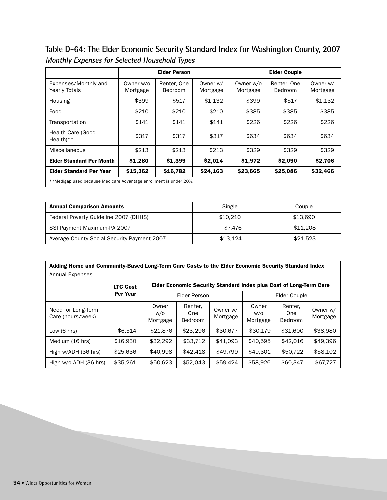**Table D-64: The Elder Economic Security Standard Index for Washington County, 2007 Monthly Expenses for Selected Household Types**

|                                                                    | <b>Elder Person</b>   |                               |                      | <b>Elder Couple</b>   |                        |                      |
|--------------------------------------------------------------------|-----------------------|-------------------------------|----------------------|-----------------------|------------------------|----------------------|
| Expenses/Monthly and<br><b>Yearly Totals</b>                       | Owner w/o<br>Mortgage | Renter, One<br><b>Bedroom</b> | Owner w/<br>Mortgage | Owner w/o<br>Mortgage | Renter, One<br>Bedroom | Owner w/<br>Mortgage |
| Housing                                                            | \$399                 | \$517                         | \$1,132              | \$399                 | \$517                  | \$1,132              |
| Food                                                               | \$210                 | \$210                         | \$210                | \$385                 | \$385                  | \$385                |
| Transportation                                                     | \$141                 | \$141                         | \$141                | \$226                 | \$226                  | \$226                |
| Health Care (Good<br>$Health**$                                    | \$317                 | \$317                         | \$317                | \$634                 | \$634                  | \$634                |
| Miscellaneous                                                      | \$213                 | \$213                         | \$213                | \$329                 | \$329                  | \$329                |
| <b>Elder Standard Per Month</b>                                    | \$1,280               | \$1,399                       | \$2,014              | \$1,972               | \$2,090                | \$2,706              |
| <b>Elder Standard Per Year</b>                                     | \$15,362              | \$16,782                      | \$24,163             | \$23,665              | \$25,086               | \$32,466             |
| **Medigap used because Medicare Advantage enrollment is under 20%. |                       |                               |                      |                       |                        |                      |

| <b>Annual Comparison Amounts</b>            | Single   | Couple   |
|---------------------------------------------|----------|----------|
| Federal Poverty Guideline 2007 (DHHS)       | \$10,210 | \$13,690 |
| SSI Payment Maximum-PA 2007                 | \$7.476  | \$11,208 |
| Average County Social Security Payment 2007 | \$13.124 | \$21.523 |

| Adding Home and Community-Based Long-Term Care Costs to the Elder Economic Security Standard Index |                 |                          |                                                                    |                      |                          |                                  |                      |  |  |  |
|----------------------------------------------------------------------------------------------------|-----------------|--------------------------|--------------------------------------------------------------------|----------------------|--------------------------|----------------------------------|----------------------|--|--|--|
| <b>Annual Expenses</b>                                                                             |                 |                          |                                                                    |                      |                          |                                  |                      |  |  |  |
|                                                                                                    | <b>LTC Cost</b> |                          | Elder Economic Security Standard Index plus Cost of Long-Term Care |                      |                          |                                  |                      |  |  |  |
|                                                                                                    | <b>Per Year</b> | <b>Elder Person</b>      |                                                                    |                      | Elder Couple             |                                  |                      |  |  |  |
| Need for Long-Term<br>Care (hours/week)                                                            |                 | Owner<br>w/o<br>Mortgage | Renter,<br>One<br><b>Bedroom</b>                                   | Owner w/<br>Mortgage | Owner<br>w/o<br>Mortgage | Renter.<br>One<br><b>Bedroom</b> | Owner w/<br>Mortgage |  |  |  |
| Low $(6 \text{ hrs})$                                                                              | \$6.514         | \$21.876                 | \$23,296                                                           | \$30,677             | \$30.179                 | \$31,600                         | \$38,980             |  |  |  |
| Medium (16 hrs)                                                                                    | \$16,930        | \$32,292                 | \$33.712                                                           | \$41.093             | \$40.595                 | \$42,016                         | \$49,396             |  |  |  |
| High w/ADH (36 hrs)                                                                                | \$25,636        | \$40.998                 | \$42,418                                                           | \$49.799             | \$49,301                 | \$50,722                         | \$58,102             |  |  |  |
| High w/o ADH (36 hrs)                                                                              | \$35,261        | \$50,623                 | \$52,043                                                           | \$59,424             | \$58,926                 | \$60,347                         | \$67,727             |  |  |  |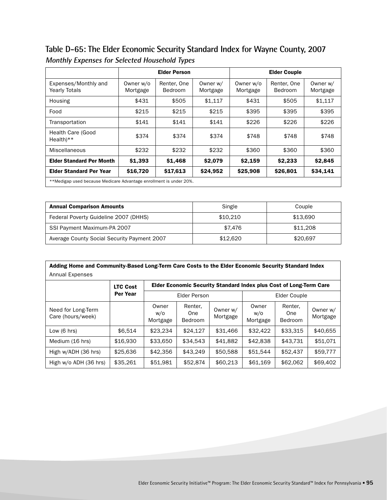**Table D-65: The Elder Economic Security Standard Index for Wayne County, 2007 Monthly Expenses for Selected Household Types**

|                                              | <b>Elder Person</b>                                                |                        |                      | <b>Elder Couple</b>   |                        |                      |  |  |  |  |
|----------------------------------------------|--------------------------------------------------------------------|------------------------|----------------------|-----------------------|------------------------|----------------------|--|--|--|--|
| Expenses/Monthly and<br><b>Yearly Totals</b> | Owner w/o<br>Mortgage                                              | Renter, One<br>Bedroom | Owner w/<br>Mortgage | Owner w/o<br>Mortgage | Renter, One<br>Bedroom | Owner w/<br>Mortgage |  |  |  |  |
| Housing                                      | \$431                                                              | \$505                  | \$1,117              | \$431                 | \$505                  | \$1,117              |  |  |  |  |
| Food                                         | \$215                                                              | \$215                  | \$215                | \$395                 | \$395                  | \$395                |  |  |  |  |
| Transportation                               | \$141                                                              | \$141                  | \$141                | \$226                 | \$226                  | \$226                |  |  |  |  |
| Health Care (Good<br>$Health**$              | \$374                                                              | \$374                  | \$374                | \$748                 | \$748                  | \$748                |  |  |  |  |
| Miscellaneous                                | \$232                                                              | \$232                  | \$232                | \$360                 | \$360                  | \$360                |  |  |  |  |
| <b>Elder Standard Per Month</b>              | \$1,393                                                            | \$1,468                | \$2,079              | \$2,159               | \$2,233                | \$2,845              |  |  |  |  |
| <b>Elder Standard Per Year</b>               | \$16,720                                                           | \$17,613               | \$24,952             | \$25,908              | \$26,801               | \$34,141             |  |  |  |  |
|                                              | **Medigap used because Medicare Advantage enrollment is under 20%. |                        |                      |                       |                        |                      |  |  |  |  |

| <b>Annual Comparison Amounts</b>            | Single   | Couple   |
|---------------------------------------------|----------|----------|
| Federal Poverty Guideline 2007 (DHHS)       | \$10.210 | \$13.690 |
| SSI Payment Maximum-PA 2007                 | \$7.476  | \$11,208 |
| Average County Social Security Payment 2007 | \$12,620 | \$20,697 |

| Adding Home and Community-Based Long-Term Care Costs to the Elder Economic Security Standard Index |                 |                          |                                                                    |                      |                          |                                         |                      |  |  |  |
|----------------------------------------------------------------------------------------------------|-----------------|--------------------------|--------------------------------------------------------------------|----------------------|--------------------------|-----------------------------------------|----------------------|--|--|--|
| Annual Expenses                                                                                    |                 |                          |                                                                    |                      |                          |                                         |                      |  |  |  |
|                                                                                                    | <b>LTC Cost</b> |                          | Elder Economic Security Standard Index plus Cost of Long-Term Care |                      |                          |                                         |                      |  |  |  |
|                                                                                                    | <b>Per Year</b> | Elder Person             |                                                                    |                      | Elder Couple             |                                         |                      |  |  |  |
| Need for Long-Term<br>Care (hours/week)                                                            |                 | Owner<br>w/o<br>Mortgage | Renter.<br>One<br>Bedroom                                          | Owner w/<br>Mortgage | Owner<br>W/O<br>Mortgage | Renter.<br><b>One</b><br><b>Bedroom</b> | Owner w/<br>Mortgage |  |  |  |
| Low $(6 \text{ hrs})$                                                                              | \$6.514         | \$23.234                 | \$24.127                                                           | \$31,466             | \$32,422                 | \$33.315                                | \$40,655             |  |  |  |
| Medium (16 hrs)                                                                                    | \$16,930        | \$33,650                 | \$34.543                                                           | \$41,882             | \$42,838                 | \$43.731                                | \$51.071             |  |  |  |
| High w/ADH (36 hrs)                                                                                | \$25,636        | \$42,356                 | \$43,249                                                           | \$50,588             | \$51,544                 | \$52,437                                | \$59,777             |  |  |  |
| High w/o ADH (36 hrs)                                                                              | \$35,261        | \$51,981                 | \$52,874                                                           | \$60,213             | \$61,169                 | \$62,062                                | \$69,402             |  |  |  |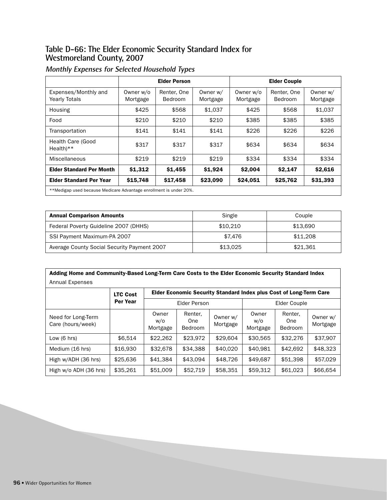#### **Table D-66: The Elder Economic Security Standard Index for Westmoreland County, 2007**

|                                                                    | <b>Elder Person</b>   |                               |                      | <b>Elder Couple</b>   |                        |                      |  |  |
|--------------------------------------------------------------------|-----------------------|-------------------------------|----------------------|-----------------------|------------------------|----------------------|--|--|
| Expenses/Monthly and<br><b>Yearly Totals</b>                       | Owner w/o<br>Mortgage | Renter, One<br><b>Bedroom</b> | Owner w/<br>Mortgage | Owner w/o<br>Mortgage | Renter, One<br>Bedroom | Owner w/<br>Mortgage |  |  |
| Housing                                                            | \$425                 | \$568                         | \$1.037              | \$425                 | \$568                  | \$1,037              |  |  |
| Food                                                               | \$210                 | \$210                         | \$210                | \$385                 | \$385                  | \$385                |  |  |
| Transportation                                                     | \$141                 | \$141                         | \$141                | \$226                 | \$226                  | \$226                |  |  |
| Health Care (Good<br>$Health**$                                    | \$317                 | \$317                         | \$317                | \$634                 | \$634                  | \$634                |  |  |
| Miscellaneous                                                      | \$219                 | \$219                         | \$219                | \$334                 | \$334                  | \$334                |  |  |
| <b>Elder Standard Per Month</b>                                    | \$1,312               | \$1,455                       | \$1,924              | \$2,004               | \$2,147                | \$2,616              |  |  |
| <b>Elder Standard Per Year</b>                                     | \$15,748              | \$17,458                      | \$23,090             | \$24,051              | \$25,762               | \$31,393             |  |  |
| **Medigap used because Medicare Advantage enrollment is under 20%. |                       |                               |                      |                       |                        |                      |  |  |

| <b>Annual Comparison Amounts</b>            | Single   | Couple   |
|---------------------------------------------|----------|----------|
| Federal Poverty Guideline 2007 (DHHS)       | \$10.210 | \$13.690 |
| SSI Payment Maximum-PA 2007                 | \$7.476  | \$11,208 |
| Average County Social Security Payment 2007 | \$13.025 | \$21.361 |

| Adding Home and Community-Based Long-Term Care Costs to the Elder Economic Security Standard Index |                 |                          |                                                                    |                      |                          |                                  |                      |  |  |  |
|----------------------------------------------------------------------------------------------------|-----------------|--------------------------|--------------------------------------------------------------------|----------------------|--------------------------|----------------------------------|----------------------|--|--|--|
| <b>Annual Expenses</b>                                                                             |                 |                          |                                                                    |                      |                          |                                  |                      |  |  |  |
|                                                                                                    | <b>LTC Cost</b> |                          | Elder Economic Security Standard Index plus Cost of Long-Term Care |                      |                          |                                  |                      |  |  |  |
|                                                                                                    | Per Year        |                          | Elder Person                                                       |                      |                          | Elder Couple                     |                      |  |  |  |
| Need for Long-Term<br>Care (hours/week)                                                            |                 | Owner<br>w/o<br>Mortgage | Renter,<br>0ne<br>Bedroom                                          | Owner w/<br>Mortgage | Owner<br>W/O<br>Mortgage | Renter,<br>One<br><b>Bedroom</b> | Owner w/<br>Mortgage |  |  |  |
| Low $(6 \text{ hrs})$                                                                              | \$6.514         | \$22,262                 | \$23.972                                                           | \$29.604             | \$30,565                 | \$32,276                         | \$37.907             |  |  |  |
| Medium (16 hrs)                                                                                    | \$16,930        | \$32,678                 | \$34.388                                                           | \$40,020             | \$40.981                 | \$42.692                         | \$48.323             |  |  |  |
| High w/ADH (36 hrs)                                                                                | \$25,636        | \$41.384                 | \$43.094                                                           | \$48,726             | \$49,687                 | \$51,398                         | \$57,029             |  |  |  |
| High w/o ADH (36 hrs)                                                                              | \$35,261        | \$51,009                 | \$52,719                                                           | \$58,351             | \$59,312                 | \$61,023                         | \$66,654             |  |  |  |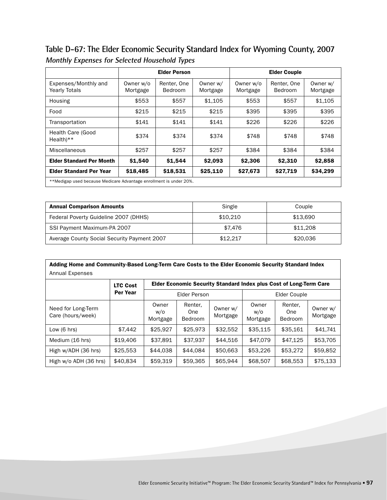**Table D-67: The Elder Economic Security Standard Index for Wyoming County, 2007 Monthly Expenses for Selected Household Types**

|                                              | <b>Elder Person</b>                                                |                        |                      | <b>Elder Couple</b>   |                        |                      |  |  |  |
|----------------------------------------------|--------------------------------------------------------------------|------------------------|----------------------|-----------------------|------------------------|----------------------|--|--|--|
| Expenses/Monthly and<br><b>Yearly Totals</b> | Owner w/o<br>Mortgage                                              | Renter, One<br>Bedroom | Owner w/<br>Mortgage | Owner w/o<br>Mortgage | Renter, One<br>Bedroom | Owner w/<br>Mortgage |  |  |  |
| Housing                                      | \$553                                                              | \$557                  | \$1.105              | \$553                 | \$557                  | \$1,105              |  |  |  |
| Food                                         | \$215                                                              | \$215                  | \$215                | \$395                 | \$395                  | \$395                |  |  |  |
| Transportation                               | \$141                                                              | \$141                  | \$141                | \$226                 | \$226                  | \$226                |  |  |  |
| Health Care (Good<br>Health)**               | \$374                                                              | \$374                  | \$374                | \$748                 | \$748                  | \$748                |  |  |  |
| Miscellaneous                                | \$257                                                              | \$257                  | \$257                | \$384                 | \$384                  | \$384                |  |  |  |
| <b>Elder Standard Per Month</b>              | \$1,540                                                            | \$1,544                | \$2,093              | \$2,306               | \$2,310                | \$2,858              |  |  |  |
| <b>Elder Standard Per Year</b>               | \$18,485                                                           | \$18,531               | \$25,110             | \$27,673              | \$27,719               | \$34,299             |  |  |  |
|                                              | **Medigap used because Medicare Advantage enrollment is under 20%. |                        |                      |                       |                        |                      |  |  |  |

| <b>Annual Comparison Amounts</b>            | Single   | Couple   |
|---------------------------------------------|----------|----------|
| Federal Poverty Guideline 2007 (DHHS)       | \$10,210 | \$13,690 |
| SSI Payment Maximum-PA 2007                 | \$7.476  | \$11,208 |
| Average County Social Security Payment 2007 | \$12.217 | \$20,036 |

| Adding Home and Community-Based Long-Term Care Costs to the Elder Economic Security Standard Index |                 |                                                                    |                                  |                      |                                      |                                  |                      |
|----------------------------------------------------------------------------------------------------|-----------------|--------------------------------------------------------------------|----------------------------------|----------------------|--------------------------------------|----------------------------------|----------------------|
| <b>Annual Expenses</b>                                                                             |                 |                                                                    |                                  |                      |                                      |                                  |                      |
|                                                                                                    | <b>LTC Cost</b> | Elder Economic Security Standard Index plus Cost of Long-Term Care |                                  |                      |                                      |                                  |                      |
|                                                                                                    | Per Year        |                                                                    | Elder Person                     |                      |                                      | Elder Couple                     |                      |
| Need for Long-Term<br>Care (hours/week)                                                            |                 | Owner<br>w/o<br>M <sub>0</sub> rt <sub>0</sub> 00                  | Renter,<br>One<br><b>Dodroom</b> | Owner w/<br>Mortgage | Owner<br>W/O<br>$M^{\text{at}}$ gado | Renter,<br>One<br><b>Dodroom</b> | Owner w/<br>Mortgage |

Bedroom

Low (6 hrs) | \$7,442 | \$25,927 | \$25,973 | \$32,552 | \$35,115 | \$35,161 | \$41,741 Medium (16 hrs) \$19,406 \$37,891 \$37,937 \$44,516 \$47,079 \$47,125 \$53,705 High w/ADH (36 hrs)  $\begin{array}{|c|c|c|c|c|c|}\n\hline\n$50,663 & $53,226 & $53,272 & $59,852\n\end{array}$ High w/o ADH (36 hrs) \$40,834 \$59,319 \$59,365 \$65,944 \$68,507 \$68,553 \$75,133

Mortgage

| Elder Economic Security Initiative™ Program: The Elder Economic Security Standard™ Index for Pennsylvania • 97 |  |  |
|----------------------------------------------------------------------------------------------------------------|--|--|

Mortgage

Bedroom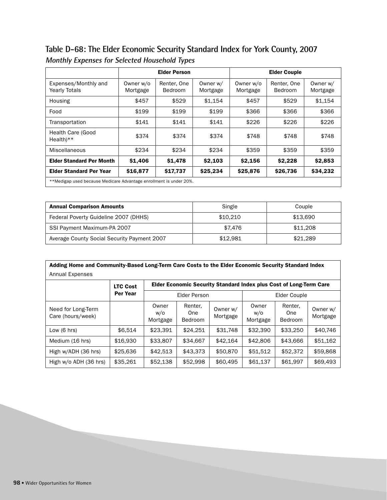**Table D-68: The Elder Economic Security Standard Index for York County, 2007 Monthly Expenses for Selected Household Types**

|                                                                    |                       | <b>Elder Person</b>           |                      | <b>Elder Couple</b>   |                        |                      |  |  |  |
|--------------------------------------------------------------------|-----------------------|-------------------------------|----------------------|-----------------------|------------------------|----------------------|--|--|--|
| Expenses/Monthly and<br><b>Yearly Totals</b>                       | Owner w/o<br>Mortgage | Renter, One<br><b>Bedroom</b> | Owner w/<br>Mortgage | Owner w/o<br>Mortgage | Renter, One<br>Bedroom | Owner w/<br>Mortgage |  |  |  |
| Housing                                                            | \$457                 | \$529                         | \$1.154              | \$457                 | \$529                  | \$1,154              |  |  |  |
| Food                                                               | \$199                 | \$199                         | \$199                | \$366                 | \$366                  | \$366                |  |  |  |
| Transportation                                                     | \$141                 | \$141                         | \$141                | \$226                 | \$226                  | \$226                |  |  |  |
| Health Care (Good<br>$Health**$                                    | \$374                 | \$374                         | \$374                | \$748                 | \$748                  | \$748                |  |  |  |
| Miscellaneous                                                      | \$234                 | \$234                         | \$234                | \$359                 | \$359                  | \$359                |  |  |  |
| <b>Elder Standard Per Month</b>                                    | \$1,406               | \$1,478                       | \$2,103              | \$2,156               | \$2,228                | \$2,853              |  |  |  |
| <b>Elder Standard Per Year</b>                                     | \$16,877              | \$17,737                      | \$25,234             | \$25,876              | \$26,736               | \$34,232             |  |  |  |
| **Medigap used because Medicare Advantage enrollment is under 20%. |                       |                               |                      |                       |                        |                      |  |  |  |

| <b>Annual Comparison Amounts</b>            | Single   | Couple   |  |
|---------------------------------------------|----------|----------|--|
| Federal Poverty Guideline 2007 (DHHS)       | \$10,210 | \$13,690 |  |
| SSI Payment Maximum-PA 2007                 | \$7.476  | \$11,208 |  |
| Average County Social Security Payment 2007 | \$12.981 | \$21,289 |  |

| Adding Home and Community-Based Long-Term Care Costs to the Elder Economic Security Standard Index |                             |                                                                           |                                  |                      |                          |                                  |                      |  |  |  |  |
|----------------------------------------------------------------------------------------------------|-----------------------------|---------------------------------------------------------------------------|----------------------------------|----------------------|--------------------------|----------------------------------|----------------------|--|--|--|--|
| Annual Expenses                                                                                    |                             |                                                                           |                                  |                      |                          |                                  |                      |  |  |  |  |
|                                                                                                    | <b>LTC Cost</b><br>Per Year | <b>Elder Economic Security Standard Index plus Cost of Long-Term Care</b> |                                  |                      |                          |                                  |                      |  |  |  |  |
|                                                                                                    |                             | Elder Person                                                              |                                  |                      | Elder Couple             |                                  |                      |  |  |  |  |
| Need for Long-Term<br>Care (hours/week)                                                            |                             | Owner<br>w/o<br>Mortgage                                                  | Renter,<br>One<br><b>Bedroom</b> | Owner w/<br>Mortgage | Owner<br>w/o<br>Mortgage | Renter.<br>One<br><b>Bedroom</b> | Owner w/<br>Mortgage |  |  |  |  |
| Low $(6 \text{ hrs})$                                                                              | \$6.514                     | \$23.391                                                                  | \$24.251                         | \$31,748             | \$32,390                 | \$33,250                         | \$40,746             |  |  |  |  |
| Medium (16 hrs)                                                                                    | \$16,930                    | \$33,807                                                                  | \$34,667                         | \$42.164             | \$42,806                 | \$43,666                         | \$51,162             |  |  |  |  |
| High w/ADH (36 hrs)                                                                                | \$25,636                    | \$42.513                                                                  | \$43,373                         | \$50,870             | \$51,512                 | \$52,372                         | \$59,868             |  |  |  |  |
| High w/o ADH (36 hrs)                                                                              | \$35,261                    | \$52,138                                                                  | \$52,998                         | \$60,495             | \$61,137                 | \$61,997                         | \$69,493             |  |  |  |  |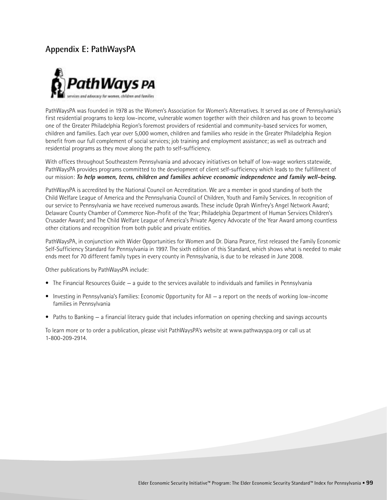## **Appendix E: PathWaysPA**



PathWaysPA was founded in 1978 as the Women's Association for Women's Alternatives. It served as one of Pennsylvania's first residential programs to keep low-income, vulnerable women together with their children and has grown to become one of the Greater Philadelphia Region's foremost providers of residential and community-based services for women, children and families. Each year over 5,000 women, children and families who reside in the Greater Philadelphia Region benefit from our full complement of social services; job training and employment assistance; as well as outreach and residential programs as they move along the path to self-sufficiency.

With offices throughout Southeastern Pennsylvania and advocacy initiatives on behalf of low-wage workers statewide, PathWaysPA provides programs committed to the development of client self-sufficiency which leads to the fulfillment of our mission: **To help women, teens, children and families achieve economic independence and family well-being.**

PathWaysPA is accredited by the National Council on Accreditation. We are a member in good standing of both the Child Welfare League of America and the Pennsylvania Council of Children, Youth and Family Services. In recognition of our service to Pennsylvania we have received numerous awards. These include Oprah Winfrey's Angel Network Award; Delaware County Chamber of Commerce Non-Profit of the Year; Philadelphia Department of Human Services Children's Crusader Award; and The Child Welfare League of America's Private Agency Advocate of the Year Award among countless other citations and recognition from both public and private entities.

PathWaysPA, in conjunction with Wider Opportunities for Women and Dr. Diana Pearce, first released the Family Economic Self-Sufficiency Standard for Pennsylvania in 1997. The sixth edition of this Standard, which shows what is needed to make ends meet for 70 different family types in every county in Pennsylvania, is due to be released in June 2008.

Other publications by PathWaysPA include:

- The Financial Resources Guide a guide to the services available to individuals and families in Pennsylvania
- Investing in Pennsylvania's Families: Economic Opportunity for All a report on the needs of working low-income families in Pennsylvania
- Paths to Banking a financial literacy guide that includes information on opening checking and savings accounts

To learn more or to order a publication, please visit PathWaysPA's website at www.pathwayspa.org or call us at 1-800-209-2914.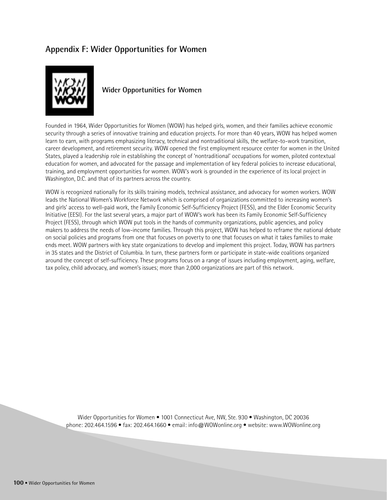## **Appendix F: Wider Opportunities for Women**



**Wider Opportunities for Women**

Founded in 1964, Wider Opportunities for Women (WOW) has helped girls, women, and their families achieve economic security through a series of innovative training and education projects. For more than 40 years, WOW has helped women learn to earn, with programs emphasizing literacy, technical and nontraditional skills, the welfare-to-work transition, career development, and retirement security. WOW opened the first employment resource center for women in the United States, played a leadership role in establishing the concept of 'nontraditional' occupations for women, piloted contextual education for women, and advocated for the passage and implementation of key federal policies to increase educational, training, and employment opportunities for women. WOW's work is grounded in the experience of its local project in Washington, D.C. and that of its partners across the country.

WOW is recognized nationally for its skills training models, technical assistance, and advocacy for women workers. WOW leads the National Women's Workforce Network which is comprised of organizations committed to increasing women's and girls' access to well-paid work, the Family Economic Self-Sufficiency Project (FESS), and the Elder Economic Security Initiative (EESI). For the last several years, a major part of WOW's work has been its Family Economic Self-Sufficiency Project (FESS), through which WOW put tools in the hands of community organizations, public agencies, and policy makers to address the needs of low-income families. Through this project, WOW has helped to reframe the national debate on social policies and programs from one that focuses on poverty to one that focuses on what it takes families to make ends meet. WOW partners with key state organizations to develop and implement this project. Today, WOW has partners in 35 states and the District of Columbia. In turn, these partners form or participate in state-wide coalitions organized around the concept of self-sufficiency. These programs focus on a range of issues including employment, aging, welfare, tax policy, child advocacy, and women's issues; more than 2,000 organizations are part of this network.

Wider Opportunities for Women • 1001 Connecticut Ave, NW, Ste. 930 • Washington, DC 20036 phone: 202.464.1596 • fax: 202.464.1660 • email: info@WOWonline.org • website: www.WOWonline.org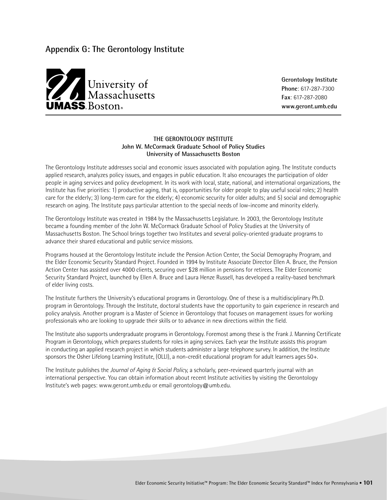## **Appendix G: The Gerontology Institute**



**Gerontology Institute Phone**: 617-287-7300 **Fax**: 617-287-2080

## **THE GERONTOLOGY INSTITUTE John W. McCormack Graduate School of Policy Studies University of Massachusetts Boston**

The Gerontology Institute addresses social and economic issues associated with population aging. The Institute conducts applied research, analyzes policy issues, and engages in public education. It also encourages the participation of older people in aging services and policy development. In its work with local, state, national, and international organizations, the Institute has five priorities: 1) productive aging, that is, opportunities for older people to play useful social roles; 2) health care for the elderly; 3) long-term care for the elderly; 4) economic security for older adults; and 5) social and demographic research on aging. The Institute pays particular attention to the special needs of low-income and minority elderly.

The Gerontology Institute was created in 1984 by the Massachusetts Legislature. In 2003, the Gerontology Institute became a founding member of the John W. McCormack Graduate School of Policy Studies at the University of Massachusetts Boston. The School brings together two Institutes and several policy-oriented graduate programs to advance their shared educational and public service missions.

Programs housed at the Gerontology Institute include the Pension Action Center, the Social Demography Program, and the Elder Economic Security Standard Project. Founded in 1994 by Institute Associate Director Ellen A. Bruce, the Pension Action Center has assisted over 4000 clients, securing over \$28 million in pensions for retirees. The Elder Economic Security Standard Project, launched by Ellen A. Bruce and Laura Henze Russell, has developed a reality-based benchmark of elder living costs.

The Institute furthers the University's educational programs in Gerontology. One of these is a multidisciplinary Ph.D. program in Gerontology. Through the Institute, doctoral students have the opportunity to gain experience in research and policy analysis. Another program is a Master of Science in Gerontology that focuses on management issues for working professionals who are looking to upgrade their skills or to advance in new directions within the field.

The Institute also supports undergraduate programs in Gerontology. Foremost among these is the Frank J. Manning Certificate Program in Gerontology, which prepares students for roles in aging services. Each year the Institute assists this program in conducting an applied research project in which students administer a large telephone survey. In addition, the Institute sponsors the Osher Lifelong Learning Institute, (OLLI), a non-credit educational program for adult learners ages 50+.

The Institute publishes the *Journal of Aging & Social Policy*, a scholarly, peer-reviewed quarterly journal with an international perspective. You can obtain information about recent Institute activities by visiting the Gerontology Institute's web pages: www.geront.umb.edu or email gerontology@umb.edu.